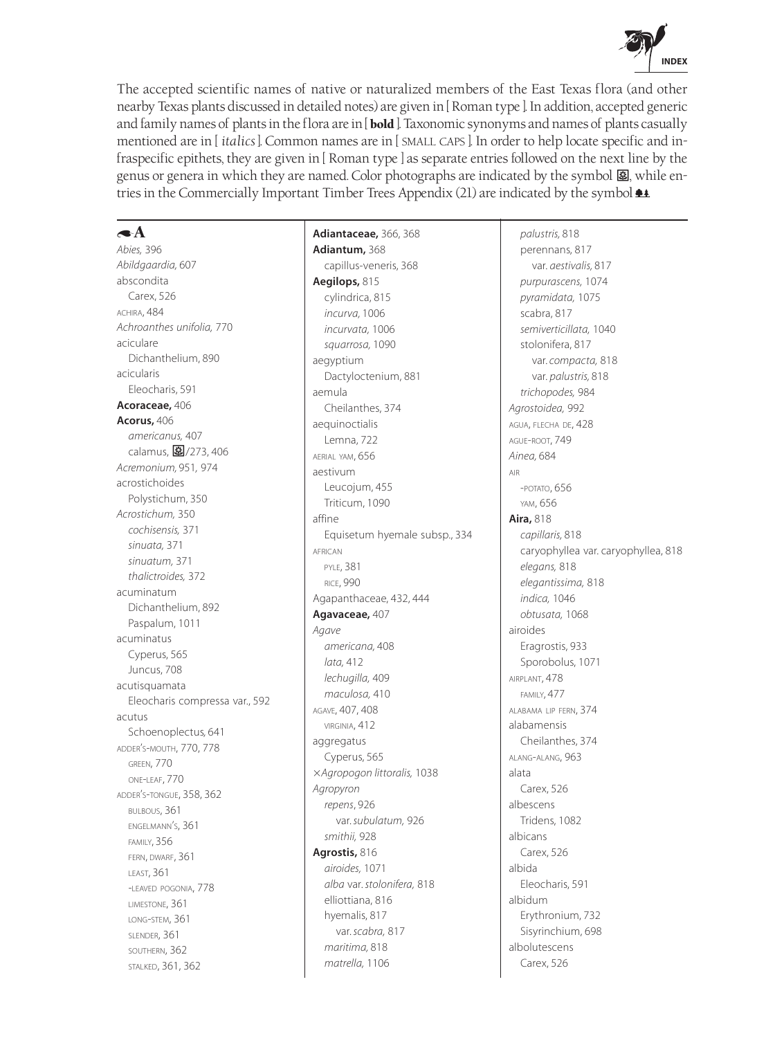

The accepted scientific names of native or naturalized members of the East Texas flora (and other nearby Texas plants discussed in detailed notes) are given in [ Roman type ]. In addition, accepted generic and family names of plants in the flora are in [**bold** ]. Taxonomic synonyms and names of plants casually mentioned are in [ *italics* ]. Common names are in [ SMALL CAPS ]. In order to help locate specific and infraspecific epithets, they are given in [ Roman type ] as separate entries followed on the next line by the genus or genera in which they are named. Color photographs are indicated by the symbol  $\mathbf{E}$ , while entries in the Commercially Important Timber Trees Appendix (21) are indicated by the symbol  $\triangleq$ .

# $\blacktriangle$

*Abies,* 396 *Abildgaardia,* 607 abscondita Carex, 526 ACHIRA, 484 *Achroanthes unifolia,* 770 aciculare Dichanthelium, 890 acicularis Eleocharis, 591 **Acoraceae,** 406 **Acorus,** 406 *americanus,* 407 calamus, 3/273, 406 *Acremonium,* 951*,* 974 acrostichoides Polystichum, 350 *Acrostichum,* 350 *cochisensis,* 371 *sinuata,* 371 *sinuatum,* 371 *thalictroides,* 372 acuminatum Dichanthelium, 892 Paspalum, 1011 acuminatus Cyperus, 565 Juncus, 708 acutisquamata Eleocharis compressa var., 592 acutus Schoenoplectus*,* 641 ADDER'S-MOUTH, 770, 778 GREEN, 770 ONE-LEAF, 770 ADDER'S-TONGUE, 358, 362 BULBOUS, 361 ENGELMANN'S, 361 FAMILY, 356 FERN, DWARF, 361 LEAST, 361 -LEAVED POGONIA, 778 LIMESTONE, 361 LONG-STEM, 361 SLENDER, 361 SOUTHERN, 362 STALKED, 361, 362

**Adiantaceae,** 366, 368 **Adiantum,** 368 capillus-veneris, 368 **Aegilops,** 815 cylindrica, 815 *incurva,* 1006 *incurvata,* 1006 *squarrosa,* 1090 aegyptium Dactyloctenium, 881 aemula Cheilanthes, 374 aequinoctialis Lemna, 722 AERIAL YAM, 656 aestivum Leucojum, 455 Triticum, 1090 affine Equisetum hyemale subsp., 334 AFRICAN PYLE, 381 RICE, 990 Agapanthaceae, 432, 444 **Agavaceae,** 407 *Agave americana,* 408 *lata,* 412 *lechugilla,* 409 *maculosa,* 410 AGAVE, 407, 408 VIRGINIA, 412 aggregatus Cyperus, 565 *Agropogon littoralis,* 1038 *Agropyron repens*, 926 var. *subulatum,* 926 *smithii,* 928 **Agrostis,** 816 *airoides,* 1071 *alba* var. *stolonifera,* 818 elliottiana, 816 hyemalis, 817 var. *scabra,* 817 *maritima,* 818 *matrella,* 1106

*palustris,* 818 perennans, 817 var. *aestivalis,* 817 *purpurascens,* 1074 *pyramidata,* 1075 scabra, 817 *semiverticillata,* 1040 stolonifera, 817 var. *compacta,* 818 var. *palustris,* 818 *trichopodes,* 984 *Agrostoidea,* 992 AGUA, FLECHA DE, 428 AGUE-ROOT, 749 *Ainea,* 684 AIR -POTATO, 656 YAM, 656 **Aira,** 818 *capillaris,* 818 caryophyllea var. caryophyllea, 818 *elegans,* 818 *elegantissima,* 818 *indica,* 1046 *obtusata,* 1068 airoides Eragrostis, 933 Sporobolus, 1071 AIRPLANT, 478 FAMILY, 477 ALABAMA LIP FERN, 374 alabamensis Cheilanthes, 374 ALANG-ALANG, 963 alata Carex, 526 albescens Tridens, 1082 albicans Carex, 526 albida Eleocharis, 591 albidum Erythronium, 732 Sisyrinchium, 698 albolutescens Carex, 526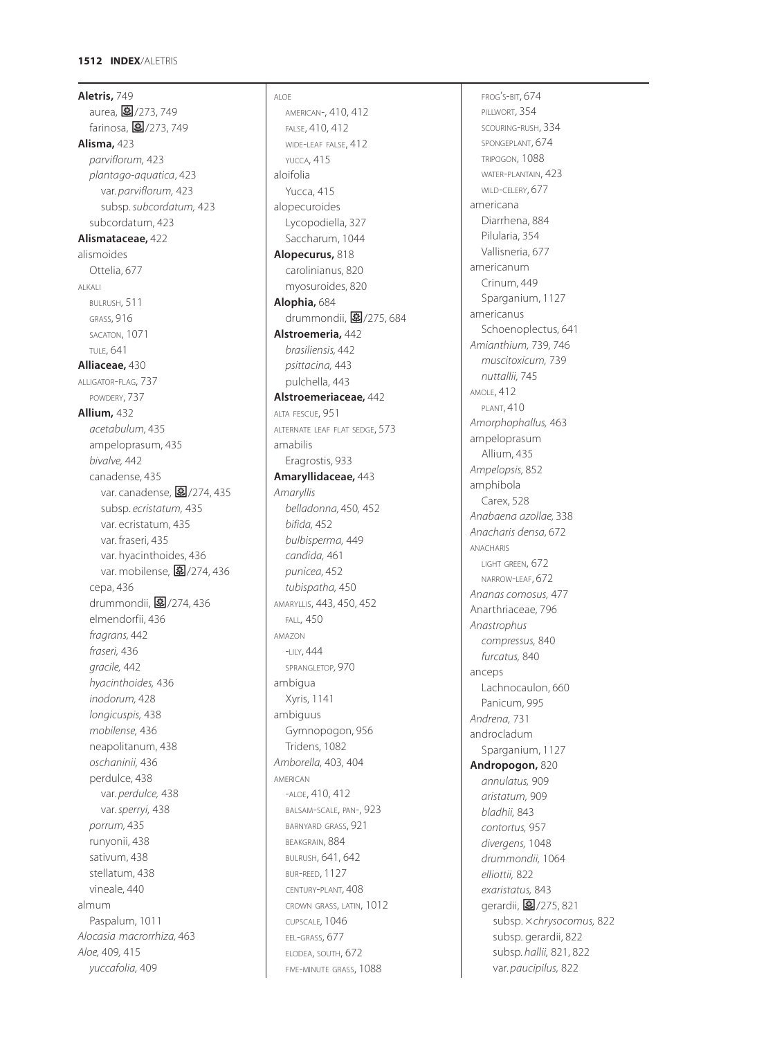**Aletris,** 749 aurea, **图**/273, 749 farinosa, **图**/273, 749 **Alisma,** 423 *parviflorum,* 423 *plantago-aquatica*, 423 var. *parviflorum,* 423 subsp. *subcordatum,* 423 subcordatum, 423 **Alismataceae,** 422 alismoides Ottelia, 677 ALKALI BULRUSH, 511 GRASS, 916 SACATON, 1071 TULE, 641 **Alliaceae,** 430 ALLIGATOR -FLAG, 737 POWDERY, 737 **Allium,** 432 *acetabulum,* 435 ampeloprasum, 435 *bivalve,* 442 canadense, 435 var. canadense, **图**/274, 435 subsp. *ecristatum,* 435 var. ecristatum, 435 var. fraseri, 435 var. hyacinthoides, 436 var. mobilense, **图**/274, 436 cepa, 436 drummondii, **图**/274,436 elmendorfii, 436 *fragrans,* 442 *fraseri,* 436 *gracile,* 442 *hyacinthoides,* 436 *inodorum,* 428 *longicuspis,* 438 *mobilense,* 436 neapolitanum, 438 *oschaninii,* 436 perdulce, 438 var. *perdulce,* 438 var. *sperryi,* 438 *porrum,* 435 runyonii, 438 sativum, 438 stellatum, 438 vineale, 440 almum Paspalum, 1011 *Alocasia macrorrhiza,* 463 *Aloe,* 409 *,* 415 *yuccafolia,* 409

ALOE AMERICAN-, 410, 412 FALSE, 410, 412 WIDE -LEAF FALSE, 412 YUCCA, 415 aloifolia Yucca, 415 alopecuroides Lycopodiella, 327 Saccharum, 1044 **Alopecurus,** 818 carolinianus, 820 myosuroides, 820 **Alophia,** 684 drummondii, m/275, 684 **Alstroemeria,** 442 *brasiliensis,* 442 *psittacina,* 443 pulchella, 443 **Alstroemeriaceae,** 442 ALTA FESCUE, 951 ALTERNATE LEAF FLAT SEDGE, 573 amabilis Eragrostis, 933 **Amaryllidaceae,** 443 *Amaryllis belladonna,* 450 *,* 452 *bifida,* 452 *bulbisperma,* 449 *candida,* 461 *punicea,* 452 *tubispatha,* 450 AMARYLLIS, 443, 450, 452 FALL*,* 450 AMAZON -LILY, 444 SPRANGLETOP*,* 970 ambigua Xyris, 1141 ambiguus Gymnopogon, 956 Tridens, 1082 *Amborella,* 403 *,* 404 AMERICAN -ALOE, 410, 412 BALSAM -SCALE, PAN-, 923 BARNYARD GRASS, 921 BEAKGRAIN, 884 BULRUSH, 641, 642 BUR -REED, 1127 CENTURY -PLANT, 408 CROWN GRASS, LATIN, 1012 CUPSCALE*,* 1046 EEL -GRASS, 677 ELODEA, SOUTH, 672 FIVE -MINUTE GRASS, 1088

FROG S -BIT, 674 ' PILLWORT, 354 SCOURING -RUSH, 334 SPONGEPLANT, 674 TRIPOGON, 1088 WATER -PLANTAIN, 423 WILD -CELERY, 677 americana Diarrhena, 884 Pilularia, 354 Vallisneria, 677 americanum Crinum, 449 Sparganium, 1127 americanus Schoenoplectus, 641 *Amianthium,* 739*,* 746 *muscitoxicum,* 739 *nuttallii,* 745 AMOLE, 412 PLANT, 410 *Amorphophallus,* 463 ampeloprasum Allium, 435 *Ampelopsis,* 852 amphibola Carex, 528 *Anabaena azollae,* 338 *Anacharis densa,* 672 ANACHARIS LIGHT GREEN, 672 NARROW -LEAF, 672 *Ananas comosus,* 477 Anarthriaceae, 796 *Anastrophus compressus,* 840 *furcatus,* 840 anceps Lachnocaulon, 660 Panicum, 995 *Andrena,* 731 androcladum Sparganium, 1127 **Andropogon,** 820 *annulatus,* 909 *aristatum,* 909 *bladhii,* 843 *contortus,* 957 *divergens,* 1048 *drummondii,* 1064 *elliottii,* 822 *exaristatus,* 843 gerardii, **图**/275, 821 subsp. *chrysocomus,* 822 subsp. gerardii, 822 subsp*. hallii,* 821, 822 var. *paucipilus,* 822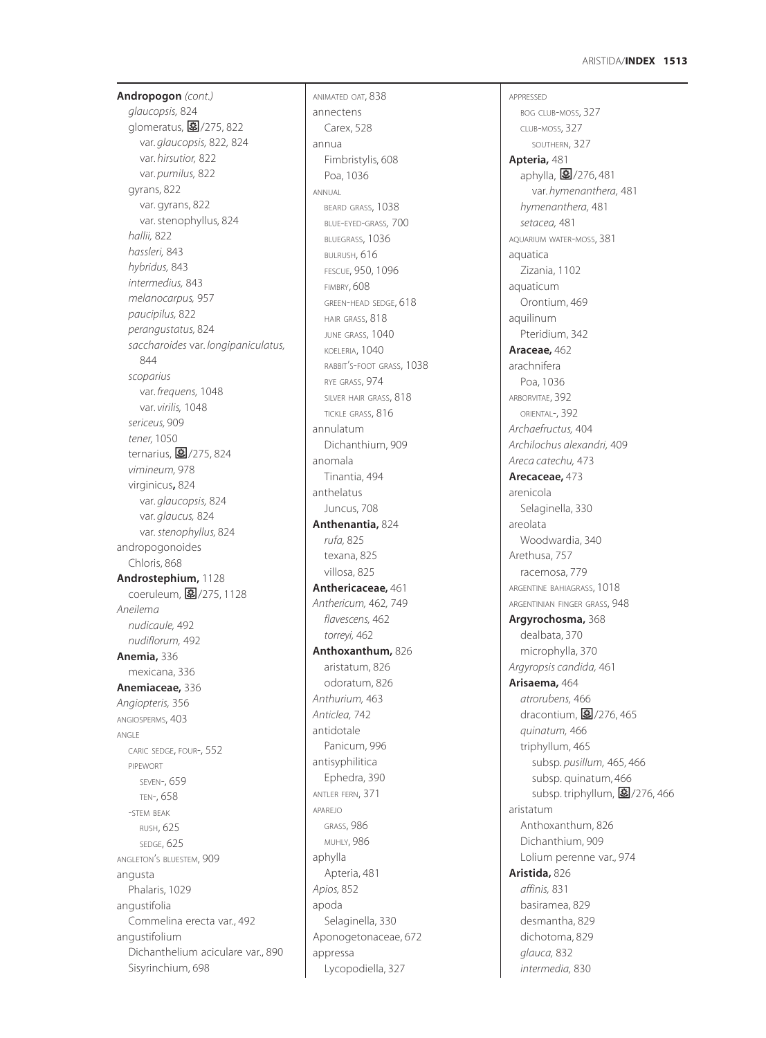### **1513** ARISTIDA/**INDEX**

APPRESSED

**Andropogon** *(cont.) glaucopsis,* 824 glomeratus, 2775, 822 var. *glaucopsis,* 822*,* 824 var. *hirsutior,* 822 var. *pumilus,* 822 gyrans, 822 var. gyrans, 822 var. stenophyllus, 824 *hallii,* 822 *hassleri,* 843 *hybridus,* 843 *intermedius,* 843 *melanocarpus,* 957 *paucipilus,* 822 *perangustatus,* 824 *saccharoides* var. *longipaniculatus,* 844 *scoparius* var. *frequens,* 1048 var. *virilis,* 1048 *sericeus,* 909 *tener,* 1050 ternarius,  $\frac{3}{2}$ /275, 824 *vimineum,* 978 virginicus**,** 824 var. *glaucopsis,* 824 var. *glaucus,* 824 var. *stenophyllus,* 824 andropogonoides Chloris, 868 **Androstephium,** 1128 coeruleum, 图/275, 1128 *Aneilema nudicaule,* 492 *nudiflorum,* 492 **Anemia,** 336 mexicana, 336 **Anemiaceae,** 336 *Angiopteris,* 356 ANGIOSPERMS, 403 ANGLE CARIC SEDGE, FOUR-, 552 PIPEWORT SEVEN-, 659 TEN-, 658 -STEM BEAK RUSH, 625 SEDGE, 625 ANGLETON'S BLUESTEM, 909 angusta Phalaris, 1029 angustifolia Commelina erecta var., 492 angustifolium Dichanthelium aciculare var., 890 Sisyrinchium, 698

ANIMATED OAT, 838 annectens Carex, 528 annua Fimbristylis, 608 Poa, 1036 ANNUAL BEARD GRASS, 1038 BLUE-EYED-GRASS*,* 700 BLUEGRASS, 1036 BULRUSH, 616 FESCUE, 950, 1096 FIMBRY, 608 GREEN-HEAD SEDGE, 618 HAIR GRASS, 818 JUNE GRASS, 1040 KOELERIA, 1040 RABBIT'S-FOOT GRASS, 1038 RYE GRASS, 974 SILVER HAIR GRASS, 818 TICKLE GRASS, 816 annulatum Dichanthium, 909 anomala Tinantia, 494 anthelatus Juncus, 708 **Anthenantia,** 824 *rufa,* 825 texana, 825 villosa, 825 **Anthericaceae,** 461 *Anthericum,* 462*,* 749 *flavescens,* 462 *torreyi,* 462 **Anthoxanthum,** 826 aristatum, 826 odoratum, 826 *Anthurium,* 463 *Anticlea,* 742 antidotale Panicum, 996 antisyphilitica Ephedra, 390 ANTLER FERN, 371 APAREJO GRASS, 986 MUHLY, 986 aphylla Apteria, 481 *Apios,* 852 apoda Selaginella, 330 Aponogetonaceae, 672 appressa Lycopodiella, 327

BOG CLUB-MOSS, 327 CLUB-MOSS, 327 SOUTHERN, 327 **Apteria,** 481 aphylla, 276, 481 var. *hymenanthera,* 481 *hymenanthera,* 481 *setacea,* 481 AQUARIUM WATER-MOSS, 381 aquatica Zizania, 1102 aquaticum Orontium, 469 aquilinum Pteridium, 342 **Araceae,** 462 arachnifera Poa, 1036 ARBORVITAE, 392 ORIENTAL-, 392 *Archaefructus,* 404 *Archilochus alexandri,* 409 *Areca catechu,* 473 **Arecaceae,** 473 arenicola Selaginella, 330 areolata Woodwardia, 340 Arethusa, 757 racemosa, 779 ARGENTINE BAHIAGRASS, 1018 ARGENTINIAN FINGER GRASS, 948 **Argyrochosma,** 368 dealbata, 370 microphylla, 370 *Argyropsis candida,* 461 **Arisaema,** 464 *atrorubens,* 466 dracontium,  $\frac{3}{2}$ /276, 465 *quinatum,* 466 triphyllum, 465 subsp. *pusillum,* 465*,* 466 subsp. quinatum, 466 subsp. triphyllum, 图/276, 466 aristatum Anthoxanthum, 826 Dichanthium, 909 Lolium perenne var., 974 **Aristida,** 826 *affinis,* 831 basiramea, 829 desmantha, 829 dichotoma, 829 *glauca,* 832 *intermedia,* 830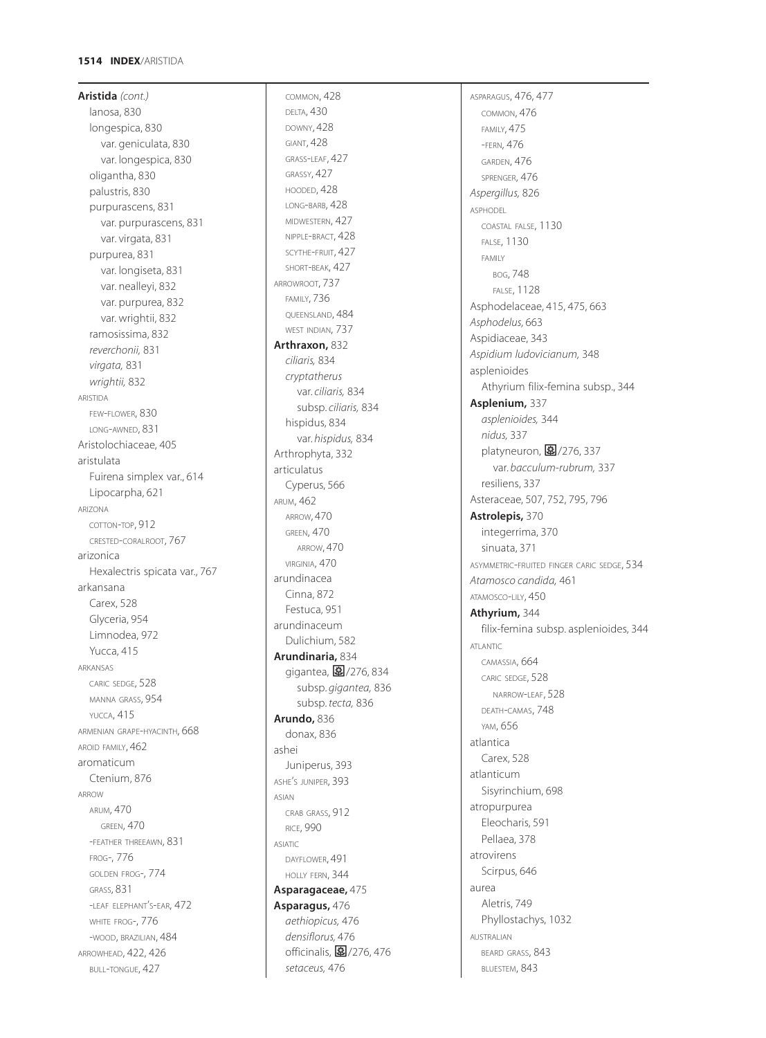### **1514 INDEX** /ARISTIDA

**Aristida** *(cont.)* lanosa, 830 longespica, 830 var. geniculata, 830 var. longespica, 830 oligantha, 830 palustris, 830 purpurascens, 831 var. purpurascens, 831 var. virgata, 831 purpurea, 831 var. longiseta, 831 var. nealleyi, 832 var. purpurea, 832 var. wrightii, 832 ramosissima, 832 *reverchonii,* 831 *virgata,* 831 *wrightii,* 832 ARISTIDA FEW -FLOWER, 830 LONG -AWNED, 831 Aristolochiaceae, 405 aristulata Fuirena simplex var., 614 Lipocarpha, 621 ARIZONA COTTON -TOP, 912 CRESTED -CORALROOT, 767 arizonica Hexalectris spicata var., 767 arkansana Carex, 528 Glyceria, 954 Limnodea, 972 Yucca, 415 ARKANSAS CARIC SEDGE, 528 MANNA GRASS, 954 YUCCA, 415 ARMENIAN GRAPE -HYACINTH, 668 AROID FAMILY, 462 aromaticum Ctenium, 876 ARROW ARUM, 470 GREEN, 470 -FEATHER THREEAWN, 831 FROG-, 776 GOLDEN FROG-, 774 GRASS, 831 -LEAF ELEPHANT'S-EAR, 472 ' WHITE FROG-, 776 -WOOD, BRAZILIAN, 484 ARROWHEAD, 422, 426 BULL -TONGUE, 427

COMMON, 428 DELTA, 430 DOWNY, 428 GIANT, 428 GRASS -LEAF, 427 GRASSY, 427 HOODED, 428 LONG -BARB, 428 MIDWESTERN, 427 NIPPLE -BRACT, 428 SCYTHE-FRUIT, 427 SHORT -BEAK, 427 ARROWROOT, 737 FAMILY, 736 QUEENSLAND, 484 WEST INDIAN, 737 **Arthraxon,** 832 *ciliaris,* 834 *cryptatherus* var. *ciliaris,* 834 subsp. *ciliaris,* 834 hispidus, 834 var. *hispidus,* 834 Arthrophyta, 332 articulatus Cyperus, 566 ARUM, 462 ARROW, 470 GREEN, 470 ARROW, 470 VIRGINIA, 470 arundinace a Cinna, 872 Festuca, 951 arundinaceum Dulichium, 582 **Arundinaria,** 834 gigantea, 276,834 subsp. *gigantea,* 836 subsp. *tecta,* 836 **Arundo,** 836 donax, 836 ashei Juniperus, 393 ASHE S JUNIPER, 393 ' ASIAN CRAB GRASS, 912 RICE, 990 ASIATIC DAYFLOWER, 491 HOLLY FERN, 344 **Asparagaceae,** 475 **Asparagus,** 476 *aethiopicus,* 476 *densiflorus,* 476 officinalis, **图**/276, 476

*setaceus,* 476

ASPARAGUS, 476, 477 COMMON, 476 FAMILY, 475 -FERN, 476 GARDEN, 476 SPRENGER, 476 *Aspergillus,* 826 ASPHODEL COASTAL FALSE, 1130 FALSE, 1130 FAMILY BOG, 748 FALSE, 1128 Asphodelaceae, 415, 475, 663 *Asphodelus,* 663 Aspidiaceae, 343 *Aspidium ludovicianum,* 348 asplenioides Athyrium filix-femina subsp., 344 **Asplenium,** 337 *asplenioides,* 344 *nidus,* 337 platyneuron, <mark>0</mark>/276, 337 var. *bacculum-rubrum,* 337 resiliens, 337 Asteraceae, 507, 752, 795, 796 **Astrolepis,** 370 integerrima, 370 sinuata, 371 ASYMMETRIC -FRUITED FINGER CARIC SEDGE, 534 *Atamosco candida,* 461 ATAMOSCO -LILY, 450 **Athyrium,** 344 filix-femina subsp. asplenioides, 344 ATLANTIC CAMASSIA, 664 CARIC SEDGE, 528 NARROW -LEAF, 528 DEATH -CAMAS, 748 YAM, 656 atlantica Carex, 528 atlanticum Sisyrinchium, 698 atropurpurea Eleocharis, 591 Pellaea, 378 atrovirens Scirpus, 646 aurea Aletris, 749 Phyllostachys, 1032 AUSTRALIAN BEARD GRASS, 843 BLUESTEM, 843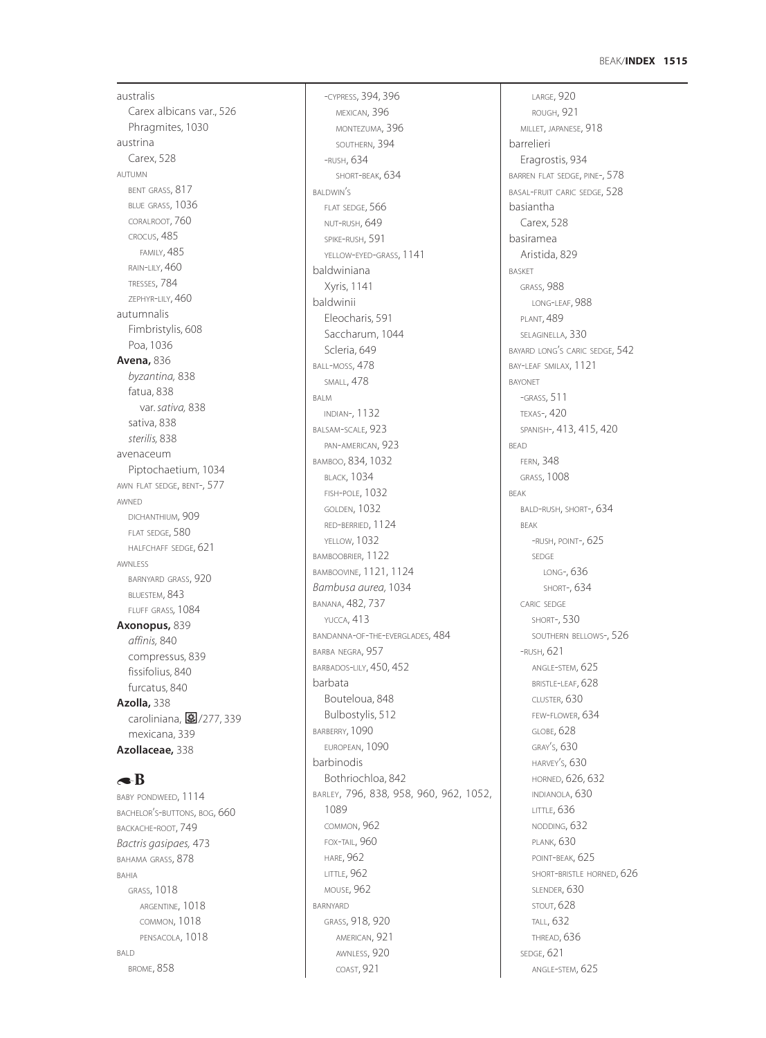### **1515** BEAK/**INDEX**

australis Carex albicans var., 526 Phragmites, 1030 austrina Carex, 528 AUTUMN BENT GRASS, 817 BLUE GRASS, 1036 CORALROOT, 760 CROCUS, 485 FAMILY, 485 RAIN-LILY, 460 TRESSES, 784 ZEPHYR-LILY, 460 autumnalis Fimbristylis, 608 Poa, 1036 **Avena,** 836 *byzantina,* 838 fatua, 838 var. *sativa,* 838 sativa, 838 *sterilis,* 838 avenaceum Piptochaetium, 1034 AWN FLAT SEDGE, BENT-, 577 AWNED DICHANTHIUM, 909 FLAT SEDGE, 580 HALFCHAFF SEDGE, 621 AWNLESS BARNYARD GRASS, 920 BLUESTEM, 843 FLUFF GRASS*,* 1084 **Axonopus,** 839 *affinis,* 840 compressus, 839 fissifolius, 840 furcatus, 840 **Azolla,** 338 caroliniana, 277, 339 mexicana, 339 **Azollaceae,** 338

# $\triangle$ B

BABY PONDWEED, 1114 BACHELOR'S-BUTTONS, BOG, 660 BACKACHE-ROOT, 749 *Bactris gasipaes,* 473 BAHAMA GRASS, 878 BAHIA GRASS, 1018 ARGENTINE, 1018 COMMON, 1018 PENSACOLA, 1018 BALD BROME, 858

-CYPRESS, 394, 396 MEXICAN, 396 MONTEZUMA, 396 SOUTHERN, 394 -RUSH, 634 SHORT-BEAK, 634 BALDWIN'S FLAT SEDGE, 566 NUT-RUSH, 649 SPIKE-RUSH, 591 YELLOW-EYED-GRASS, 1141 baldwiniana Xyris, 1141 baldwinii Eleocharis, 591 Saccharum, 1044 Scleria, 649 BALL-MOSS, 478 SMALL, 478 BALM INDIAN-, 1132 BALSAM-SCALE, 923 PAN-AMERICAN, 923 BAMBOO, 834, 1032 BLACK, 1034 FISH-POLE, 1032 GOLDEN, 1032 RED-BERRIED, 1124 YELLOW, 1032 BAMBOOBRIER, 1122 BAMBOOVINE, 1121, 1124 *Bambusa aurea,* 1034 BANANA, 482, 737 YUCCA, 413 BANDANNA-OF-THE-EVERGLADES, 484 BARBA NEGRA, 957 BARBADOS-LILY, 450, 452 barbata Bouteloua, 848 Bulbostylis, 512 BARBERRY, 1090 EUROPEAN, 1090 barbinodis Bothriochloa, 842 BARLEY, 796, 838*,* 958, 960, 962, 1052, 1089 COMMON, 962 FOX-TAIL, 960 HARE, 962 LITTLE, 962 MOUSE, 962 BARNYARD GRASS, 918, 920 AMERICAN, 921 AWNLESS, 920 COAST, 921

LARGE, 920 ROUGH, 921 MILLET, JAPANESE, 918 barrelieri Eragrostis, 934 BARREN FLAT SEDGE, PINE-, 578 BASAL-FRUIT CARIC SEDGE, 528 basiantha Carex, 528 basiramea Aristida, 829 BASKET GRASS, 988 LONG-LEAF, 988 PLANT, 489 SELAGINELLA, 330 BAYARD LONG'S CARIC SEDGE, 542 BAY-LEAF SMILAX, 1121 BAYONET -GRASS, 511 TEXAS-, 420 SPANISH-, 413, 415, 420 BEAD FERN, 348 GRASS, 1008 BEAK BALD-RUSH, SHORT-, 634 BEAK -RUSH, POINT-, 625 SEDGE LONG-, 636 SHORT-, 634 CARIC SEDGE SHORT-, 530 SOUTHERN BELLOWS-, 526 -RUSH, 621 ANGLE-STEM, 625 BRISTLE-LEAF, 628 CLUSTER, 630 FEW-FLOWER, 634 GLOBE, 628 GRAY'S, 630 HARVEY'S, 630 HORNED, 626, 632 INDIANOLA, 630 LITTLE, 636 NODDING, 632 PLANK, 630 POINT-BEAK, 625 SHORT-BRISTLE HORNED, 626 SLENDER, 630 STOUT, 628 TALL, 632 THREAD, 636 SEDGE, 621 ANGLE-STEM, 625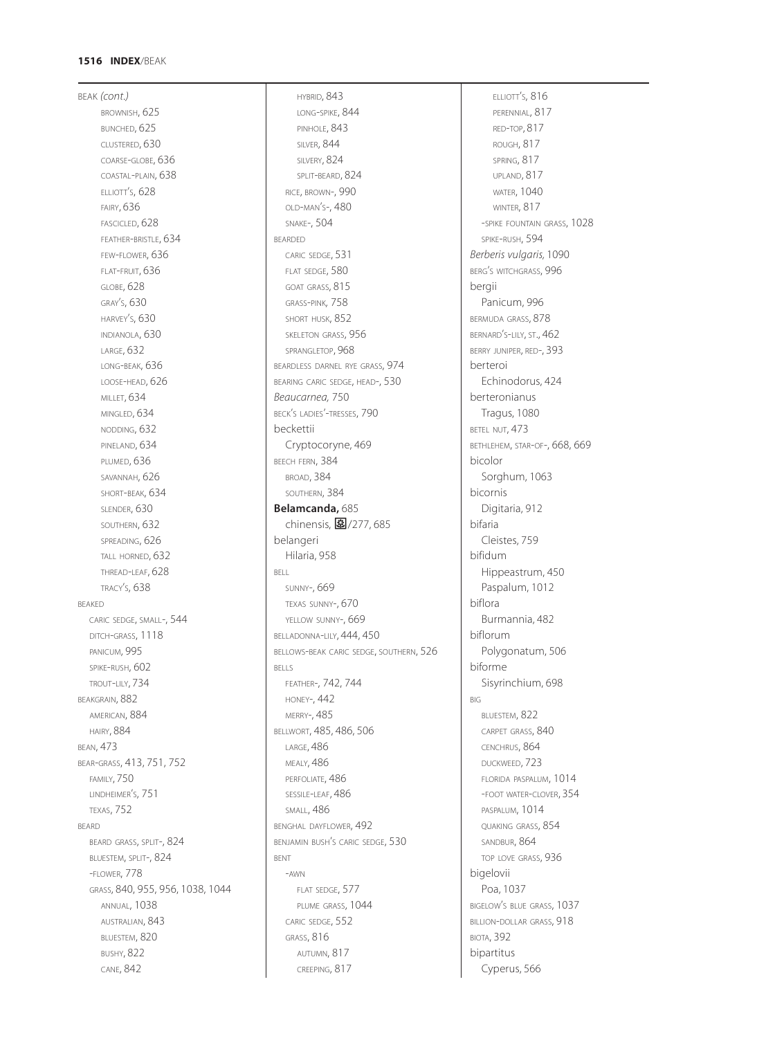# **1516 INDEX**/BEAK

BEAK *(cont.)* BROWNISH, 625 BUNCHED, 625 CLUSTERED, 630 COARSE-GLOBE, 636 COASTAL-PLAIN, 638 ELLIOTT'S, 628 FAIRY, 636 FASCICLED, 628 FEATHER-BRISTLE, 634 FEW-FLOWER, 636 FLAT-FRUIT, 636 GLOBE, 628 GRAY'S, 630 HARVEY'S, 630 INDIANOLA, 630 LARGE, 632 LONG-BEAK, 636 LOOSE-HEAD, 626 MILLET, 634 MINGLED, 634 NODDING, 632 PINELAND, 634 PLUMED, 636 SAVANNAH, 626 SHORT-BEAK, 634 SLENDER, 630 SOUTHERN, 632 SPREADING, 626 TALL HORNED, 632 THREAD-LEAF, 628 TRACY'S, 638 BEAKED CARIC SEDGE, SMALL-, 544 DITCH-GRASS, 1118 PANICUM, 995 SPIKE-RUSH, 602 TROUT-LILY, 734 BEAKGRAIN, 882 AMERICAN, 884 HAIRY, 884 BEAN, 473 BEAR-GRASS, 413, 751, 752 FAMILY, 750 LINDHEIMER'S, 751 TEXAS, 752 BEARD BEARD GRASS, SPLIT-, 824 BLUESTEM, SPLIT-, 824 -FLOWER, 778 GRASS, 840, 955, 956, 1038, 1044 ANNUAL, 1038 AUSTRALIAN, 843 BLUESTEM, 820 BUSHY, 822 CANE, 842

HYBRID, 843 LONG-SPIKE, 844 PINHOLE, 843 SILVER, 844 SILVERY, 824 SPLIT-BEARD, 824 RICE, BROWN-, 990 OLD-MAN'S-, 480 SNAKE-, 504 BEARDED CARIC SEDGE, 531 FLAT SEDGE, 580 GOAT GRASS, 815 GRASS-PINK*,* 758 SHORT HUSK, 852 SKELETON GRASS, 956 SPRANGLETOP, 968 BEARDLESS DARNEL RYE GRASS, 974 BEARING CARIC SEDGE, HEAD-, 530 *Beaucarnea,* 750 BECK'S LADIES'-TRESSES, 790 beckettii Cryptocoryne, 469 BEECH FERN, 384 BROAD, 384 SOUTHERN, 384 **Belamcanda,** 685 chinensis, 图/277, 685 belangeri Hilaria, 958 BELL SUNNY-, 669 TEXAS SUNNY-, 670 YELLOW SUNNY-, 669 BELLADONNA-LILY, 444, 450 BELLOWS-BEAK CARIC SEDGE, SOUTHERN, 526 BELLS FEATHER-, 742, 744 HONEY-, 442 MERRY-, 485 BELLWORT, 485, 486, 506 LARGE, 486 MEALY, 486 PERFOLIATE, 486 SESSILE-LEAF, 486 SMALL, 486 BENGHAL DAYFLOWER, 492 BENJAMIN BUSH'S CARIC SEDGE, 530 BENT -AWN FLAT SEDGE, 577 PLUME GRASS, 1044 CARIC SEDGE, 552 GRASS, 816 AUTUMN, 817 CREEPING, 817

ELLIOTT'S, 816 PERENNIAL, 817 RED-TOP, 817 ROUGH, 817 SPRING, 817 UPLAND, 817 WATER, 1040 WINTER, 817 -SPIKE FOUNTAIN GRASS, 1028 SPIKE-RUSH, 594 *Berberis vulgaris,* 1090 BERG'S WITCHGRASS, 996 bergii Panicum, 996 BERMUDA GRASS, 878 BERNARD'S-LILY, ST., 462 BERRY JUNIPER, RED-, 393 berteroi Echinodorus, 424 berteronianus Tragus, 1080 BETEL NUT, 473 BETHLEHEM, STAR-OF-, 668, 669 bicolor Sorghum, 1063 bicornis Digitaria, 912 bifaria Cleistes, 759 bifidum Hippeastrum, 450 Paspalum, 1012 biflora Burmannia, 482 biflorum Polygonatum, 506 biforme Sisyrinchium, 698 BIG BLUESTEM, 822 CARPET GRASS, 840 CENCHRUS, 864 DUCKWEED, 723 FLORIDA PASPALUM, 1014 -FOOT WATER-CLOVER, 354 PASPALUM, 1014 QUAKING GRASS, 854 SANDBUR, 864 TOP LOVE GRASS, 936 bigelovii Poa, 1037 BIGELOW'S BLUE GRASS, 1037 BILLION-DOLLAR GRASS, 918 BIOTA, 392 bipartitus Cyperus, 566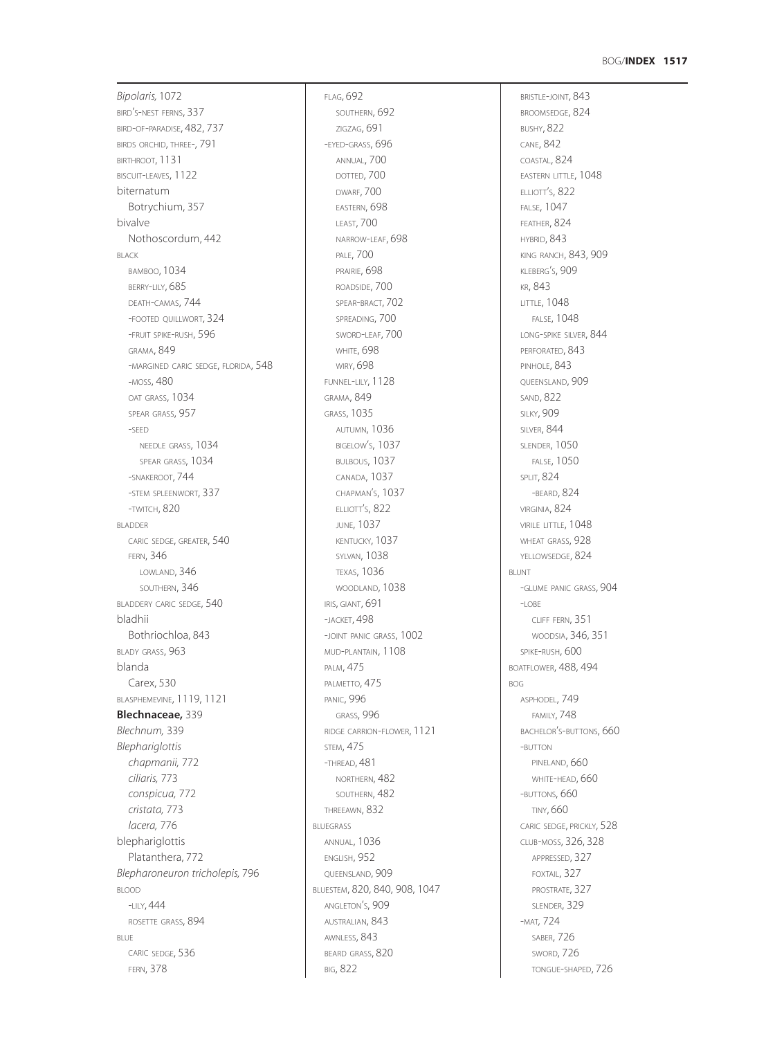*Bipolaris,* 1072 BIRD'S-NEST FERNS, 337 BIRD-OF-PARADISE, 482, 737 BIRDS ORCHID, THREE-, 791 BIRTHROOT, 1131 BISCUIT-LEAVES, 1122 biternatum Botrychium, 357 bivalve Nothoscordum, 442 BLACK BAMBOO, 1034 BERRY-LILY, 685 DEATH-CAMAS, 744 -FOOTED QUILLWORT, 324 -FRUIT SPIKE-RUSH, 596 GRAMA, 849 -MARGINED CARIC SEDGE, FLORIDA, 548 -MOSS, 480 OAT GRASS, 1034 SPEAR GRASS, 957 -SEED NEEDLE GRASS, 1034 SPEAR GRASS, 1034 -SNAKEROOT, 744 -STEM SPLEENWORT, 337 -TWITCH, 820 BLADDER CARIC SEDGE, GREATER, 540 FERN, 346 LOWLAND, 346 SOUTHERN, 346 BLADDERY CARIC SEDGE, 540 bladhii Bothriochloa, 843 BLADY GRASS, 963 blanda Carex, 530 BLASPHEMEVINE, 1119, 1121 **Blechnaceae,** 339 *Blechnum,* 339 *Blephariglottis chapmanii,* 772 *ciliaris,* 773 *conspicua,* 772 *cristata,* 773 *lacera,* 776 blephariglottis Platanthera, 772 *Blepharoneuron tricholepis,* 796 BLOOD  $-$ LIV, 444 ROSETTE GRASS, 894 BLUE CARIC SEDGE, 536 FERN, 378

FLAG, 692 SOUTHERN, 692 ZIGZAG, 691 -EYED-GRASS, 696 ANNUAL, 700 DOTTED, 700 DWARF, 700 EASTERN, 698 LEAST, 700 NARROW-LEAF, 698 PALE, 700 PRAIRIE, 698 ROADSIDE, 700 SPEAR-BRACT, 702 SPREADING, 700 SWORD-LEAF, 700 WHITE, 698 WIRY, 698 FUNNEL-LILY, 1128 GRAMA, 849 GRASS, 1035 AUTUMN, 1036 BIGELOW'S, 1037 BULBOUS, 1037 CANADA, 1037 CHAPMAN'S, 1037 ELLIOTT'S, 822 JUNE, 1037 KENTUCKY, 1037 SYLVAN, 1038 TEXAS, 1036 WOODLAND, 1038 IRIS, GIANT, 691 -JACKET, 498 -JOINT PANIC GRASS, 1002 MUD-PLANTAIN, 1108 PALM, 475 PALMETTO, 475 PANIC, 996 GRASS, 996 RIDGE CARRION-FLOWER, 1121 STEM, 475 -THREAD, 481 NORTHERN, 482 SOUTHERN, 482 THREEAWN, 832 BLUEGRASS ANNUAL, 1036 ENGLISH, 952 QUEENSLAND, 909 BLUESTEM, 820, 840, 908, 1047 ANGLETON'S, 909 AUSTRALIAN, 843 AWNLESS, 843 BEARD GRASS, 820 BIG, 822

BRISTLE-JOINT, 843 BROOMSEDGE, 824 BUSHY, 822 CANE, 842 COASTAL, 824 EASTERN LITTLE, 1048 ELLIOTT'S, 822 FALSE, 1047 FEATHER, 824 HYBRID, 843 KING RANCH, 843, 909 KLEBERG'S, 909 KR, 843 LITTLE, 1048 FALSE, 1048 LONG-SPIKE SILVER, 844 PERFORATED, 843 PINHOLE, 843 QUEENSLAND, 909 SAND, 822 SILKY, 909 **SILVER, 844** SLENDER, 1050 FALSE, 1050 SPLIT, 824 -BEARD, 824 VIRGINIA, 824 VIRILE LITTLE, 1048 WHEAT GRASS, 928 YELLOWSEDGE, 824 BLUNT -GLUME PANIC GRASS, 904  $-LOBE$ CLIFF FERN, 351 WOODSIA, 346, 351 SPIKE-RUSH, 600 BOATFLOWER, 488, 494 BOG ASPHODEL, 749 FAMILY, 748 BACHELOR'S-BUTTONS, 660 -BUTTON PINELAND, 660 WHITE-HEAD, 660 -BUTTONS, 660 TINY, 660 CARIC SEDGE, PRICKLY, 528 CLUB-MOSS, 326, 328 APPRESSED, 327 FOXTAIL, 327 PROSTRATE, 327 SLENDER, 329 -MAT*,* 724 SABER, 726 SWORD, 726 TONGUE-SHAPED, 726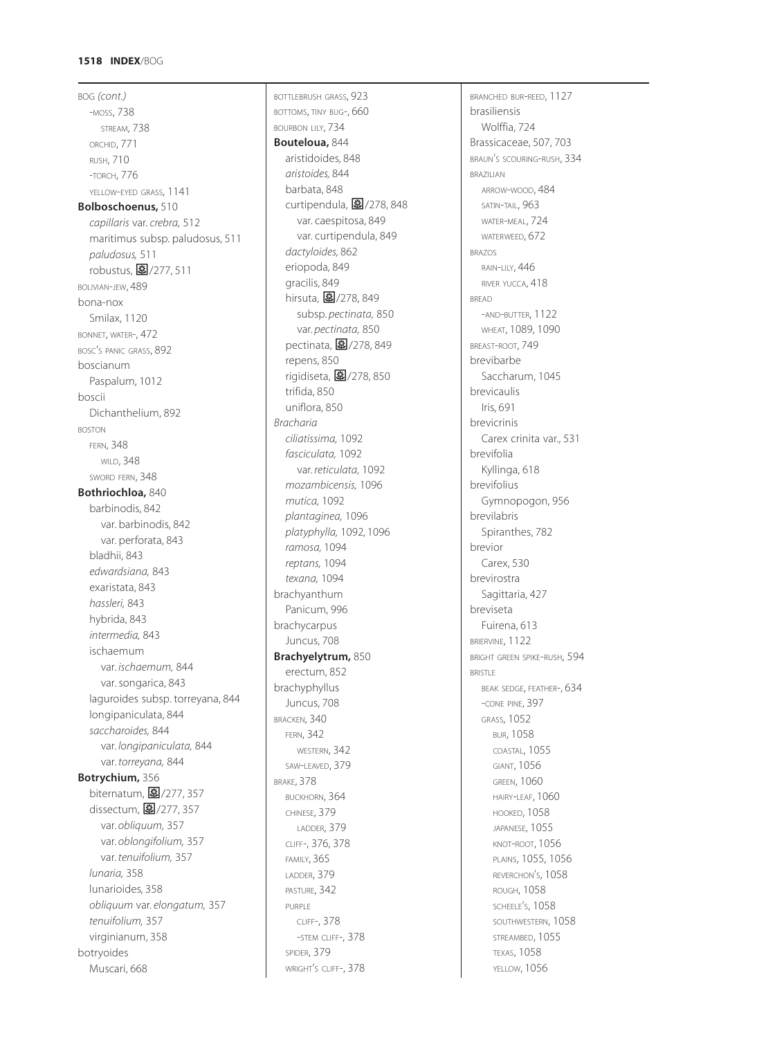# **1518 INDEX**/BOG

BOG *(cont.)* -MOSS, 738 STREAM, 738 ORCHID, 771 RUSH, 710 -TORCH, 776 YELLOW-EYED GRASS, 1141 **Bolboschoenus,** 510 *capillaris* var. *crebra,* 512 maritimus subsp. paludosus, 511 *paludosus,* 511 robustus, 图/277, 511 BOLIVIAN-JEW, 489 bona-nox Smilax, 1120 BONNET, WATER-, 472 BOSC'S PANIC GRASS, 892 boscianum Paspalum, 1012 boscii Dichanthelium, 892 BOSTON FERN, 348 WILD, 348 SWORD FERN, 348 **Bothriochloa,** 840 barbinodis, 842 var. barbinodis, 842 var. perforata, 843 bladhii, 843 *edwardsiana,* 843 exaristata, 843 *hassleri,* 843 hybrida, 843 *intermedia,* 843 ischaemum var. *ischaemum,* 844 var. songarica, 843 laguroides subsp. torreyana, 844 longipaniculata, 844 *saccharoides,* 844 var. *longipaniculata,* 844 var. *torreyana,* 844 **Botrychium,** 356 biternatum, 277, 357 dissectum, 277, 357 var. *obliquum,* 357 var. *oblongifolium,* 357 var. *tenuifolium,* 357 *lunaria,* 358 lunarioides, 358 *obliquum* var. *elongatum,* 357 *tenuifolium,* 357 virginianum, 358 botryoides Muscari, 668

BOTTLEBRUSH GRASS, 923 BOTTOMS, TINY BUG-, 660 BOURBON LILY, 734 **Bouteloua,** 844 aristidoides, 848 *aristoides,* 844 barbata, 848 curtipendula,  $\boxed{3}/278.848$ var. caespitosa, 849 var. curtipendula, 849 *dactyloides,* 862 eriopoda, 849 gracilis, 849 hirsuta, 37/278, 849 subsp. *pectinata,* 850 var. *pectinata,* 850 pectinata, 27278, 849 repens, 850 rigidiseta,  $\boxed{3}$ /278, 850 trifida, 850 uniflora, 850 *Bracharia ciliatissima,* 1092 *fasciculata,* 1092 var. *reticulata,* 1092 *mozambicensis,* 1096 *mutica,* 1092 *plantaginea,* 1096 *platyphylla,* 1092*,* 1096 *ramosa,* 1094 *reptans,* 1094 *texana,* 1094 brachyanthum Panicum, 996 brachycarpus Juncus, 708 **Brachyelytrum,** 850 erectum, 852 brachyphyllus Juncus, 708 BRACKEN, 340 FERN, 342 WESTERN, 342 SAW-LEAVED, 379 BRAKE, 378 BUCKHORN, 364 CHINESE, 379 LADDER, 379 CLIFF-, 376, 378 FAMILY, 365 LADDER, 379 PASTURE, 342 PURPLE CLIFF-, 378 -STEM CLIFF-, 378 SPIDER, 379 WRIGHT'S CLIFF-, 378

BRANCHED BUR-REED, 1127 brasiliensis Wolffia, 724 Brassicaceae, 507, 703 BRAUN'S SCOURING-RUSH, 334 BRAZILIAN ARROW-WOOD, 484 SATIN-TAIL, 963 WATER-MEAL, 724 WATERWEED, 672 BRAZOS RAIN-LILY, 446 RIVER YUCCA, 418 BREAD -AND-BUTTER, 1122 WHEAT, 1089, 1090 BREAST-ROOT, 749 brevibarbe Saccharum, 1045 brevicaulis Iris, 691 brevicrinis Carex crinita var., 531 brevifolia Kyllinga, 618 brevifolius Gymnopogon, 956 brevilabris Spiranthes, 782 brevior Carex, 530 brevirostra Sagittaria, 427 breviseta Fuirena, 613 BRIERVINE, 1122 BRIGHT GREEN SPIKE-RUSH, 594 BRISTLE BEAK SEDGE, FEATHER-, 634 -CONE PINE, 397 GRASS, 1052 BUR, 1058 COASTAL, 1055 GIANT, 1056 **GREEN, 1060** HAIRY-LEAF, 1060 HOOKED, 1058 JAPANESE, 1055 KNOT-ROOT, 1056 PLAINS, 1055, 1056 REVERCHON'S, 1058 ROUGH, 1058 SCHEELE'S, 1058 SOUTHWESTERN, 1058 STREAMBED, 1055 TEXAS, 1058 YELLOW, 1056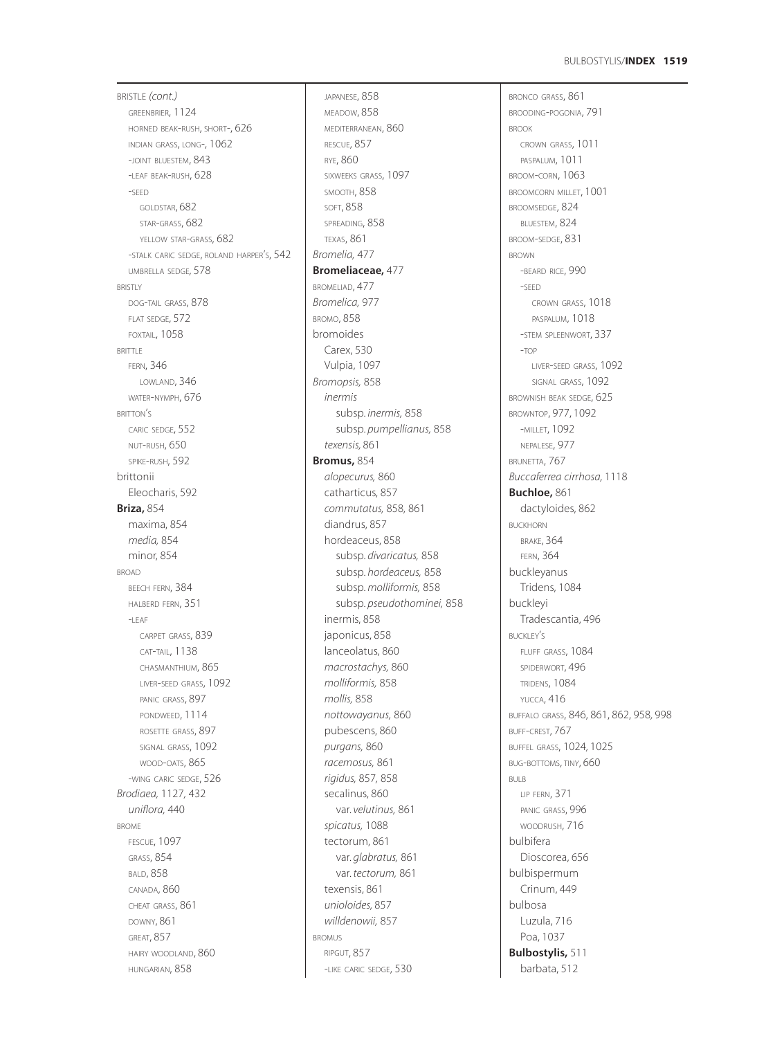BRISTLE *(cont.)* GREENBRIER, 1124 HORNED BEAK-RUSH, SHORT-, 626 INDIAN GRASS, LONG-, 1062 -JOINT BLUESTEM, 843 -LEAF BEAK-RUSH, 628 -SEED GOLDSTAR, 682 STAR-GRASS, 682 YELLOW STAR-GRASS, 682 -STALK CARIC SEDGE, ROLAND HARPER'S, 542 UMBRELLA SEDGE*,* 578 **BRISTLY** DOG-TAIL GRASS, 878 FLAT SEDGE, 572 FOXTAIL, 1058 BRITTLE FERN, 346 LOWLAND, 346 WATER-NYMPH, 676 BRITTON'S CARIC SEDGE, 552 NUT-RUSH, 650 SPIKE-RUSH, 592 brittonii Eleocharis, 592 **Briza,** 854 maxima, 854 *media,* 854 minor, 854 BROAD BEECH FERN, 384 HALBERD FERN, 351  $-$ LEAF CARPET GRASS, 839 CAT-TAIL, 1138 CHASMANTHIUM, 865 LIVER-SEED GRASS, 1092 PANIC GRASS, 897 PONDWEED, 1114 ROSETTE GRASS, 897 SIGNAL GRASS, 1092 WOOD-OATS, 865 -WING CARIC SEDGE, 526 *Brodiaea,* 1127*,* 432 *uniflora,* 440 BROME FESCUE, 1097 GRASS, 854 BALD, 858 CANADA, 860 CHEAT GRASS, 861 DOWNY, 861 GREAT, 857 HAIRY WOODLAND, 860 HUNGARIAN, 858

JAPANESE, 858 MEADOW, 858 MEDITERRANEAN, 860 RESCUE, 857 RYE, 860 SIXWEEKS GRASS, 1097 SMOOTH, 858 SOFT, 858 SPREADING, 858 TEXAS, 861 *Bromelia,* 477 **Bromeliaceae,** 477 BROMELIAD, 477 *Bromelica,* 977 BROMO, 858 bromoides Carex, 530 Vulpia, 1097 *Bromopsis,* 858 *inermis* subsp. *inermis,* 858 subsp. *pumpellianus,* 858 *texensis,* 861 **Bromus,** 854 *alopecurus,* 860 catharticus, 857 *commutatus,* 858*,* 861 diandrus, 857 hordeaceus, 858 subsp. *divaricatus,* 858 subsp. *hordeaceus,* 858 subsp. *molliformis,* 858 subsp. *pseudothominei,* 858 inermis, 858 japonicus, 858 lanceolatus, 860 *macrostachys,* 860 *molliformis,* 858 *mollis,* 858 *nottowayanus,* 860 pubescens, 860 *purgans,* 860 *racemosus,* 861 *rigidus,* 857*,* 858 secalinus, 860 var. *velutinus,* 861 *spicatus,* 1088 tectorum, 861 var. *glabratus,* 861 var. *tectorum,* 861 texensis, 861 *unioloides,* 857 *willdenowii,* 857 BROMUS RIPGUT, 857 -LIKE CARIC SEDGE, 530

BRONCO GRASS, 861 BROODING-POGONIA, 791 BROOK CROWN GRASS, 1011 PASPALUM, 1011 BROOM-CORN, 1063 BROOMCORN MILLET, 1001 BROOMSEDGE, 824 BLUESTEM, 824 BROOM-SEDGE, 831 BROWN -BEARD RICE, 990 -SEED CROWN GRASS, 1018 PASPALUM, 1018 -STEM SPLEENWORT, 337 -TOP LIVER-SEED GRASS, 1092 SIGNAL GRASS, 1092 BROWNISH BEAK SEDGE, 625 BROWNTOP, 977, 1092 -MILLET, 1092 NEPALESE, 977 BRUNETTA, 767 *Buccaferrea cirrhosa,* 1118 **Buchloe,** 861 dactyloides, 862 BUCKHORN BRAKE, 364 FERN, 364 buckleyanus Tridens, 1084 buckleyi Tradescantia, 496 BUCKLEY'S FLUFF GRASS, 1084 SPIDERWORT, 496 TRIDENS, 1084 YUCCA, 416 BUFFALO GRASS, 846, 861, 862, 958*,* 998 BUFF-CREST, 767 BUFFEL GRASS, 1024*,* 1025 BUG-BOTTOMS, TINY, 660 BULB LIP FERN, 371 PANIC GRASS, 996 WOODRUSH, 716 bulbifera Dioscorea, 656 bulbispermum Crinum, 449 bulbosa Luzula, 716 Poa, 1037 **Bulbostylis,** 511 barbata, 512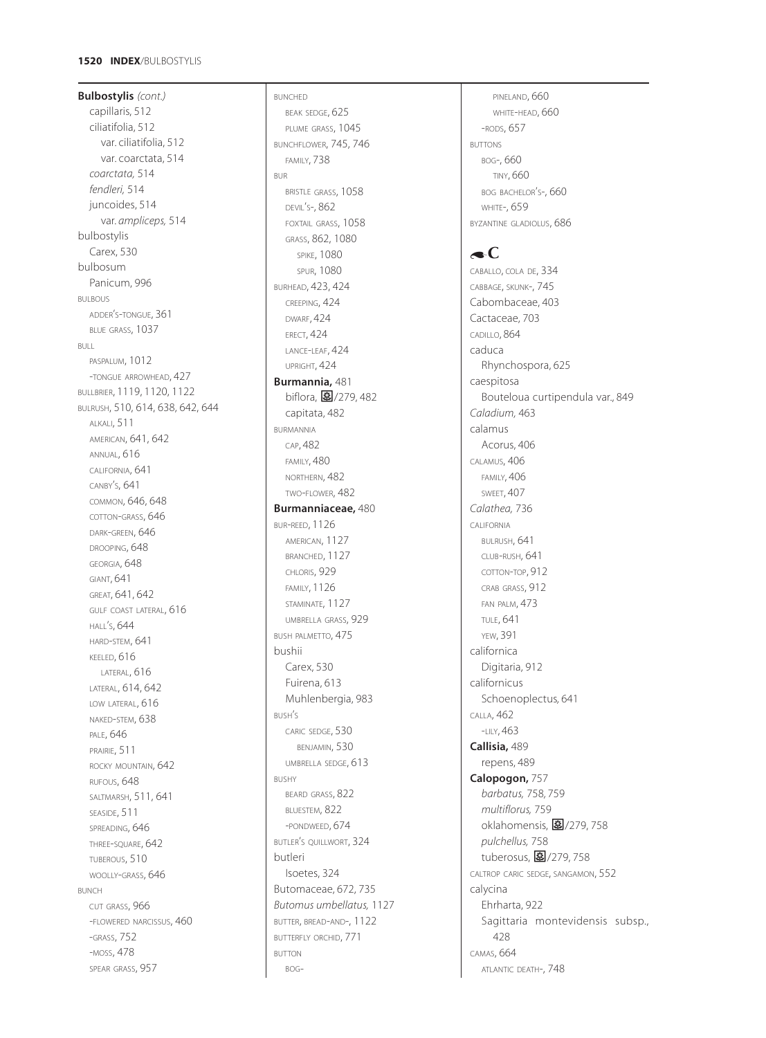**Bulbostylis** *(cont.)* capillaris, 512 ciliatifolia, 512 var. ciliatifolia, 512 var. coarctata, 514 *coarctata,* 514 *fendleri,* 514 juncoides, 514 var. *ampliceps,* 514 bulbostylis Carex, 530 bulbosum Panicum, 996 BULBOUS ADDER S -TONGUE, 361 ' BLUE GRASS, 1037 BULL PASPALUM, 1012 -TONGUE ARROWHEAD, 427 BULLBRIER, 1119, 1120, 1122 BULRUSH, 510, 614, 638, 642, 644 ALKALI, 511 AMERICAN, 641, 642 ANNUAL, 616 CALIFORNIA, 641 CANBY S, 641 ' COMMON, 646, 648 COTTON -GRASS, 646 DARK-GREEN, 646 DROOPING, 648 GEORGIA, 648 GIANT, 641 GREAT, 641, 642 GULF COAST LATERAL, 616 HALL S, 644 ' HARD -STEM, 641 KEELED, 616 LATERAL, 616 LATERAL, 614, 642 LOW LATERAL, 616 NAKED -STEM, 638 PALE, 646 PRAIRIE, 511 ROCKY MOUNTAIN, 642 RUFOUS, 648 SALTMARSH, 511, 641 SEASIDE, 511 SPREADING, 646 THREE -SQUARE, 642 TUBEROUS, 510 WOOLLY -GRASS, 646 BUNCH CUT GRASS, 966 -FLOWERED NARCISSUS, 460 -GRASS, 752 -MOSS, 478 SPEAR GRASS, 957

BUNCHED BEAK SEDGE, 625 PLUME GRASS, 1045 BUNCHFLOWER, 745, 746 FAMILY, 738 BUR BRISTLE GRASS, 1058 DEVIL S-, 862 ' FOXTAIL GRASS, 1058 GRASS, 862, 1080 **SPIKE, 1080** SPUR, 1080 BURHEAD, 423, 424 CREEPING, 424 DWARF, 424 **ERECT, 424** LANCE -LEAF, 424 UPRIGHT, 424 **Burmannia,** 481 biflora, 279,482 capitata, 482 BURMANNIA CAP, 482 FAMILY, 480 NORTHERN, 482 TWO -FLOWER, 482 **Burmanniaceae,** 480 BUR -REED, 1126 AMERICAN, 1127 BRANCHED, 1127 CHLORIS, 929 FAMILY, 1126 STAMINATE, 1127 UMBRELLA GRASS, 929 BUSH PALMETTO, 475 bushii Carex, 530 Fuirena, 613 Muhlenbergia, 983 BUSH S ' CARIC SEDGE, 530 BENJAMIN, 530 UMBRELLA SEDGE, 613 BUSHY BEARD GRASS, 822 BLUESTEM, 822 -PONDWEED, 674 BUTLER S QUILLWORT, 324 ' butleri Isoetes, 324 Butomaceae, 672, 735 *Butomus umbellatus,* 1127 BUTTER, BREAD -AND-, 1122 BUTTERFLY ORCHID, 771 BUTTON BOG -

PINELAND, 660 WHITE -HEAD, 660 -RODS, 657 BUTTONS BOG-, 660 TINY, 660 BOG BACHELOR S-, 660 ' **WHITE-, 659** BYZANTINE GLADIOLUS, 686

# $\bullet$ C

CABALLO, COLA DE, 334 CABBAGE, SKUNK-, 745 Cabombaceae, 403 Cactaceae, 703 CADILLO, 864 caduca Rhynchospora, 625 caespitosa Bouteloua curtipendula var., 849 *Caladium,* 463 calamus Acorus, 406 CALAMUS, 406 FAMILY, 406 SWEET, 407 *Calathea,* 736 CALIFORNIA BULRUSH, 641 CLUB -RUSH, 641 COTTON -TOP, 912 CRAB GRASS, 912 FAN PALM, 473 TULE, 641 YEW, 391 californica Digitaria, 912 californicus Schoenoplectus*,* 641 CALLA, 462 -LILY, 463 **Callisia,** 489 repens, 489 **Calopogon,** 757 *barbatus,* 758*,* 759 *multiflorus,* 759 oklahomensis, **皨**/279, 758 *pulchellus,* 758 .<br>tuberosus, **图**/279,758 CALTROP CARIC SEDGE, SANGAMON, 552 calycina Ehrharta, 922 Sagittaria montevidensis subsp., 428 CAMAS, 664 ATLANTIC DEATH-, 748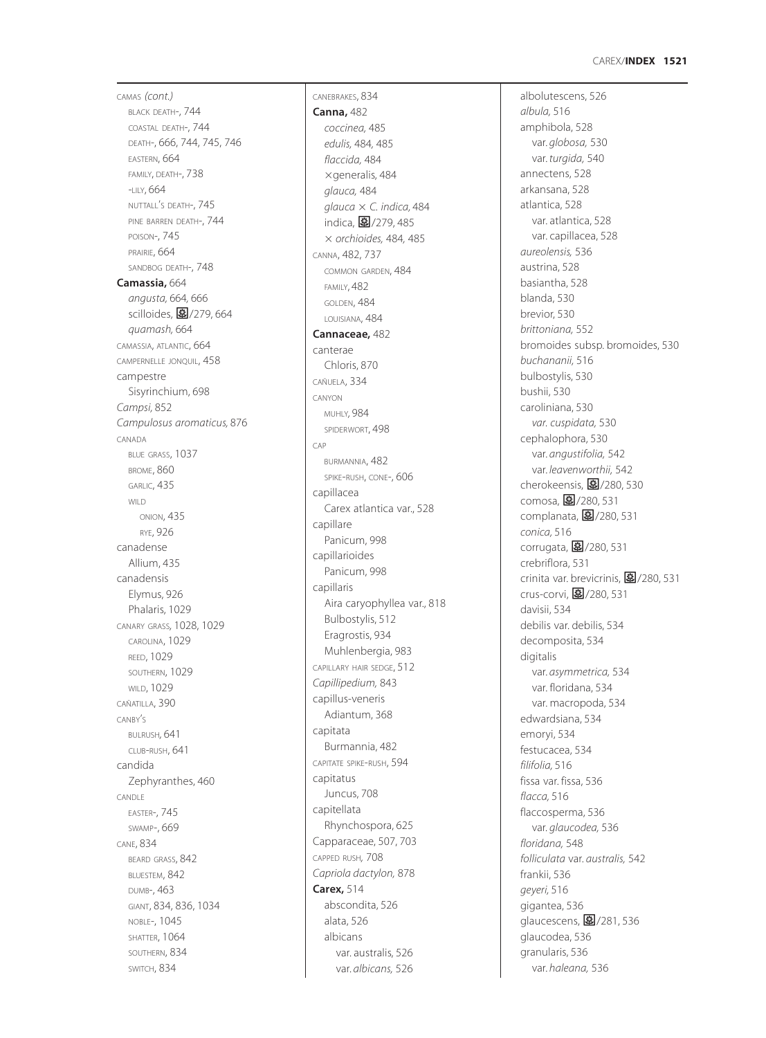### **1521** CAREX /**INDEX**

CAMAS *(cont.)* BLACK DEATH-, 744 COASTAL DEATH-, 744 DEATH-, 666, 744, 745, 746 EASTERN, 664 FAMILY, DEATH-, 738 -LILY, 664 NUTTALL <sup>S</sup> DEATH-, 745 ' PINE BARREN DEATH-, 744 POISON-, 745 PRAIRIE, 664 SANDBOG DEATH-, 748 **Camassia,** 664 *angusta,* 664*,* 666 scilloides, **图**/279, 664 *quamash,* 664 CAMASSIA, ATLANTIC, 664 CAMPERNELLE JONQUIL, 458 campestre Sisyrinchium, 698 *Campsi,* 852 *Campulosus aromaticus,* 876 CANADA BLUE GRASS, 1037 BROME, 860 GARLIC, 435 WILD. ONION, 435 RYE, 926 canadense Allium, 435 canadensis Elymus, 926 Phalaris, 1029 CANARY GRASS*,* 1028, 1029 CAROLINA, 1029 REED, 1029 SOUTHERN, 1029 WILD, 1029 CAÑATILLA, 390 CANBY S ' BULRUSH*,* 641 CLUB -RUSH, 641 candida Zephyranthes, 460 CANDLE EASTER-, 745 SWAMP-, 669 CANE, 834 BEARD GRASS, 842 BLUESTEM, 842 DUMB-, 463 GIANT, 834, 836, 1034 NOBLE-, 1045 SHATTER, 1064 SOUTHERN, 834 SWITCH, 834

CANEBRAKES, 834 **Canna,** 482 *coccinea,* 485 *edulis,* 484*,* 485 *flaccida,* 484  $\times$ generalis, 484 *glauca,* 484 *glauca C. indica,* 484 。<br>indica, <mark>夓</mark> /279, 485 *orchioides,* 484*,* 485 CANNA, 482, 737 COMMON GARDEN, 484 FAMILY, 482 GOLDEN, 484 LOUISIANA, 484 **Cannaceae,** 482 canterae Chloris, 870 CAÑUELA, 334 CANYON MUHLY*,* 984 SPIDERWORT, 498 CAP BURMANNIA, 482 SPIKE -RUSH, CONE-, 606 capillacea Carex atlantica var., 528 capillare Panicum, 998 capillarioides Panicum, 998 capillaris Aira caryophyllea var., 818 Bulbostylis, 512 Eragrostis, 934 Muhlenbergia, 983 CAPILLARY HAIR SEDGE, 512 *Capillipedium,* 843 capillus-veneris Adiantum, 368 capitata Burmannia, 482 CAPITATE SPIKE -RUSH, 594 capitatus Juncus, 708 capitellata Rhynchospora, 625 Capparaceae, 507, 703 CAPPED RUSH *,* 708 *Capriola dactylon,* 878 **Carex,** 514 abscondita, 526 alata, 526 albicans var. australis, 526 var. *albicans,* 526

albolutescens, 526 *albula,* 516 amphibola, 528 var. *globosa,* 530 var. *turgida,* 540 annectens, 528 arkansana, 528 atlantica, 528 var. atlantica, 528 var. capillacea, 528 *aureolensis,* 536 austrina, 528 basiantha, 528 blanda, 530 brevior, 530 *brittoniana,* 552 bromoides subsp. bromoides, 530 *buchananii,* 516 bulbostylis, 530 bushii, 530 caroliniana, 530 *var. cuspidata,* 530 cephalophora, 530 var. *angustifolia,* 542 var. *leavenworthii,* 542 cherokeensis, **图**/280, 530 comosa, 2/280, 531 complanata, 27/280, 531 *conica,* 516 corrugata, **图**/280, 531 crebriflora, 531 crinita var. brevicrinis, **图**/280, 531 crus-corvi, <mark>毫</mark>/280, 531 davisii, 534 debilis var. debilis, 534 decomposita, 534 digitalis var. *asymmetrica,* 534 var. floridana, 534 var. macropoda, 534 edwardsiana, 534 emoryi, 534 festucacea, 534 *filifolia,* 516 fissa var. fissa, 536 *flacca,* 516 flaccosperma, 536 var. *glaucodea,* 536 *floridana,* 548 *folliculata* var. *australis,* 542 frankii, 536 *geyeri,* 516 gigantea, 536 。。<br>glaucescens, **国**/281, 536 glaucodea, 536 granularis, 536 var. *haleana,* 536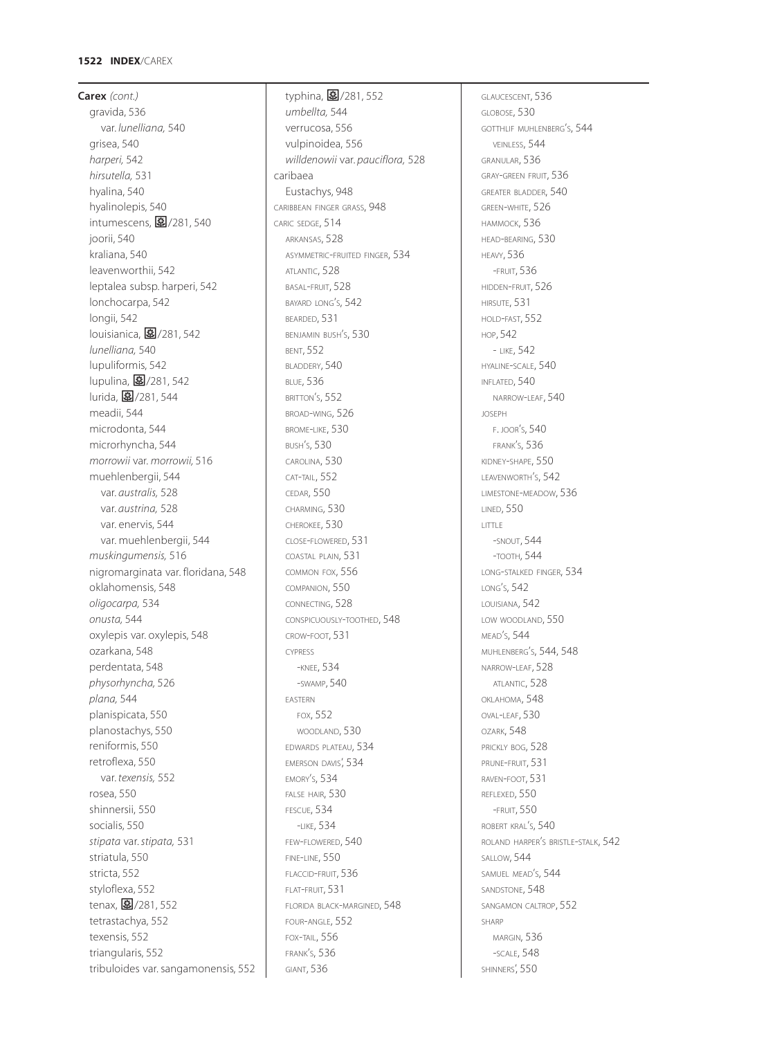### **1522 INDEX**/CAREX

**Carex** *(cont.)* gravida, 536 var. *lunelliana,* 540 grisea, 540 *harperi,* 542 *hirsutella,* 531 hyalina, 540 hyalinolepis, 540 intumescens,  $$/281, 540$ joorii, 540 kraliana, 540 leavenworthii, 542 leptalea subsp. harperi, 542 lonchocarpa, 542 longii, 542 louisianica,  $\frac{1}{2}$ /281, 542 *lunelliana,* 540 lupuliformis, 542 lupulina, 图/281, 542 lurida, 图/281, 544 meadii, 544 microdonta, 544 microrhyncha, 544 *morrowii* var. *morrowii,* 516 muehlenbergii, 544 var. *australis,* 528 var. *austrina,* 528 var. enervis, 544 var. muehlenbergii, 544 *muskingumensis,* 516 nigromarginata var. floridana, 548 oklahomensis, 548 *oligocarpa,* 534 *onusta,* 544 oxylepis var. oxylepis, 548 ozarkana, 548 perdentata, 548 *physorhyncha,* 526 *plana,* 544 planispicata, 550 planostachys, 550 reniformis, 550 retroflexa, 550 var. *texensis,* 552 rosea, 550 shinnersii, 550 socialis, 550 *stipata* var. *stipata,* 531 striatula, 550 stricta, 552 styloflexa, 552 tenax, 27/281, 552 tetrastachya, 552 texensis, 552 triangularis, 552 tribuloides var. sangamonensis, 552

typhina, 图/281, 552 *umbellta,* 544 verrucosa, 556 vulpinoidea, 556 *willdenowii* var. *pauciflora,* 528 caribaea Eustachys, 948 CARIBBEAN FINGER GRASS, 948 CARIC SEDGE, 514 ARKANSAS, 528 ASYMMETRIC-FRUITED FINGER, 534 ATLANTIC, 528 BASAL-FRUIT, 528 BAYARD LONG'S, 542 BEARDED, 531 BENJAMIN BUSH'S, 530 BENT, 552 BLADDERY, 540 BLUE, 536 BRITTON'S, 552 BROAD-WING, 526 BROME-LIKE, 530 BUSH'S, 530 CAROLINA, 530 CAT-TAIL, 552 CEDAR, 550 CHARMING, 530 CHEROKEE, 530 CLOSE-FLOWERED, 531 COASTAL PLAIN, 531 COMMON FOX, 556 COMPANION, 550 CONNECTING, 528 CONSPICUOUSLY-TOOTHED, 548 CROW-FOOT, 531 CYPRESS -KNEE, 534 -SWAMP, 540 EASTERN FOX, 552 WOODLAND, 530 EDWARDS PLATEAU, 534 EMERSON DAVIS', 534 EMORY'S, 534 FALSE HAIR, 530 FESCUE, 534 -LIKE, 534 FEW-FLOWERED, 540 FINE-LINE, 550 FLACCID-FRUIT<sub>536</sub> FLAT-FRUIT, 531 FLORIDA BLACK-MARGINED, 548 FOUR-ANGLE, 552 FOX-TAIL, 556 FRANK'S, 536 GIANT, 536

GLAUCESCENT, 536 GLOBOSE, 530 GOTTHLIF MUHLENBERG'S, 544 VEINLESS, 544 GRANULAR, 536 GRAY-GREEN FRUIT, 536 GREATER BLADDER, 540 GREEN-WHITE, 526 HAMMOCK, 536 HEAD-BEARING, 530 HEAVY, 536 -FRUIT, 536 HIDDEN-FRUIT, 526 HIRSUTE, 531 HOLD-FAST, 552 HOP, 542 - LIKE, 542 HYALINE-SCALE, 540 INFLATED, 540 NARROW-LEAF, 540 JOSEPH F. JOOR'S, 540 FRANK'S, 536 KIDNEY-SHAPE, 550 LEAVENWORTH'S, 542 LIMESTONE-MEADOW, 536 LINED, 550 LITTLE -SNOUT, 544 -TOOTH, 544 LONG-STALKED FINGER, 534 LONG'S, 542 LOUISIANA, 542 LOW WOODLAND, 550 MEAD'S, 544 MUHLENBERG'S, 544, 548 NARROW-LEAF, 528 ATLANTIC, 528 OKLAHOMA, 548  $OVAL}$ -LEAF,  $530$ OZARK, 548 PRICKLY BOG, 528 PRUNE-FRUIT, 531 RAVEN-FOOT, 531 REFLEXED, 550 -FRUIT, 550 ROBERT KRAL'S, 540 ROLAND HARPER'S BRISTLE-STALK, 542 SALLOW, 544 SAMUEL MEAD'S, 544 SANDSTONE, 548 SANGAMON CALTROP, 552 SHARP MARGIN, 536 -SCALE, 548 SHINNERS', 550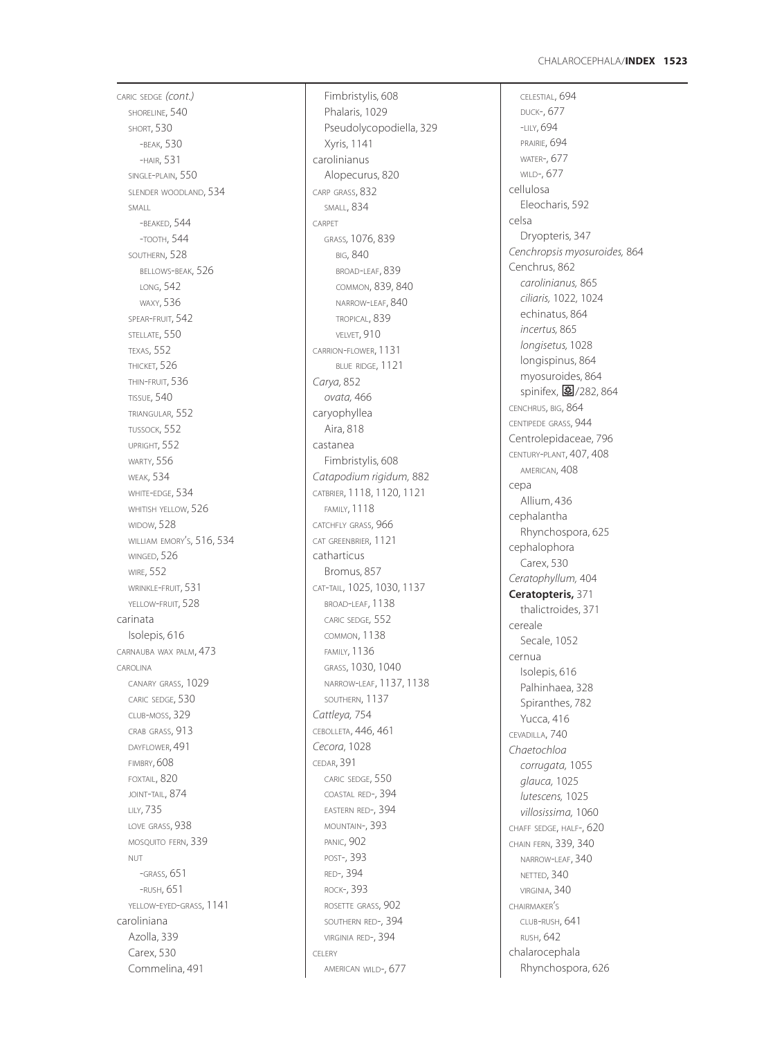CARIC SEDGE *(cont.)* SHORELINE, 540 SHORT, 530 -BEAK, 530 -HAIR, 531 SINGLE -PLAIN, 550 SLENDER WOODLAND, 534 SMALL -BEAKED, 544 -TOOTH, 544 SOUTHERN, 528 BELLOWS -BEAK, 526 LONG, 542 WAXY, 536 SPEAR -FRUIT, 542 STELLATE, 550 TEXAS, 552 THICKET, 526 THIN -FRUIT, 536 TISSUE, 540 TRIANGULAR, 552 TUSSOCK, 552 UPRIGHT, 552 WARTY, 556 WEAK, 534 WHITE -EDGE, 534 WHITISH YELLOW, 526 WIDOW, 528 WILLIAM EMORY S, 516, 534 ' WINGED, 526 WIRE, 552 WRINKLE -FRUIT, 531 YELLOW -FRUIT, 528 carinata Isolepis, 616 CARNAUBA WAX PALM, 473 CAROLINA CANARY GRASS, 1029 CARIC SEDGE, 530 CLUB -MOSS, 329 CRAB GRASS, 913 DAYFLOWER, 491 FIMBRY, 608 FOXTAIL, 820 JOINT -TAIL, 874 LILY, 735 LOVE GRASS, 938 MOSQUITO FERN, 339 NUT-GRASS, 651 -RUSH, 651 YELLOW-EYED-GRASS, 1141 caroliniana Azolla, 339 Carex, 530 Commelina, 491

Fimbristylis, 608 Phalaris, 1029 Pseudolycopodiella, 329 Xyris, 1141 carolinianus Alopecurus, 820 CARP GRASS, 832 SMALL, 834 CARPET GRASS*,* 1076, 839 BIG, 840 BROAD -LEAF, 839 COMMON, 839, 840 NARROW -LEAF, 840 TROPICAL, 839 VELVET, 910 CARRION -FLOWER, 1131 BLUE RIDGE, 1121 *Carya,* 852 *ovata,* 466 caryophyllea Aira, 818 castanea Fimbristylis, 608 *Catapodium rigidum,* 882 CATBRIER, 1118, 1120, 1121 FAMILY, 1118 CATCHFLY GRASS, 966 CAT GREENBRIER, 1121 catharticus Bromus, 857 CAT -TAIL, 1025, 1030, 1137 BROAD -LEAF, 1138 CARIC SEDGE *,* 552 COMMON, 1138 FAMILY, 1136 GRASS, 1030, 1040 NARROW -LEAF, 1137, 1138 SOUTHERN, 1137 *Cattleya,* 754 CEBOLLETA, 446, 461 *Cecora*, 1028 CEDAR, 391 CARIC SEDGE, 550 COASTAL RED-, 394 EASTERN RED-, 394 MOUNTAIN-, 393 PANIC, 902 POST-, 393 RED-, 394 ROCK-, 393 ROSETTE GRASS, 902 SOUTHERN RED-, 394 VIRGINIA RED-, 394 CELERY AMERICAN WILD-, 677

CELESTIAL, 694 DUCK-, 677 -LILY, 694 PRAIRIE, 694 WATER-, 677 WILD-, 677 cellulosa Eleocharis, 592 celsa Dryopteris, 347 *Cenchropsis myosuroides,* 864 Cenchrus, 862 *carolinianus,* 865 *ciliaris,* 1022 *,* 1024 echinatus, 864 *incertus,* 865 *longisetus,* 1028 longispinus, 864 myosuroides, 864 。<br>spinifex, **图**/282, 864 CENCHRUS, BIG, 864 CENTIPEDE GRASS, 944 Centrolepidaceae, 796 CENTURY -PLANT, 407, 408 AMERICAN, 408 cepa Allium, 436 cephalantha Rhynchospora, 625 cephalophora Carex, 530 *Ceratophyllum,* 404 **Ceratopteris,** 371 thalictroides, 371 cereale Se cale, 1052 cernua Isolepis, 616 Palhinhaea, 328 Spiranthes, 782 Yucca, 416 CEVADILLA, 740 *Chaetochloa corrugata,* 1055 *glauca,* 1025 *lutescens,* 1025 *villosissima,* 1060 CHAFF SEDGE, HALF-, 620 CHAIN FERN, 339, 340 NARROW -LEAF, 340 NETTED, 340 VIRGINIA, 340 CHAIRMAKER S ' CLUB -RUSH, 641 RUSH, 642 chalarocephala Rhynchospora, 626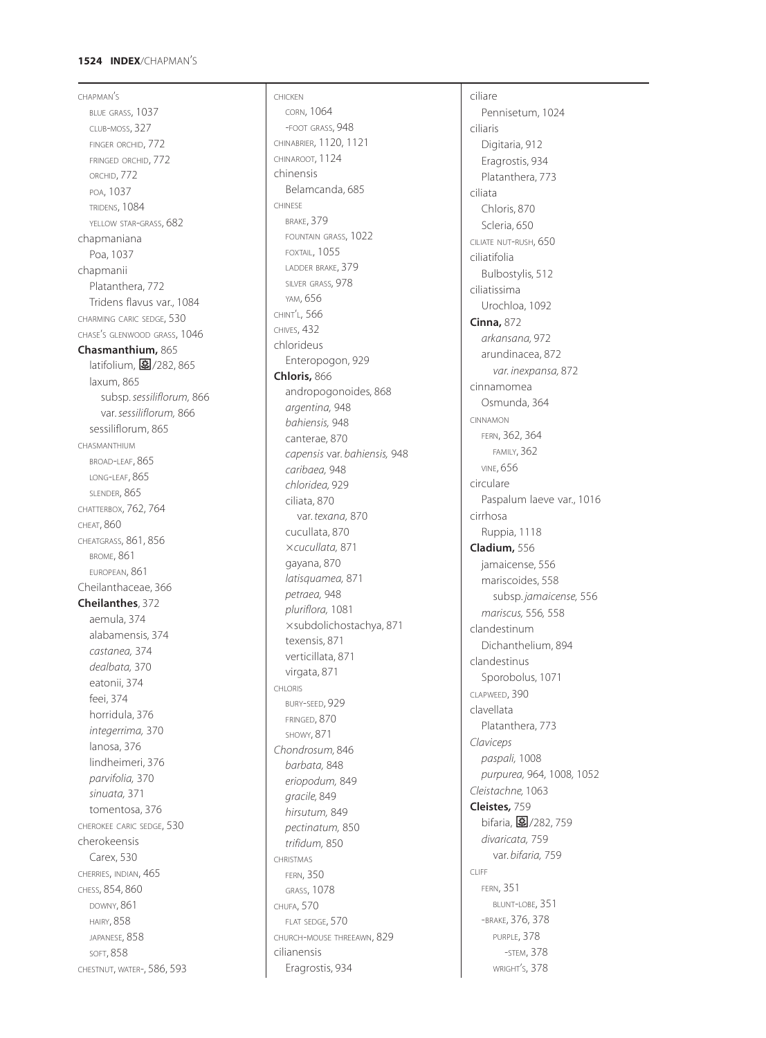#### **1524 INDEX** /CHAPMAN S '

CHAPMAN S ' BLUE GRASS, 1037 CLUB -MOSS, 327 FINGER ORCHID, 772 FRINGED ORCHID, 772 ORCHID, 772 POA, 1037 TRIDENS, 1084 YELLOW STAR-GRASS, 682 chapmaniana Poa, 1037 chapmanii Platanthera, 772 Tridens flavus var., 1084 CHARMING CARIC SEDGE, 530 CHASE S GLENWOOD GRASS, 1046 ' **Chasmanthium,** 865 latifolium, **图**/282, 865 laxum, 865 subsp. *sessiliflorum,* 866 var. *sessiliflorum,* 866 sessiliflorum, 865 CHASMANTHIUM BROAD -LEAF, 865 LONG -LEAF, 865 SLENDER, 865 CHATTERBOX, 762, 764 CHEAT, 860 CHEATGRASS, 861, 856 BROME, 861 EUROPEAN, 861 Cheilanthaceae, 366 **Cheilanthes**, 372 aemula, 374 alabamensis, 374 *castanea,* 374 *dealbata,* 370 eatonii, 374 feei, 374 horridula, 376 *integerrima,* 370 lanosa, 376 lindheimeri, 376 *parvifolia,* 370 *sinuata,* 371 tomentosa, 376 CHEROKEE CARIC SEDGE, 530 cherokeensis Carex, 530 CHERRIES, INDIAN, 465 CHESS, 854, 860 DOWNY, 861 HAIRY, 858 JAPANESE, 858 SOFT, 858 CHESTNUT, WATER-, 586, 593

CHICKEN CORN, 1064 -FOOT GRASS, 948 CHINABRIER, 1120, 1121 CHINAROOT, 1124 chinensis Belamcanda, 685 CHINESE BRAKE, 379 FOUNTAIN GRASS, 1022 FOXTAIL, 1055 LADDER BRAKE, 379 SILVER GRASS*,* 978 YAM, 656 CHINT L, 566 ' CHIVES, 432 chlorideus Enteropogon, 929 **Chloris,** 866 andropogonoides, 868 *argentina,* 948 *bahiensis,* 948 canterae, 870 *capensis* var. *bahiensis,* 948 *caribaea,* 948 *chloridea,* 929 ciliata, 870 var. *texana,* 870 cucullata, 870 *cucullata,* 871 gayana, 870 *latisquamea,* 871 *petraea,* 948 *pluriflora,* 1081 subdolichostachya, 871 texensis, 871 verticillata, 871 virgata, 871 CHLORIS BURY -SEED, 929 FRINGED, 870 SHOWY, 871 *Chondrosum,* 846 *barbata,* 848 *eriopodum,* 849 *gracile,* 849 *hirsutum,* 849 *pectinatum,* 850 *trifidum,* 850 CHRISTMAS FERN, 350 GRASS, 1078 CHUFA, 570 FLAT SEDGE, 570 CHURCH -MOUSE THREEAWN, 829 cilianensis Eragrostis, 934

ciliare Pennisetum, 1024 ciliaris Digitaria, 912 Eragrostis, 934 Platanthera, 773 ciliata Chloris, 870 Scleria, 650 CILIATE NUT -RUSH, 650 ciliatifolia Bulbostylis, 512 ciliatissima Urochloa, 1092 **Cinna,** 872 *arkansana,* 972 arundinacea, 872 *var. inexpansa,* 872 cinnamomea Osmunda, 364 CINNAMON FERN, 362, 364 FAMILY, 362 VINE, 656 circulare Paspalum laeve var., 1016 cirrhosa Ruppia, 1118 **Cladium,** 556 jamaicense, 556 mariscoides, 558 subsp. *jamaicense,* 556 *mariscus,* 556 *,* 558 clandestinum Dichanthelium, 894 clandestinus Sporobolus, 1071 CLAPWEED, 390 clavellata Platanthera, 773 *Claviceps paspali,* 1008 *purpurea,* 964*,* 1008 *,* 1052 *Cleistachne,* 1063 **Cleistes***,* 759 bifaria, <mark>皨</mark>/282, 759 *divaricata,* 759 var. *bifaria,* 759 CLIFF FERN, 351 BLUNT -LOBE, 351 -BRAKE, 376, 378 PURPLE, 378 -STEM, 378 WRIGHT S, 378'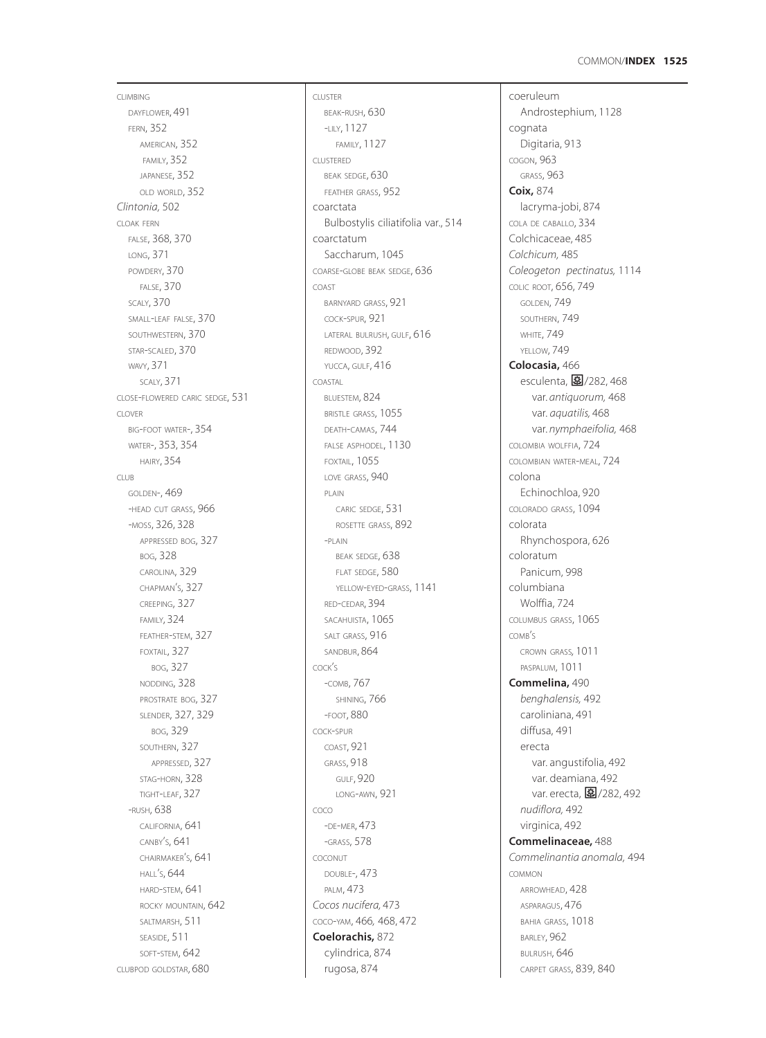### COMMON/**INDEX 1525**

CLIMBING DAYFLOWER, 491 FERN, 352 AMERICAN, 352 FAMILY, 352 JAPANESE, 352 OLD WORLD, 352 *Clintonia,* 502 CLOAK FERN FALSE, 368, 370 LONG, 371 POWDERY, 370 FALSE, 370 SCALY, 370 SMALL-LEAF FALSE, 370 SOUTHWESTERN, 370 STAR-SCALED, 370 WAVY, 371 SCALY, 371 CLOSE-FLOWERED CARIC SEDGE, 531 CLOVER BIG-FOOT WATER-, 354 WATER-, 353, 354 HAIRY, 354 CLUB GOLDEN-, 469 -HEAD CUT GRASS, 966 -MOSS, 326, 328 APPRESSED BOG, 327 BOG, 328 CAROLINA, 329 CHAPMAN'S, 327 CREEPING, 327 FAMILY, 324 FEATHER-STEM, 327 FOXTAIL, 327 BOG, 327 NODDING, 328 PROSTRATE BOG, 327 SLENDER, 327, 329 BOG, 329 SOUTHERN, 327 APPRESSED, 327 STAG-HORN, 328 TIGHT-LEAF, 327 -RUSH, 638 CALIFORNIA, 641 CANBY'S, 641 CHAIRMAKER'S, 641 HALL'S, 644 HARD-STEM, 641 ROCKY MOUNTAIN, 642 SALTMARSH, 511 SEASIDE, 511 SOFT-STEM, 642 CLUBPOD GOLDSTAR, 680

CLUSTER BEAK-RUSH, 630 -LILY, 1127 FAMILY, 1127 CLUSTERED BEAK SEDGE, 630 FEATHER GRASS, 952 coarctata Bulbostylis ciliatifolia var., 514 coarctatum Saccharum, 1045 COARSE-GLOBE BEAK SEDGE, 636 COAST BARNYARD GRASS, 921 COCK-SPUR, 921 LATERAL BULRUSH, GULF, 616 REDWOOD, 392 YUCCA, GULF, 416 COASTAL BLUESTEM, 824 BRISTLE GRASS, 1055 DEATH-CAMAS, 744 FALSE ASPHODEL, 1130 FOXTAIL, 1055 LOVE GRASS, 940 PLAIN CARIC SEDGE, 531 ROSETTE GRASS, 892 -PLAIN BEAK SEDGE, 638 FLAT SEDGE, 580 YELLOW-EYED-GRASS, 1141 RED-CEDAR, 394 SACAHUISTA, 1065 SALT GRASS, 916 SANDBUR, 864 COCK'S -COMB, 767 SHINING, 766 -FOOT, 880 COCK-SPUR COAST, 921 GRASS, 918 GULF, 920 LONG-AWN, 921 COCO -DE-MER, 473 -GRASS, 578 COCONUT DOUBLE-, 473 PALM, 473 *Cocos nucifera,* 473 COCO-YAM, 466*,* 468, 472 **Coelorachis,** 872 cylindrica, 874 rugosa, 874

coeruleum Androstephium, 1128 cognata Digitaria, 913 COGON, 963 GRASS, 963 **Coix,** 874 lacryma-jobi, 874 COLA DE CABALLO, 334 Colchicaceae, 485 *Colchicum,* 485 *Coleogeton pectinatus,* 1114 COLIC ROOT, 656, 749 GOLDEN, 749 SOUTHERN, 749 **WHITE, 749** YELLOW, 749 **Colocasia,** 466 esculenta,  $\boxed{3}/282,468$ var. *antiquorum,* 468 var. *aquatilis,* 468 var. *nymphaeifolia,* 468 COLOMBIA WOLFFIA, 724 COLOMBIAN WATER-MEAL, 724 colona Echinochloa, 920 COLORADO GRASS, 1094 colorata Rhynchospora, 626 coloratum Panicum, 998 columbiana Wolffia, 724 COLUMBUS GRASS, 1065  $COMB's$ CROWN GRASS*,* 1011 PASPALUM, 1011 **Commelina,** 490 *benghalensis,* 492 caroliniana, 491 diffusa, 491 erecta var. angustifolia, 492 var. deamiana, 492 var. erecta, 27/282, 492 *nudiflora,* 492 virginica, 492 **Commelinaceae,** 488 *Commelinantia anomala,* 494 COMMON ARROWHEAD, 428 ASPARAGUS, 476 BAHIA GRASS, 1018 BARLEY, 962 BULRUSH, 646 CARPET GRASS, 839, 840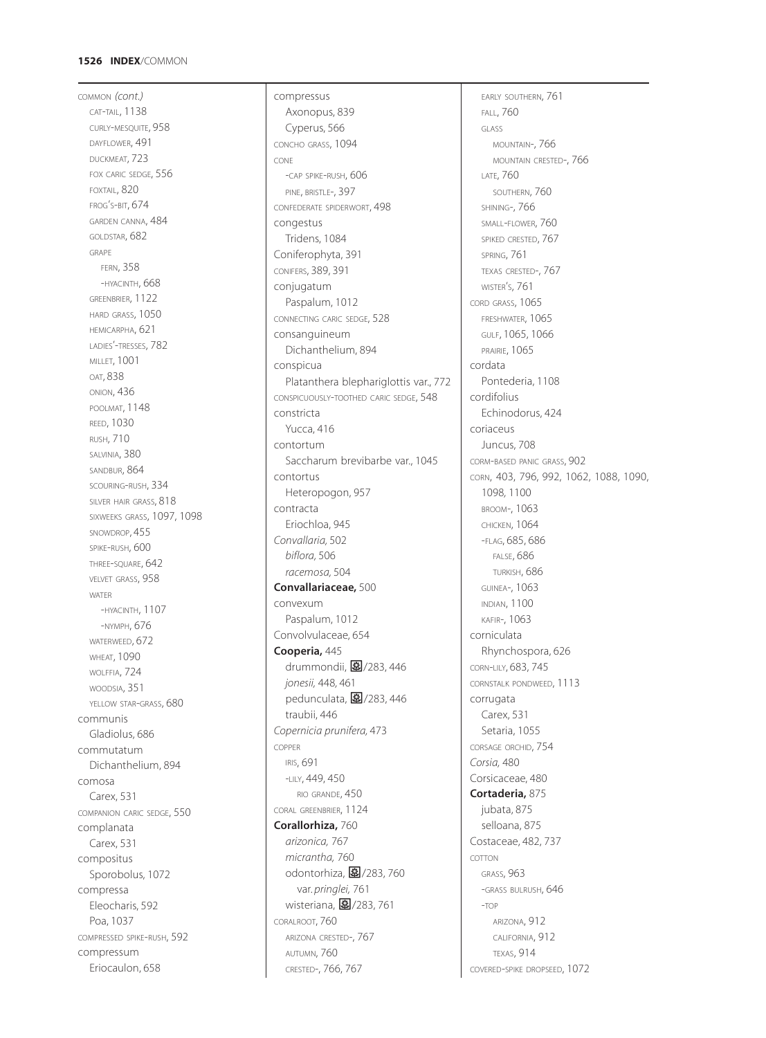### **1526 INDEX**/COMMON

COMMON *(cont.)* CAT-TAIL, 1138 CURLY-MESQUITE, 958 DAYFLOWER, 491 DUCKMEAT, 723 FOX CARIC SEDGE, 556 FOXTAIL, 820 FROG'S-BIT, 674 GARDEN CANNA, 484 GOLDSTAR, 682 GRAPE FERN, 358 -HYACINTH, 668 GREENBRIER, 1122 HARD GRASS, 1050 HEMICARPHA, 621 LADIES'-TRESSES, 782 MILLET, 1001 OAT, 838 ONION, 436 POOLMAT, 1148 REED, 1030 RUSH, 710 SALVINIA, 380 SANDBUR, 864 SCOURING-RUSH, 334 SILVER HAIR GRASS, 818 SIXWEEKS GRASS, 1097, 1098 SNOWDROP, 455 SPIKE-RUSH, 600 THREE-SQUARE, 642 VELVET GRASS, 958 WATER -HYACINTH, 1107 -NYMPH, 676 WATERWEED, 672 **WHEAT, 1090** WOLFFIA, 724 WOODSIA, 351 YELLOW STAR-GRASS, 680 communis Gladiolus, 686 commutatum Dichanthelium, 894 comosa Carex, 531 COMPANION CARIC SEDGE, 550 complanata Carex, 531 compositus Sporobolus, 1072 compressa Eleocharis, 592 Poa, 1037 COMPRESSED SPIKE-RUSH, 592 compressum Eriocaulon, 658

compressus Axonopus, 839 Cyperus, 566 CONCHO GRASS, 1094 CONE -CAP SPIKE-RUSH, 606 PINE, BRISTLE-, 397 CONFEDERATE SPIDERWORT, 498 congestus Tridens, 1084 Coniferophyta, 391 CONIFERS, 389, 391 conjugatum Paspalum, 1012 CONNECTING CARIC SEDGE, 528 consanguineum Dichanthelium, 894 conspicua Platanthera blephariglottis var., 772 CONSPICUOUSLY-TOOTHED CARIC SEDGE, 548 constricta Yucca, 416 contortum Saccharum brevibarbe var., 1045 contortus Heteropogon, 957 contracta Eriochloa, 945 *Convallaria,* 502 *biflora,* 506 *racemosa,* 504 **Convallariaceae,** 500 convexum Paspalum, 1012 Convolvulaceae, 654 **Cooperia,** 445 drummondii, 27/283, 446 *jonesii,* 448*,* 461 pedunculata, 2 $/283$ , 446 traubii, 446 *Copernicia prunifera,* 473 COPPER IRIS, 691 -LILY, 449, 450 RIO GRANDE, 450 CORAL GREENBRIER, 1124 **Corallorhiza,** 760 *arizonica,* 767 *micrantha,* 760 odontorhiza, 图/283, 760 var. *pringlei,* 761 wisteriana, 图/283, 761 CORALROOT, 760 ARIZONA CRESTED-, 767 AUTUMN, 760 CRESTED-, 766, 767

EARLY SOUTHERN, 761 FALL, 760 GLASS MOUNTAIN-, 766 MOUNTAIN CRESTED-, 766 LATE, 760 SOUTHERN, 760 SHINING-, 766 SMALL-FLOWER, 760 SPIKED CRESTED, 767 SPRING, 761 TEXAS CRESTED-, 767 WISTER'S, 761 CORD GRASS, 1065 FRESHWATER, 1065 GULF, 1065, 1066 PRAIRIE, 1065 cordata Pontederia, 1108 cordifolius Echinodorus, 424 coriaceus Juncus, 708 CORM-BASED PANIC GRASS, 902 CORN, 403, 796, 992, 1062, 1088, 1090, 1098*,* 1100 BROOM-, 1063 CHICKEN, 1064 -FLAG, 685, 686 FALSE, 686 TURKISH, 686 GUINEA-, 1063 INDIAN, 1100 KAFIR-, 1063 corniculata Rhynchospora, 626 CORN-LILY, 683, 745 CORNSTALK PONDWEED, 1113 corrugata Carex, 531 Setaria, 1055 CORSAGE ORCHID, 754 *Corsia,* 480 Corsicaceae, 480 **Cortaderia,** 875 jubata, 875 selloana, 875 Costaceae, 482, 737 COTTON GRASS, 963 -GRASS BULRUSH, 646 -TOP ARIZONA, 912 CALIFORNIA, 912 TEXAS, 914 COVERED-SPIKE DROPSEED, 1072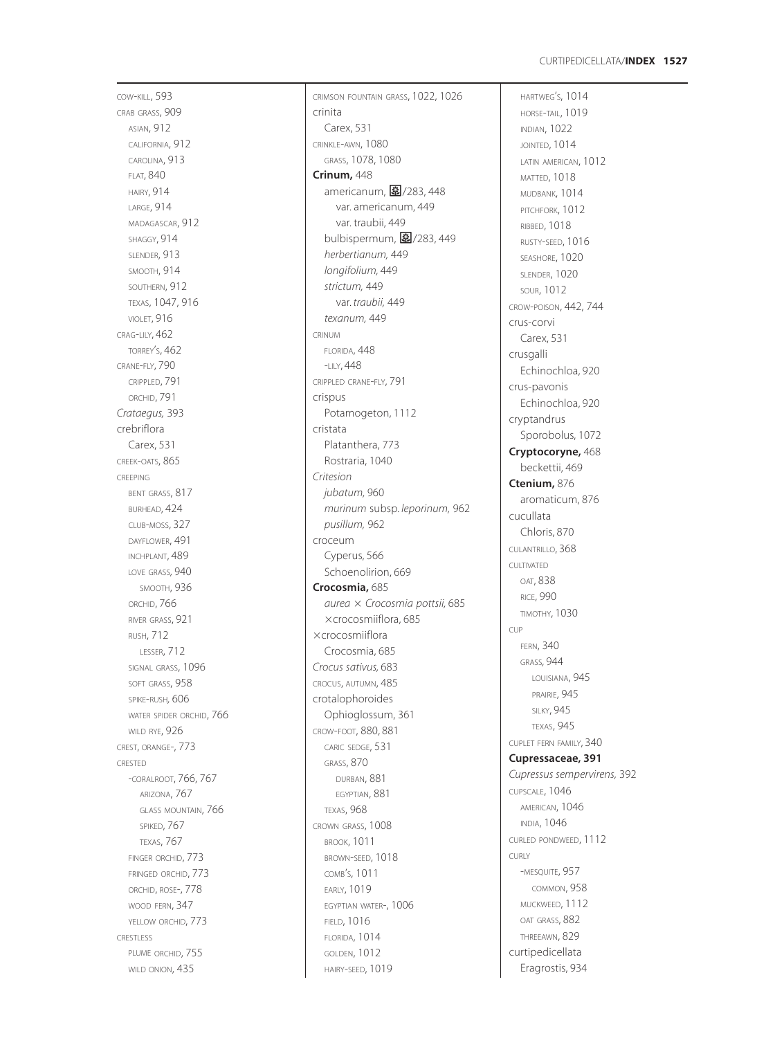COW -KILL, 593 CRAB GRASS, 909 ASIAN, 912 CALIFORNIA, 912 CAROLINA, 913 FLAT, 840 HAIRY, 914 LARGE, 914 MADAGASCAR, 912 SHAGGY, 914 SLENDER, 913 SMOOTH, 914 SOUTHERN, 912 TEXAS, 1047, 916 VIOLET, 916 CRAG -LILY, 462 TORREY S, 462 ' CRANE -FLY, 790 CRIPPLED, 791 ORCHID, 791 *Crataegus,* 393 crebriflora Carex, 531 CREEK -OATS, 865 CREEPING BENT GRASS, 817 BURHEAD, 424 CLUB -MOSS, 327 DAYFLOWER, 491 INCHPLANT, 489 LOVE GRASS*,* 940 SMOOTH, 936 ORCHID, 766 RIVER GRASS, 921 RUSH, 712 LESSER, 712 SIGNAL GRASS, 1096 SOFT GRASS, 958 SPIKE -RUSH*,* 606 WATER SPIDER ORCHID, 766 WILD RYE, 926 CREST, ORANGE-, 773 CRESTED -CORALROOT, 766, 767 ARIZONA, 767 GLASS MOUNTAIN, 766 SPIKED, 767 TEXAS, 767 FINGER ORCHID, 773 FRINGED ORCHID, 773 ORCHID, ROSE-, 778 WOOD FERN, 347 YELLOW ORCHID, 773 CRESTLESS PLUME ORCHID, 755 WILD ONION, 435

CRIMSON FOUNTAIN GRASS, 1022, 1026 crinita Carex, 531 CRINKLE -AWN, 1080 GRASS, 1078, 1080 **Crinum,** 448 americanum, **图**/283, 448 var. americanum, 449 var. traubii, 449 bulbispermum, **图**/283, 449 *herbertianum,* 449 *longifolium,* 449 *strictum,* 449 var. *traubii,* 449 *texanum,* 449 CRINUM FLORIDA, 448 -LILY, 448 CRIPPLED CRANE -FLY, 791 crispus Potamogeton, 1112 cristata Platanthera, 773 Rostraria, 1040 *Critesion jubatum,* 960 *murinum* subsp. *leporinum,* 962 *pusillum,* 962 croceum Cyperus, 566 Schoenolirion, 669 **Crocosmia,** 685 *aurea Crocosmia pottsii,* 685 crocosmiiflora, 685 crocosmiiflora Crocosmia, 685 *Crocus sativus,* 683 CROCUS, AUTUMN, 485 crotalophoroides Ophioglossum, 361 CROW -FOOT, 880, 881 CARIC SEDGE, 531 GRASS, 870 DURBAN, 881 EGYPTIAN, 881 TEXAS, 968 CROWN GRASS, 1008 BROOK, 1011 BROWN -SEED, 1018 COMB S, 1011 ' EARLY, 1019 EGYPTIAN WATER-, 1006 **FIELD, 1016** FLORIDA, 1014 GOLDEN, 1012 HAIRY -SEED, 1019

HARTWEG S, 1014 ' HORSE -TAIL, 1019 INDIAN, 1022 JOINTED, 1014 LATIN AMERICAN, 1012 MATTED, 1018 MUDBANK, 1014 PITCHFORK, 1012 RIBBED, 1018 RUSTY -SEED, 1016 SEASHORE, 1020 SLENDER, 1020 SOUR, 1012 CROW -POISON, 442, 744 crus-corvi Carex, 531 crusgalli Echinochloa, 920 crus-pavonis Echinochloa, 920 cryptandrus Sporobolus, 1072 **Cryptocoryne,** 468 beckettii, 469 **Ctenium,** 876 aromaticum, 876 cucullata Chloris, 870 CULANTRILLO, 368 CULTIVATED OAT, 838 RICE, 990 TIMOTHY, 1030  $C[\mathsf{L}]$ FERN, 340 GRASS*,* 944 LOUISIANA, 945 PRAIRIE, 945 **SILKY, 945** TEXAS, 945 CUPLET FERN FAMILY, 340 **Cupressaceae, 391** *Cupressus sempervirens,* 392 CUPSCALE, 1046 AMERICAN, 1046 INDIA, 1046 CURLED PONDWEED, 1112 CURLY -MESQUITE, 957 COMMON, 958 MUCKWEED, 1112 OAT GRASS, 882 THREEAWN, 829 curtipedicellata Eragrostis, 934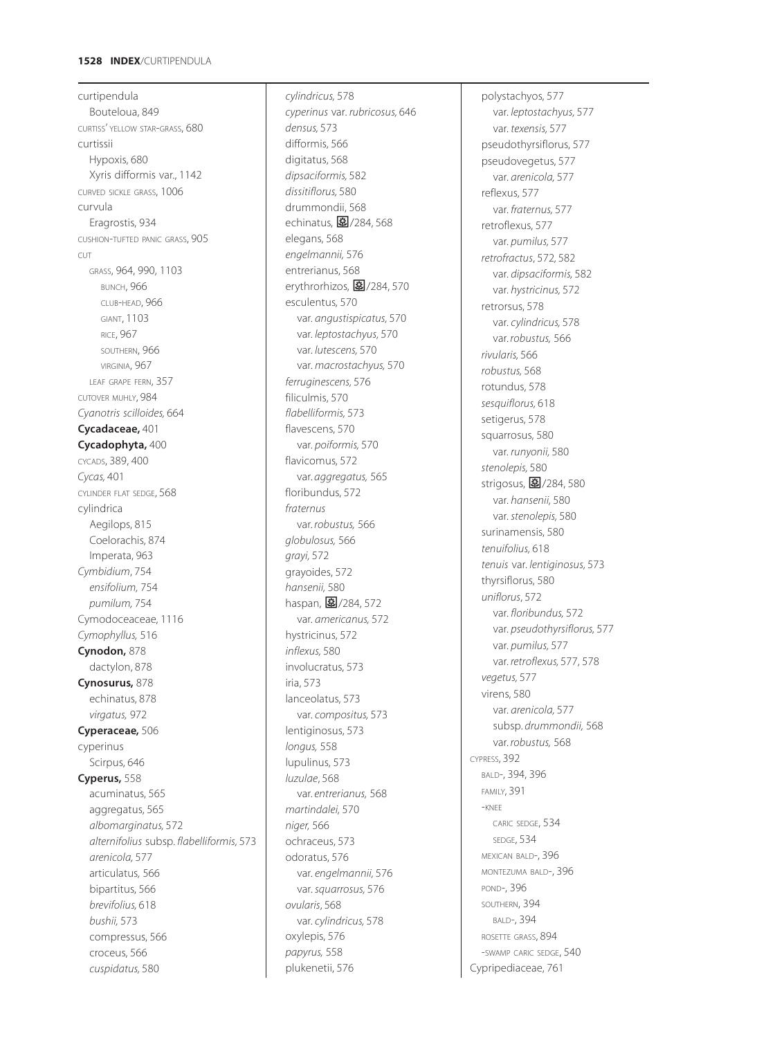# **1528 INDEX**/CURTIPENDULA

curtipendula Bouteloua, 849 CURTISS' YELLOW STAR-GRASS, 680 curtissii Hypoxis, 680 Xyris difformis var., 1142 CURVED SICKLE GRASS, 1006 curvula Eragrostis, 934 CUSHION-TUFTED PANIC GRASS, 905 CUT GRASS, 964, 990, 1103 BUNCH, 966 CLUB-HEAD, 966 GIANT, 1103 RICE, 967 SOUTHERN, 966 VIRGINIA, 967 LEAF GRAPE FERN, 357 CUTOVER MUHLY, 984 *Cyanotris scilloides,* 664 **Cycadaceae,** 401 **Cycadophyta,** 400 CYCADS, 389, 400 *Cycas,* 401 CYLINDER FLAT SEDGE, 568 cylindrica Aegilops, 815 Coelorachis, 874 Imperata, 963 *Cymbidium*, 754 *ensifolium,* 754 *pumilum,* 754 Cymodoceaceae, 1116 *Cymophyllus,* 516 **Cynodon,** 878 dactylon, 878 **Cynosurus,** 878 echinatus, 878 *virgatus,* 972 **Cyperaceae,** 506 cyperinus Scirpus, 646 **Cyperus,** 558 acuminatus, 565 aggregatus, 565 *albomarginatus,* 572 *alternifolius* subsp. *flabelliformis,* 573 *arenicola,* 577 articulatus*,* 566 bipartitus, 566 *brevifolius,* 618 *bushii,* 573 compressus, 566 croceus, 566 *cuspidatus,* 580

*cylindricus,* 578 *cyperinus* var. *rubricosus,* 646 *densus,* 573 difformis, 566 digitatus, 568 *dipsaciformis,* 582 *dissitiflorus,* 580 drummondii, 568 echinatus, 图/284, 568 elegans, 568 *engelmannii,* 576 entrerianus, 568 erythrorhizos,  $\frac{1}{2}$ /284, 570 esculentus, 570 var. *angustispicatus,* 570 var. *leptostachyus,* 570 var. *lutescens,* 570 var. *macrostachyus,* 570 *ferruginescens,* 576 filiculmis, 570 *flabelliformis,* 573 flavescens, 570 var. *poiformis,* 570 flavicomus, 572 var. *aggregatus,* 565 floribundus, 572 *fraternus* var. *robustus,* 566 *globulosus,* 566 *grayi,* 572 grayoides, 572 *hansenii,* 580 haspan, 27284, 572 var. *americanus,* 572 hystricinus, 572 *inflexus,* 580 involucratus, 573 iria, 573 lanceolatus, 573 var. *compositus,* 573 lentiginosus, 573 *longus,* 558 lupulinus, 573 *luzulae*, 568 var. *entrerianus,* 568 *martindalei,* 570 *niger,* 566 ochraceus, 573 odoratus, 576 var. *engelmannii,* 576 var. *squarrosus,* 576 *ovularis*, 568 var. *cylindricus,* 578 oxylepis, 576 *papyrus,* 558 plukenetii, 576

polystachyos, 577 var. *leptostachyus,* 577 var. *texensis,* 577 pseudothyrsiflorus, 577 pseudovegetus, 577 var. *arenicola,* 577 reflexus, 577 var. *fraternus,* 577 retroflexus, 577 var. *pumilus,* 577 *retrofractus*, 572*,* 582 var. *dipsaciformis,* 582 var. *hystricinus,* 572 retrorsus, 578 var. *cylindricus,* 578 var. *robustus,* 566 *rivularis,* 566 *robustus,* 568 rotundus, 578 *sesquiflorus,* 618 setigerus, 578 squarrosus, 580 var. *runyonii,* 580 *stenolepis,* 580 strigosus,  $\boxed{3}$ /284, 580 var. *hansenii,* 580 var. *stenolepis,* 580 surinamensis, 580 *tenuifolius,* 618 *tenuis* var. *lentiginosus,* 573 thyrsiflorus, 580 *uniflorus*, 572 var. *floribundus,* 572 var. *pseudothyrsiflorus,* 577 var. *pumilus,* 577 var. *retroflexus,* 577, 578 *vegetus,* 577 virens, 580 var. *arenicola,* 577 subsp. *drummondii,* 568 var. *robustus,* 568 CYPRESS, 392 BALD-, 394, 396 FAMILY, 391 -KNEE CARIC SEDGE, 534 SEDGE, 534 MEXICAN BALD-, 396 MONTEZUMA BALD-, 396 POND-, 396 SOUTHERN, 394 BALD-, 394 ROSETTE GRASS, 894 -SWAMP CARIC SEDGE, 540 Cypripediaceae, 761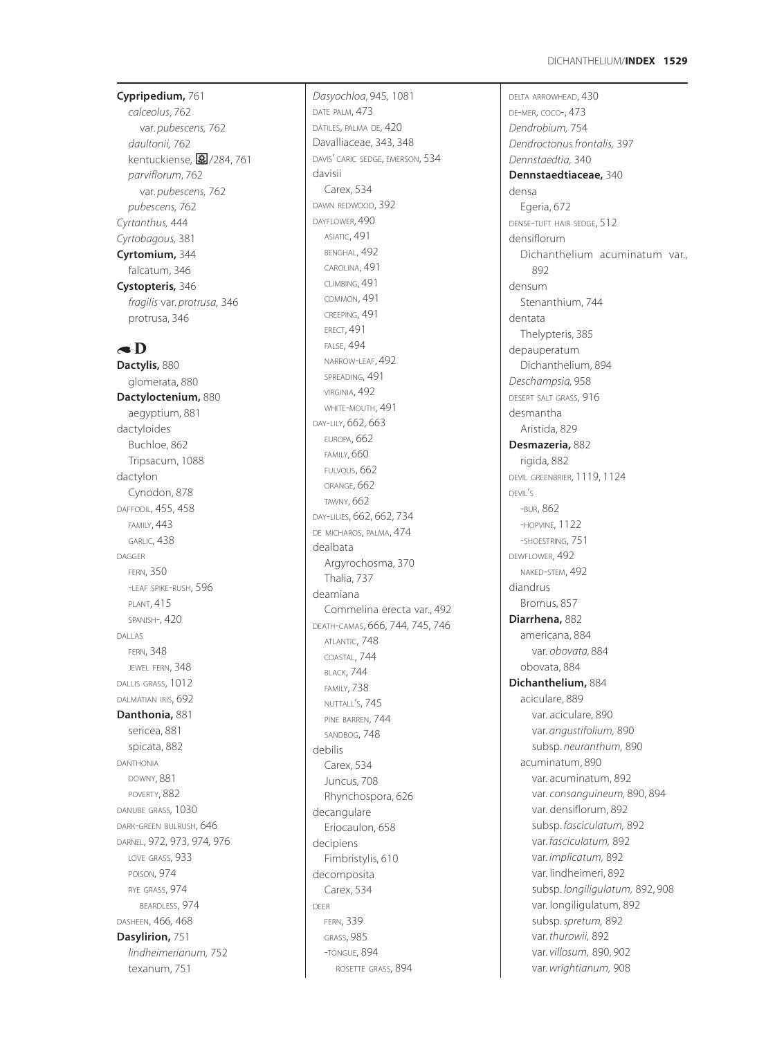# **Cypripedium,** 761

*calceolus*, 762 var. *pubescens,* 762 *daultonii,* 762 kentuckiense, 27/284, 761 *parviflorum*, 762 var. *pubescens,* 762 *pubescens,* 762 *Cyrtanthus,* 444 *Cyrtobagous,* 381 **Cyrtomium,** 344 falcatum, 346 **Cystopteris,** 346 *fragilis* var. *protrusa,* 346 protrusa, 346

# $\bullet$ D

**Dactylis,** 880 glomerata, 880 **Dactyloctenium,** 880 aegyptium, 881 dactyloides Buchloe, 862 Tripsacum, 1088 dactylon Cynodon, 878 DAFFODIL, 455, 458 FAMILY, 443 GARLIC, 438 DAGGER FERN, 350 -LEAF SPIKE -RUSH, 596 PLANT, 415 SPANISH-, 420 DALLAS FERN, 348 JEWEL FERN, 348 DALLIS GRASS, 1012 DALMATIAN IRIS, 692 **Danthonia,** 881 sericea, 881 spicata, 882 DANTHONIA DOWNY, 881 POVERTY, 882 DANUBE GRASS*,* 1030 DARK -GREEN BULRUSH, 646 DARNEL, 972, 973, 974*,* 976 LOVE GRASS, 933 POISON, 974 RYE GRASS, 974 BEARDLESS, 974 DASHEEN, 466 *,* 468 **Dasylirion,** 751 *lindheimerianum,* 752 texanum, 751

*Dasyochloa,* 945 *,* 1081 DATE PALM, 473 DÁTILES, PALMA DE, 420 Davalliaceae, 343, 348 DAVIS' CARIC SEDGE, EMERSON, 534 davisii Carex, 534 DAWN REDWOOD, 392 DAYFLOWER, 490 ASIATIC, 491 BENGHAL, 492 CAROLINA, 491 CLIMBING, 491 COMMON, 491 CREEPING, 491 ERECT, 491 FALSE, 494 NARROW -LEAF, 492 SPREADING, 491 VIRGINIA, 492 WHITE -MOUTH, 491 DAY -LILY, 662, 663 EUROPA, 662 FAMILY, 660 FULVOUS, 662 ORANGE, 662 TAWNY, 662 DAY -LILIES, 662, 662, 734 DE MICHAROS, PALMA, 474 dealbata Argyrochosma, 370 Thalia, 737 deamiana Commelina erecta var., 492 DEATH -CAMAS, 666, 744, 745, 746 ATLANTIC, 748 COASTAL, 744 BLACK, 744 FAMILY, 738 NUTTALL S, 745 ' PINE BARREN, 744 SANDBOG, 748 debilis Carex, 534 Juncus, 708 Rhynchospora, 626 decangulare Eriocaulon, 658 decipiens Fimbristylis, 610 decomposita Carex, 534 DEER FERN, 339 GRASS, 985 -TONGUE, 894 ROSETTE GRASS, 894

DELTA ARROWHEAD, 430 DE -MER, COCO-, 473 *Dendrobium,* 754 *Dendroctonus frontalis,* 397 *Dennstaedtia,* 340 **Dennstaedtiaceae,** 340 densa Egeria, 672 DENSE -TUFT HAIR SEDGE, 512 densiflorum Dichanthelium acuminatum var., 892 densum Stenanthium, 744 dentata Thelypteris, 385 depauperatum Dichanthelium, 894 *Deschampsia,* 958 DESERT SALT GRASS, 916 desmantha Aristida, 829 **Desmazeria,** 882 rigida, 882 DEVIL GREENBRIER, 1119, 1124 DEVIL S ' -BUR, 862 -HOPVINE, 1122 -SHOESTRING, 751 DEWFLOWER, 492 NAKED -STEM, 492 diandrus Bromus, 857 **Diarrhena,** 882 americana, 884 var. *obovata,* 884 obovata, 884 **Dichanthelium,** 884 aciculare, 889 var. aciculare, 890 var. *angustifolium,* 890 subsp. *neuranthum,* 890 acuminatum, 890 var. acuminatum, 892 var. *consanguineum,* 890, 894 var. densiflorum, 892 subsp. *fasciculatum,* 892 var. *fasciculatum,* 892 var. *implicatum,* 892 var. lindheimeri, 892 subsp. *longiligulatum,* 892, 908 var. longiligulatum, 892 subsp. *spretum,* 892 var. *thurowii,* 892 var. *villosum,* 890, 902 var. *wrightianum,* 908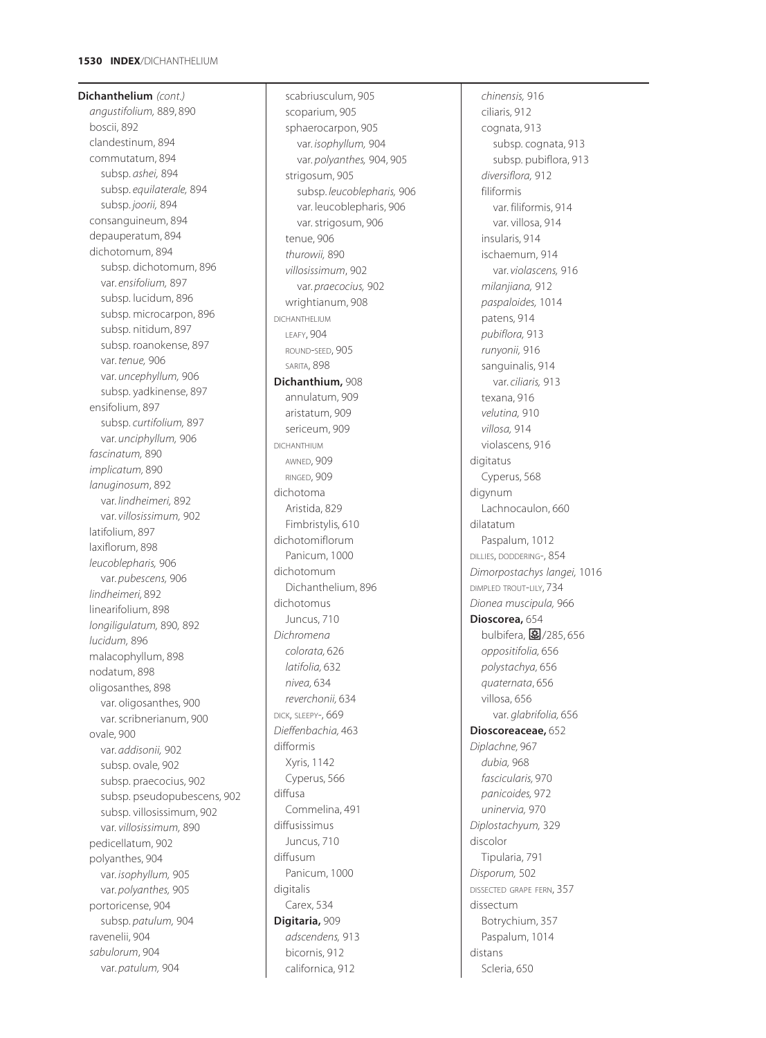**Dichanthelium** *(cont.) angustifolium,* 889, 890 boscii, 892 clandestinum, 894 commutatum, 894 subsp. *ashei,* 894 subsp. *equilaterale,* 894 subsp. *joorii,* 894 consanguineum, 894 depauperatum, 894 dichotomum, 894 subsp. dichotomum, 896 var. *ensifolium,* 897 subsp. lucidum, 896 subsp. microcarpon, 896 subsp. nitidum, 897 subsp. roanokense, 897 var. *tenue,* 906 var. *uncephyllum,* 906 subsp. yadkinense, 897 ensifolium, 897 subsp. *curtifolium,* 897 var. *unciphyllum,* 906 *fascinatum,* 890 *implicatum,* 890 *lanuginosum*, 892 var. *lindheimeri,* 892 var. *villosissimum,* 902 latifolium, 897 laxiflorum, 898 *leucoblepharis,* 906 var. *pubescens,* 906 *lindheimeri,* 892 linearifolium, 898 *longiligulatum,* 890*,* 892 *lucidum,* 896 malacophyllum, 898 nodatum, 898 oligosanthes, 898 var. oligosanthes, 900 var. scribnerianum, 900 ovale, 900 var. *addisonii,* 902 subsp. ovale, 902 subsp. praecocius, 902 subsp. pseudopubescens, 902 subsp. villosissimum, 902 var. *villosissimum,* 890 pedicellatum, 902 polyanthes, 904 var. *isophyllum,* 905 var. *polyanthes,* 905 portoricense, 904 subsp. *patulum,* 904 ravenelii, 904 *sabulorum*, 904 var. *patulum,* 904

scabriusculum, 905 scoparium, 905 sphaerocarpon, 905 var. *isophyllum,* 904 var. *polyanthes,* 904, 905 strigosum, 905 subsp. *leucoblepharis,* 906 var. leucoblepharis, 906 var. strigosum, 906 tenue, 906 *thurowii,* 890 *villosissimum*, 902 var. *praecocius,* 902 wrightianum, 908 DICHANTHELIUM LEAFY, 904 ROUND-SEED, 905 SARITA, 898 **Dichanthium,** 908 annulatum, 909 aristatum, 909 sericeum, 909 DICHANTHIUM AWNED, 909 RINGED, 909 dichotoma Aristida, 829 Fimbristylis, 610 dichotomiflorum Panicum, 1000 dichotomum Dichanthelium, 896 dichotomus Juncus, 710 *Dichromena colorata,* 626 *latifolia,* 632 *nivea,* 634 *reverchonii,* 634 DICK, SLEEPY-, 669 *Dieffenbachia,* 463 difformis Xyris, 1142 Cyperus, 566 diffusa Commelina, 491 diffusissimus Juncus, 710 diffusum Panicum, 1000 digitalis Carex, 534 **Digitaria,** 909 *adscendens,* 913 bicornis, 912 californica, 912

*chinensis,* 916 ciliaris, 912 cognata, 913 subsp. cognata, 913 subsp. pubiflora, 913 *diversiflora,* 912 filiformis var. filiformis, 914 var. villosa, 914 insularis, 914 ischaemum, 914 var. *violascens,* 916 *milanjiana,* 912 *paspaloides,* 1014 patens, 914 *pubiflora,* 913 *runyonii,* 916 sanguinalis, 914 var. *ciliaris,* 913 texana, 916 *velutina,* 910 *villosa,* 914 violascens, 916 digitatus Cyperus, 568 digynum Lachnocaulon, 660 dilatatum Paspalum, 1012 DILLIES, DODDERING-, 854 *Dimorpostachys langei,* 1016 DIMPLED TROUT-LILY, 734 *Dionea muscipula,* 966 **Dioscorea,** 654 bulbifera, 28/285, 656 *oppositifolia,* 656 *polystachya,* 656 *quaternata*, 656 villosa, 656 var. *glabrifolia,* 656 **Dioscoreaceae,** 652 *Diplachne,* 967 *dubia,* 968 *fascicularis,* 970 *panicoides,* 972 *uninervia,* 970 *Diplostachyum,* 329 discolor Tipularia, 791 *Disporum,* 502 DISSECTED GRAPE FERN, 357 dissectum Botrychium, 357 Paspalum, 1014 distans Scleria, 650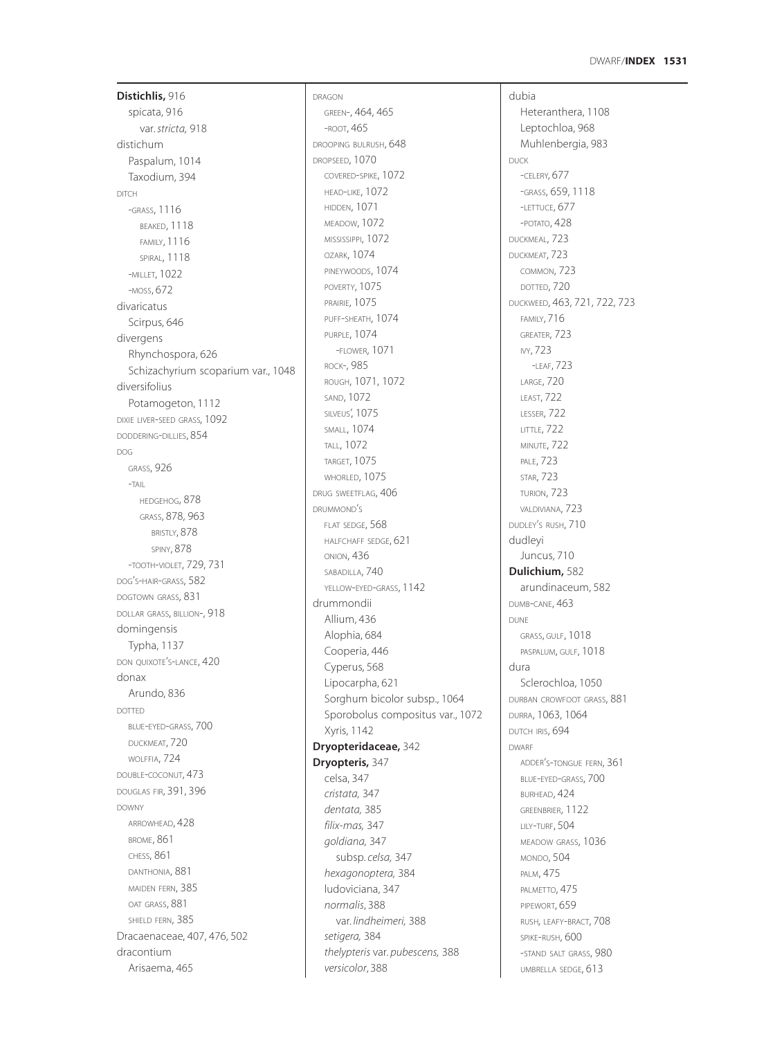**Distichlis,** 916 spicata, 916 var. *stricta,* 918 distichum Paspalum, 1014 Taxodium, 394 DITCH -GRASS, 1116 BEAKED, 1118 FAMILY, 1116 SPIRAL, 1118 -MILLET, 1022 -MOSS, 672 divaricatus Scirpus, 646 divergens Rhynchospora, 626 Schizachyrium scoparium var., 1048 diversifolius Potamogeton, 1112 DIXIE LIVER-SEED GRASS*,* 1092 DODDERING-DILLIES, 854 DOG GRASS, 926 -TAIL HEDGEHOG, 878 GRASS, 878, 963 BRISTLY, 878 SPINY, 878 -TOOTH-VIOLET, 729, 731 DOG'S-HAIR-GRASS, 582 DOGTOWN GRASS, 831 DOLLAR GRASS, BILLION-, 918 domingensis Typha, 1137 DON QUIXOTE'S-LANCE, 420 donax Arundo, 836 DOTTED BLUE-EYED-GRASS, 700 DUCKMEAT, 720 WOLFFIA, 724 DOUBLE-COCONUT, 473 DOUGLAS FIR, 391, 396 DOWNY ARROWHEAD, 428 BROME, 861 CHESS, 861 DANTHONIA, 881 MAIDEN FERN, 385 OAT GRASS, 881 SHIELD FERN, 385 Dracaenaceae, 407, 476, 502 dracontium Arisaema, 465

DRAGON GREEN-, 464, 465 -ROOT, 465 DROOPING BULRUSH, 648 DROPSEED, 1070 COVERED-SPIKE, 1072 HEAD-LIKE, 1072 HIDDEN, 1071 MEADOW, 1072 MISSISSIPPI, 1072 OZARK, 1074 PINEYWOODS, 1074 POVERTY, 1075 PRAIRIE, 1075 PUFF-SHEATH, 1074 PURPLE, 1074 -FLOWER, 1071 ROCK-, 985 ROUGH, 1071, 1072 SAND, 1072 SILVEUS', 1075 SMALL, 1074 TALL, 1072 TARGET, 1075 WHORLED, 1075 DRUG SWEETFLAG, 406 DRUMMOND'S FLAT SEDGE, 568 HALFCHAFF SEDGE, 621 ONION, 436 SABADILLA, 740 YELLOW-EYED-GRASS, 1142 drummondii Allium, 436 Alophia, 684 Cooperia, 446 Cyperus, 568 Lipocarpha, 621 Sorghum bicolor subsp., 1064 Sporobolus compositus var., 1072 Xyris, 1142 **Dryopteridaceae,** 342 **Dryopteris,** 347 celsa, 347 *cristata,* 347 *dentata,* 385 *filix-mas,* 347 *goldiana,* 347 subsp. *celsa,* 347 *hexagonoptera,* 384 ludoviciana, 347 *normalis*, 388 var. *lindheimeri,* 388 *setigera,* 384 *thelypteris* var. *pubescens,* 388 *versicolor*, 388

dubia Heteranthera, 1108 Leptochloa, 968 Muhlenbergia, 983 DUCK -CELERY*,* 677 -GRASS, 659, 1118 -LETTUCE, 677 -POTATO, 428 DUCKMEAL, 723 DUCKMEAT, 723 COMMON, 723 DOTTED, 720 DUCKWEED, 463, 721, 722, 723 FAMILY, 716 GREATER, 723 IVY, 723 -LEAF, 723 LARGE, 720 LEAST, 722 LESSER, 722 LITTLE, 722 MINUTE, 722 PALE, 723 STAR, 723 TURION, 723 VALDIVIANA, 723 DUDLEY'S RUSH, 710 dudleyi Juncus, 710 **Dulichium,** 582 arundinaceum, 582 DUMB-CANE, 463 DUNE GRASS, GULF, 1018 PASPALUM, GULF, 1018 dura Sclerochloa, 1050 DURBAN CROWFOOT GRASS, 881 DURRA, 1063, 1064 DUTCH IRIS, 694 DWARF ADDER'S-TONGUE FERN, 361 BLUE-EYED-GRASS, 700 BURHEAD, 424 GREENBRIER, 1122 LILY-TURF, 504 MEADOW GRASS, 1036 MONDO, 504 PALM, 475 PALMETTO, 475 PIPEWORT, 659 RUSH*,* LEAFY-BRACT, 708 SPIKE-RUSH, 600 -STAND SALT GRASS, 980 UMBRELLA SEDGE, 613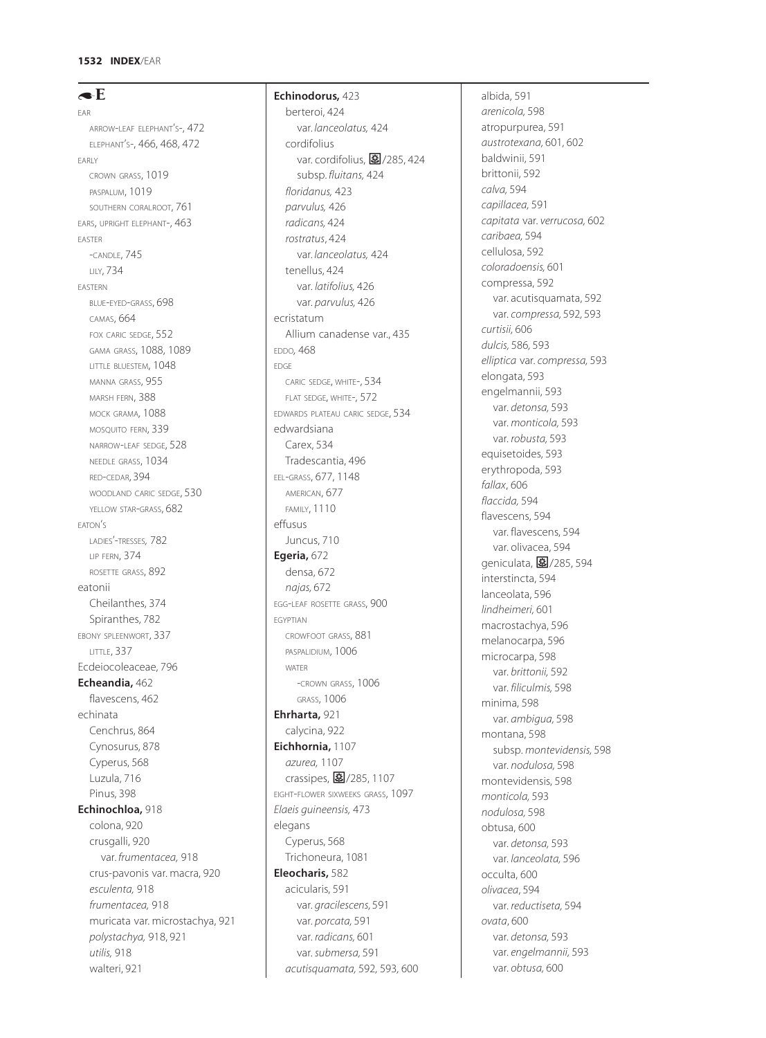$\triangleleft$ E EAR ARROW-LEAF ELEPHANT'S-, 472 ELEPHANT'S-, 466, 468, 472 EARLY CROWN GRASS, 1019 PASPALUM, 1019 SOUTHERN CORALROOT, 761 EARS, UPRIGHT ELEPHANT-, 463 EASTER -CANDLE, 745 LILY, 734 EASTERN BLUE-EYED-GRASS, 698 CAMAS, 664 FOX CARIC SEDGE, 552 GAMA GRASS, 1088, 1089 LITTLE BLUESTEM, 1048 MANNA GRASS, 955 MARSH FERN, 388 MOCK GRAMA*,* 1088 MOSQUITO FERN, 339 NARROW-LEAF SEDGE, 528 NEEDLE GRASS, 1034 RED-CEDAR, 394 WOODLAND CARIC SEDGE, 530 YELLOW STAR-GRASS, 682 EATON'S LADIES'-TRESSES*,* 782 LIP FERN, 374 ROSETTE GRASS, 892 eatonii Cheilanthes, 374 Spiranthes, 782 EBONY SPLEENWORT, 337 LITTLE, 337 Ecdeiocoleaceae, 796 **Echeandia,** 462 flavescens, 462 echinata Cenchrus, 864 Cynosurus, 878 Cyperus, 568 Luzula, 716 Pinus, 398 **Echinochloa,** 918 colona, 920 crusgalli, 920 var. *frumentacea,* 918 crus-pavonis var. macra, 920 *esculenta,* 918 *frumentacea,* 918 muricata var. microstachya, 921 *polystachya,* 918, 921 *utilis,* 918 walteri, 921

# **Echinodorus,** 423 berteroi, 424 var. *lanceolatus,* 424 cordifolius var. cordifolius, **图**/285, 424 subsp. *fluitans,* 424 *floridanus,* 423 *parvulus,* 426 *radicans,* 424 *rostratus*, 424 var. *lanceolatus,* 424 tenellus, 424 var. *latifolius,* 426 var. *parvulus,* 426 ecristatum Allium canadense var., 435 EDDO*,* 468 EDGE CARIC SEDGE, WHITE-, 534 FLAT SEDGE, WHITE-, 572 EDWARDS PLATEAU CARIC SEDGE, 534 edwardsiana Carex, 534 Tradescantia, 496 EEL-GRASS, 677, 1148 AMERICAN, 677 FAMILY, 1110 effusus Juncus, 710 **Egeria,** 672 densa, 672 *najas,* 672 EGG-LEAF ROSETTE GRASS, 900 EGYPTIAN CROWFOOT GRASS, 881 PASPALIDIUM, 1006 WATER -CROWN GRASS, 1006 GRASS, 1006 **Ehrharta,** 921 calycina, 922 **Eichhornia,** 1107 *azurea,* 1107 crassipes,  $\boxed{\Xi}$ /285, 1107 EIGHT-FLOWER SIXWEEKS GRASS, 1097 *Elaeis guineensis,* 473 elegans Cyperus, 568 Trichoneura, 1081 **Eleocharis,** 582 acicularis, 591 var. *gracilescens,* 591 var. *porcata,* 591 var. *radicans,* 601 var. *submersa,* 591

*acutisquamata,* 592*,* 593*,* 600

albida, 591 *arenicola,* 598 atropurpurea, 591 *austrotexana,* 601*,* 602 baldwinii, 591 brittonii, 592 *calva,* 594 *capillacea,* 591 *capitata* var. *verrucosa,* 602 *caribaea,* 594 cellulosa, 592 *coloradoensis,* 601 compressa, 592 var. acutisquamata, 592 var. *compressa,* 592*,* 593 *curtisii,* 606 *dulcis,* 586*,* 593 *elliptica* var. *compressa,* 593 elongata, 593 engelmannii, 593 var. *detonsa,* 593 var. *monticola,* 593 var. *robusta,* 593 equisetoides, 593 erythropoda, 593 *fallax*, 606 *flaccida,* 594 flavescens, 594 var. flavescens, 594 var. olivacea, 594 geniculata, 28/285, 594 interstincta, 594 lanceolata, 596 *lindheimeri,* 601 macrostachya, 596 melanocarpa, 596 microcarpa, 598 var. *brittonii,* 592 var. *filiculmis,* 598 minima, 598 var. *ambigua,* 598 montana, 598 subsp. *montevidensis,* 598 var. *nodulosa,* 598 montevidensis, 598 *monticola,* 593 *nodulosa,* 598 obtusa, 600 var. *detonsa,* 593 var. *lanceolata,* 596 occulta, 600 *olivacea*, 594 var. *reductiseta,* 594 *ovata*, 600 var. *detonsa,* 593 var. *engelmannii,* 593 var. *obtusa,* 600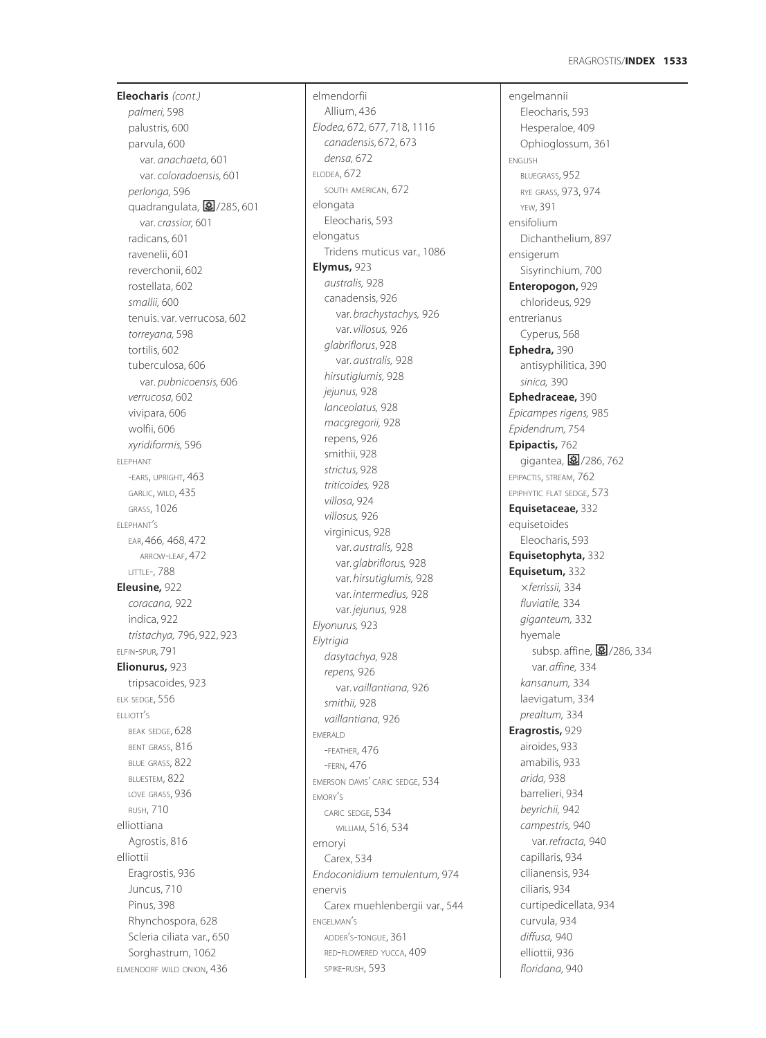**Eleocharis** *(cont.) palmeri,* 598 palustris, 600 parvula, 600 var. *anachaeta,* 601 var. *coloradoensis,* 601 *perlonga,* 596 quadrangulata, 28/285, 601 var. *crassior,* 601 radicans, 601 ravenelii, 601 reverchonii, 602 rostellata, 602 *smallii,* 600 tenuis. var. verrucosa, 602 *torreyana,* 598 tortilis, 602 tuberculosa, 606 var. *pubnicoensis,* 606 *verrucosa,* 602 vivipara, 606 wolfii, 606 *xyridiformis,* 596 ELEPHANT -EARS, UPRIGHT, 463 GARLIC, WILD, 435 GRASS, 1026 ELEPHANT'S EAR, 466*,* 468, 472 ARROW-LEAF, 472 LITTLE-, 788 **Eleusine,** 922 *coracana,* 922 indica, 922 *tristachya,* 796, 922, 923 ELFIN-SPUR, 791 **Elionurus,** 923 tripsacoides, 923 ELK SEDGE, 556 ELLIOTT'S BEAK SEDGE, 628 BENT GRASS, 816 BLUE GRASS, 822 BLUESTEM, 822 LOVE GRASS, 936 RUSH, 710 elliottiana Agrostis, 816 elliottii Eragrostis, 936 Juncus, 710 Pinus, 398 Rhynchospora, 628 Scleria ciliata var., 650 Sorghastrum, 1062 ELMENDORF WILD ONION, 436

elmendorfii Allium, 436 *Elodea,* 672, 677, 718, 1116 *canadensis,* 672, 673 *densa,* 672 ELODEA, 672 SOUTH AMERICAN, 672 elongata Eleocharis, 593 elongatus Tridens muticus var., 1086 **Elymus,** 923 *australis,* 928 canadensis, 926 var. *brachystachys,* 926 var. *villosus,* 926 *glabriflorus*, 928 var. *australis,* 928 *hirsutiglumis,* 928 *jejunus,* 928 *lanceolatus,* 928 *macgregorii,* 928 repens, 926 smithii, 928 *strictus,* 928 *triticoides,* 928 *villosa,* 924 *villosus,* 926 virginicus, 928 var. *australis,* 928 var. *glabriflorus,* 928 var. *hirsutiglumis,* 928 var. *intermedius,* 928 var. *jejunus,* 928 *Elyonurus,* 923 *Elytrigia dasytachya,* 928 *repens,* 926 var. *vaillantiana,* 926 *smithii,* 928 *vaillantiana,* 926 EMERALD -FEATHER, 476 -FERN, 476 EMERSON DAVIS' CARIC SEDGE, 534 EMORY'S CARIC SEDGE, 534 WILLIAM, 516, 534 emoryi Carex, 534 *Endoconidium temulentum,* 974 enervis Carex muehlenbergii var., 544 ENGELMAN'S ADDER'S-TONGUE, 361 RED-FLOWERED YUCCA, 409 SPIKE-RUSH, 593

engelmannii Eleocharis, 593 Hesperaloe, 409 Ophioglossum, 361 ENGLISH BLUEGRASS, 952 RYE GRASS*,* 973, 974 YEW, 391 ensifolium Dichanthelium, 897 ensigerum Sisyrinchium*,* 700 **Enteropogon,** 929 chlorideus, 929 entrerianus Cyperus, 568 **Ephedra,** 390 antisyphilitica, 390 *sinica,* 390 **Ephedraceae,** 390 *Epicampes rigens,* 985 *Epidendrum,* 754 **Epipactis,** 762 gigantea, 27/286, 762 EPIPACTIS, STREAM, 762 EPIPHYTIC FLAT SEDGE, 573 **Equisetaceae,** 332 equisetoides Eleocharis, 593 **Equisetophyta,** 332 **Equisetum,** 332 *ferrissii,* 334 *fluviatile,* 334 *giganteum,* 332 hyemale subsp. affine, 27286, 334 var. *affine,* 334 *kansanum,* 334 laevigatum, 334 *prealtum,* 334 **Eragrostis,** 929 airoides, 933 amabilis, 933 *arida,* 938 barrelieri, 934 *beyrichii,* 942 *campestris,* 940 var. *refracta,* 940 capillaris, 934 cilianensis, 934 ciliaris, 934 curtipedicellata, 934 curvula, 934 *diffusa,* 940 elliottii, 936 *floridana,* 940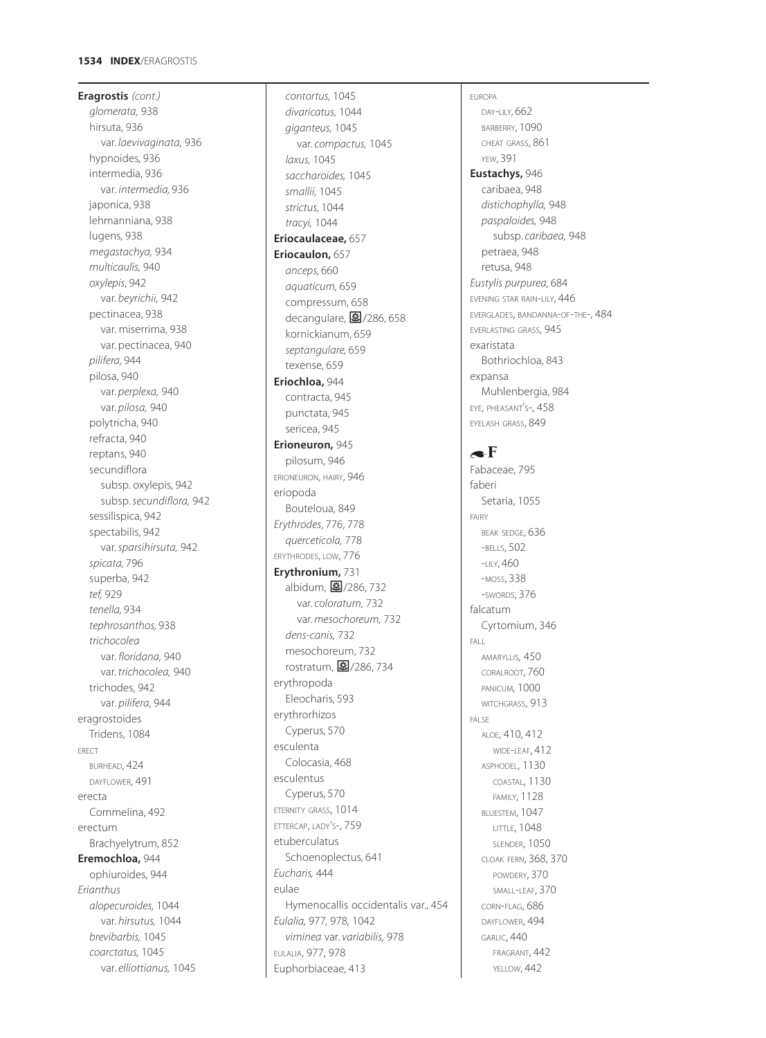# **1534 INDEX**/ERAGROSTIS

**Eragrostis** *(cont.) glomerata,* 938 hirsuta, 936 var. *laevivaginata,* 936 hypnoides, 936 intermedia, 936 var. *intermedia,* 936 japonica, 938 lehmanniana, 938 lugens, 938 *megastachya,* 934 *multicaulis,* 940 *oxylepis*, 942 var. *beyrichii,* 942 pectinacea, 938 var. miserrima, 938 var. pectinacea, 940 *pilifera,* 944 pilosa, 940 var. *perplexa,* 940 var. *pilosa,* 940 polytricha, 940 refracta, 940 reptans, 940 secundiflora subsp. oxylepis, 942 subsp. *secundiflora,* 942 sessilispica, 942 spectabilis, 942 var. *sparsihirsuta,* 942 *spicata,* 796 superba, 942 *tef,* 929 *tenella,* 934 *tephrosanthos,* 938 *trichocolea* var. *floridana,* 940 var. *trichocolea,* 940 trichodes, 942 var. *pilifera*, 944 eragrostoides Tridens, 1084 ERECT BURHEAD, 424 DAYFLOWER, 491 erecta Commelina, 492 erectum Brachyelytrum, 852 **Eremochloa,** 944 ophiuroides, 944 *Erianthus alopecuroides,* 1044 var. *hirsutus,* 1044 *brevibarbis,* 1045 *coarctatus,* 1045 var. *elliottianus,* 1045

*contortus,* 1045 *divaricatus,* 1044 *giganteus,* 1045 var. *compactus,* 1045 *laxus,* 1045 *saccharoides,* 1045 *smallii,* 1045 *strictus,* 1044 *tracyi,* 1044 **Eriocaulaceae,** 657 **Eriocaulon,** 657 *anceps,* 660 *aquaticum,* 659 compressum, 658 decangulare,  $\boxed{\Xi}$ /286, 658 kornickianum, 659 *septangulare,* 659 texense, 659 **Eriochloa,** 944 contracta, 945 punctata, 945 sericea, 945 **Erioneuron,** 945 pilosum, 946 ERIONEURON, HAIRY, 946 eriopoda Bouteloua, 849 *Erythrodes*, 776, 778 *querceticola,* 778 ERYTHRODES, LOW, 776 **Erythronium,** 731 albidum, 27/286, 732 var. *coloratum,* 732 var. *mesochoreum,* 732 *dens-canis,* 732 mesochoreum, 732 rostratum, 27/286, 734 erythropoda Eleocharis, 593 erythrorhizos Cyperus, 570 esculenta Colocasia, 468 esculentus Cyperus, 570 ETERNITY GRASS, 1014 ETTERCAP, LADY'S-, 759 etuberculatus Schoenoplectus, 641 *Eucharis,* 444 eulae Hymenocallis occidentalis var., 454 *Eulalia,* 977*,* 978*,* 1042 *viminea* var. *variabilis,* 978 EULALIA, 977, 978 Euphorbiaceae, 413

# EUROPA DAY-LILY*,* 662 BARBERRY, 1090 CHEAT GRASS, 861 YEW, 391 **Eustachys,** 946 caribaea, 948 *distichophylla,* 948 *paspaloides,* 948 subsp. *caribaea,* 948 petraea, 948 retusa, 948 *Eustylis purpurea,* 684 EVENING STAR RAIN-LILY, 446 EVERGLADES, BANDANNA-OF-THE-, 484 EVERLASTING GRASS, 945 exaristata Bothriochloa, 843 expansa Muhlenbergia, 984 EYE, PHEASANT'S-, 458 EYELASH GRASS, 849

# $\bullet$ F

Fabaceae, 795 faberi Setaria, 1055 FAIRY BEAK SEDGE, 636 -BELLS, 502 -LILY, 460 -MOSS, 338 -SWORDS, 376 falcatum Cyrtomium, 346 FALL AMARYLLIS*,* 450 CORALROOT, 760 PANICUM, 1000 WITCHGRASS, 913 FALSE ALOE, 410, 412 WIDE-LEAF, 412 ASPHODEL, 1130 COASTAL, 1130 FAMILY, 1128 BLUESTEM, 1047 LITTLE, 1048 SLENDER, 1050 CLOAK FERN, 368, 370 POWDERY, 370 SMALL-LEAF, 370 CORN-FLAG, 686 DAYFLOWER, 494 GARLIC, 440 FRAGRANT, 442 YELLOW, 442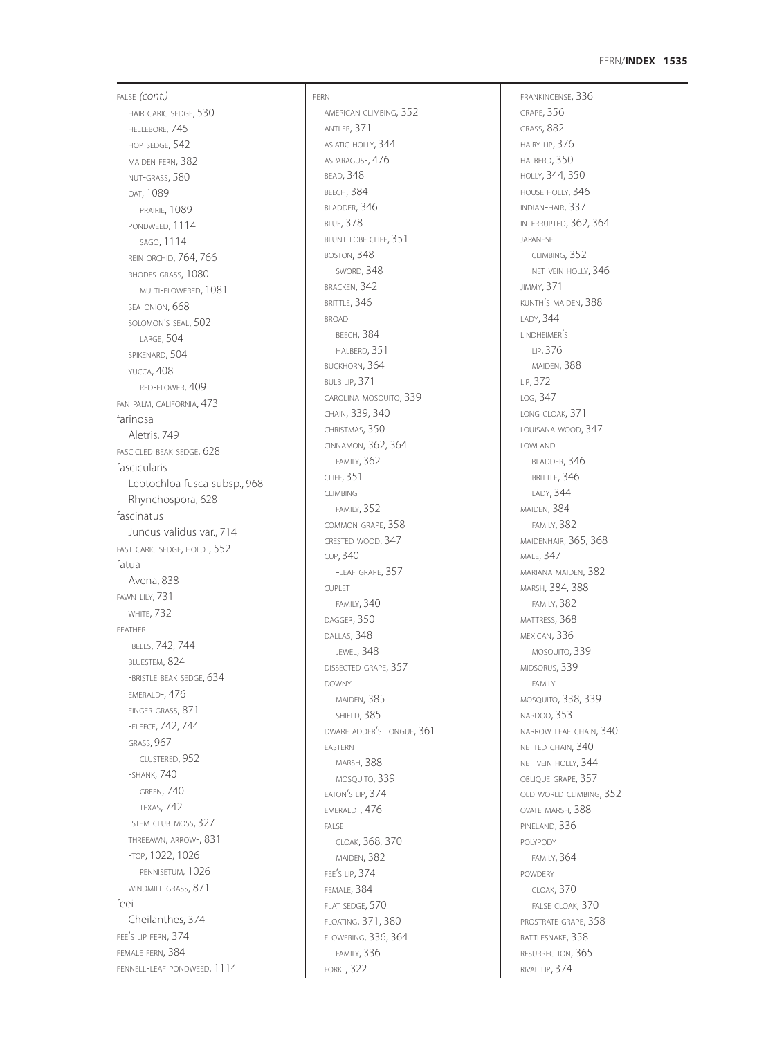#### FERN /**INDEX 1535**

FALSE *(cont.)* HAIR CARIC SEDGE, 530 HELLEBORE, 745 HOP SEDGE, 542 MAIDEN FERN, 382 NUT -GRASS, 580 OAT, 1089 PRAIRIE, 1089 PONDWEED, 1114 SAGO, 1114 REIN ORCHID, 764, 766 RHODES GRASS, 1080 MULTI -FLOWERED, 1081 SEA -ONION, 668 SOLOMON S SEAL, 502 ' LARGE, 504 SPIKENARD, 504 YUCCA, 408 RED -FLOWER, 409 FAN PALM, CALIFORNIA, 473 farinosa Aletris, 749 FASCICLED BEAK SEDGE, 628 fascicularis Leptochloa fusca subsp., 968 Rhynchospora, 628 fascinatus Juncus validus var., 714 FAST CARIC SEDGE, HOLD-, 552 fatua Avena, 838 FAWN -LILY, 731 WHITE, 732 FEATHER -BELLS, 742, 744 BLUESTEM, 824 -BRISTLE BEAK SEDGE, 634 EMERALD-, 476 FINGER GRASS, 871 -FLEECE, 742, 744 GRASS, 967 CLUSTERED, 952 -SHANK, 740 GREEN, 740 TEXAS, 742 -STEM CLUB -MOSS, 327 THREEAWN, ARROW-, 831 -TOP, 1022, 1026 PENNISETUM*,* 1026 WINDMILL GRASS, 871 feei Cheilanthes, 374 FEE <sup>S</sup> LIP FERN, 374 ' FEMALE FERN, 384 FENNELL -LEAF PONDWEED, 1114

FERN AMERICAN CLIMBING, 352 ANTLER, 371 ASIATIC HOLLY, 344 ASPARAGUS-, 476 BEAD, 348 **BEECH, 384** BLADDER, 346 BLUE, 378 BLUNT -LOBE CLIFF, 351 BOSTON, 348 SWORD, 348 BRACKEN, 342 BRITTLE, 346 BROAD BEECH, 384 HALBERD, 351 BUCKHORN, 364 BULB LIP, 371 CAROLINA MOSQUITO, 339 CHAIN, 339, 340 CHRISTMAS, 350 CINNAMON, 362, 364 FAMILY, 362 CLIFF, 351 CLIMBING FAMILY, 352 COMMON GRAPE, 358 CRESTED WOOD, 34 7 CUP, 340 -LEAF GRAPE, 357 CUPLET FAMILY, 340 DAGGER, 350 DALLAS, 348 JEWEL, 348 DISSECTED GRAPE, 357 DOWNY MAIDEN, 385 **SHIELD, 385** DWARF ADDER S -TONGUE, 361 ' EASTERN MARSH, 388 MOSQUITO, 339 EATON S LIP, 374 ' EMERALD-, 476 FALSE CLOAK, 368, 370 MAIDEN, 382 FEE <sup>S</sup> LIP, 374 ' FEMALE, 384 FLAT SEDGE, 570 FLOATING, 371, 380 FLOWERING, 336, 364 FAMILY, 336 FORK-, 322

FRANKINCENSE, 336 GRAPE, 356 GRASS, 882 HAIRY LIP, 376 HALBERD, 350 HOLLY, 344, 350 HOUSE HOLLY, 346 INDIAN -HAIR, 337 INTERRUPTED, 362, 364 JAPANESE CLIMBING, 352 NET -VEIN HOLLY, 346 JIMMY, 371 KUNTH S MAIDEN, 388 ' LADY, 344 LINDHEIMER S ' LIP, 376 MAIDEN, 388 LIP, 372 LOG, 347 LONG CLOAK, 371 LOUISANA WOOD, 347 LOWLAND BLADDER, 346 BRITTLE, 346 LADY, 344 MAIDEN, 384 **FAMILY, 382** MAIDENHAIR, 365, 368 MALE, 347 MARIANA MAIDEN, 382 MARSH, 384, 388 FAMILY, 382 MATTRESS, 368 MEXICAN, 336 MOSQUITO, 339 MIDSORUS, 339 FAMILY MOSQUITO, 338, 339 NARDOO, 353 NARROW -LEAF CHAIN, 340 NETTED CHAIN, 340 NET -VEIN HOLLY, 344 OBLIQUE GRAPE, 357 OLD WORLD CLIMBING, 352 OVATE MARSH, 388 PINELAND, 336 POLYPODY FAMILY, 364 POWDERY CLOAK, 370 FALSE CLOAK, 370 PROSTRATE GRAPE, 358 RATTLESNAKE, 358 RESURRECTION, 365 RIVAL LIP, 374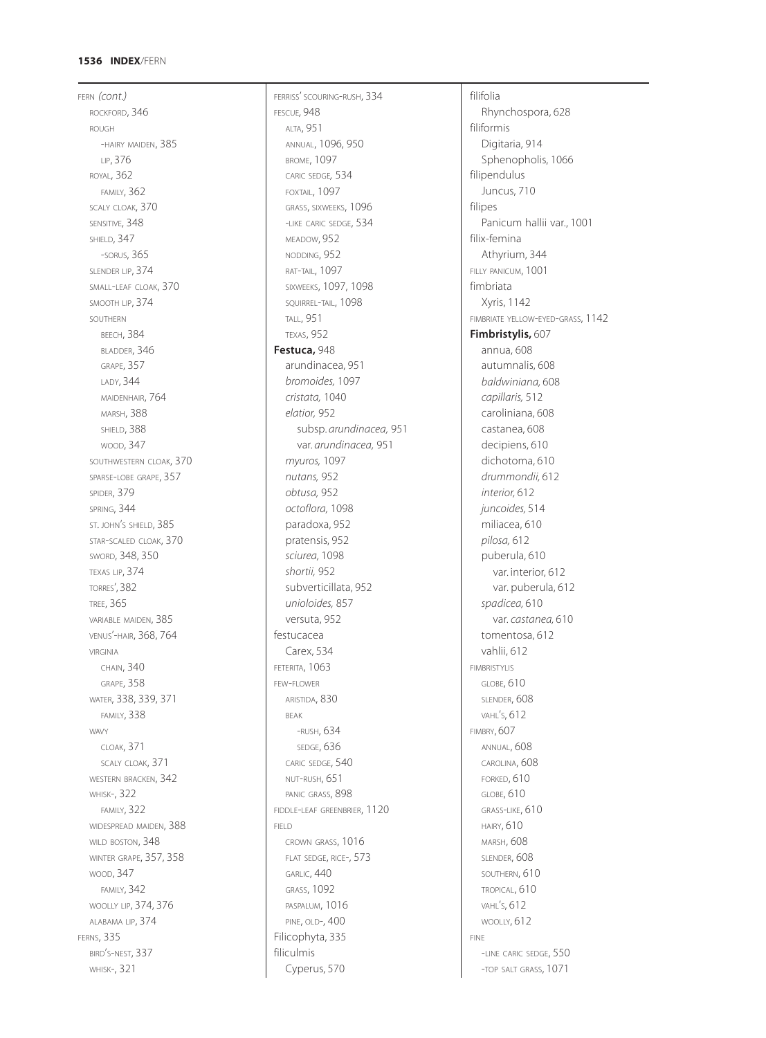# **1536 INDEX**/FERN

FERN *(cont.)* ROCKFORD, 346 ROUGH -HAIRY MAIDEN, 385 LIP, 376 ROYAL, 362 FAMILY, 362 SCALY CLOAK, 370 SENSITIVE, 348 SHIELD, 347 -SORUS, 365 SLENDER LIP, 374 SMALL-LEAF CLOAK, 370 SMOOTH LIP, 374 SOUTHERN **BEECH, 384** BLADDER, 346 GRAPE, 357 LADY, 344 MAIDENHAIR, 764 MARSH, 388 SHIELD, 388 WOOD, 347 SOUTHWESTERN CLOAK, 370 SPARSE-LOBE GRAPE, 357 SPIDER, 379 SPRING, 344 ST. JOHN'S SHIELD, 385 STAR-SCALED CLOAK, 370 SWORD, 348, 350 TEXAS LIP, 374 TORRES', 382 TREE, 365 VARIABLE MAIDEN, 385 VENUS'-HAIR, 368, 764 VIRGINIA CHAIN, 340 GRAPE, 358 WATER, 338, 339, 371 FAMILY, 338 WAVY CLOAK, 371 SCALY CLOAK, 371 WESTERN BRACKEN, 342 WHISK-, 322 FAMILY, 322 WIDESPREAD MAIDEN, 388 WILD BOSTON, 348 WINTER GRAPE, 357, 358 WOOD, 347 FAMILY, 342 WOOLLY LIP, 374, 376 ALABAMA LIP, 374 FERNS, 335 BIRD'S-NEST, 337 WHISK-, 321

FERRISS' SCOURING-RUSH, 334 FESCUE*,* 948 ALTA, 951 ANNUAL, 1096, 950 BROME, 1097 CARIC SEDGE*,* 534 FOXTAIL, 1097 GRASS, SIXWEEKS, 1096 -LIKE CARIC SEDGE, 534 MEADOW, 952 NODDING, 952 RAT-TAIL, 1097 SIXWEEKS, 1097, 1098 SQUIRREL-TAIL, 1098 TALL, 951 TEXAS, 952 **Festuca,** 948 arundinacea, 951 *bromoides,* 1097 *cristata,* 1040 *elatior,* 952 subsp. *arundinacea,* 951 var. *arundinacea,* 951 *myuros,* 1097 *nutans,* 952 *obtusa,* 952 *octoflora,* 1098 paradoxa, 952 pratensis, 952 *sciurea,* 1098 *shortii,* 952 subverticillata, 952 *unioloides,* 857 versuta, 952 festucacea Carex, 534 FETERITA, 1063 FEW-FLOWER ARISTIDA, 830 BEAK -RUSH, 634 SEDGE, 636 CARIC SEDGE, 540 NUT-RUSH, 651 PANIC GRASS, 898 FIDDLE-LEAF GREENBRIER, 1120 FIELD CROWN GRASS, 1016 FLAT SEDGE, RICE-, 573 GARLIC, 440 GRASS, 1092 PASPALUM, 1016 PINE, OLD-, 400 Filicophyta, 335 filiculmis Cyperus, 570

filifolia Rhynchospora, 628 filiformis Digitaria, 914 Sphenopholis, 1066 filipendulus Juncus, 710 filipes Panicum hallii var., 1001 filix-femina Athyrium, 344 FILLY PANICUM, 1001 fimbriata Xyris, 1142 FIMBRIATE YELLOW-EYED-GRASS, 1142 **Fimbristylis,** 607 annua, 608 autumnalis, 608 *baldwiniana,* 608 *capillaris,* 512 caroliniana, 608 castanea, 608 decipiens, 610 dichotoma, 610 *drummondii,* 612 *interior,* 612 *juncoides,* 514 miliacea, 610 *pilosa,* 612 puberula, 610 var. interior, 612 var. puberula, 612 *spadicea,* 610 var. *castanea,* 610 tomentosa, 612 vahlii, 612 FIMBRISTYLIS GLOBE, 610 SLENDER, 608 VAHL'S, 612 FIMBRY, 607 ANNUAL, 608 CAROLINA, 608 FORKED, 610 GLOBE, 610 GRASS-LIKE, 610 HAIRY, 610 MARSH, 608 SLENDER, 608 SOUTHERN, 610 TROPICAL, 610 VAHL'S, 612 WOOLLY, 612 FINE -LINE CARIC SEDGE, 550 -TOP SALT GRASS, 1071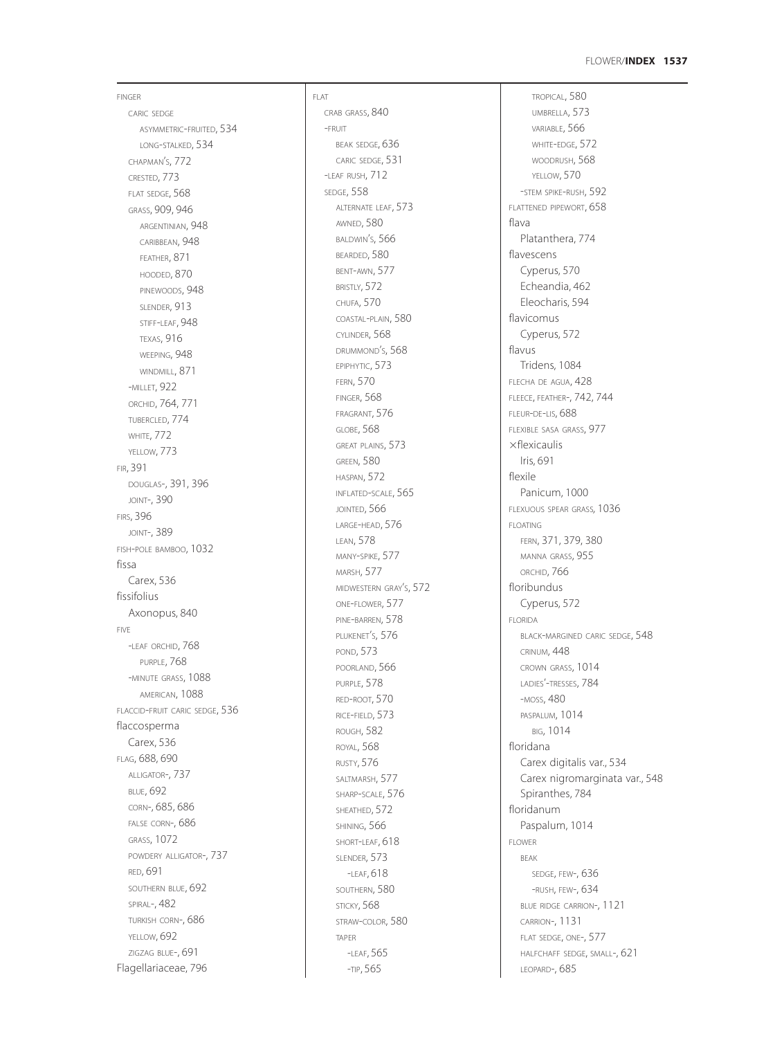FINGER CARIC SEDGE ASYMMETRIC -FRUITED, 534 LONG -STALKED, 534 CHAPMAN S, 772 ' CRESTED, 773 FLAT SEDGE, 568 GRASS, 909, 946 ARGENTINIAN, 948 CARIBBEAN, 948 FEATHER, 871 HOODED, 870 PINEWOODS, 948 SLENDER, 913 STIFF -LEAF, 948 TEXAS, 916 WEEPING, 948 WINDMILL, 871 -MILLET, 922 ORCHID, 764, 771 TUBERCLED, 774 WHITE, 772 YELLOW, 773 FIR, 391 DOUGLAS-, 391, 396 JOINT-, 390 FIRS, 396 JOINT-, 389 FISH -POLE BAMBOO, 1032 fissa Carex, 536 fissifolius Axonopus, 840 FIVE<br>-I FAF ORCHID, 768 PURPLE, 768 -MINUTE GRASS, 1088 AMERICAN, 1088 FLACCID -FRUIT CARIC SEDGE, 536 flaccosperma Carex, 536 FLAG, 688, 690 ALLIGATOR-, 737 BLUE, 692 CORN-, 685, 686 FALSE CORN-, 686 GRASS, 1072 POWDERY ALLIGATOR-, 737 RED, 691 SOUTHERN BLUE, 692 SPIRAL-, 482 TURKISH CORN-, 686 YELLOW, 692 ZIGZAG BLUE-, 691 Flagellariaceae, 796

FLAT CRAB GRASS, 840 -FRUIT BEAK SEDGE, 636 CARIC SEDGE, 531 -LEAF RUSH, 712 SEDGE, 558 ALTERNATE LEAF, 573 AWNED, 580 BALDWIN S, 566 ' BEARDED, 580 BENT -AWN, 577 BRISTLY, 572 CHUFA, 570 COASTAL -PLAIN, 580 CYLINDER, 568 DRUMMOND S, 568 ' EPIPHYTIC, 573 FERN, 570 FINGER, 568 FRAGRANT, 576 GLOBE, 568 GREAT PLAINS, 573 GREEN, 580 HASPAN, 572 INFLATED -SCALE, 565 JOINTED, 566 LARGE -HEAD, 576 LEAN, 578 MANY -SPIKE, 577 MARSH, 577 MIDWESTERN GRAY S, 572 ' ONE -FLOWER, 577 PINE -BARREN, 578 PLUKENET S, 576 ' POND, 573 POORLAND, 566 PURPLE, 578 RED -ROOT, 570 RICE -FIELD, 573 ROUGH, 582 ROYAL, 568 RUSTY, 576 SALTMARSH, 577 SHARP -SCALE, 576 SHEATHED, 572 SHINING, 566 SHORT -LEAF, 618 SLENDER, 573 -LEAF, 618 SOUTHERN, 580 STICKY, 568 STRAW -COLOR, 580 TAPER<br>-I FAF, 565 -TIP, 565

TROPICAL, 580 UMBRELLA, 573 VARIABLE, 566 WHITE -EDGE, 572 WOODRUSH, 568 YELLOW, 570 -STEM SPIKE -RUSH, 592 FLATTENED PIPEWORT, 658 flava Platanthera, 774 flavescens Cyperus, 570 Echeandia, 462 Eleocharis, 594 flavicomus Cyperus, 572 flavus Tridens, 1084 FLECHA DE AGUA, 428 FLEECE, FEATHER-, 742, 744 FLEUR -DE -LIS, 688 FLEXIBLE SASA GRASS, 977  $\times$ flexicaulis Iris, 691 flexile Panicum, 1000 FLEXUOUS SPEAR GRASS*,* 1036 FLOATING FERN, 371, 379, 380 MANNA GRASS, 955 ORCHID, 766 floribundus Cyperus, 572 FLORIDA BLACK -MARGINED CARIC SEDGE, 548 CRINUM, 448 CROWN GRASS, 1014 LADIES'-TRESSES, 784 -MOSS, 480 PASPALUM, 1014 BIG, 1014 floridana Carex digitalis var., 534 Carex nigromarginata var., 548 Spiranthes, 784 floridanum Paspalum, 1014 FLOWER BEAK SEDGE, FEW-, 636 -RUSH, FEW-, 634 BLUE RIDGE CARRION-, 1121 CARRION-, 1131 FLAT SEDGE, ONE-, 577 HALFCHAFF SEDGE, SMALL-, 621 LEOPARD-, 685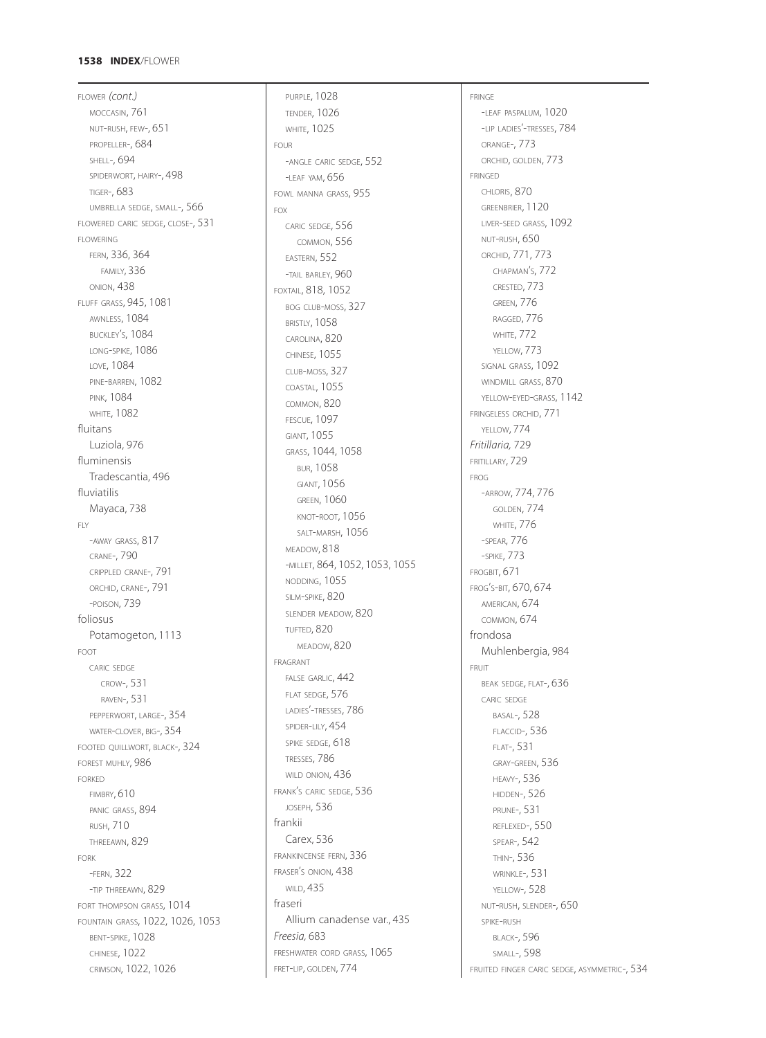### **1538 INDEX**/FLOWER

FLOWER *(cont.)* MOCCASIN, 761 NUT-RUSH, FEW-, 651 PROPELLER-, 684 SHELL-, 694 SPIDERWORT, HAIRY-, 498 TIGER-, 683 UMBRELLA SEDGE, SMALL-, 566 FLOWERED CARIC SEDGE, CLOSE-, 531 FLOWERING FERN, 336, 364 FAMILY, 336 ONION, 438 FLUFF GRASS, 945, 1081 AWNLESS, 1084 BUCKLEY'S, 1084 LONG-SPIKE, 1086 LOVE, 1084 PINE-BARREN, 1082 PINK, 1084 **WHITE, 1082** fluitans Luziola, 976 fluminensis Tradescantia, 496 fluviatilis Mayaca, 738 FLY -AWAY GRASS, 817 CRANE-, 790 CRIPPLED CRANE-, 791 ORCHID, CRANE-, 791 -POISON, 739 foliosus Potamogeton, 1113 FOOT CARIC SEDGE CROW-, 531 RAVEN-, 531 PEPPERWORT, LARGE-, 354 WATER-CLOVER, BIG-, 354 FOOTED QUILLWORT, BLACK-, 324 FOREST MUHLY, 986 FORKED FIMBRY, 610 PANIC GRASS, 894 RUSH, 710 THREEAWN, 829 FORK -FERN, 322 -TIP THREEAWN, 829 FORT THOMPSON GRASS, 1014 FOUNTAIN GRASS, 1022, 1026, 1053 BENT-SPIKE, 1028 CHINESE, 1022 CRIMSON, 1022, 1026

PURPLE, 1028 TENDER, 1026 WHITE, 1025 FOUR -ANGLE CARIC SEDGE, 552 -LEAF YAM, 656 FOWL MANNA GRASS, 955 FOX CARIC SEDGE, 556 COMMON, 556 EASTERN, 552 -TAIL BARLEY, 960 FOXTAIL, 818, 1052 BOG CLUB-MOSS, 327 BRISTLY, 1058 CAROLINA, 820 CHINESE, 1055 CLUB-MOSS, 327 COASTAL, 1055 COMMON, 820 FESCUE, 1097 GIANT, 1055 GRASS, 1044, 1058 BUR, 1058 GIANT, 1056 GREEN, 1060 KNOT-ROOT, 1056 SALT-MARSH, 1056 MEADOW, 818 -MILLET, 864, 1052, 1053, 1055 NODDING, 1055 SILM-SPIKE, 820 SLENDER MEADOW, 820 TUFTED, 820 MEADOW, 820 FRAGRANT FALSE GARLIC, 442 FLAT SEDGE, 576 LADIES'-TRESSES, 786 SPIDER-LILY, 454 SPIKE SEDGE, 618 TRESSES, 786 WILD ONION, 436 FRANK'S CARIC SEDGE, 536 JOSEPH, 536 frankii Carex, 536 FRANKINCENSE FERN, 336 FRASER'S ONION, 438 WILD, 435 fraseri Allium canadense var., 435 *Freesia,* 683 FRESHWATER CORD GRASS, 1065 FRET-LIP, GOLDEN, 774

FRINGE -LEAF PASPALUM, 1020 -LIP LADIES'-TRESSES, 784 ORANGE-, 773 ORCHID, GOLDEN, 773 FRINGED CHLORIS, 870 GREENBRIER, 1120 LIVER-SEED GRASS, 1092 NUT-RUSH, 650 ORCHID, 771, 773 CHAPMAN'S, 772 CRESTED, 773 GREEN, 776 RAGGED, 776 WHITE, 772 YELLOW, 773 SIGNAL GRASS, 1092 WINDMILL GRASS, 870 YELLOW-EYED-GRASS, 1142 FRINGELESS ORCHID, 771 YELLOW, **774** *Fritillaria,* 729 FRITILLARY, 729 FROG -ARROW, 774, 776 GOLDEN, 774 WHITE, 776 -SPEAR, 776 -SPIKE, 773 FROGBIT, 671 FROG'S-BIT, 670, 674 AMERICAN, 674 COMMON, 674 frondosa Muhlenbergia, 984 FRUIT BEAK SEDGE, FLAT-, 636 CARIC SEDGE BASAL-, 528 FLACCID-, 536 FLAT-, 531 GRAY-GREEN, 536 HEAVY-, 536 HIDDEN-, 526 PRUNE-, 531 REFLEXED-, 550 SPEAR-, 542 THIN-, 536 WRINKLE-, 531 YELLOW-, 528 NUT-RUSH, SLENDER-, 650 SPIKE-RUSH BLACK-, 596 SMALL-, 598 FRUITED FINGER CARIC SEDGE, ASYMMETRIC-, 534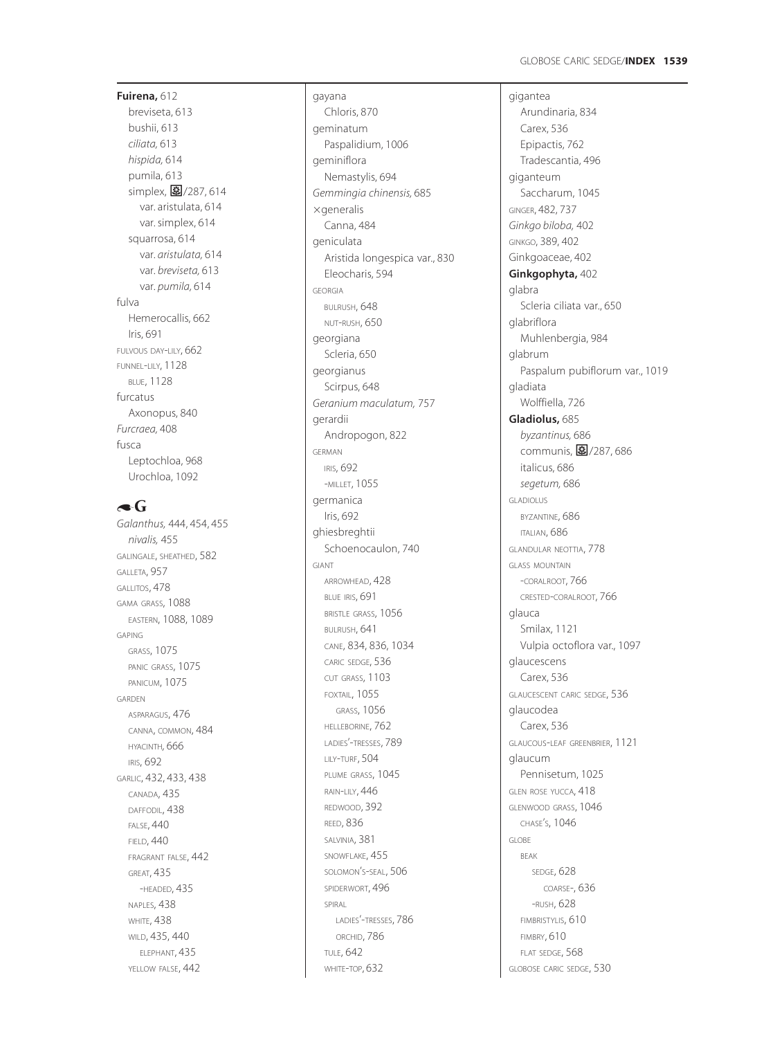# **Fuirena,** 612 breviseta, 613 bushii, 613 *ciliata,* 613 *hispida,* 614 pumila, 613 simplex, m/287, 614 var. aristulata, 614 var. simplex, 614 squarrosa, 614 var. *aristulata,* 614 var. *breviseta,* 613 var. *pumila,* 614 fulva Hemerocallis, 662 Iris, 691 FULVOUS DAY -LILY, 662 FUNNEL -LILY, 1128 BLUE, 1128 furcatus Axonopus, 840 *Furcraea,* 408 fusca Leptochloa, 968 Urochloa, 1092

# $\triangle$ G

*Galanthus,* 444, 454, 455 *nivalis,* 455 GALINGALE, SHEATHED, 582 GALLETA, 957 GALLITOS, 478 GAMA GRASS, 1088 EASTERN, 1088, 1089 GAPING GRASS, 1075 PANIC GRASS, 1075 PANICUM, 1075 GARDEN ASPARAGUS, 476 CANNA, COMMON, 484 HYACINTH*,* 666 IRIS, 692 GARLIC, 432, 433, 438 CANADA, 435 DAFFODIL, 438 FALSE, 440 FIELD, 440 FRAGRANT FALSE, 442 GREAT, 435 -HEADED, 435 NAPLES, 438 WHITE, 438 WILD, 435, 440 ELEPHANT, 435 YELLOW FALSE, 442

Chloris, 870 geminatum Paspalidium, 1006 geminiflora Nemastylis, 694 *Gemmingia chinensis,* 685  $\times$ generalis Canna, 484 geniculata Aristida longespica var., 830 Eleocharis, 594 GEORGIA BULRUSH, 648 NUT -RUSH, 650 georgiana Scleria, 650 georgianus Scirpus, 648 *Geranium maculatum,* 757 gerardii Andropogon, 822 GERMAN IRIS, 692 -MILLET, 1055 germanica Iris, 692 ghiesbreghtii Schoenocaulon, 740 GIANT ARROWHEAD, 428 BLUE IRIS, 691 BRISTLE GRASS, 1056 BULRUSH, 641 CANE, 834, 836, 1034 CARIC SEDGE, 536 CUT GRASS, 1103 FOXTAIL, 1055 GRASS, 1056 HELLEBORINE, 762 LADIES'-TRESSES, 789 LILY -TURF, 504 PLUME GRASS, 1045 RAIN -LILY, 446 REDWOOD, 392 REED, 836 SALVINIA, 381 SNOWFLAKE, 455 SOLOMON S -SEAL, 506 ' SPIDERWORT, 496 SPIRAL LADIES'-TRESSES, 786 ORCHID, 786 TULE, 642 WHITE -TOP, 632

gayana

gigantea Arundina ria, 834 Carex, 536 Epipactis, 762 Tradescantia, 496 giganteum Saccharum, 1045 GINGER, 482, 737 *Ginkgo biloba,* 402 GINKGO, 389, 402 Ginkgoaceae, 402 **Ginkgophyta,** 402 glabra Scleria ciliata var., 650 glabriflora Muhlenbergia, 984 glabrum Paspalum pubiflorum var., 1019 gladiata Wolffiella, 726 **Gladiolus,** 685 *byzantinus,* 686 .<br>communis, <mark>夓</mark>/287,686 italicus, 686 *segetum,* 686 GLADIOLUS BYZANTINE, 686 ITALIAN, 686 GLANDULAR NEOTTIA, 778 GLASS MOUNTAIN -CORALROOT, 766 CRESTED -CORALROOT, 766 glauca Smilax, 1121 Vulpia octoflora var., 1097 glaucescens Carex, 536 GLAUCESCENT CARIC SEDGE, 536 glaucodea Carex, 536 GLAUCOUS -LEAF GREENBRIER, 1121 glaucum Pennisetum, 1025 GLEN ROSE YUCCA, 418 GLENWOOD GRASS, 1046 CHASE S, 1046 ' GLOBE BEAK SEDGE, 628 COARSE-, 636 -RUSH, 628 FIMBRISTYLIS, 610 FIMBRY, 610 FLAT SEDGE, 568 GLOBOSE CARIC SEDGE, 530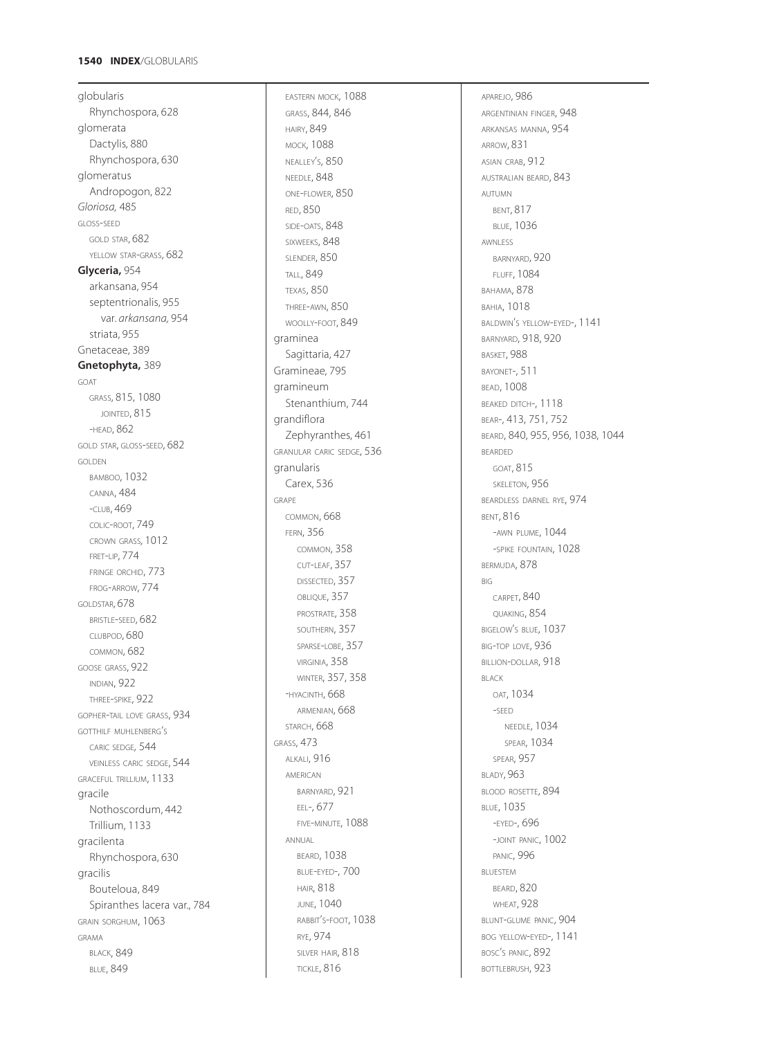### **1540 INDEX** /GLOBULARIS

globularis Rhynchospora, 628 glomerata Dactylis, 880 Rhynchospora, 630 glomeratus Andropogon, 822 *Gloriosa,* 485 GLOSS -SEED GOLD STAR, 682 YELLOW STAR-GRASS, 682 **Glyceria,** 954 arkansana, 954 septentrionalis, 955 var. *arkansana,* 954 striata, 955 Gnetaceae, 389 **Gnetophyta,** 389 GOAT GRASS, 815, 1080 JOINTED, 815 -HEAD, 862 GOLD STAR, GLOSS -SEED, 682 GOLDEN BAMBOO, 1032 CANNA, 484 -CLUB, 469 COLIC -ROOT, 749 CROWN GRASS*,* 1012 FRET -LIP, 774 FRINGE ORCHID, 773 FROG -ARROW, 774 GOLDSTAR*,* 678 BRISTLE -SEED, 682 CLUBPOD, 680 COMMON, 682 GOOSE GRASS, 922 INDIAN, 922 THREE -SPIKE, 922 GOPHER -TAIL LOVE GRASS, 934 GOTTHILF MUHLENBERG S ' CARIC SEDGE *,* 544 VEINLESS CARIC SEDGE, 544 GRACEFUL TRILLIUM, 1133 gracile Nothoscordum, 442 Trillium, 1133 gracilenta Rhynchospora, 630 gracilis Bouteloua, 849 Spiranthes lacera var., 784 GRAIN SORGHUM, 1063 GRAMA **BLACK, 849** BLUE, 849

EASTERN MOCK, 1088 GRASS, 844, 846 HAIRY, 849 MOCK, 1088 NEALLEY S, 850 ' NEEDLE, 848 ONE -FLOWER, 850 RED, 850 SIDE-OATS, 848 SIXWEEKS, 848 SLENDER, 850 TALL, 849 TEXAS, 850 THREE -AWN, 850 WOOLLY -FOOT, 849 graminea Sagittaria, 427 Gramineae, 795 gramineum Stenanthium, 744 grandiflora Zephyranthes, 461 GRANULAR CARIC SEDGE, 536 granularis Carex, 536 GRAPE COMMON, 668 FERN, 356 COMMON, 358 CUT -LEAF, 357 DISSECTED, 357 OBLIQUE, 357 PROSTRATE, 358 SOUTHERN, 357 SPARSE -LOBE, 357 VIRGINIA, 358 WINTER, 357, 358 -HYACINTH, 668 ARMENIAN, 668 STARCH, 668 GRASS, 473 ALKALI, 916 AMERICAN BARNYARD, 921 EEL-, 677 FIVE -MINUTE, 1088 ANNUAL BEARD, 1038 BLUE -EYED-, 700 HAIR, 818 JUNE, 1040 RABBIT S -FOOT, 1038 ' RYE, 974 SILVER HAIR, 818 TICKLE, 816

APAREJO, 986 ARGENTINIAN FINGER, 948 ARKANSAS MANNA, 954 ARROW, 831 ASIAN CRAB, 912 AUSTRALIAN BEARD, 843 AUTUMN BENT, 817 BLUE, 1036 AWNLESS BARNYARD, 920 FLUFF, 1084 BAHAMA, 878 BAHIA, 1018 BALDWIN S YELLOW -EYED-, 1141 ' BARNYARD, 918, 920 BASKET, 988 BAYONET-, 511 BEAD, 1008 BEAKED DITCH-, 1118 BEAR-, 413, 751, 752 BEARD, 840, 955, 956, 1038, 1044 BEARDED GOAT, 815 SKELETON, 956 BEARDLESS DARNEL RYE, 974 BENT, 816 -AWN PLUME, 1044 -SPIKE FOUNTAIN, 1028 BERMUDA, 878 BIG CARPET, 840 QUAKING, 854 BIGELOW S BLUE, 1037 ' BIG -TOP LOVE, 936 BILLION-DOLLAR, 918 BLACK OAT, 1034 -SEED NEEDLE, 1034 SPEAR, 1034 SPEAR, 957 BLADY, 963 BLOOD ROSETTE, 894 BLUE, 1035 -EYED-, 696 -JOINT PANIC, 1002 PANIC, 996 BLUESTEM BEARD, 820 WHEAT, 928 BLUNT -GLUME PANIC, 904 BOG YELLOW -EYED-, 1141 BOSC S PANIC, 892 ' BOTTLEBRUSH, 923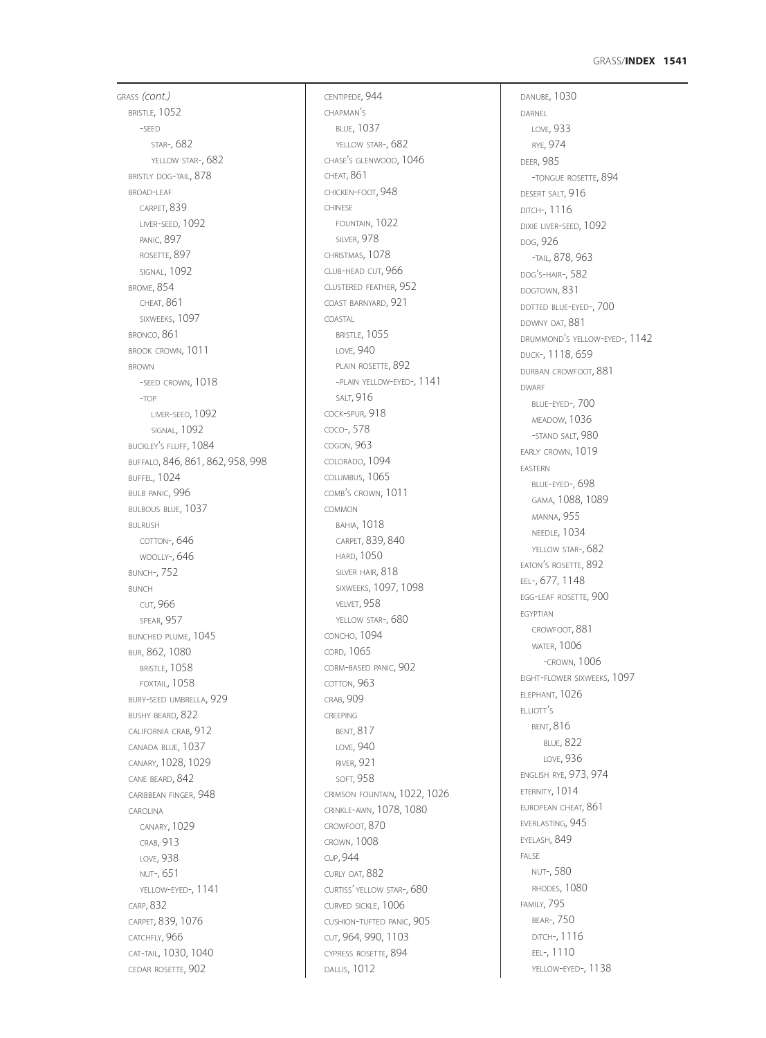### GRASS /**INDEX 1541**

GRASS *(cont.)* BRISTLE, 1052 -SEED STAR-, 682 YELLOW STAR-, 682 BRISTLY DOG -TAIL, 878 BROAD-LEAF CARPET, 839 LIVER -SEED, 1092 PANIC, 897 ROSETTE, 897 SIGNAL, 1092 BROME, 854 CHEAT, 861 SIXWEEKS, 1097 BRONCO, 861 BROOK CROWN, 1011 BROWN -SEED CROWN, 1018 -TOP LIVER-SEED, 1092 SIGNAL, 1092 BUCKLEY S FLUFF, 1084 ' BUFFALO, 846, 861, 862, 958, 998 BUFFEL, 1024 BULB PANIC, 996 BULBOUS BLUE, 1037 BULRUSH COTTON-, 646 WOOLLY-, 646 BUNCH-, 752 BUNCH CUT, 966 SPEAR, 957 BUNCHED PLUME, 1045 BUR, 862, 1080 BRISTLE, 1058 FOXTAIL, 1058 BURY -SEED UMBRELLA, 929 BUSHY BEARD, 822 CALIFORNIA CRAB, 912 CANADA BLUE, 1037 CANARY, 1028, 1029 CANE BEARD, 842 CARIBBEAN FINGER, 948 CAROLINA CANARY, 1029 CRAB, 913 LOVE, 938 NUT-, 651 YELLOW -EYED-, 1141 CARP, 832 CARPET, 839, 1076 CATCHFLY, 966 CAT -TAIL, 1030, 1040 CEDAR ROSETTE, 902

CENTIPEDE, 944 CHAPMAN S ' BLUE, 1037 YELLOW STAR-, 682 CHASE <sup>S</sup> GLENWOOD, 1046 ' CHEAT, 861 CHICKEN -FOOT, 948 CHINESE FOUNTAIN, 1022 SILVER, 978 CHRISTMAS, 1078 CLUB -HEAD CUT, 966 CLUSTERED FEATHER, 952 COAST BARNYARD, 921 COASTAL BRISTLE, 1055 LOVE, 940 PLAIN ROSETTE, 892 -PLAIN YELLOW -EYED-, 1141 SALT, 916 COCK -SPUR, 918 COCO-, 578 COGON, 963 COLORADO, 1094 COLUMBUS, 1065 COMB'S CROWN, 1011 COMMON BAHIA, 1018 CARPET, 839, 840 HARD, 1050 SILVER HAIR, 818 SIXWEEKS, 1097, 1098 VELVET, 958 YELLOW STAR-, 680 CONCHO, 1094 CORD, 1065 CORM -BASED PANIC, 902 COTTON, 963 CRAB, 909 CREEPING BENT, 817 LOVE, 940 RIVER, 921 SOFT, 958 CRIMSON FOUNTAIN, 1022, 1026 CRINKLE -AWN, 1078, 1080 CROWFOOT, 870 CROWN, 1008 CUP, 944 CURLY OAT, 882 CURTISS' YELLOW STAR-, 680 CURVED SICKLE, 1006 CUSHION -TUFTED PANIC, 905 CUT, 964, 990, 1103 CYPRESS ROSETTE, 894 DALLIS, 1012

DANUBE, 1030 DARNEL LOVE, 933 RYE, 974 DEER, 985 -TONGUE ROSETTE, 894 DESERT SALT, 916 DITCH-, 1116 DIXIE LIVER-SEED, 1092 DOG, 926 -TAIL, 878, 963 DOG S -HAIR-, 582 ' DOGTOWN, 831 DOTTED BLUE -EYED-, 700 DOWNY OAT, 881 DRUMMOND S YELLOW -EYED-, 1142 ' DUCK-, 1118, 659 DURBAN CROWFOOT, 881 DWARF BLUE -EYED-, 700 MEADOW, 1036 -STAND SALT, 980 EARLY CROWN, 1019 EASTERN BLUE -EYED-, 698 GAMA, 1088, 1089 MANNA, 955 NEEDLE, 1034 YELLOW STAR-, 682 EATON S ROSETTE, 892 ' EEL-, 677, 1148 EGG -LEAF ROSETTE, 900 EGYPTIAN CROWFOOT, 881 WATER, 1006 -CROWN, 1006 EIGHT -FLOWER SIXWEEKS, 1097 ELEPHANT, 1026 ELLIOTT S ' BENT, 816 BLUE, 822 LOVE, 936 ENGLISH RYE, 973, 974 ETERNITY, 1014 EUROPEAN CHEAT, 861 EVERLASTING, 945 EYELASH, 849 FALSE NUT-, 580 RHODES, 1080 FAMILY, 795 BEAR-, 750 DITCH-, 1116 EEL-, 1110 YELLOW -EYED-, 1138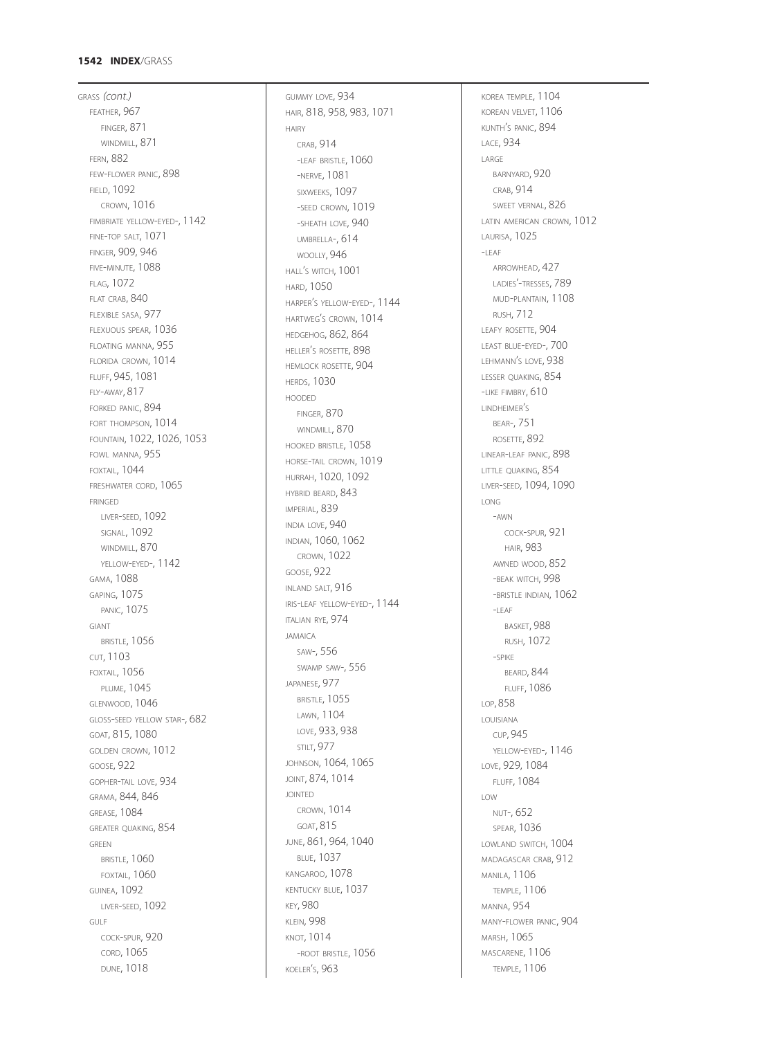#### **1542 INDEX** /GRASS

GRASS *(cont.)* FEATHER, 967 FINGER, 871 WINDMILL, 871 FERN, 882 FEW -FLOWER PANIC, 898 FIELD, 1092 CROWN, 1016 FIMBRIATE YELLOW -EYED-, 1142 FINE -TOP SALT, 1071 FINGER, 909, 946 FIVE -MINUTE, 1088 FLAG, 1072 FLAT CRAB, 840 FLEXIBLE SASA, 977 FLEXUOUS SPEAR, 1036 FLOATING MANNA, 955 FLORIDA CROWN, 1014 FLUFF, 945, 1081 FLY -AWAY, 817 FORKED PANIC, 894 FORT THOMPSON, 1014 FOUNTAIN, 1022, 1026, 1053 FOWL MANNA, 955 FOXTAIL, 1044 FRESHWATER CORD, 1065 FRINGED LIVER -SEED, 1092 SIGNAL, 1092 WINDMILL, 870 YELLOW -EYED-, 1142 GAMA, 1088 GAPING, 1075 PANIC, 1075 GIANT BRISTLE, 1056 CUT, 1103 FOXTAIL, 1056 PLUME, 1045 GLENWOOD, 1046 GLOSS -SEED YELLOW STAR-, 682 GOAT , 815, 1080 GOLDEN CROWN, 1012 GOOSE, 922 GOPHER -TAIL LOVE, 934 GRAMA, 844, 846 GREASE, 1084 GREATER QUAKING, 854 GREEN BRISTLE, 1060 FOXTAIL, 1060 GUINEA, 1092 LIVER -SEED, 1092 GULF COCK -SPUR, 920 CORD, 1065 DUNE, 1018

GUMMY LOVE, 934 HAIR, 818, 958, 983, 1071 HAIRY CRAB, 914 -LEAF BRISTLE, 1060 -NERVE, 1081 SIXWEEKS, 1097 -SEED CROWN, 1019 -SHEATH LOVE, 940 UMBRELLA-, 614 WOOLLY, 946 HALL <sup>S</sup> WITCH, 1001 ' HARD, 1050 HARPER S YELLOW -EYED-, 1144 ' HARTWEG S CROWN, 1014 ' HEDGEHOG, 862, 864 HELLER S ROSETTE, 898 ' HEMLOCK ROSETTE, 904 **HERDS, 1030** HOODED FINGER, 870 WINDMILL, 870 HOOKED BRISTLE, 1058 HORSE -TAIL CROWN, 1019 HURRAH, 1020, 1092 HYBRID BEARD, 843 IMPERIAL, 839 INDIA LOVE, 940 INDIAN, 1060, 1062 CROWN, 1022 GOOSE, 922 INLAND SALT, 916 IRIS -LEAF YELLOW -EYED-, 1144 ITALIAN RYE, 974 JAMAICA SAW-, 556 SWAMP SAW-, 556 JAPANESE, 977 BRISTLE, 1055 LAWN, 1104 LOVE, 933, 938 STILT, 977 JOHNSON, 1064, 1065 JOINT, 874, 1014 JOINTED CROWN, 1014 GOAT, 815 JUNE, 861, 964, 1040 BLUE, 1037 KANGAROO, 1078 KENTUCKY BLUE, 1037 KEY, 980 KLEIN, 998 KNOT, 1014 -ROOT BRISTLE, 1056 KOELER S, 963 '

KOREA TEMPLE, 1104 KOREAN VELVET, 1106 KUNTH <sup>S</sup> PANIC, 894 ' LACE, 934 LARGE BARNYARD, 920 CRAB, 914 SWEET VERNAL, 826 LATIN AMERICAN CROWN, 1012 LAURISA, 1025  $-I$ FAF ARROWHEAD, 427 LADIES'-TRESSES, 789 MUD -PLANTAIN, 1108 RUSH, 712 LEAFY ROSETTE, 904 LEAST BLUE -EYED-, 700 LEHMANN S LOVE, 938 ' LESSER QUAKING, 854 -LIKE FIMBRY, 610 LINDHEIMER S ' BEAR-, 751 ROSETTE, 892 LINEAR -LEAF PANIC, 898 LITTLE QUAKING, 854 LIVER -SEED, 1094, 1090 LONG-AWN COCK -SPUR, 921 HAIR, 983 AWNED WOOD, 852 -BEAK WITCH, 998 -BRISTLE INDIAN, 1062  $-$ LEAF BASKET, 988 RUSH, 1072 -SPIKE BEARD, 844 FLUFF, 1086 LOP, 858 LOUISIANA CUP, 945 YELLOW -EYED-, 1146 LOVE, 929, 1084 FLUFF, 1084 LOW NUT-, 652 SPEAR, 1036 LOWLAND SWITCH, 1004 MADAGASCAR CRAB, 912 MANILA, 1106 TEMPLE, 1106 MANNA, 954 MANY -FLOWER PANIC, 904 MARSH, 1065 MASCARENE, 1106 TEMPLE, 1106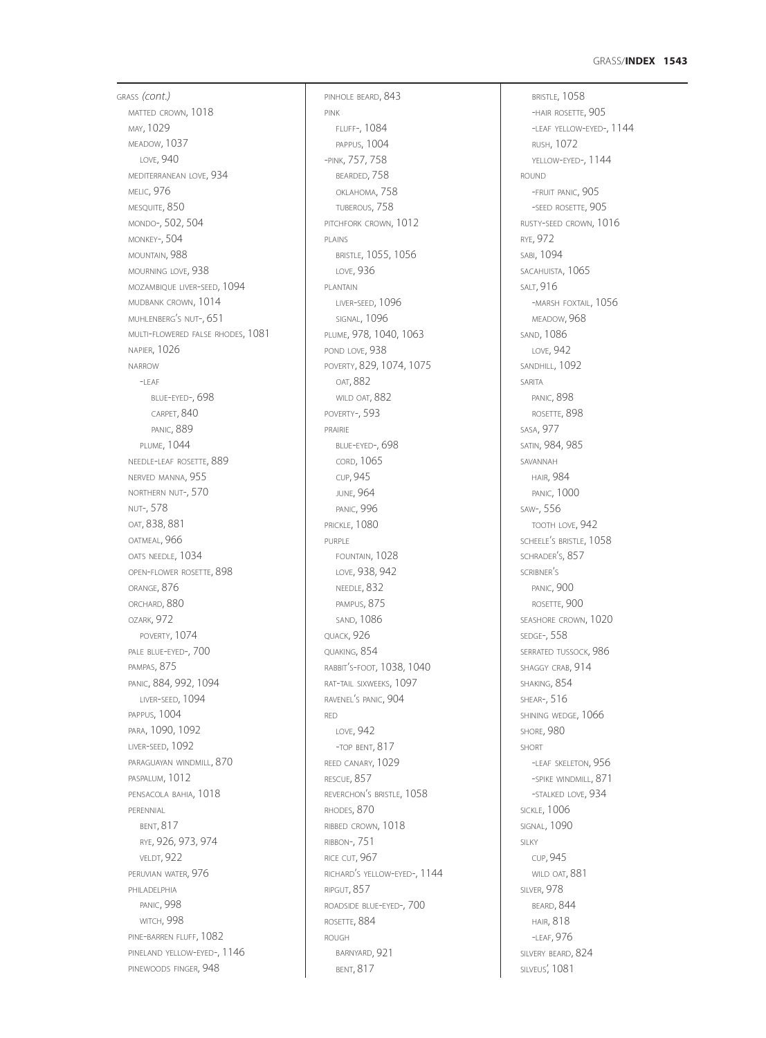### GRASS/**INDEX 1543**

GRASS *(cont.)* MATTED CROWN, 1018 MAY, 1029 MEADOW, 1037 LOVE, 940 MEDITERRANEAN LOVE, 934 **MELIC, 976** MESQUITE, 850 MONDO-, 502, 504 MONKEY-, 504 MOUNTAIN, 988 MOURNING LOVE, 938 MOZAMBIQUE LIVER-SEED, 1094 MUDBANK CROWN, 1014 MUHLENBERG'S NUT-, 651 MULTI-FLOWERED FALSE RHODES, 1081 NAPIER, 1026 NARROW -LEAF BLUE-EYED-, 698 CARPET, 840 PANIC, 889 PLUME, 1044 NEEDLE-LEAF ROSETTE, 889 NERVED MANNA, 955 NORTHERN NUT-, 570 NUT-, 578 OAT, 838, 881 OATMEAL, 966 OATS NEEDLE, 1034 OPEN-FLOWER ROSETTE, 898 ORANGE, 876 ORCHARD, 880 OZARK, 972 POVERTY, 1074 PALE BLUE-EYED-, 700 PAMPAS, 875 PANIC, 884, 992, 1094 LIVER-SEED, 1094 PAPPUS, 1004 PARA, 1090, 1092 LIVER-SEED, 1092 PARAGUAYAN WINDMILL, 870 PASPALUM, 1012 PENSACOLA BAHIA, 1018 PERENNIAL BENT, 817 RYE, 926, 973, 974 VELDT, 922 PERUVIAN WATER, 976 PHILADELPHIA PANIC, 998 WITCH, 998 PINE-BARREN FLUFF, 1082 PINELAND YELLOW-EYED-, 1146 PINEWOODS FINGER, 948

PINHOLE BEARD, 843 PINK FLUFF-, 1084 PAPPUS, 1004 -PINK, 757, 758 BEARDED, 758 OKLAHOMA, 758 TUBEROUS, 758 PITCHFORK CROWN, 1012 PLAINS BRISTLE, 1055, 1056 LOVE, 936 PLANTAIN LIVER-SEED, 1096 SIGNAL, 1096 PLUME, 978, 1040, 1063 POND LOVE, 938 POVERTY, 829, 1074, 1075 OAT, 882 WILD OAT, 882 POVERTY-, 593 PRAIRIE BLUE-EYED-, 698 CORD, 1065 CUP, 945 JUNE, 964 PANIC, 996 **PRICKLE, 1080** PURPLE FOUNTAIN, 1028 LOVE, 938, 942 NEEDLE, 832 PAMPUS, 875 SAND, 1086 QUACK, 926 QUAKING, 854 RABBIT'S-FOOT, 1038, 1040 RAT-TAIL SIXWEEKS, 1097 RAVENEL'S PANIC, 904 RED LOVE, 942 -TOP BENT, 817 REED CANARY, 1029 RESCUE, 857 REVERCHON'S BRISTLE, 1058 RHODES, 870 RIBBED CROWN, 1018 RIBBON-, 751 RICE CUT, 967 RICHARD'S YELLOW-EYED-, 1144 RIPGUT, 857 ROADSIDE BLUE-EYED-, 700 ROSETTE, 884 ROUGH BARNYARD, 921 BENT, 817

BRISTLE, 1058 -HAIR ROSETTE, 905 -LEAF YELLOW-EYED-, 1144 RUSH, 1072 YELLOW-EYED-, 1144 ROUND -FRUIT PANIC, 905 -SEED ROSETTE, 905 RUSTY-SEED CROWN, 1016 RYE, 972 SABI, 1094 SACAHUISTA, 1065 SALT, 916 -MARSH FOXTAIL, 1056 MEADOW, 968 SAND, 1086 LOVE, 942 SANDHILL, 1092 SARITA PANIC, 898 ROSETTE, 898 SASA, 977 SATIN, 984, 985 SAVANNAH HAIR, 984 PANIC, 1000 SAW-, 556 TOOTH LOVE, 942 SCHEELE'S BRISTLE, 1058 SCHRADER'S, 857 SCRIBNER'S PANIC, 900 ROSETTE, 900 SEASHORE CROWN, 1020 SEDGE-, 558 SERRATED TUSSOCK 986 SHAGGY CRAB, 914 SHAKING, 854 SHEAR-, 516 SHINING WEDGE, 1066 SHORE, 980 SHORT -LEAF SKELETON, 956 -SPIKE WINDMILL, 871 -STALKED LOVE, 934 SICKLE, 1006 SIGNAL, 1090 SILKY CUP, 945 WILD OAT, 881 SILVER, 978 BEARD, 844 HAIR, 818 -LEAF, 976 SILVERY BEARD, 824 SILVEUS', 1081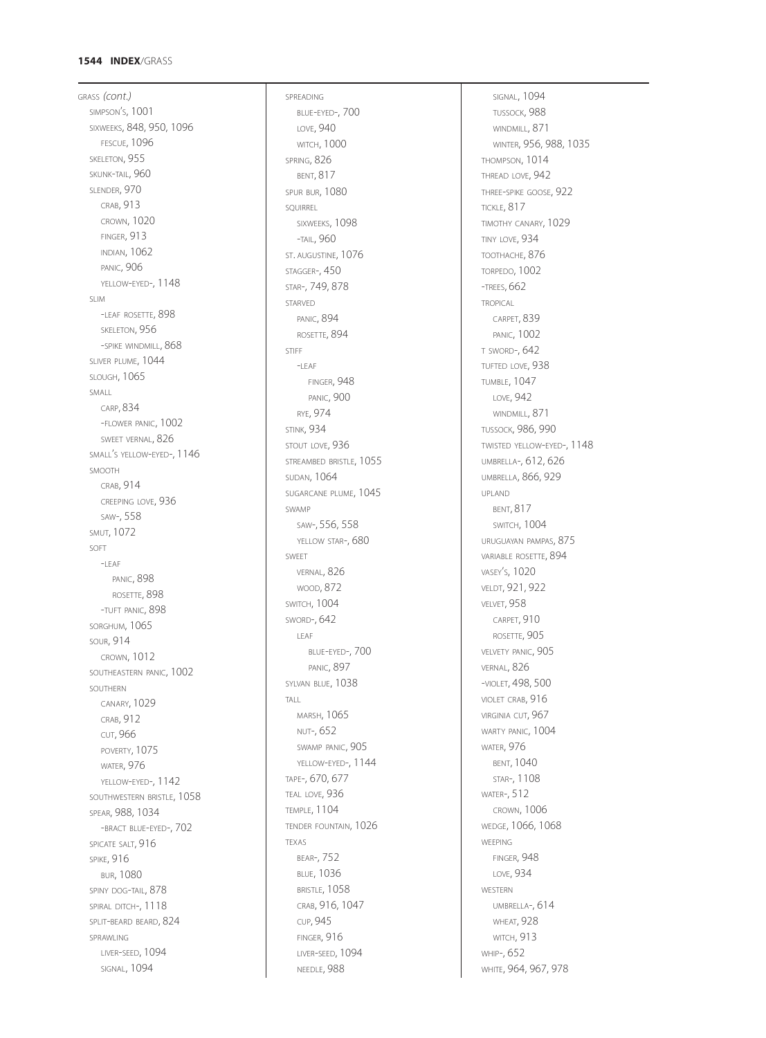### **1544 INDEX** /GRASS

GRASS *(cont.)* SIMPSON S, 1001 ' SIXWEEKS, 848, 950, 1096 FESCUE, 1096 SKELETON, 955 SKUNK -TAIL, 960 SLENDER, 970 CRAB, 913 CROWN, 1020 FINGER, 913 INDIAN, 1062 PANIC, 906 YELLOW -EYED-, 1148 SLIM-LEAF ROSETTE, 898 SKELETON, 956 -SPIKE WINDMILL, 868 SLIVER PLUME, 1044 SLOUGH, 1065 SMALL CARP, 834 -FLOWER PANIC, 1002 SWEET VERNAL, 826 SMALL S YELLOW -EYED-, 1146 ' SMOOTH CRAB, 914 CREEPING LOVE, 936 SAW-, 558 SMUT, 1072 SOFT<br>-I FAF PANIC, 898 ROSETTE, 898 -TUFT PANIC, 898 SORGHUM, 1065 SOUR, 914 CROWN, 1012 SOUTHEASTERN PANIC, 1002 SOUTHERN CANARY, 1029 CRAB, 912 CUT, 966 POVERTY, 1075 WATER, 976 YELLOW -EYED-, 1142 SOUTHWESTERN BRISTLE, 1058 SPEAR, 988, 1034 -BRACT BLUE-EYED-, 702 SPICATE SALT, 916 **SPIKE, 916** BUR, 1080 SPINY DOG -TAIL, 878 SPIRAL DITCH-, 1118 SPLIT-BEARD BEARD, 824 SPRAWLING LIVER -SEED, 1094 SIGNAL, 1094

SPREADING BLUE -EYED-, 700 LOVE, 940 WITCH, 1000 SPRING, 826 BENT, 817 SPUR BUR, 1080 SQUIRREL SIXWEEKS, 1098 -TAIL, 960 ST. AUGUSTINE, 1076 STAGGER-, 450 STAR-, 749, 878 STARVED PANIC, 894 ROSETTE, 894 STIFF-LEAF FINGER, 948 PANIC, 900 RYE, 974 **STINK, 934** STOUT LOVE, 936 STREAMBED BRISTLE, 1055 SUDAN, 1064 SUGARCANE PLUME, 1045 SWAMP SAW-, 556, 558 YELLOW STAR-, 680 SWEET VERNAL, 826 WOOD, 872 SWITCH, 1004 SWORD-, 642 LEAF BLUE -EYED-, 700 PANIC, 897 SYLVAN BLUE, 1038 TALL MARSH, 1065 NUT-, 652 SWAMP PANIC, 905 YELLOW -EYED-, 1144 TAPE-, 670, 677 TEAL LOVE, 936 TEMPLE, 1104 TENDER FOUNTAIN, 1026 TEXAS BEAR-, 752 BLUE, 1036 BRISTLE, 1058 CRAB, 916, 1047 CUP, 945 FINGER, 916 LIVER -SEED, 1094 NEEDLE, 988

SIGNAL, 1094 TUSSOCK, 988 WINDMILL, 871 WINTER, 956, 988, 1035 THOMPSON, 1014 THREAD LOVE, 942 THREE -SPIKE GOOSE, 922 TICKLE, 817 TIMOTHY CANARY, 1029 TINY LOVE, 934 TOOTHACHE, 876 TORPEDO, 1002 -TREES, 662 **TROPICAL** CARPET, 839 PANIC, 1002 T SWORD-, 642 TUFTED LOVE, 938 TUMBLE, 1047 LOVE, 942 WINDMILL, 871 TUSSOCK, 986, 990 TWISTED YELLOW -EYED-, 1148 UMBRELLA-, 612, 626 UMBRELLA, 866, 929 UPLAND BENT, 817 SWITCH, 1004 URUGUAYAN PAMPAS, 875 VARIABLE ROSETTE, 894 VASEY S, 1020 ' VELDT, 921, 922 VELVET, 958 CARPET, 910 ROSETTE, 905 VELVETY PANIC, 905 VERNAL, 826 -VIOLET, 498, 500 VIOLET CRAB, 916 VIRGINIA CUT, 967 WARTY PANIC, 1004 WATER, 976 BENT, 1040 STAR-, 1108 WATER-, 512 CROWN, 1006 WEDGE, 1066, 1068 WEEPING FINGER, 948 LOVE, 934 WESTERN UMBRELLA-, 614 WHEAT, 928 WITCH, 913 WHIP-, 652 WHITE, 964, 967, 978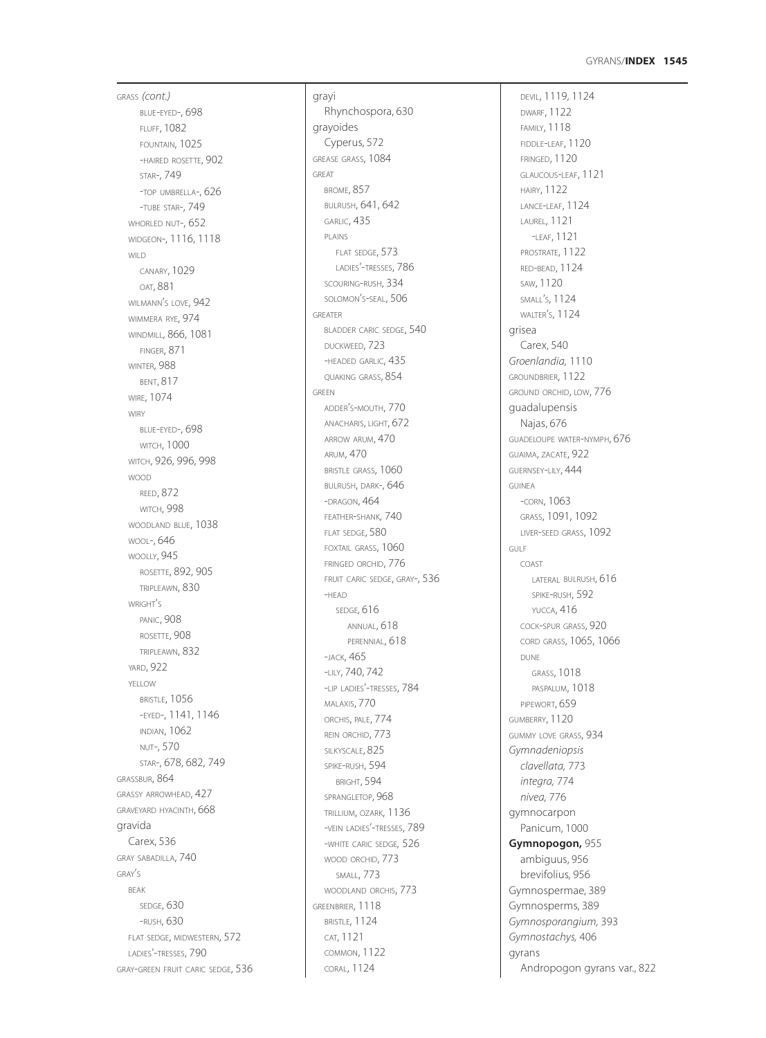### **1545** GYRANS /**INDEX**

GRASS *(cont.)* BLUE -EYED-, 698 FLUFF, 1082 FOUNTAIN, 1025 -HAIRED ROSETTE, 902 STAR-, 749 -TOP UMBRELLA-, 626 -TUBE STAR-, 749 WHORLED NUT-, 652 WIDGEON-, 1116, 1118 WILD CANARY, 1029 OAT, 881 WILMANN S LOVE, 942 ' WIMMERA RYE, 974 WINDMILL, 866, 1081 FINGER, 871 WINTER, 988 BENT, 817 WIRE, 1074 **WIRY** BLUE -EYED-, 698 **WITCH, 1000** WITCH, 926, 996, 998 WOOD REED, 872 WITCH, 998 WOODLAND BLUE, 1038 WOOL-, 646 WOOLLY, 945 ROSETTE, 892, 905 TRIPLEAWN, 830 WRIGHT S ' PANIC, 908 ROSETTE, 908 TRIPLEAWN, 832 YARD, 922 YELLOW BRISTLE, 1056 -EYED-, 1141, 1146 INDIAN, 1062 NUT-, 570 STAR-, 678, 682, 749 GRASSBUR, 864 GRASSY ARROWHEAD, 427 GRAVEYARD HYACINTH, 668 gravida Carex, 536 GRAY SABADILLA, 740 GRAY S ' BEAK SEDGE, 630 -RUSH, 630 FLAT SEDGE, MIDWESTERN, 572 LADIES'-TRESSES, 790 GRAY -GREEN FRUIT CARIC SEDGE, 536

grayi Rhynchospora, 630 grayoides Cyperus, 572 GREASE GRASS, 1084 GREAT BROME, 857 BULRUSH, 641, 642 GARLIC, 435 PLAINS FLAT SEDGE, 573 LADIES'-TRESSES, 786 SCOURING -RUSH, 334 SOLOMON S -SEAL, 506 ' GREATER BLADDER CARIC SEDGE, 540 DUCKWEED, 723 -HEADED GARLIC, 435 QUAKING GRASS, 854 GREEN ADDER S -MOUTH, 770 ' ANACHARIS, LIGHT, 672 ARROW ARUM, 470 ARUM, 470 BRISTLE GRASS, 1060 BULRUSH, DARK-, 646 -DRAGON, 464 FEATHER -SHANK*,* 740 FLAT SEDGE, 580 FOXTAIL GRASS, 1060 FRINGED ORCHID, 776 FRUIT CARIC SEDGE, GRAY-, 536 -HEAD SEDGE*,* 616 ANNUAL, 618 PERENNIAL, 618 -JACK, 465 -LILY, 740, 742 -LIP LADIES'-TRESSES, 784 MALAXIS, 770 ORCHIS, PALE, 774 REIN ORCHID, 773 SILKYSCALE, 825 SPIKE -RUSH, 594 BRIGHT, 594 SPRANGLETOP, 968 TRILLIUM, OZARK, 1136 -VEIN LADIES'-TRESSES, 789 -WHITE CARIC SEDGE*,* 526 WOOD ORCHID, 773 SMALL, 773 WOODLAND ORCHIS, 773 GREENBRIER, 1118 BRISTLE, 1124 CAT, 1121 COMMON, 1122 CORAL, 1124

DEVIL, 1119, 1124 DWARF, 1122 FAMILY, 1118 FIDDLE -LEAF, 1120 FRINGED, 1120 GLAUCOUS -LEAF, 1121 HAIRY, 1122 LANCE -LEAF, 1124 LAUREL, 1121 -LEAF, 1121 PROSTRATE, 1122 RED -BEAD, 1124 SAW, 1120 SMALL S, 1124 ' WALTER S, 1124 ' grisea Carex, 540 *Groenlandia,* 1110 GROUNDBRIER, 1122 GROUND ORCHID, LOW, 776 guadalupensis Najas, 676 GUADELOUPE WATER -NYMPH, 676 GUAIMA, ZACATE, 922 GUERNSEY -LILY, 444 GUINEA -CORN, 1063 GRASS, 1091, 1092 LIVER -SEED GRASS, 1092 GULF COAST LATERAL BULRUSH, 616 SPIKE -RUSH, 592 YUCCA, 416 COCK -SPUR GRASS, 920 CORD GRASS, 1065, 1066 DUNE GRASS, 1018 PASPALUM, 1018 PIPEWORT, 659 GUMBERRY, 1120 GUMMY LOVE GRASS, 934 *Gymnadeniopsis clavellata,* 773 *integra,* 774 *nivea,* 776 gymnocarpon Panicum, 1000 **Gymnopogon,** 955 ambiguus, 956 brevifolius, 956 Gymnospermae, 389 Gymnosperms, 389 *Gymnosporangium,* 393 *Gymnostachys,* 406 gyrans Andropogon gyrans var., 822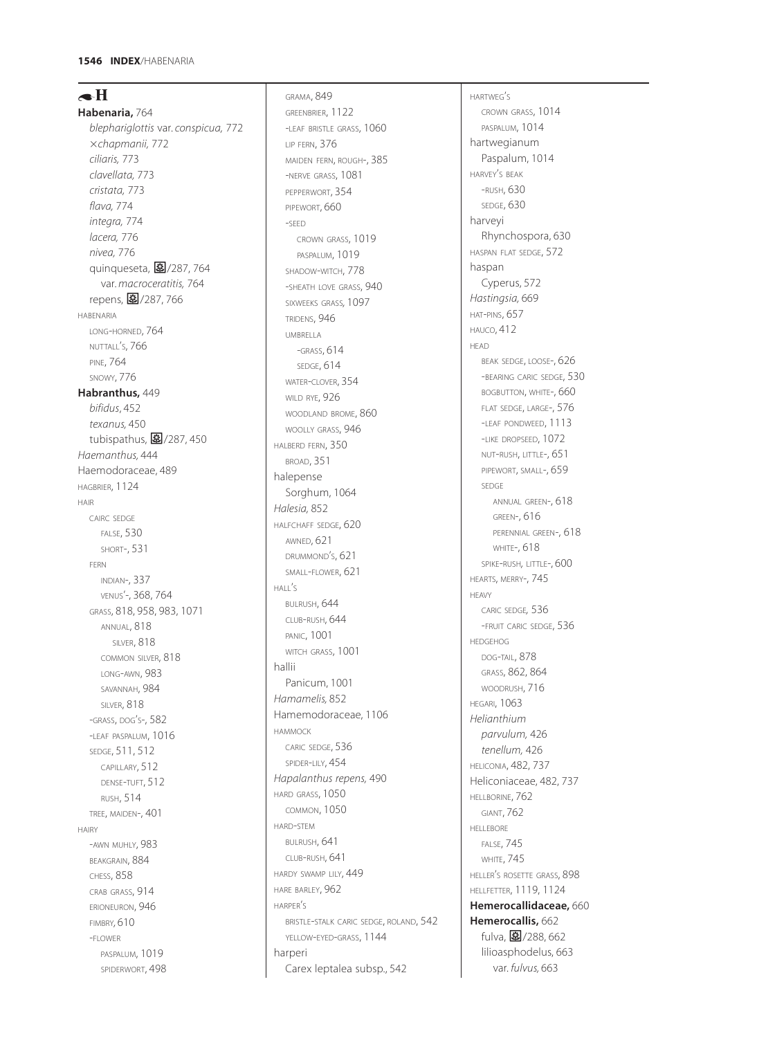# $\blacktriangleleft$ H

**Habenaria,** 764 *blephariglottis* var. *conspicua,* 772 *chapmanii,* 772 *ciliaris,* 773 *clavellata,* 773 *cristata,* 773 *flava,* 774 *integra,* 774 *lacera,* 776 *nivea,* 776 quinqueseta, 27/287, 764 var. *macroceratitis,* 764 repens, 27/287, 766 HABENARIA LONG-HORNED, 764 NUTTALL'S, 766 PINE, 764 SNOWY, 776 **Habranthus,** 449 *bifidus*, 452 *texanus,* 450 tubispathus,  $\boxed{3}$ /287, 450 *Haemanthus,* 444 Haemodoraceae, 489 HAGBRIER, 1124 HAIR CAIRC SEDGE FALSE, 530 SHORT-, 531 FERN INDIAN-, 337 VENUS'-, 368, 764 GRASS, 818, 958, 983, 1071 ANNUAL, 818 SILVER, 818 COMMON SILVER, 818 LONG-AWN, 983 SAVANNAH, 984 SILVER, 818 -GRASS, DOG'S-, 582 -LEAF PASPALUM, 1016 SEDGE, 511, 512 CAPILLARY, 512 DENSE-TUFT, 512 RUSH, 514 TREE, MAIDEN-, 401 HAIRY -AWN MUHLY, 983 BEAKGRAIN, 884 CHESS, 858 CRAB GRASS, 914 ERIONEURON, 946 FIMBRY*,* 610 -FLOWER PASPALUM, 1019 SPIDERWORT, 498

GRAMA, 849 GREENBRIER, 1122 -LEAF BRISTLE GRASS, 1060 LIP FERN, 376 MAIDEN FERN, ROUGH-, 385 -NERVE GRASS, 1081 PEPPERWORT, 354 PIPEWORT, 660 -SEED CROWN GRASS, 1019 PASPALUM, 1019 SHADOW-WITCH, 778 -SHEATH LOVE GRASS, 940 SIXWEEKS GRASS*,* 1097 TRIDENS, 946 UMBRELLA -GRASS, 614 SEDGE, 614 WATER-CLOVER, 354 WILD RYE, 926 WOODLAND BROME, 860 WOOLLY GRASS, 946 HALBERD FERN, 350 BROAD, 351 halepense Sorghum, 1064 *Halesia,* 852 HALFCHAFF SEDGE, 620 AWNED, 621 DRUMMOND'S, 621 SMALL-FLOWER, 621 HALL'S BULRUSH, 644 CLUB-RUSH, 644 PANIC, 1001 WITCH GRASS, 1001 hallii Panicum, 1001 *Hamamelis,* 852 Hamemodoraceae, 1106 HAMMOCK CARIC SEDGE, 536 SPIDER-LILY, 454 *Hapalanthus repens,* 490 HARD GRASS, 1050 COMMON, 1050 HARD-STEM BULRUSH, 641 CLUB-RUSH, 641 HARDY SWAMP LILY, 449 HARE BARLEY, 962 HARPER'S BRISTLE-STALK CARIC SEDGE, ROLAND, 542 YELLOW-EYED-GRASS, 1144 harperi Carex leptalea subsp., 542

HARTWEG'S CROWN GRASS, 1014 PASPALUM, 1014 hartwegianum Paspalum, 1014 HARVEY'S BEAK -RUSH, 630 SEDGE, 630 harveyi Rhynchospora, 630 HASPAN FLAT SEDGE, 572 haspan Cyperus, 572 *Hastingsia,* 669 HAT-PINS, 657 HAUCO, 412 HEAD BEAK SEDGE, LOOSE-, 626 -BEARING CARIC SEDGE, 530 BOGBUTTON, WHITE-, 660 FLAT SEDGE, LARGE-, 576 -LEAF PONDWEED, 1113 -LIKE DROPSEED, 1072 NUT-RUSH, LITTLE-, 651 PIPEWORT, SMALL-, 659 SEDGE ANNUAL GREEN-, 618 GREEN-, 616 PERENNIAL GREEN-, 618 WHITE-, 618 SPIKE-RUSH*,* LITTLE-, 600 HEARTS, MERRY-, 745 HEAVY CARIC SEDGE*,* 536 -FRUIT CARIC SEDGE, 536 HEDGEHOG DOG-TAIL, 878 GRASS, 862, 864 WOODRUSH, 716 HEGARI, 1063 *Helianthium parvulum,* 426 *tenellum,* 426 HELICONIA, 482, 737 Heliconiaceae, 482, 737 HELLBORINE, 762 GIANT, 762 HELLEBORE FALSE, 745 **WHITE, 745** HELLER'S ROSETTE GRASS, 898 HELLFETTER, 1119, 1124 **Hemerocallidaceae,** 660 **Hemerocallis,** 662 fulva, 27/288, 662 lilioasphodelus, 663 var. *fulvus,* 663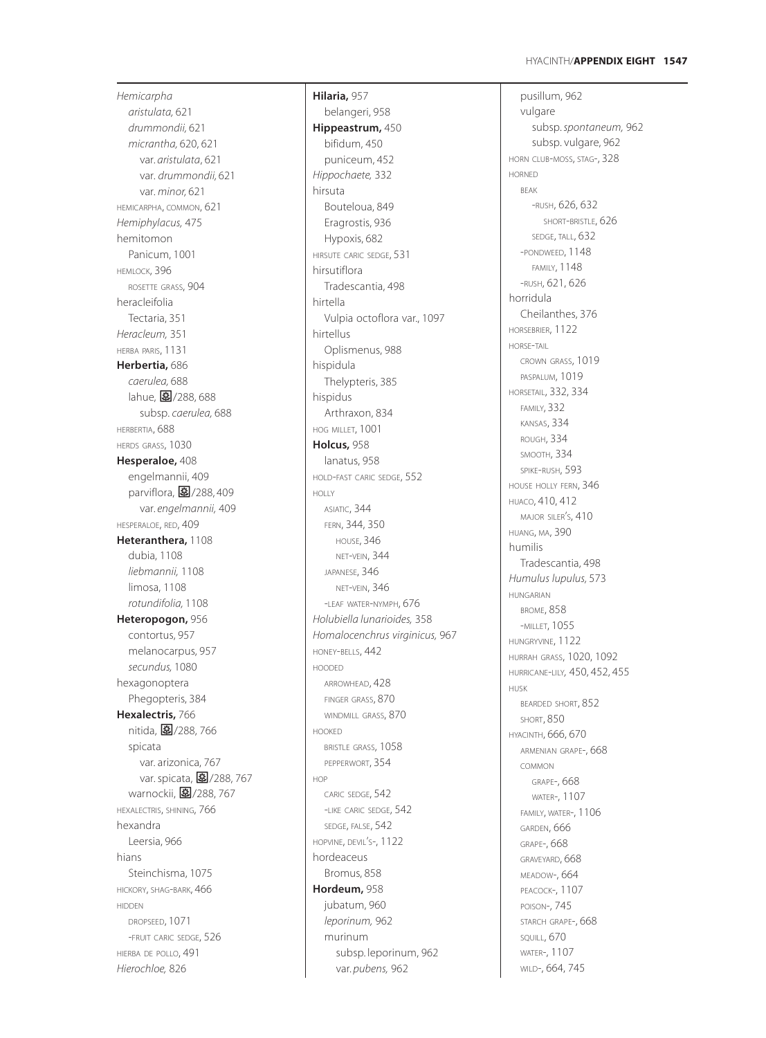*Hemicarpha aristulata,* 621 *drummondii,* 621 *micrantha,* 620, 621 var. *aristulata* , 621 var. *drummondii,* 621 var. *minor,* 621 HEMICARPHA, COMMON, 621 *Hemiphylacus,* 475 hemitomon Panicum, 1001 HEMLOCK, 396 ROSETTE GRASS, 904 heracleifolia Tectaria, 351 *Heracleum,* 351 HERBA PARIS, 1131 **Herbertia,** 686 *caerulea,* 688 lahue, 288,688 subsp. *caerulea,* 688 HERBERTIA, 688 HERDS GRASS, 1030 **Hesperaloe,** 408 engelmannii, 409 parviflora, **图**/288,409 var. *engelmannii,* 409 HESPERALOE, RED, 409 **Heteranthera,** 1108 dubia, 1108 *liebmannii,* 1108 limosa, 1108 *rotundifolia,* 1108 **Heteropogon,** 956 contortus, 957 melanocarpus, 957 *secundus,* 1080 hexagonoptera Phegopteris, 384 **Hexalectris,** 766 nitida, 8/288, 766 spicata var. arizonica, 767 var. spicata, <mark>国</mark>/288, 767 warnockii, <mark>毫</mark>/288, 767 HEXALECTRIS, SHINING, 766 hexandra Leersia, 966 hians Steinchisma, 1075 HICKORY, SHAG -BARK, 466 HIDDEN DROPSEED, 1071 -FRUIT CARIC SEDGE, 526 HIERBA DE POLLO, 491 *Hierochloe,* 826

**Hilaria,** 957 belangeri, 958 **Hippeastrum,** 450 bifidum, 450 puniceum, 452 *Hippochaete,* 332 hirsuta Bouteloua, 849 Eragrostis, 936 Hypoxis, 682 HIRSUTE CARIC SEDGE, 531 hirsutiflora Tradescantia, 498 hirtella Vulpia octoflora var., 1097 hirtellus Oplismenus, 988 hispidula Thelypteris, 385 hispidus Arthraxon, 834 HOG MILLET, 1001 **Holcus,** 958 lanatus, 958 HOLD -FAST CARIC SEDGE, 552 HOLLY ASIATIC, 344 FERN, 344, 350 HOUSE, 346 NET -VEIN, 344 JAPANESE, 346 NET -VEIN, 346 -LEAF WATER -NYMPH, 676 *Holubiella lunarioides,* 358 *Homalocenchrus virginicus,* 967 HONEY -BELLS, 442 HOODED ARROWHEAD, 428 FINGER GRASS, 870 WINDMILL GRASS, 870 HOOKED BRISTLE GRASS, 1058 PEPPERWORT, 354 HOP CARIC SEDGE, 542 -LIKE CARIC SEDGE, 542 SEDGE, FALSE, 542 HOPVINE, DEVIL S-, 1122 ' hordeaceus Bromus, 858 **Hordeum,** 958 jubatum, 960 *leporinum,* 962 murinum subsp. leporinum, 962 var. *pubens,* 962

pusillum, 962 vulgare subsp. *spontaneum,* 962 subsp. vulgare, 962 HORN CLUB -MOSS, STAG-, 328 HORNED BEAK<br>-RUSH, 626, 632 SHORT -BRISTLE, 626 SEDGE, TALL, 632 -PONDWEED, 1148 FAMILY, 1148 -RUSH, 621, 626 horridula Cheilanthes, 376 HORSEBRIER, 1122 HORSE-TAIL CROWN GRASS, 1019 PASPALUM, 1019 HORSETAIL, 332, 334 FAMILY, 332 KANSAS, 334 ROUGH, 334 SMOOTH, 334 SPIKE -RUSH, 593 HOUSE HOLLY FERN, 346 HUACO, 410, 412 major siler's<mark>, 410</mark> ' HUANG, MA, 390 humilis Tradescantia, 498 *Humulus lupulus,* 573 HUNGARIAN BROME, 858 -MILLET, 1055 HUNGRYVINE, 1122 HURRAH GRASS, 1020, 1092 HURRICANE -LILY*,* 450, 452, 455 HUSK BEARDED SHORT, 852 SHORT, 850 HYACINTH, 666, 670 ARMENIAN GRAPE-, 668 COMMON GRAPE-, 668 WATER-, 1107 FAMILY, WATER-, 1106 GARDEN, 666 GRAPE-, 668 GRAVEYARD, 668 MEADOW-, 664 PEACOCK-, 1107 POISON-, 745 STARCH GRAPE-, 668 SQUILL, 670 WATER-, 1107 WILD-, 664, 745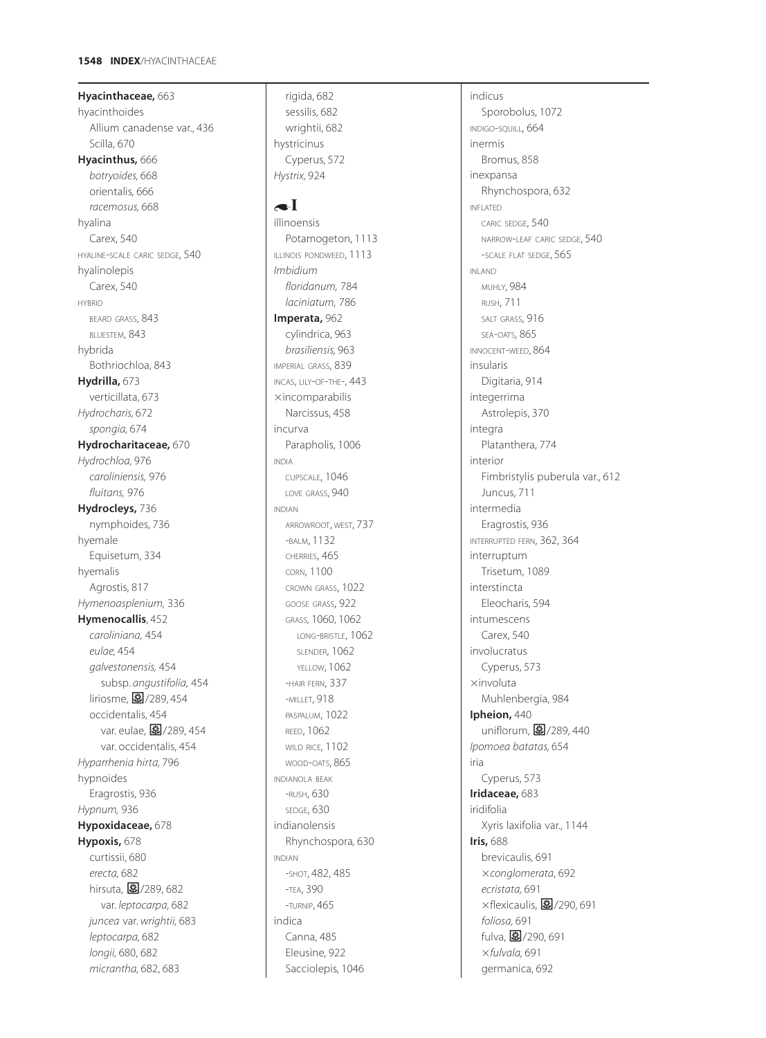**Hyacinthaceae,** 663 hyacinthoides Allium canadense var., 436 Scilla, 670 **Hyacinthus,** 666 *botryoides,* 668 orientalis, 666 *racemosus,* 668 hyalina Carex, 540 HYALINE-SCALE CARIC SEDGE, 540 hyalinolepis Carex, 540 HYBRID BEARD GRASS, 843 BLUESTEM, 843 hybrida Bothriochloa, 843 **Hydrilla,** 673 verticillata, 673 *Hydrocharis,* 672 *spongia,* 674 **Hydrocharitaceae,** 670 *Hydrochloa,* 976 *caroliniensis,* 976 *fluitans,* 976 **Hydrocleys,** 736 nymphoides, 736 hyemale Equisetum, 334 hyemalis Agrostis, 817 *Hymenoasplenium,* 336 **Hymenocallis**, 452 *caroliniana,* 454 *eulae,* 454 *galvestonensis,* 454 subsp. *angustifolia,* 454 liriosme, 27/289, 454 occidentalis, 454 var. eulae, 图/289, 454 var. occidentalis, 454 *Hyparrhenia hirta,* 796 hypnoides Eragrostis, 936 *Hypnum,* 936 **Hypoxidaceae,** 678 **Hypoxis,** 678 curtissii, 680 *erecta,* 682 hirsuta, 27/289, 682 var. *leptocarpa,* 682 *juncea* var. *wrightii,* 683 *leptocarpa,* 682 *longii,* 680, 682 *micrantha,* 682, 683

rigida, 682 sessilis, 682 wrightii, 682 hystricinus Cyperus, 572 *Hystrix,* 924

# $\bullet$ I

illinoensis Potamogeton, 1113 ILLINOIS PONDWEED, 1113 *Imbidium floridanum,* 784 *laciniatum,* 786 **Imperata,** 962 cylindrica, 963 *brasiliensis,* 963 IMPERIAL GRASS, 839 INCAS, LILY-OF-THE-, 443  $\times$ incomparabilis Narcissus, 458 incurva Parapholis, 1006 INDIA CUPSCALE, 1046 LOVE GRASS, 940 INDIAN ARROWROOT, WEST, 737 -BALM, 1132 CHERRIES, 465 CORN, 1100 CROWN GRASS, 1022 GOOSE GRASS, 922 GRASS*,* 1060, 1062 LONG-BRISTLE, 1062 SLENDER, 1062 YELLOW, 1062 -HAIR FERN, 337 -MILLET, 918 PASPALUM, 1022 REED, 1062 WILD RICE, 1102 WOOD-OATS, 865 INDIANOLA BEAK -RUSH, 630 SEDGE, 630 indianolensis Rhynchospora*,* 630 INDIAN -SHOT, 482, 485 -TEA, 390 -TURNIP, 465 indica Canna, 485 Eleusine, 922 Sacciolepis, 1046

indicus Sporobolus, 1072 INDIGO-SQUILL, 664 inermis Bromus, 858 inexpansa Rhynchospora, 632 INFLATED CARIC SEDGE, 540 NARROW-LEAF CARIC SEDGE, 540 -SCALE FLAT SEDGE, 565 INLAND MUHLY, 984 RUSH, 711 SALT GRASS, 916 SEA-OATS, 865 INNOCENT-WEED, 864 insularis Digitaria, 914 integerrima Astrolepis, 370 integra Platanthera, 774 interior Fimbristylis puberula var., 612 Juncus, 711 intermedia Eragrostis, 936 INTERRUPTED FERN, 362, 364 interruptum Trisetum, 1089 interstincta Eleocharis, 594 intumescens Carex, 540 involucratus Cyperus, 573  $\times$ involuta Muhlenbergia, 984 **Ipheion,** 440 uniflorum, 27/289, 440 *Ipomoea batatas,* 654 iria Cyperus, 573 **Iridaceae,** 683 iridifolia Xyris laxifolia var., 1144 **Iris,** 688 brevicaulis, 691 *conglomerata*, 692 *ecristata,* 691  $\times$ flexicaulis,  $\boxed{\ddot{}}$ /290, 691 *foliosa,* 691 fulva, 27/290, 691 *fulvala,* 691 germanica, 692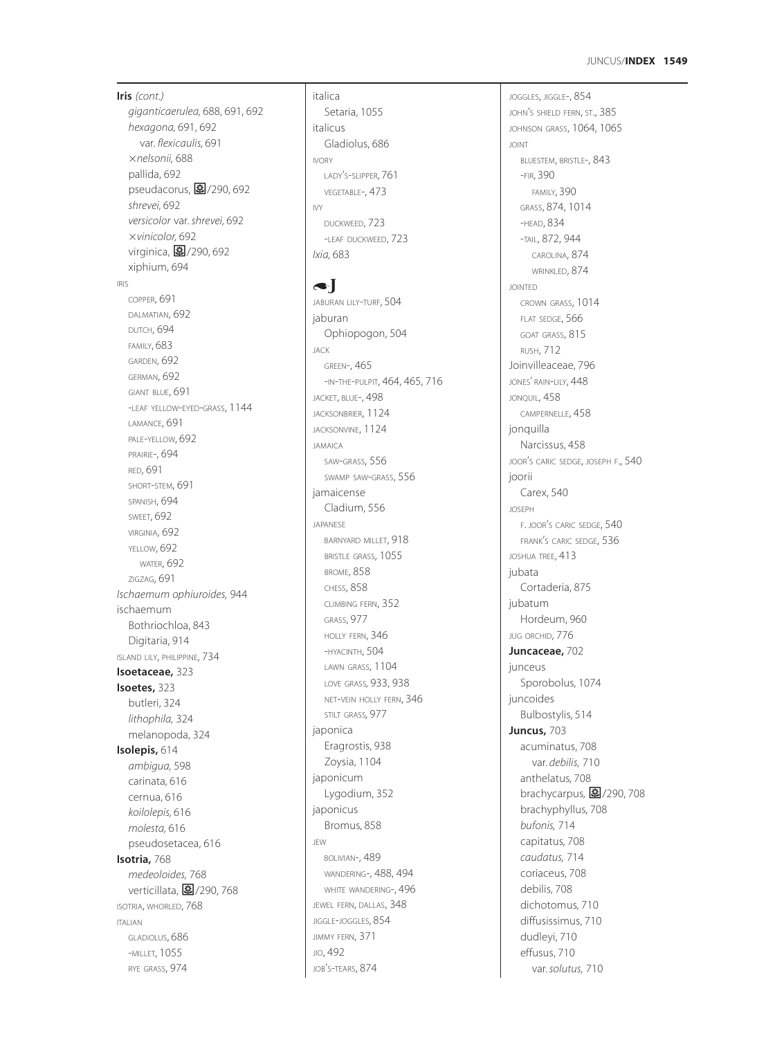# JUNCUS /**INDEX 1549**

**Iris** *(cont.) giganticaerulea,* 688, 691, 692 *hexagona,* 691, 692 var. *flexicaulis,* 691 *nelsonii,* 688 pallida, 692 .<br>pseudacorus, **图**/290, 692 *shrevei,* 692 *versicolor* var. *shrevei,* 692 *vinicolor,* 692 virginica, <mark>国</mark>/290, 692 xiphium, 694 IRIS COPPER, 691 DALMATIAN, 692 DUTCH, 694 FAMILY, 683 GARDEN, 692 GERMAN, 692 GIANT BLUE, 691 -LEAF YELLOW-EYED -GRASS, 1144 LAMANCE, 691 PALE -YELLOW, 692 PRAIRIE-, 694 RED, 691 SHORT -STEM, 691 SPANISH, 694 SWEET, 692 VIRGINIA, 692 YELLOW, 692 WATER, 692 ZIGZAG, 691 *Ischaemum ophiuroides,* 944 ischaemum Bothriochloa, 843 Digitaria, 914 ISLAND LILY, PHILIPPINE, 734 **Isoetaceae,** 323 **Isoetes,** 323 butleri, 324 *lithophila,* 324 melanopoda, 324 **Isolepis,** 614 *ambigua,* 598 carinata, 616 cernua, 616 *koilolepis,* 616 *molesta,* 616 pseudosetacea, 616 **Isotria,** 768 *medeoloides,* 768 verticillata, <mark>a/</mark>/290, 768 ISOTRIA, WHORLED, 768 ITALIAN GLADIOLUS, 686 -MILLET, 1055 RYE GRASS, 974

italica Setaria, 1055 italicus Gladiolus, 686 IVORY LADY S -SLIPPER, 761 ' VEGETABLE-, 473 IVY DUCKWEED, 723 -LEAF DUCKWEED, 723 *Ixia,* 683

 $\bullet$ JABURAN LILY -TURF, 504 jaburan Ophiopogon, 504 JACK GREEN-, 465 -IN-THE-PULPIT, 464, 465, 716 JACKET, BLUE-, 498 JACKSONBRIER, 1124 JACKSONVINE, 1124 JAMAICA SAW -GRASS, 556 SWAMP SAW -GRASS, 556 jamaicense Cladium, 556 JAPANESE BARNYARD MILLET, 918 BRISTLE GRASS, 1055 BROME, 858 CHESS, 858 CLIMBING FERN, 352 GRASS, 977 HOLLY FERN, 346 -HYACINTH, 504 LAWN GRASS, 1104 LOVE GRASS*,* 933, 938 NET -VEIN HOLLY FERN, 346 STILT GRASS*,* 977 japonica Eragrostis, 938 Zoysia, 1104 japonicum Lygodium, 352 japonicus Bromus, 858 JEW BOLIVIAN-, 489 WANDERING-, 488, 494 WHITE WANDERING-, 496 JEWEL FERN, DALLAS, 348 JIGGLE-JOGGLES, 854 JIMMY FERN, 371 JIO, 492 JOB S -TEARS, 874 '

JOGGLES, JIGGLE-, 854 JOHN <sup>S</sup> SHIELD FERN, ST., 385 ' JOHNSON GRASS, 1064, 1065 JOINT BLUESTEM, BRISTLE-, 843 -FIR, 390 FAMILY, 390 GRASS, 874, 1014 -HEAD, 834 -TAIL, 872, 944 CAROLINA, 874 WRINKLED, 874 JOINTED CROWN GRASS, 1014 FLAT SEDGE, 566 GOAT GRASS, 815 RUSH, 712 Joinvilleaceae, 796 JONES' RAIN -LILY, 448 JONQUIL, 458 CAMPERNELLE, 458 jonquilla Narcissus, 458 JOOR S CARIC SEDGE, JOSEPH F., 540 ' ioorii Carex, 540 JOSEPH F. JOOR S CARIC SEDGE, 540 ' FRANK S CARIC SEDGE, 536 ' JOSHUA TREE, 413 jubata Cortaderia, 875 jubatum Hordeum, 960 JUG ORCHID, 776 **Juncaceae,** 702 junceus Sporobolus, 1074 juncoides Bulbostylis, 514 **Juncus,** 703 acuminatus, 708 var. *debilis,* 710 anthelatus, 708 brachycarpus, <mark>3</mark>/290, 708 brachyphyllus, 708 *bufonis,* 714 capitatus, 708 *caudatus,* 714 coriaceus, 708 debilis, 708 dichotomus, 710 diffusissimus, 710 dudleyi, 710 effusus, 710 var. *solutus,* 710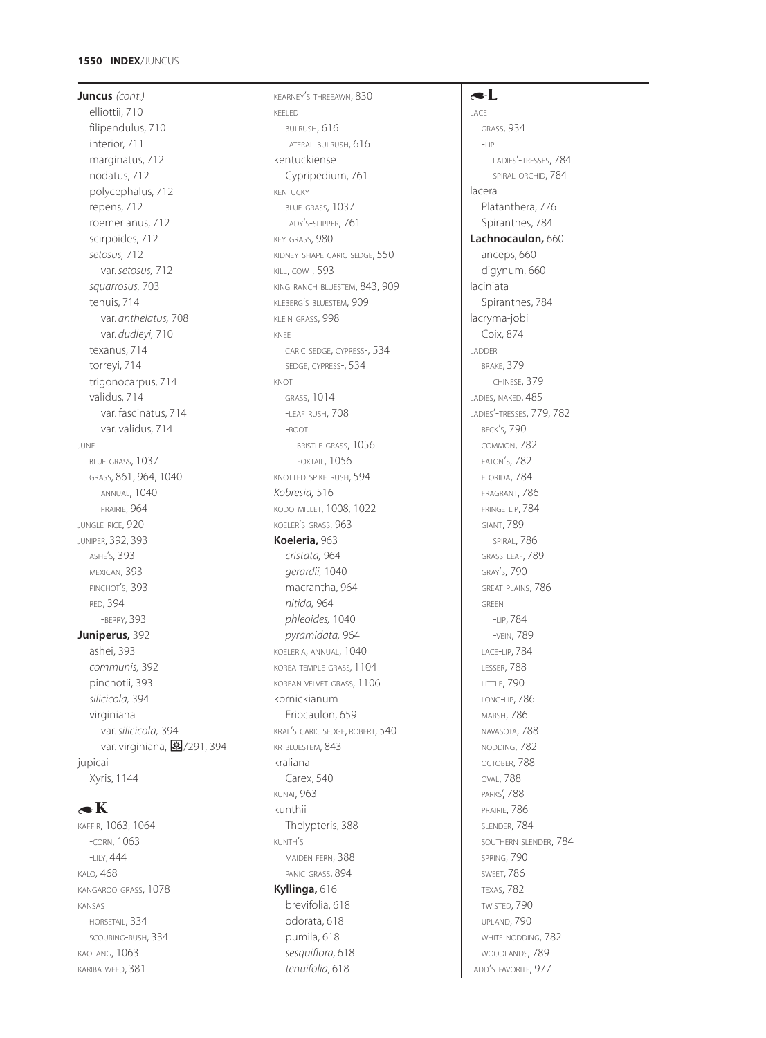## **1550 INDEX**/JUNCUS

**Juncus** *(cont.)* elliottii, 710 filipendulus, 710 interior, 711 marginatus, 712 nodatus, 712 polycephalus, 712 repens, 712 roemerianus, 712 scirpoides, 712 *setosus,* 712 var. *setosus,* 712 *squarrosus,* 703 tenuis, 714 var. *anthelatus,* 708 var. *dudleyi,* 710 texanus, 714 torreyi, 714 trigonocarpus, 714 validus, 714 var. fascinatus, 714 var. validus, 714 JUNE BLUE GRASS, 1037 GRASS, 861, 964, 1040 ANNUAL, 1040 PRAIRIE, 964 JUNGLE-RICE, 920 JUNIPER, 392, 393 ASHE'S, 393 MEXICAN, 393 PINCHOT'S, 393 RED, 394 -BERRY, 393 **Juniperus,** 392 ashei, 393 *communis,* 392 pinchotii, 393 *silicicola,* 394 virginiana var. *silicicola,* 394 var. virginiana, 图/291, 394 jupicai Xyris, 1144

# $\blacktriangleleft K$

KAFFIR, 1063, 1064 -CORN, 1063 -LILY, 444 KALO*,* 468 KANGAROO GRASS, 1078 KANSAS HORSETAIL, 334 SCOURING-RUSH, 334 KAOLANG, 1063 KARIBA WEED, 381

KEARNEY'S THREEAWN, 830 KEELED BULRUSH, 616 LATERAL BULRUSH, 616 kentuckiense Cypripedium, 761 KENTUCKY BLUE GRASS, 1037 LADY'S-SLIPPER, 761 KEY GRASS, 980 KIDNEY-SHAPE CARIC SEDGE, 550 KILL, COW-, 593 KING RANCH BLUESTEM, 843, 909 KLEBERG'S BLUESTEM, 909 KLEIN GRASS, 998 KNEE CARIC SEDGE, CYPRESS-, 534 SEDGE, CYPRESS-, 534 KNOT GRASS, 1014 -LEAF RUSH, 708 -ROOT BRISTLE GRASS, 1056 FOXTAIL, 1056 KNOTTED SPIKE-RUSH, 594 *Kobresia,* 516 KODO-MILLET, 1008, 1022 KOELER'S GRASS, 963 **Koeleria,** 963 *cristata,* 964 *gerardii,* 1040 macrantha, 964 *nitida,* 964 *phleoides,* 1040 *pyramidata,* 964 KOELERIA, ANNUAL, 1040 KOREA TEMPLE GRASS*,* 1104 KOREAN VELVET GRASS, 1106 kornickianum Eriocaulon, 659 KRAL'S CARIC SEDGE, ROBERT, 540 KR BLUESTEM, 843 kraliana Carex, 540 KUNAI, 963 kunthii Thelypteris, 388 KUNTH'S MAIDEN FERN, 388 PANIC GRASS, 894 **Kyllinga,** 616 brevifolia, 618 odorata, 618 pumila, 618 *sesquiflora,* 618 *tenuifolia,* 618

# $\blacktriangle$ L

LACE GRASS, 934  $-$ LIP LADIES'-TRESSES, 784 SPIRAL ORCHID, 784 lacera Platanthera, 776 Spiranthes, 784 **Lachnocaulon,** 660 anceps, 660 digynum, 660 laciniata Spiranthes, 784 lacryma-jobi Coix, 874 LADDER BRAKE, 379 CHINESE, 379 LADIES, NAKED, 485 LADIES'-TRESSES, 779, 782 BECK'S, 790 COMMON, 782 EATON'S, 782 FLORIDA, 784 FRAGRANT, 786 FRINGE-LIP, 784 GIANT, 789 SPIRAL, 786 GRASS-LEAF, 789 GRAY'S, 790 GREAT PLAINS, 786 GREEN -LIP, 784 -VEIN, 789 LACE-LIP, 784 LESSER, 788 LITTLE, 790 LONG-LIP, 786 MARSH, 786 NAVASOTA, 788 NODDING, 782 OCTOBER, 788 OVAL, 788 PARKS', 788 PRAIRIE, 786 SLENDER, 784 SOUTHERN SLENDER, 784 SPRING, 790 SWEET, 786 TEXAS, 782 TWISTED, 790 UPLAND, 790 WHITE NODDING, 782 WOODLANDS, **789** LADD'S-FAVORITE, 977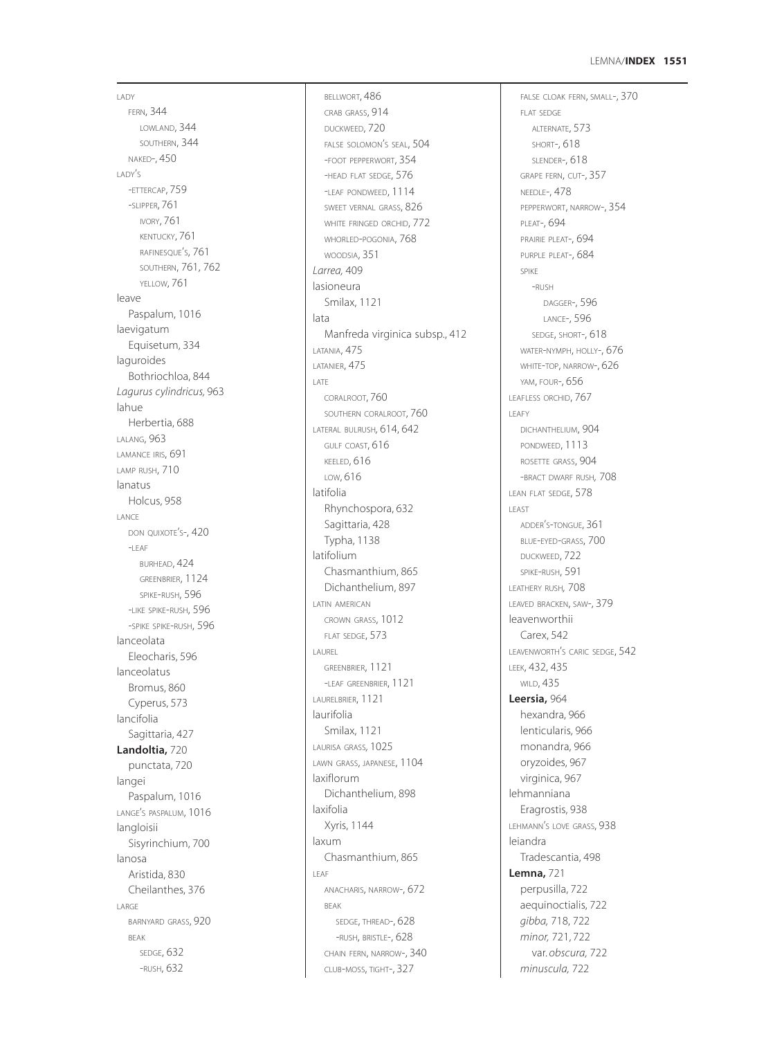## **1551** LEMNA /**INDEX**

LADY FERN, 344 LOWLAND, 344 SOUTHERN, 344 NAKED-, 450 LADY S ' -ETTERCAP, 759 -SLIPPER, 761 IVORY, 761 KENTUCKY, 761 RAFINESQUE S, 761 ' SOUTHERN, 761, 762 YELLOW, 761 leave Paspalum, 1016 laevigatum Equisetum, 334 laguroides Bothriochloa, 844 *Lagurus cylindricus,* 963 lahue Herbertia, 688 LALANG, 963 LAMANCE IRIS, 691 LAMP RUSH, 710 lanatus Holcus, 958 LANCE DON QUIXOTE S-, 420 '  $-$ LEAF BURHEAD, 424 GREENBRIER, 1124 SPIKE -RUSH, 596 -LIKE SPIKE -RUSH, 596 -SPIKE SPIKE -RUSH, 596 lanceolata Eleocharis, 596 lanceolatus Bromus, 860 Cyperus, 573 lancifolia Sagittaria, 427 **Landoltia,** 720 punctata, 720 langei Paspalum, 1016 LANGE S PASPALUM, 1016 ' langloisii Sisyrinchium, 700 lanosa Aristida, 830 Cheilanthes, 376 LARGE BARNYARD GRASS, 920 BEAK SEDGE, 632 -RUSH, 632

BELLWORT, 486 CRAB GRASS, 914 DUCKWEED, 720 FALSE SOLOMON <sup>S</sup> SEAL, 504 ' -FOOT PEPPERWORT, 354 -HEAD FLAT SEDGE, 576 -LEAF PONDWEED, 1114 SWEET VERNAL GRASS, 826 WHITE FRINGED ORCHID, 772 WHORLED -POGONIA, 768 WOODSIA, 351 *Larrea,* 409 lasioneura Smilax, 1121 lata Manfreda virginica subsp., 412 LATANIA, 475 LATANIER, 475 LATE CORALROOT, 760 SOUTHERN CORALROOT, 760 LATERAL BULRUSH*,* 614, 642 GULF COAST, 616 KEELED, 616 LOW, 616 latifolia Rhynchospora, 632 Sagittaria, 428 Typha, 1138 latifolium Chasmanthium, 865 Dichanthelium, 897 LATIN AMERICAN CROWN GRASS, 1012 FLAT SEDGE, 573 LAUREL GREENBRIER, 1121 -LEAF GREENBRIER, 1121 LAURELBRIER, 1121 laurifolia Smilax, 1121 LAURISA GRASS*,* 1025 LAWN GRASS, JAPANESE, 1104 laxiflorum Dichanthelium, 898 laxifolia Xyris, 1144 laxum Chasmanthium, 865 LEAF ANACHARIS, NARROW-, 672 BEAK SEDGE, THREAD-, 628 -RUSH, BRISTLE-, 628 CHAIN FERN, NARROW-, 340 CLUB -MOSS, TIGHT-, 327

FALSE CLOAK FERN, SMALL-, 370 FLAT SEDGE ALTERNATE, 573 SHORT-, 618 SLENDER-, 618 GRAPE FERN, CUT-, 357 NEEDLE-, 478 PEPPERWORT, NARROW-, 354 PLEAT-, 694 PRAIRIE PLEAT-, 694 PURPLE PLEAT-, 684 SPIKE<br>-RUSH DAGGER-, 596 LANCE-, 596 SEDGE, SHORT-, 618 WATER -NYMPH, HOLLY-, 676 WHITE -TOP, NARROW-, 626 YAM, FOUR-, 656 LEAFLESS ORCHID, 767 LEAFY DICHANTHELIUM, 904 PONDWEED, 1113 ROSETTE GRASS, 904 -BRACT DWARF RUSH*,* 708 LEAN FLAT SEDGE, 578 LEAST ADDER S -TONGUE, 361 ' BLUE -EYED -GRASS, 700 DUCKWEED, 722 SPIKE -RUSH, 591 LEATHERY RUSH *,* 708 LEAVED BRACKEN, SAW-, 379 leavenworthii Carex, 542 LEAVENWORTH S CARIC SEDGE, 542 ' LEEK, 432, 435 WILD, 435 **Leersia,** 964 hexandra, 966 lenticularis, 966 monandra, 966 oryzoides, 967 virginica, 967 lehmanniana Eragrostis, 938 LEHMANN S LOVE GRASS, 938 ' leiandra Tradescantia, 498 **Lemna,** 721 perpusilla, 722 aequinoctialis, 722 *gibba,* 718, 722 *minor,* 721, 722 var. *obscura,* 722 *minuscula,* 722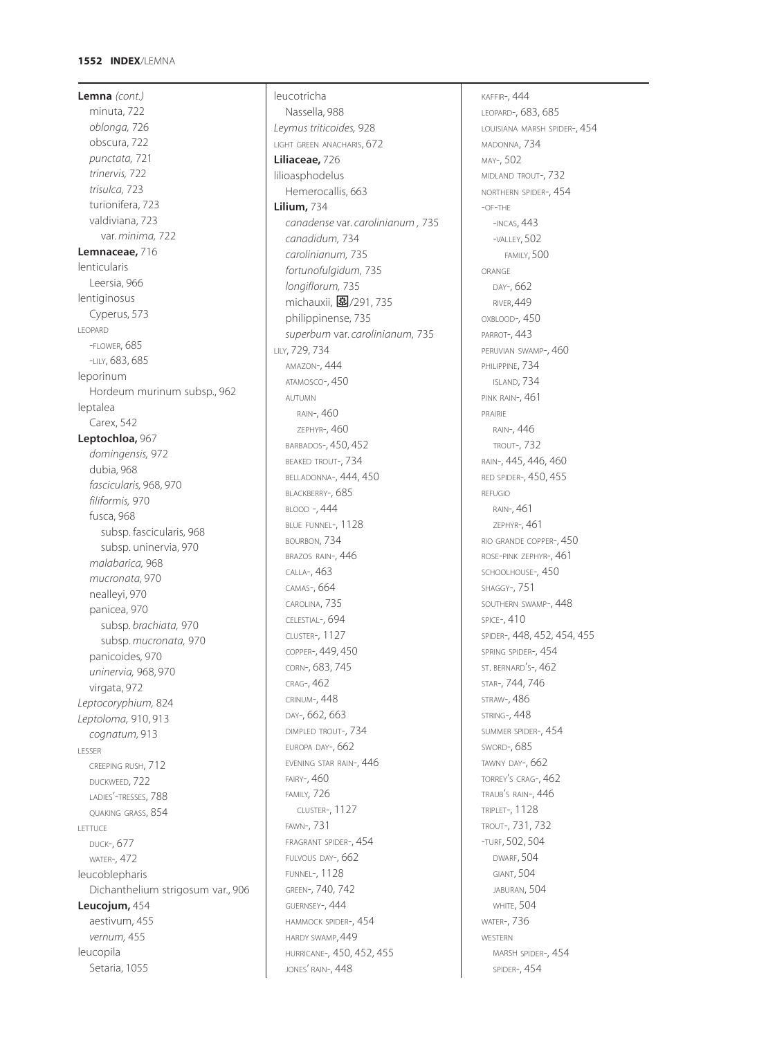**Lemna** *(cont.)* minuta, 722 *oblonga,* 726 obscura, 722 *punctata,* 721 *trinervis,* 722 *trisulca,* 723 turionifera, 723 valdiviana, 723 var. *minima,* 722 **Lemnaceae,** 716 lenticularis Leersia, 966 lentiginosus Cyperus, 573 LEOPARD -FLOWER, 685 -LILY, 683, 685 leporinum Hordeum murinum subsp., 962 leptalea Carex, 542 **Leptochloa,** 967 *domingensis,* 972 dubia, 968 *fascicularis,* 968, 970 *filiformis,* 970 fusca, 968 subsp. fascicularis, 968 subsp. uninervia, 970 *malabarica,* 968 *mucronata,* 970 nealleyi, 970 panicea, 970 subsp. *brachiata,* 970 subsp. *mucronata,* 970 panicoides, 970 *uninervia,* 968, 970 virgata, 972 *Leptocoryphium,* 824 *Leptoloma,* 910, 913 *cognatum,* 913 LESSER CREEPING RUSH, 712 DUCKWEED, 722 LADIES'-TRESSES, 788 QUAKING GRASS, 854 LETTUCE DUCK-, 677 WATER-, 472 leucoblepharis Dichanthelium strigosum var., 906 **Leucojum,** 454 aestivum, 455 *vernum,* 455 leucopila Setaria, 1055

leucotricha Nassella, 988 *Leymus triticoides,* 928 LIGHT GREEN ANACHARIS, 672 **Liliaceae,** 726 lilioasphodelus Hemerocallis, 663 **Lilium,** 734 *canadense* var*. carolinianum ,* 735 *canadidum,* 734 *carolinianum,* 735 *fortunofulgidum,* 735 *longiflorum,* 735 michauxii, 图/291, 735 philippinense, 735 *superbum* var. *carolinianum,* 735 LILY, 729, 734 AMAZON-, 444 ATAMOSCO-, 450 AUTUMN RAIN-, 460 ZEPHYR-, 460 BARBADOS-, 450, 452 BEAKED TROUT-, 734 BELLADONNA-, 444, 450 BLACKBERRY-, 685 BLOOD -, 444 BLUE FUNNEL-, 1128 BOURBON, 734 BRAZOS RAIN-, 446 CALLA-, 463 CAMAS-, 664 CAROLINA, 735 CELESTIAL-, 694 CLUSTER-, 1127 COPPER-, 449, 450 CORN-, 683, 745 CRAG-, 462 CRINUM-, 448 DAY-, 662, 663 DIMPLED TROUT-, 734 EUROPA DAY-, 662 EVENING STAR RAIN-, 446 FAIRY-, 460 FAMILY*,* 726 CLUSTER-, 1127 FAWN-, 731 FRAGRANT SPIDER-, 454 FULVOUS DAY-, 662 FUNNEL-, 1128 GREEN-, 740, 742 GUERNSEY-, 444 HAMMOCK SPIDER-, 454 HARDY SWAMP, 449 HURRICANE-*,* 450, 452, 455 JONES' RAIN-, 448

KAFFIR-, 444 LEOPARD-, 683, 685 LOUISIANA MARSH SPIDER-, 454 MADONNA, 734 MAY-, 502 MIDLAND TROUT-, 732 NORTHERN SPIDER-, 454 -OF-THE -INCAS, 443 -VALLEY, 502 FAMILY, 500 ORANGE DAY-, 662 RIVER, 449 OXBLOOD-*,* 450 PARROT-, 443 PERUVIAN SWAMP-, 460 PHILIPPINE, 734 ISLAND, 734 PINK RAIN-, 461 PRAIRIE RAIN-, 446 TROUT-, 732 RAIN-, 445, 446, 460 RED SPIDER-, 450, 455 REFUGIO RAIN-, 461 ZEPHYR-, 461 RIO GRANDE COPPER-, 450 ROSE-PINK ZEPHYR-, 461 SCHOOLHOUSE-*,* 450 SHAGGY-, 751 SOUTHERN SWAMP-, 448 SPICE-, 410 SPIDER-, 448, 452, 454, 455 SPRING SPIDER-, 454 ST. BERNARD'S-, 462 STAR-, 744, 746 STRAW-, 486 STRING-, 448 SUMMER SPIDER-, 454 SWORD-, 685 TAWNY DAY-, 662 TORREY'S CRAG-, 462 TRAUB'S RAIN-, 446 TRIPLET-, 1128 TROUT-, 731, 732 -TURF, 502, 504 DWARF, 504 GIANT, 504 JABURAN, 504 **WHITE, 504** WATER-, 736 WESTERN MARSH SPIDER-, 454 SPIDER-, 454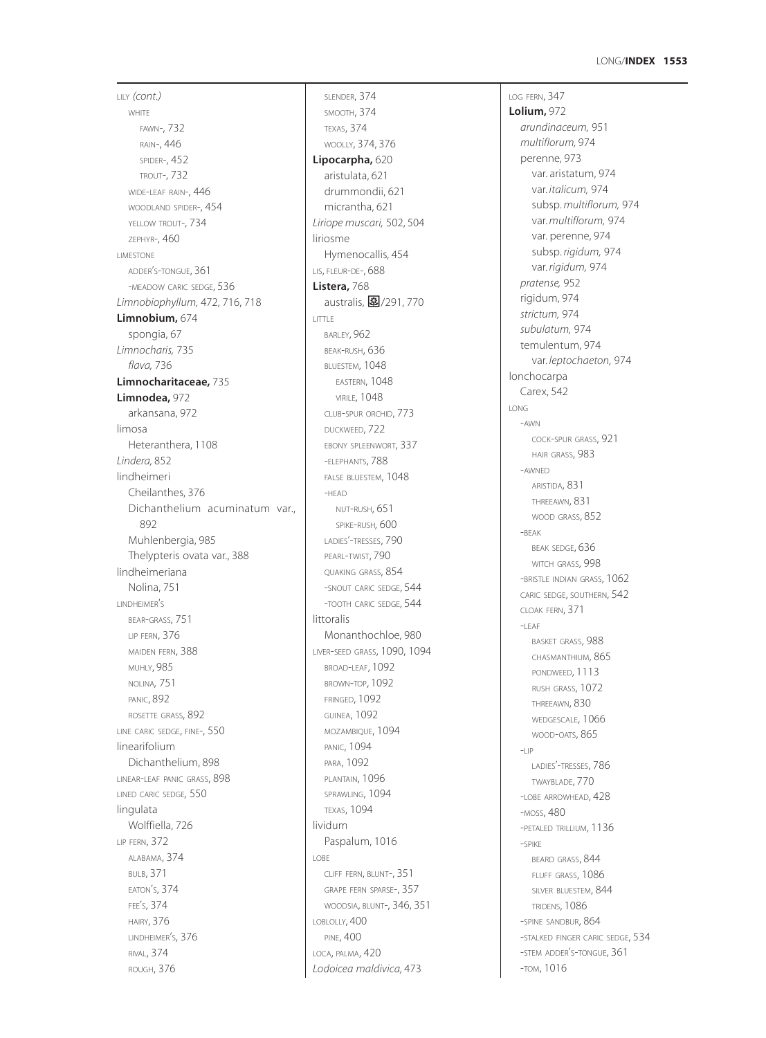# **1553** LONG/**INDEX**

LILY *(cont.)* **WHITE** FAWN-, 732 RAIN-, 446 SPIDER-, 452 TROUT-, 732 WIDE-LEAF RAIN-, 446 WOODLAND SPIDER-, 454 YELLOW TROUT-,  $734$ ZEPHYR-, 460 LIMESTONE ADDER'S-TONGUE, 361 -MEADOW CARIC SEDGE, 536 *Limnobiophyllum,* 472, 716, 718 **Limnobium,** 674 spongia, 67 *Limnocharis,* 735 *flava,* 736 **Limnocharitaceae,** 735 **Limnodea,** 972 arkansana, 972 limosa Heteranthera, 1108 *Lindera,* 852 lindheimeri Cheilanthes, 376 Dichanthelium acuminatum var., 892 Muhlenbergia, 985 Thelypteris ovata var., 388 lindheimeriana Nolina, 751 LINDHEIMER'S BEAR-GRASS, 751 LIP FERN, 376 MAIDEN FERN, 388 MUHLY, 985 NOLINA*,* 751 PANIC, 892 ROSETTE GRASS, 892 LINE CARIC SEDGE, FINE-, 550 linearifolium Dichanthelium, 898 LINEAR-LEAF PANIC GRASS, 898 LINED CARIC SEDGE*,* 550 lingulata Wolffiella, 726 LIP FERN, 372 ALABAMA, 374 BULB, 371 EATON'S, 374 FEE'S, 374 HAIRY, 376 LINDHEIMER'S, 376 RIVAL, 374 ROUGH, 376

SLENDER, 374 SMOOTH, 374 TEXAS, 374 WOOLLY, 374, 376 **Lipocarpha,** 620 aristulata, 621 drummondii, 621 micrantha, 621 *Liriope muscari,* 502, 504 liriosme Hymenocallis, 454 LIS, FLEUR-DE-, 688 **Listera,** 768 australis, 图/291, 770 LITTLE BARLEY, 962 BEAK-RUSH, 636 BLUESTEM, 1048 EASTERN, 1048 VIRILE, 1048 CLUB-SPUR ORCHID, 773 DUCKWEED, 722 EBONY SPLEENWORT, 337 -ELEPHANTS, 788 FALSE BLUESTEM, 1048 -HEAD NUT-RUSH, 651 SPIKE-RUSH*,* 600 LADIES'-TRESSES, 790 PEARL-TWIST, 790 QUAKING GRASS, 854 -SNOUT CARIC SEDGE, 544 -TOOTH CARIC SEDGE, 544 littoralis Monanthochloe, 980 LIVER-SEED GRASS, 1090, 1094 BROAD-LEAF, 1092 BROWN-TOP, 1092 FRINGED, 1092 GUINEA, 1092 MOZAMBIQUE, 1094 PANIC, 1094 PARA, 1092 PLANTAIN, 1096 SPRAWLING, 1094 TEXAS, 1094 lividum Paspalum, 1016 LOBE CLIFF FERN, BLUNT-, 351 GRAPE FERN SPARSE-, 357 WOODSIA, BLUNT-, 346, 351 LOBLOLLY, 400 PINE, 400 LOCA, PALMA, 420 *Lodoicea maldivica,* 473

LOG FERN, 347 **Lolium,** 972 *arundinaceum,* 951 *multiflorum,* 974 perenne, 973 var. aristatum, 974 var. *italicum,* 974 subsp. *multiflorum,* 974 var. *multiflorum,* 974 var. perenne, 974 subsp. *rigidum,* 974 var. *rigidum,* 974 *pratense,* 952 rigidum, 974 *strictum,* 974 *subulatum,* 974 temulentum, 974 var. *leptochaeton,* 974 lonchocarpa Carex, 542 LONG -AWN COCK-SPUR GRASS, 921 HAIR GRASS, 983 -AWNED ARISTIDA, 831 THREEAWN, 831 WOOD GRASS, 852 -BEAK BEAK SEDGE, 636 WITCH GRASS, 998 -BRISTLE INDIAN GRASS, 1062 CARIC SEDGE, SOUTHERN, 542 CLOAK FERN, 371 -LEAF BASKET GRASS, 988 CHASMANTHIUM, 865 PONDWEED, 1113 RUSH GRASS, 1072 THREEAWN, 830 WEDGESCALE, 1066 WOOD-OATS, 865 -LIP LADIES'-TRESSES, 786 TWAYBLADE, 770 -LOBE ARROWHEAD, 428 -MOSS, 480 -PETALED TRILLIUM, 1136 -SPIKE BEARD GRASS, 844 FLUFF GRASS, 1086 SILVER BLUESTEM, 844 TRIDENS, 1086 -SPINE SANDBUR, 864 -STALKED FINGER CARIC SEDGE, 534 -STEM ADDER'S-TONGUE, 361 -TOM, 1016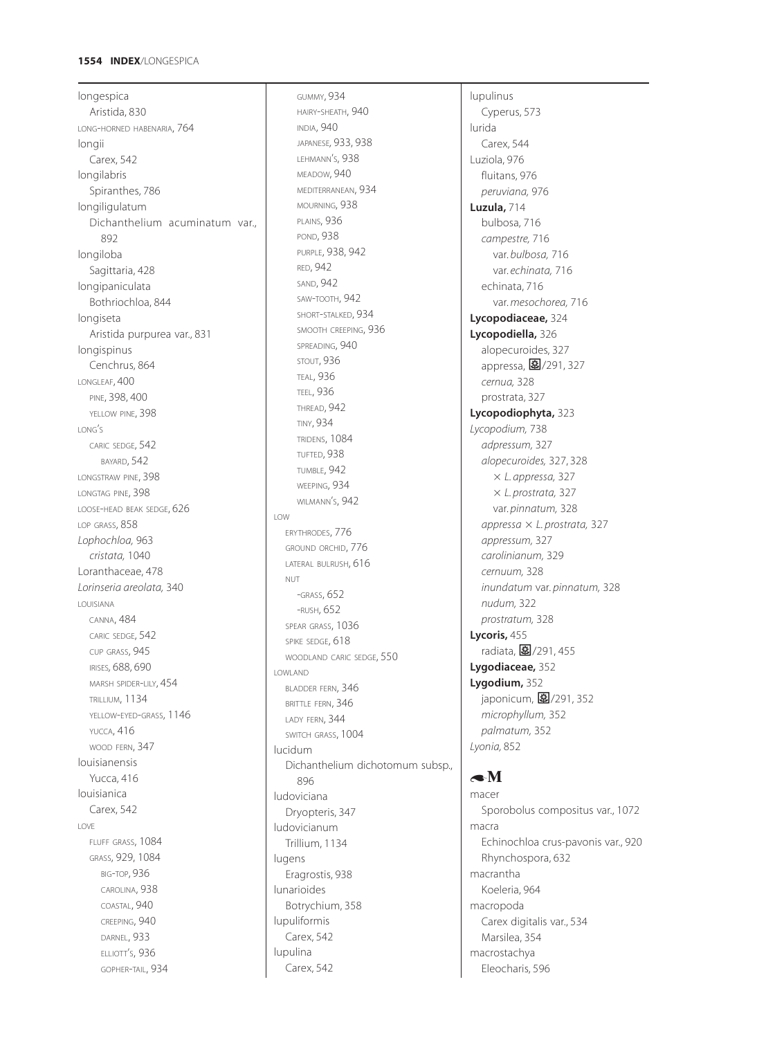# **1554 INDEX**/LONGESPICA

longespica Aristida, 830 LONG-HORNED HABENARIA, 764 longii Carex, 542 longilabris Spiranthes, 786 longiligulatum Dichanthelium acuminatum var., 892 longiloba Sagittaria, 428 longipaniculata Bothriochloa, 844 longiseta Aristida purpurea var., 831 longispinus Cenchrus, 864 LONGLEAF, 400 PINE, 398, 400 YELLOW PINE, 398 LONG'S CARIC SEDGE, 542 BAYARD, 542 LONGSTRAW PINE, 398 LONGTAG PINE, 398 LOOSE-HEAD BEAK SEDGE, 626 LOP GRASS, 858 *Lophochloa,* 963 *cristata,* 1040 Loranthaceae, 478 *Lorinseria areolata,* 340 LOUISIANA CANNA, 484 CARIC SEDGE, 542 CUP GRASS, 945 IRISES*,* 688, 690 MARSH SPIDER-LILY, 454 TRILLIUM, 1134 YELLOW-EYED-GRASS, 1146 YUCCA, 416 WOOD FERN, 347 louisianensis Yucca, 416 louisianica Carex, 542 LOVE FLUFF GRASS, 1084 GRASS, 929, 1084 BIG-TOP, 936 CAROLINA, 938 COASTAL, 940 CREEPING, 940 DARNEL, 933 ELLIOTT'S, 936 GOPHER-TAIL, 934

GUMMY, 934 HAIRY-SHEATH, 940 INDIA, 940 JAPANESE*,* 933, 938 LEHMANN'S, 938 MEADOW, 940 MEDITERRANEAN, 934 MOURNING, 938 PLAINS, 936 POND, 938 PURPLE, 938, 942 RED, 942 SAND, 942 SAW-TOOTH, 942 SHORT-STALKED, 934 SMOOTH CREEPING, 936 SPREADING, 940 STOUT, 936 TEAL, 936 TEEL, 936 THREAD, 942 TINY, 934 TRIDENS, 1084 TUFTED, 938 TUMBLE, 942 WEEPING, 934 WILMANN'S, 942 LOW ERYTHRODES, 776 GROUND ORCHID, 776 LATERAL BULRUSH, 616 NUT -GRASS, 652 -RUSH, 652 SPEAR GRASS, 1036 SPIKE SEDGE, 618 WOODLAND CARIC SEDGE, 550 LOWLAND BLADDER FERN, 346 BRITTLE FERN, 346 LADY FERN, 344 SWITCH GRASS, 1004 lucidum Dichanthelium dichotomum subsp., 896 ludoviciana Dryopteris, 347 ludovicianum Trillium, 1134 lugens Eragrostis, 938 lunarioides Botrychium, 358 lupuliformis Carex, 542 lupulina Carex, 542

lupulinus Cyperus, 573 lurida Carex, 544 Luziola, 976 fluitans, 976 *peruviana,* 976 **Luzula,** 714 bulbosa, 716 *campestre,* 716 var. *bulbosa,* 716 var. *echinata,* 716 echinata, 716 var. *mesochorea,* 716 **Lycopodiaceae,** 324 **Lycopodiella,** 326 alopecuroides, 327 appressa, 27/291, 327 *cernua,* 328 prostrata, 327 **Lycopodiophyta,** 323 *Lycopodium,* 738 *adpressum,* 327 *alopecuroides,* 327, 328 *L. appressa,* 327 *L. prostrata,* 327 var. *pinnatum,* 328 *appressa L. prostrata,* 327 *appressum,* 327 *carolinianum,* 329 *cernuum,* 328 *inundatum* var. *pinnatum,* 328 *nudum,* 322 *prostratum,* 328 **Lycoris,** 455 radiata, 27/291, 455 **Lygodiaceae,** 352 **Lygodium,** 352 japonicum, 图/291, 352 *microphyllum,* 352 *palmatum,* 352 *Lyonia,* 852

# $\bullet$ M

macer Sporobolus compositus var., 1072 macra Echinochloa crus-pavonis var., 920 Rhynchospora, 632 macrantha Koeleria, 964 macropoda Carex digitalis var., 534 Marsilea, 354 macrostachya Eleocharis, 596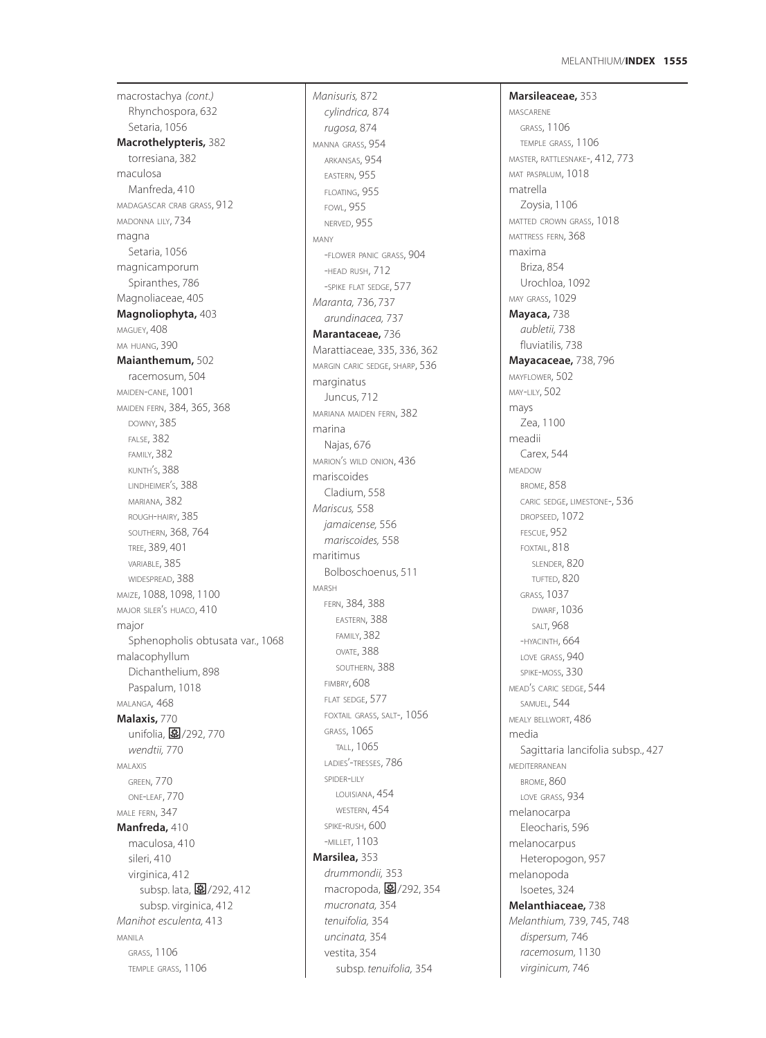macrostachya *(cont.)* Rhynchospora, 632 Setaria, 1056 **Macrothelypteris,** 382 torresiana, 382 maculosa Manfreda, 410 MADAGASCAR CRAB GRASS, 912 MADONNA LILY, 734 magna Setaria, 1056 magnicamporum Spiranthes, 786 Magnoliaceae, 405 **Magnoliophyta,** 403 MAGUEY, 408 MA HUANG, 390 **Maianthemum,** 502 racemosum, 504 MAIDEN-CANE, 1001 MAIDEN FERN, 384, 365, 368 DOWNY, 385 FALSE, 382 FAMILY, 382 KUNTH'S, 388 LINDHEIMER'S, 388 MARIANA, 382 ROUGH-HAIRY, 385 SOUTHERN, 368, 764 TREE, 389, 401 VARIABLE, 385 WIDESPREAD, 388 MAIZE, 1088, 1098, 1100 MAJOR SILER'S HUACO, 410 major Sphenopholis obtusata var., 1068 malacophyllum Dichanthelium, 898 Paspalum, 1018 MALANGA*,* 468 **Malaxis,** 770 unifolia, 27/292, 770 *wendtii,* 770 MALAXIS GREEN, 770 ONE-LEAF, 770 MALE FERN, 347 **Manfreda,** 410 maculosa, 410 sileri, 410 virginica, 412 subsp. lata, 27/292, 412 subsp. virginica, 412 *Manihot esculenta,* 413 MANILA GRASS, 1106 TEMPLE GRASS, 1106

*Manisuris,* 872 *cylindrica,* 874 *rugosa,* 874 MANNA GRASS, 954 ARKANSAS, 954 EASTERN, 955 FLOATING, 955 FOWL, 955 NERVED, 955 MANY -FLOWER PANIC GRASS, 904 -HEAD RUSH, 712 -SPIKE FLAT SEDGE, 577 *Maranta,* 736, 737 *arundinacea,* 737 **Marantaceae,** 736 Marattiaceae, 335, 336, 362 MARGIN CARIC SEDGE, SHARP, 536 marginatus Juncus, 712 MARIANA MAIDEN FERN, 382 marina Najas, 676 MARION'S WILD ONION, 436 mariscoides Cladium, 558 *Mariscus,* 558 *jamaicense,* 556 *mariscoides,* 558 maritimus Bolboschoenus, 511 MARSH FERN, 384, 388 EASTERN, 388 FAMILY, 382 OVATE, 388 SOUTHERN, 388 FIMBRY, 608 FLAT SEDGE, 577 FOXTAIL GRASS, SALT-, 1056 GRASS, 1065 TALL, 1065 LADIES'-TRESSES, 786 SPIDER-LILY LOUISIANA, 454 WESTERN, 454 SPIKE-RUSH, 600 -MILLET, 1103 **Marsilea,** 353 *drummondii,* 353 macropoda, 27/292, 354 *mucronata,* 354 *tenuifolia,* 354 *uncinata,* 354 vestita, 354 subsp. *tenuifolia,* 354

**Marsileaceae,** 353 MASCARENE GRASS, 1106 TEMPLE GRASS, 1106 MASTER, RATTLESNAKE-, 412, 773 MAT PASPALUM, 1018 matrella Zoysia, 1106 MATTED CROWN GRASS, 1018 MATTRESS FERN, 368 maxima Briza, 854 Urochloa, 1092 MAY GRASS, 1029 **Mayaca,** 738 *aubletii,* 738 fluviatilis, 738 **Mayacaceae,** 738, 796 MAYFLOWER, 502 MAY-LILY, 502 mays Zea, 1100 meadii Carex, 544 MEADOW BROME, 858 CARIC SEDGE, LIMESTONE-, 536 DROPSEED, 1072 FESCUE, 952 FOXTAIL, 818 SLENDER, 820 TUFTED, 820 GRASS*,* 1037 DWARF, 1036 SALT, 968 -HYACINTH, 664 LOVE GRASS, 940 SPIKE-MOSS, 330 MEAD'S CARIC SEDGE, 544 SAMUEL, 544 MEALY BELLWORT, 486 media Sagittaria lancifolia subsp., 427 MEDITERRANEAN BROME, 860 LOVE GRASS, 934 melanocarpa Eleocharis, 596 melanocarpus Heteropogon, 957 melanopoda Isoetes, 324 **Melanthiaceae,** 738 *Melanthium,* 739, 745, 748 *dispersum,* 746 *racemosum,* 1130 *virginicum,* 746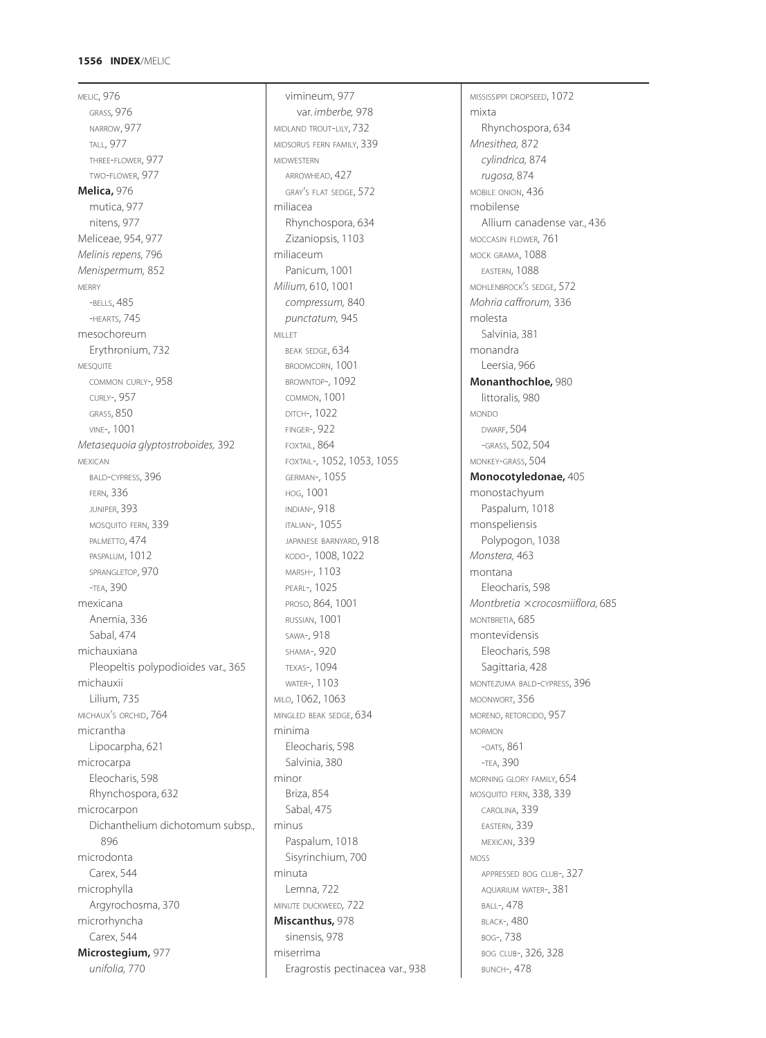# **1556 INDEX**/MELIC

MELIC, 976 GRASS*,* 976 NARROW, 977 TALL, 977 THREE-FLOWER, 977 TWO-FLOWER, 977 **Melica,** 976 mutica, 977 nitens, 977 Meliceae, 954, 977 *Melinis repens,* 796 *Menispermum,* 852 MERRY -BELLS, 485 -HEARTS, 745 mesochoreum Erythronium, 732 MESQUITE COMMON CURLY-, 958 CURLY-, 957 GRASS, 850 VINE-, 1001 *Metasequoia glyptostroboides,* 392 MEXICAN BALD-CYPRESS, 396 FERN, 336 JUNIPER, 393 MOSQUITO FERN, 339 PALMETTO, 474 PASPALUM, 1012 SPRANGLETOP, 970 -TEA, 390 mexicana Anemia, 336 Sabal, 474 michauxiana Pleopeltis polypodioides var., 365 michauxii Lilium, 735 MICHAUX'S ORCHID, 764 micrantha Lipocarpha, 621 microcarpa Eleocharis, 598 Rhynchospora, 632 microcarpon Dichanthelium dichotomum subsp., 896 microdonta Carex, 544 microphylla Argyrochosma, 370 microrhyncha Carex, 544 **Microstegium,** 977 *unifolia,* 770

vimineum, 977 var. *imberbe,* 978 MIDLAND TROUT-LILY, 732 MIDSORUS FERN FAMILY, 339 MIDWESTERN ARROWHEAD, 427 GRAY'S FLAT SEDGE, 572 miliacea Rhynchospora, 634 Zizaniopsis, 1103 miliaceum Panicum, 1001 *Milium,* 610, 1001 *compressum,* 840 *punctatum,* 945 MILLET BEAK SEDGE, 634 BROOMCORN, 1001 BROWNTOP-, 1092 COMMON, 1001 DITCH-, 1022 FINGER-, 922 FOXTAIL, 864 FOXTAIL-, 1052, 1053, 1055 GERMAN-, 1055 HOG, 1001 INDIAN-, 918 ITALIAN-, 1055 JAPANESE BARNYARD, 918 KODO-, 1008, 1022 MARSH-, 1103 PEARL-, 1025 PROSO, 864, 1001 RUSSIAN, 1001 SAWA-, 918 SHAMA-, 920 TEXAS-, 1094 WATER-, 1103 MILO, 1062, 1063 MINGLED BEAK SEDGE, 634 minima Eleocharis, 598 Salvinia, 380 minor Briza, 854 Sabal, 475 minus Paspalum, 1018 Sisyrinchium, 700 minuta Lemna, 722 MINUTE DUCKWEED*,* 722 **Miscanthus,** 978 sinensis, 978 miserrima Eragrostis pectinacea var., 938 MISSISSIPPI DROPSEED, 1072 mixta Rhynchospora, 634 *Mnesithea,* 872 *cylindrica,* 874 *rugosa,* 874 MOBILE ONION, 436 mobilense Allium canadense var., 436 MOCCASIN FLOWER, 761 MOCK GRAMA, 1088 EASTERN, 1088 MOHLENBROCK'S SEDGE, 572 *Mohria caffrorum,* 336 molesta Salvinia, 381 monandra Leersia, 966 **Monanthochloe,** 980 littoralis, 980 MONDO DWARF, 504 -GRASS, 502, 504 MONKEY-GRASS, 504 **Monocotyledonae,** 405 monostachyum Paspalum, 1018 monspeliensis Polypogon, 1038 *Monstera,* 463 montana Eleocharis, 598 *Montbretia crocosmiiflora,* 685 MONTBRETIA, 685 montevidensis Eleocharis, 598 Sagittaria, 428 MONTEZUMA BALD-CYPRESS, 396 MOONWORT, 356 MORENO, RETORCIDO, 957 MORMON -OATS, 861 -TEA, 390 MORNING GLORY FAMILY, 654 MOSQUITO FERN, 338, 339 CAROLINA, 339 EASTERN, 339 MEXICAN, 339 MOSS APPRESSED BOG CLUB-, 327 AQUARIUM WATER-, 381 BALL-, 478 BLACK-, 480 BOG-, 738 BOG CLUB-, 326, 328 BUNCH-, 478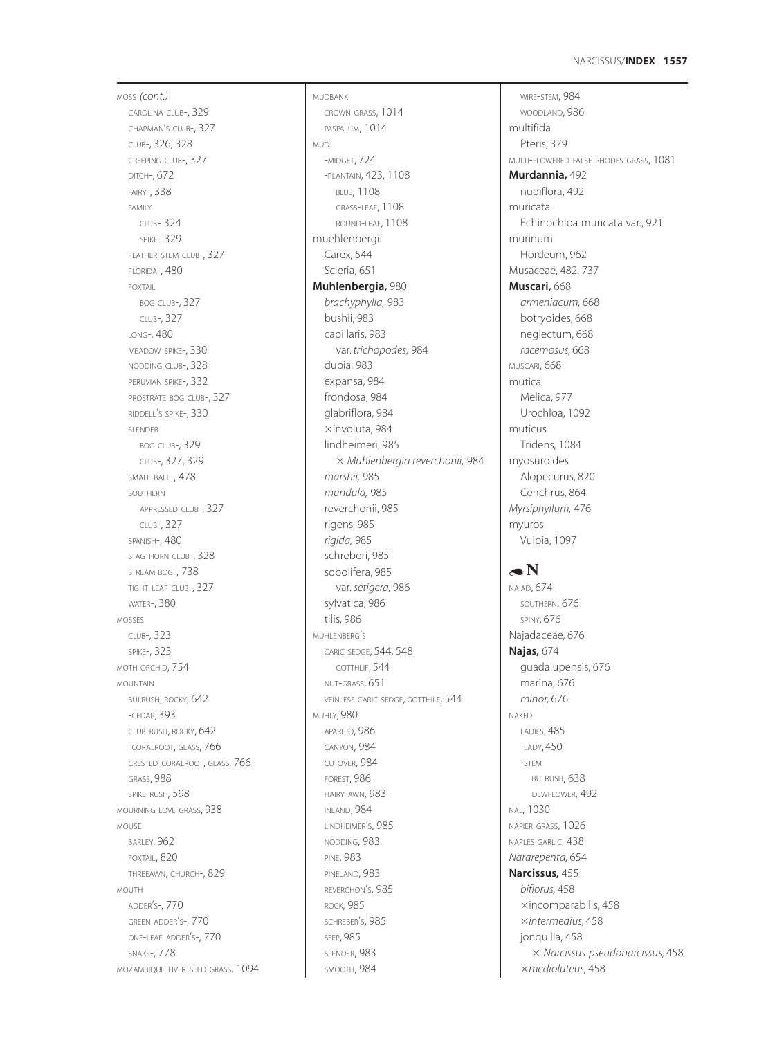MOSS *(cont.)* CAROLINA CLUB-, 329 CHAPMAN'S CLUB-, 327 CLUB-, 326, 328 CREEPING CLUB-, 327 DITCH-, 672 FAIRY-, 338 FAMILY CLUB- 324 SPIKE- 329 FEATHER-STEM CLUB-, 327 FLORIDA-, 480 FOXTAIL BOG CLUB-, 327 CLUB-, 327 LONG-, 480 MEADOW SPIKE-, 330 NODDING CLUB-, 328 PERUVIAN SPIKE-, 332 PROSTRATE BOG CLUB-, 327 RIDDELL'S SPIKE-, 330 SLENDER BOG CLUB-, 329 CLUB-, 327, 329 SMALL BALL-, 478 SOUTHERN APPRESSED CLUB-, 327 CLUB-, 327 SPANISH-, 480 STAG-HORN CLUB-, 328 STREAM BOG-, 738 TIGHT-LEAF CLUB-, 327 WATER-, 380 MOSSES CLUB-, 323 SPIKE-, 323 MOTH ORCHID, 754 MOUNTAIN BULRUSH, ROCKY, 642 -CEDAR, 393 CLUB-RUSH, ROCKY, 642 -CORALROOT, GLASS, 766 CRESTED-CORALROOT, GLASS, 766 GRASS, 988 SPIKE-RUSH, 598 MOURNING LOVE GRASS, 938 MOUSE BARLEY, 962 FOXTAIL, 820 THREEAWN, CHURCH-, 829 MOUTH ADDER'S-, 770 GREEN ADDER'S-, 770 ONE-LEAF ADDER'S-, 770 SNAKE-, 778 MOZAMBIQUE LIVER-SEED GRASS, 1094 MUDBANK CROWN GRASS, 1014 PASPALUM, 1014 MUD -MIDGET, 724 -PLANTAIN, 423, 1108 BLUE, 1108 GRASS-LEAF, 1108 ROUND-LEAF, 1108 muehlenbergii Carex, 544 Scleria, 651 **Muhlenbergia,** 980 *brachyphylla,* 983 bushii, 983 capillaris, 983 var. *trichopodes,* 984 dubia, 983 expansa, 984 frondosa, 984 glabriflora, 984 xinvoluta, 984 lindheimeri, 985 *Muhlenbergia reverchonii,* 984 *marshii,* 985 *mundula,* 985 reverchonii, 985 rigens, 985 *rigida,* 985 schreberi, 985 sobolifera, 985 var. *setigera,* 986 sylvatica, 986 tilis, 986 MUHLENBERG'S CARIC SEDGE, 544, 548 GOTTHLIF, 544 NUT-GRASS, 651 VEINLESS CARIC SEDGE, GOTTHILF, 544 MUHLY, 980 APAREJO, 986 CANYON, 984 CUTOVER, 984 FOREST, 986 HAIRY-AWN, 983 INLAND, 984 LINDHEIMER'S, 985 NODDING, 983 PINE, 983 PINELAND, 983 REVERCHON'S, 985 ROCK, 985 SCHREBER'S, 985 SEEP, 985 SLENDER, 983 SMOOTH, 984

WIRE-STEM, 984 WOODLAND, 986 multifida Pteris, 379 MULTI-FLOWERED FALSE RHODES GRASS, 1081 **Murdannia,** 492 nudiflora, 492 muricata Echinochloa muricata var., 921 murinum Hordeum, 962 Musaceae, 482, 737 **Muscari,** 668 *armeniacum,* 668 botryoides, 668 neglectum, 668 *racemosus,* 668 MUSCARI, 668 mutica Melica, 977 Urochloa, 1092 muticus Tridens, 1084 myosuroides Alopecurus, 820 Cenchrus, 864 *Myrsiphyllum,* 476 myuros Vulpia, 1097  $\bullet N$ NAIAD, 674 SOUTHERN, 676 SPINY, 676 Najadaceae, 676 **Najas,** 674 guadalupensis, 676 marina, 676 *minor,* 676 NAKED LADIES, 485 -LADY, 450 -STEM BULRUSH, 638 DEWFLOWER, 492 NAL, 1030 NAPIER GRASS, 1026 NAPLES GARLIC, 438 *Nararepenta,* 654 **Narcissus,** 455 *biflorus,* 458

xincomparabilis, 458 *intermedius,* 458 jonquilla, 458 *Narcissus pseudonarcissus,* 458 *medioluteus,* 458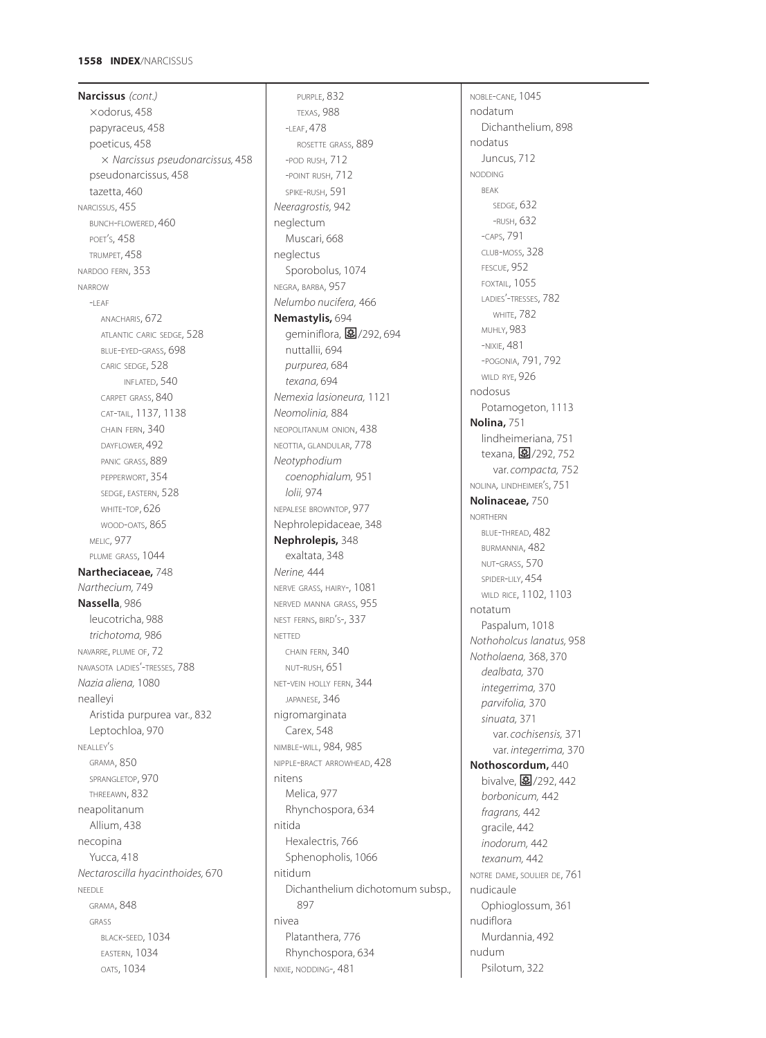# **1558 INDEX**/NARCISSUS

**Narcissus** *(cont.)*  $\times$ odorus, 458 papyraceus, 458 poeticus, 458 *Narcissus pseudonarcissus,* 458 pseudonarcissus, 458 tazetta, 460 NARCISSUS, 455 BUNCH-FLOWERED, 460 POET'S, 458 TRUMPET, 458 NARDOO FERN, 353 NARROW  $-I$  FAF ANACHARIS, 672 ATLANTIC CARIC SEDGE, 528 BLUE-EYED-GRASS, 698 CARIC SEDGE, 528 INFLATED, 540 CARPET GRASS, 840 CAT-TAIL, 1137, 1138 CHAIN FERN, 340 DAYFLOWER, 492 PANIC GRASS, 889 PEPPERWORT, 354 SEDGE, EASTERN, 528 WHITE-TOP, 626 WOOD-OATS, 865 MELIC, 977 PLUME GRASS, 1044 **Nartheciaceae,** 748 *Narthecium,* 749 **Nassella**, 986 leucotricha, 988 *trichotoma,* 986 NAVARRE, PLUME OF, 72 NAVASOTA LADIES'-TRESSES, 788 *Nazia aliena,* 1080 nealleyi Aristida purpurea var., 832 Leptochloa, 970 NEALLEY'S GRAMA, 850 SPRANGLETOP, 970 THREEAWN, 832 neapolitanum Allium, 438 necopina Yucca, 418 *Nectaroscilla hyacinthoides,* 670 NEEDLE GRAMA, 848 GRASS BLACK-SEED, 1034 EASTERN, 1034 OATS, 1034

PURPLE, 832 TEXAS, 988 -LEAF, 478 ROSETTE GRASS, 889 -POD RUSH, 712 -POINT RUSH, 712 SPIKE-RUSH, 591 *Neeragrostis,* 942 neglectum Muscari, 668 neglectus Sporobolus, 1074 NEGRA, BARBA, 957 *Nelumbo nucifera,* 466 **Nemastylis,** 694 geminiflora, 27/292, 694 nuttallii, 694 *purpurea,* 684 *texana,* 694 *Nemexia lasioneura,* 1121 *Neomolinia,* 884 NEOPOLITANUM ONION, 438 NEOTTIA, GLANDULAR, 778 *Neotyphodium coenophialum,* 951 *lolii,* 974 NEPALESE BROWNTOP, 977 Nephrolepidaceae, 348 **Nephrolepis,** 348 exaltata, 348 *Nerine,* 444 NERVE GRASS, HAIRY-, 1081 NERVED MANNA GRASS, 955 NEST FERNS, BIRD'S-, 337 NETTED CHAIN FERN, 340 NUT-RUSH, 651 NET-VEIN HOLLY FERN, 344 JAPANESE, 346 nigromarginata Carex, 548 NIMBLE-WILL, 984, 985 NIPPLE-BRACT ARROWHEAD, 428 nitens Melica, 977 Rhynchospora, 634 nitida Hexalectris, 766 Sphenopholis, 1066 nitidum Dichanthelium dichotomum subsp., 897 nivea Platanthera, 776 Rhynchospora, 634 NIXIE, NODDING-, 481

NOBLE-CANE*,* 1045 nodatum Dichanthelium, 898 nodatus Juncus, 712 NODDING BEAK SEDGE, 632 -RUSH, 632 -CAPS, 791 CLUB-MOSS, 328 FESCUE, 952 FOXTAIL, 1055 LADIES'-TRESSES, 782 WHITE, 782 MUHLY, 983 -NIXIE, 481 -POGONIA, 791, 792 WILD RYE, 926 nodosus Potamogeton, 1113 **Nolina,** 751 lindheimeriana, 751 texana, 2/292, 752 var. *compacta,* 752 NOLINA*,* LINDHEIMER'S, 751 **Nolinaceae,** 750 NORTHERN BLUE-THREAD, 482 BURMANNIA, 482 NUT-GRASS, 570 SPIDER-LILY, 454 WILD RICE, 1102, 1103 notatum Paspalum, 1018 *Nothoholcus lanatus,* 958 *Notholaena,* 368, 370 *dealbata,* 370 *integerrima,* 370 *parvifolia,* 370 *sinuata,* 371 var. *cochisensis,* 371 var. *integerrima,* 370 **Nothoscordum,** 440 bivalve, 27/292, 442 *borbonicum,* 442 *fragrans,* 442 gracile, 442 *inodorum,* 442 *texanum,* 442 NOTRE DAME, SOULIER DE, 761 nudicaule Ophioglossum, 361 nudiflora Murdannia, 492 nudum Psilotum, 322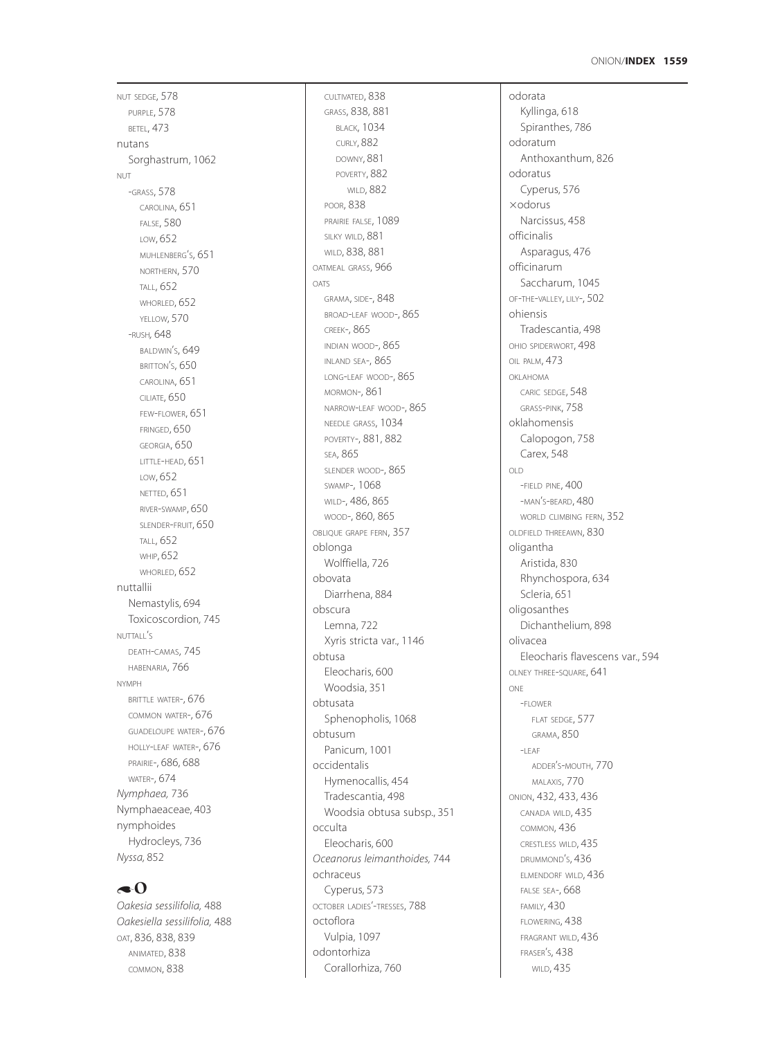NUT SEDGE, 578 PURPLE, 578 BETEL, 473 nutans Sorghastrum, 1062 NUT-GRASS, 578 CAROLINA, 651 FALSE, 580 LOW, 652 MUHLENBERG S, 651 ' NORTHERN, 570 TALL, 652 WHORLED, 652 YELLOW, 570 -RUSH*,* 648 BALDWIN S, 649 ' BRITTON S, 650 ' CAROLINA, 651 CILIATE, 650 FEW -FLOWER, 651 FRINGED, 650 GEORGIA, 650 LITTLE -HEAD, 651 LOW, 652 NETTED, 651 RIVER -SWAMP, 650 SLENDER -FRUIT, 650 TALL, 652 WHIP, 652 WHORLED, 652 nuttallii Nemastylis, 694 Toxicoscordion*,* 745 NUTTALL S ' DEATH -CAMAS, 745 HABENARIA, 766 NYMPH BRITTLE WATER-, 676 COMMON WATER-, 676 GUADELOUPE WATER-, 676 HOLLY -LEAF WATER-, 676 PRAIRIE-, 686, 688 WATER-, 674 *Nymphaea,* 736 Nymphaeaceae, 403 nymphoides Hydrocleys, 736 *Nyssa,* 852

# $\bullet$ <sup>0</sup>

*Oakesia sessilifolia,* 488 *Oakesiella sessilifolia,* 488 OAT, 836, 838, 839 ANIMATED, 838 COMMON, 838

GRASS, 838, 881 BLACK, 1034 CURLY, 882 DOWNY, 881 POVERTY, 882 WILD, 882 POOR, 838 PRAIRIE FALSE, 1089 SILKY WILD, 881 WILD, 838, 881 OATMEAL GRASS, 966 OATS GRAMA, SIDE-, 848 BROAD -LEAF WOOD-, 865 CREEK-, 865 INDIAN WOOD-, 865 INLAND SEA-, 865 LONG -LEAF WOOD-, 865 MORMON-, 861 NARROW -LEAF WOOD-, 865 NEEDLE GRASS, 1034 POVERTY-, 881, 882 SEA, 865 SLENDER WOOD-, 865 SWAMP-, 1068 WILD-, 486, 865 WOOD-, 860, 865 OBLIQUE GRAPE FERN, 357 oblonga Wolffiella, 726 obovata Diarrhena, 884 obscura Lemna, 722 Xyris stricta var., 1146 obtusa Eleocharis, 600 Woodsia, 351 obtusata Sphenopholis, 1068 obtusum Panicum, 1001 occidentalis Hymenocallis, 454 Tradescantia, 498 Woodsia obtusa subsp., 351 occulta Eleocharis, 600 *Oceanorus leimanthoides,* 744 ochraceus Cyperus, 573 OCTOBER LADIES'-TRESSES, 788 octoflora Vulpia, 1097 odontorhiza Co rallorhiza, 760

CULTIVATED, 838

odorata Kyllinga, 618 Spiranthes, 786 odoratum Anthoxanthum, 826 odoratus Cyperus, 576  $\times$ odorus Narcissus, 458 officinalis Asparagus, 476 officinarum Saccharum, 1045 OF -THE -VALLEY, LILY-, 502 ohiensis Tradescantia, 498 OHIO SPIDERWORT, 498 OIL PALM, 473 OKLAHOMA CARIC SEDGE, 548 GRASS - PINK, 758 oklahomensis Calopogon, 758 Carex, 548 OLD-FIELD PINE, 400 -MAN S -BEARD, 480 ' WORLD CLIMBING FERN, 352 OLDFIELD THREEAWN, 830 oligantha Aristida, 830 Rhynchospora, 634 Scleria, 651 oligosanthes Dichanthelium*,* 898 olivacea Eleocharis flavescens var., 594 OLNEY THREE -SQUARE, 641 ONE-FLOWER FLAT SEDGE, 577 GRAMA, 850 -LEAF ADDER S -MOUTH, 770 ' MALAXIS, 770 ONION, 432, 433, 436 CANADA WILD, 435 COMMON, 436 CRESTLESS WILD, 435 DRUMMOND S, 436 ' ELMENDORF WILD, 436 FALSE SEA-, 668 FAMILY, 430 FLOWERING, 438 FRAGRANT WILD, 436 FRASER S, 438 ' WILD, 435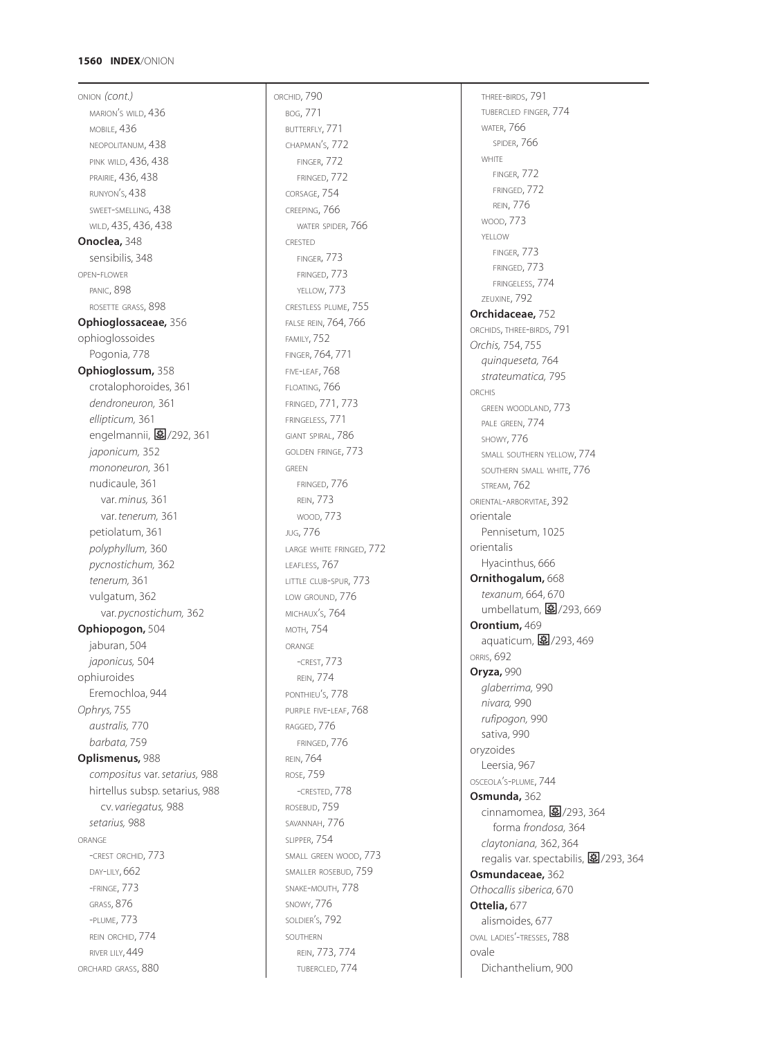ONION *(cont.)* MARION <sup>S</sup> WILD, 436 ' MOBILE, 436 NEOPOLITANUM, 438 PINK WILD, 436, 438 PRAIRIE, 436, 438 RUNYON S, 438 ' SWEET -SMELLING, 438 WILD, 435, 436, 438 **Onoclea,** 348 sensibilis, 348 OPEN -FLOWER PANIC, 898 ROSETTE GRASS, 898 **Ophioglossaceae,** 356 ophioglossoides Pogonia, 778 **Ophioglossum,** 358 crotalophoroides, 361 *dendroneuron,* 361 *ellipticum,* 361 engelmannii, **图**/292, 361 *japonicum,* 352 *mononeuron,* 361 nudicaule, 361 var. *minus,* 361 var. *tenerum,* 361 petiolatum, 361 *polyphyllum,* 360 *pycnostichum,* 362 *tenerum,* 361 vulgatum, 362 var. *pycnostichum,* 362 **Ophiopogon,** 504 jaburan, 504 *japonicus,* 504 ophiuroides Eremochloa, 944 *Ophrys,* 755 *australis,* 770 *barbata,* 759 **Oplismenus,** 988 *compositus* var. *setarius,* 988 hirtellus subsp. setarius, 988 cv. *variegatus,* 988 *setarius,* 988 ORANGE -CREST ORCHID, 773 DAY -LILY, 662 -FRINGE, 773 GRASS, 876 -PLUME, 773 REIN ORCHID, 774 RIVER LILY, 449 ORCHARD GRASS, 880

ORCHID, 790 BOG, 771 BUTTERFLY, 771 CHAPMAN S, 772 ' FINGER, 772 FRINGED, 772 CORSAGE, 754 CREEPING, 766 WATER SPIDER, 766 CRESTED FINGER, 773 FRINGED, 773 YELLOW, 773 CRESTLESS PLUME, 755 FALSE REIN, 764, 766 FAMILY, 752 FINGER, 764, 771 FIVE -LEAF, 768 FLOATING, 766 FRINGED, 771, 773 FRINGELESS, 771 GIANT SPIRAL, 786 GOLDEN FRINGE, 773 GREEN FRINGED, 776 REIN, 773 WOOD, 773 JUG, 776 LARGE WHITE FRINGED, 772 LEAFLESS, 767 LITTLE CLUB -SPUR, 773 LOW GROUND, 776 MICHAUX S, 764 ' MOTH, 754 ORANGE -CREST, 773 REIN, 774 PONTHIEU S, 778 ' PURPLE FIVE-LEAF, 768 RAGGED, 776 FRINGED, 776 REIN, 764 ROSE, 759 -CRESTED, 778 ROSEBUD, 759 SAVANNAH, 776 SLIPPER, 754 SMALL GREEN WOOD, 773 SMALLER ROSEBUD, 759 SNAKE -MOUTH, 778 SNOWY, 776 SOLDIER S, 792 ' SOUTHERN REIN, 773, 774 TUBERCLED, 774

THREE -BIRDS, 791 TUBERCLED FINGER, 774 WATER, 766 SPIDER, 766 **WHITE** FINGER, 772 FRINGED, 772 REIN, 776 WOOD, 773 YELLOW FINGER, 773 FRINGED, 773 FRINGELESS, 774 ZEUXINE, 792 **Orchidaceae,** 752 ORCHIDS, THREE-BIRDS, 791 *Orchis,* 754, 755 *quinqueseta,* 764 *strateumatica,* 795 ORCHIS GREEN WOODLAND, 773 PALE GREEN, 774 SHOWY, 776 SMALL SOUTHERN YELLOW, 774 SOUTHERN SMALL WHITE, 776 STREAM, 762 ORIENTAL-ARBORVITAE, 392 orientale Pennisetum, 1025 orientalis Hyacinthus, 666 **Ornithogalum,** 668 *texanum,* 664, 670 umbellatum, 27/293, 669 **Orontium,** 469 aquaticum, **图**/293,469 ORRIS, 692 **Oryza,** 990 *glaberrima,* 990 *nivara,* 990 *rufipogon,* 990 sativa, 990 oryzoides Leersia, 967 OSCEOLA S -PLUME, 744 ' **Osmunda,** 362 cinnamomea, <mark>国</mark>/293, 364 forma *frondosa,* 364 *claytoniana,* 362, 364 regalis var. spectabilis, **图**/293, 364 **Osmundaceae,** 362 *Othocallis siberica,* 670 **Ottelia,** 677 alismoides, 677 OVAL LADIES'-TRESSES, 788 ovale Dichanthelium, 900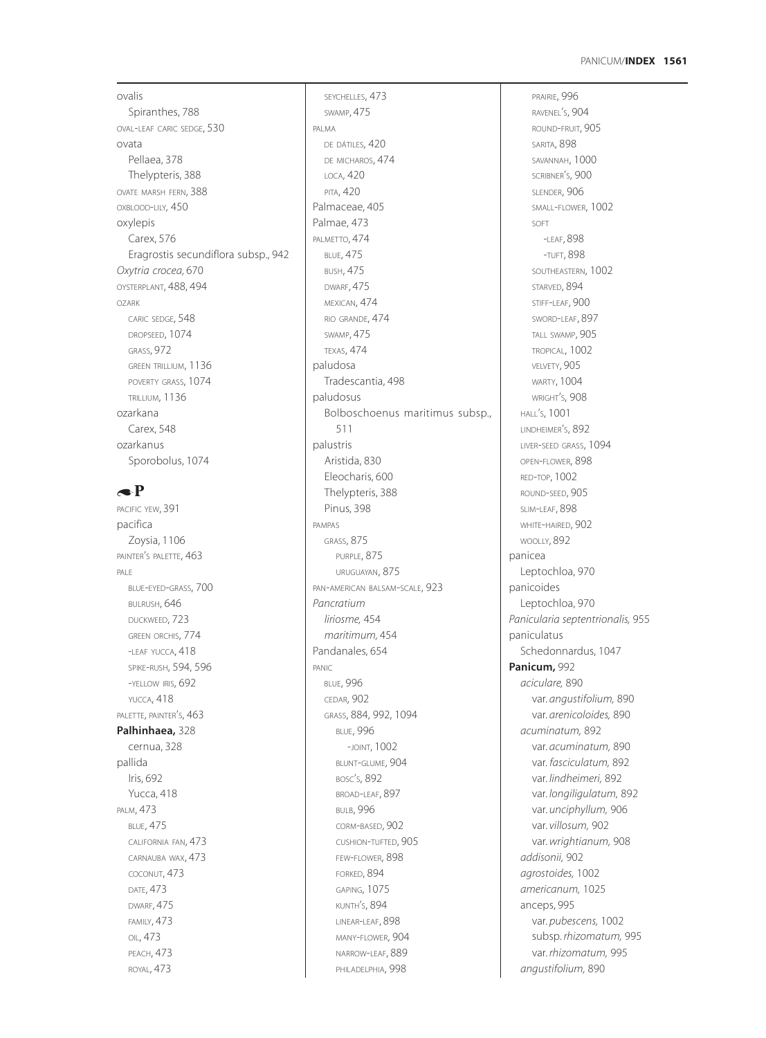## **1561** PANICUM/**INDEX**

ovalis Spiranthes, 788 OVAL-LEAF CARIC SEDGE, 530 ovata Pellaea, 378 Thelypteris, 388 OVATE MARSH FERN, 388 OXBLOOD-LILY*,* 450 oxylepis Carex, 576 Eragrostis secundiflora subsp., 942 *Oxytria crocea,* 670 OYSTERPLANT, 488, 494 OZARK CARIC SEDGE, 548 DROPSEED, 1074 GRASS, 972 GREEN TRILLIUM, 1136 POVERTY GRASS, 1074 TRILLIUM, 1136 ozarkana Carex, 548 ozarkanus Sporobolus, 1074

# $\triangle$ P

PACIFIC YEW, 391 pacifica Zoysia, 1106 PAINTER'S PALETTE, 463 PALE BLUE-EYED-GRASS, 700 BULRUSH, 646 DUCKWEED, 723 GREEN ORCHIS, 774 -LEAF YUCCA, 418 SPIKE-RUSH, 594, 596 -YELLOW IRIS, 692 YUCCA, 418 PALETTE, PAINTER'S, 463 **Palhinhaea,** 328 cernua, 328 pallida Iris, 692 Yucca, 418 PALM, 473 BLUE, 475 CALIFORNIA FAN, 473 CARNAUBA WAX, 473 COCONUT, 473 DATE, 473 DWARF, 475 FAMILY, 473 OIL, 473 PEACH, 473 ROYAL, 473

SWAMP, 475 PALMA DE DÁTILES, 420 DE MICHAROS, 474 LOCA, 420 PITA, 420 Palmaceae, 405 Palmae, 473 PALMETTO, 474 BLUE, 475 BUSH, 475 DWARF, 475 MEXICAN, 474 RIO GRANDE, 474 SWAMP, 475 TEXAS, 474 paludosa Tradescantia, 498 paludosus Bolboschoenus maritimus subsp., 511 palustris Aristida, 830 Eleocharis, 600 Thelypteris, 388 Pinus, 398 PAMPAS GRASS, 875 PURPLE, 875 URUGUAYAN, 875 PAN-AMERICAN BALSAM-SCALE, 923 *Pancratium liriosme,* 454 *maritimum,* 454 Pandanales, 654 PANIC BLUE, 996 CEDAR, 902 GRASS, 884, 992, 1094 BLUE, 996 -JOINT, 1002 BLUNT-GLUME, 904 BOSC'S, 892 BROAD-LEAF, 897 **BULB, 996** CORM-BASED, 902 CUSHION-TUFTED, 905 FEW-FLOWER, 898 FORKED, 894 GAPING, 1075 KUNTH'S, 894 LINEAR-LEAF, 898 MANY-FLOWER, 904 NARROW-LEAF, 889 PHILADELPHIA, 998

SEYCHELLES, 473

PRAIRIE, 996 RAVENEL'S, 904 ROUND-FRUIT, 905 SARITA, 898 SAVANNAH, 1000 SCRIBNER'S, 900 SLENDER, 906 SMALL-FLOWER, 1002 SOFT -LEAF, 898 -TUFT, 898 SOUTHEASTERN, 1002 STARVED, 894 STIFF-LEAF, 900 SWORD-LEAF, 897 TALL SWAMP, 905 TROPICAL, 1002 VELVETY, 905 WARTY, 1004 WRIGHT'S, 908 HALL'S, 1001 LINDHEIMER'S, 892 LIVER-SEED GRASS, 1094 OPEN-FLOWER, 898 RED-TOP, 1002 ROUND-SEED, 905 SLIM-LEAF, 898 WHITE-HAIRED, 902 WOOLLY, 892 panicea Leptochloa, 970 panicoides Leptochloa, 970 *Panicularia septentrionalis,* 955 paniculatus Schedonnardus, 1047 **Panicum,** 992 *aciculare,* 890 var. *angustifolium,* 890 var. *arenicoloides,* 890 *acuminatum,* 892 var. *acuminatum,* 890 var. *fasciculatum,* 892 var. *lindheimeri,* 892 var. *longiligulatum,* 892 var. *unciphyllum,* 906 var. *villosum,* 902 var. *wrightianum,* 908 *addisonii,* 902 *agrostoides,* 1002 *americanum,* 1025 anceps, 995 var. *pubescens,* 1002 subsp. *rhizomatum,* 995 var. *rhizomatum,* 995 *angustifolium,* 890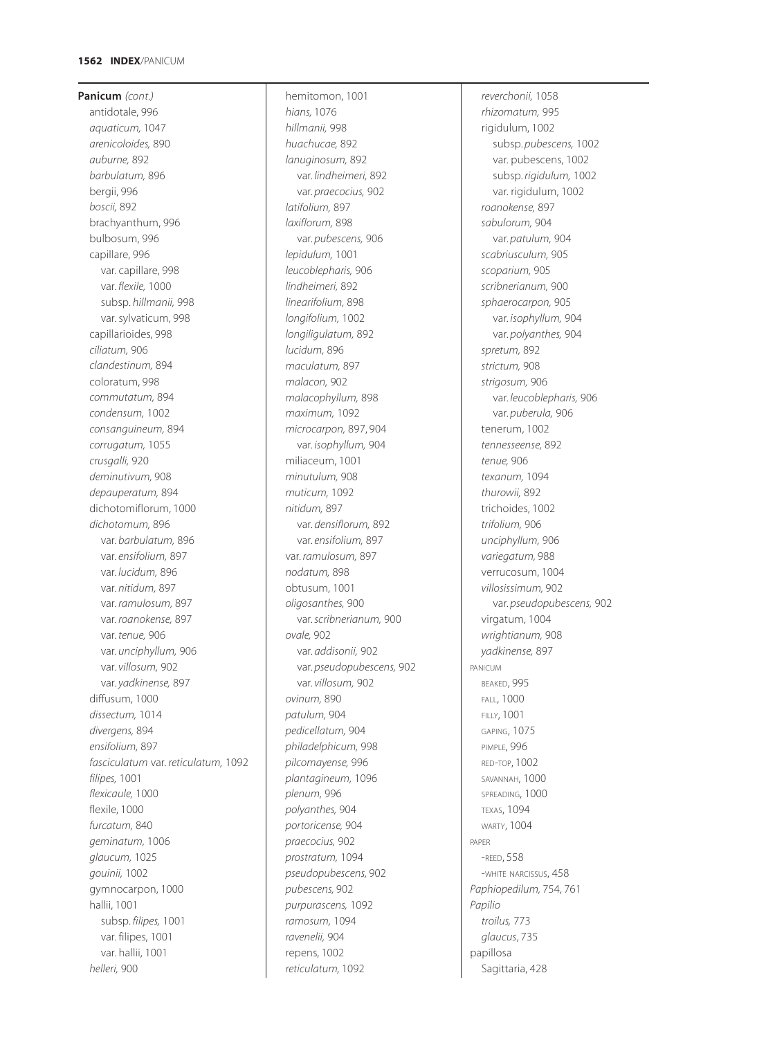**Panicum** *(cont.)* antidotale, 996 *aquaticum,* 1047 *arenicoloides,* 890 *auburne,* 892 *barbulatum,* 896 bergii, 996 *boscii,* 892 brachyanthum, 996 bulbosum, 996 capillare, 996 var. capillare, 998 var. *flexile,* 1000 subsp. *hillmanii,* 998 var. sylvaticum, 998 capillarioides, 998 *ciliatum,* 906 *clandestinum,* 894 coloratum, 998 *commutatum,* 894 *condensum,* 1002 *consanguineum,* 894 *corrugatum,* 1055 *crusgalli,* 920 *deminutivum,* 908 *depauperatum,* 894 dichotomiflorum, 1000 *dichotomum,* 896 var. *barbulatum,* 896 var. *ensifolium,* 897 var. *lucidum,* 896 var. *nitidum,* 897 var. *ramulosum,* 897 var. *roanokense,* 897 var. *tenue,* 906 var. *unciphyllum,* 906 var. *villosum,* 902 var. *yadkinense,* 897 diffusum, 1000 *dissectum,* 1014 *divergens,* 894 *ensifolium,* 897 *fasciculatum* var. *reticulatum,* 1092 *filipes,* 1001 *flexicaule,* 1000 flexile, 1000 *furcatum,* 840 *geminatum,* 1006 *glaucum,* 1025 *gouinii,* 1002 gymnocarpon, 1000 hallii, 1001 subsp. *filipes,* 1001 var. filipes, 1001 var. hallii, 1001 *helleri,* 900

hemitomon, 1001 *hians,* 1076 *hillmanii,* 998 *huachucae,* 892 *lanuginosum,* 892 var. *lindheimeri,* 892 var. *praecocius,* 902 *latifolium,* 897 *laxiflorum,* 898 var. *pubescens,* 906 *lepidulum,* 1001 *leucoblepharis,* 906 *lindheimeri,* 892 *linearifolium,* 898 *longifolium,* 1002 *longiligulatum,* 892 *lucidum,* 896 *maculatum,* 897 *malacon,* 902 *malacophyllum,* 898 *maximum,* 1092 *microcarpon,* 897, 904 var. *isophyllum,* 904 miliaceum, 1001 *minutulum,* 908 *muticum,* 1092 *nitidum,* 897 var. *densiflorum,* 892 var. *ensifolium,* 897 var. *ramulosum,* 897 *nodatum,* 898 obtusum, 1001 *oligosanthes,* 900 var. *scribnerianum,* 900 *ovale,* 902 var. *addisonii,* 902 var. *pseudopubescens,* 902 var. *villosum,* 902 *ovinum,* 890 *patulum,* 904 *pedicellatum,* 904 *philadelphicum,* 998 *pilcomayense,* 996 *plantagineum,* 1096 *plenum,* 996 *polyanthes,* 904 *portoricense,* 904 *praecocius,* 902 *prostratum,* 1094 *pseudopubescens,* 902 *pubescens,* 902 *purpurascens,* 1092 *ramosum,* 1094 *ravenelii,* 904 repens, 1002 *reticulatum,* 1092

*reverchonii,* 1058 *rhizomatum,* 995 rigidulum, 1002 subsp. *pubescens,* 1002 var. pubescens, 1002 subsp. *rigidulum,* 1002 var. rigidulum, 1002 *roanokense,* 897 *sabulorum,* 904 var. *patulum,* 904 *scabriusculum,* 905 *scoparium,* 905 *scribnerianum,* 900 *sphaerocarpon,* 905 var. *isophyllum,* 904 var. *polyanthes,* 904 *spretum,* 892 *strictum,* 908 *strigosum,* 906 var. *leucoblepharis,* 906 var. *puberula,* 906 tenerum, 1002 *tennesseense,* 892 *tenue,* 906 *texanum,* 1094 *thurowii,* 892 trichoides, 1002 *trifolium,* 906 *unciphyllum,* 906 *variegatum,* 988 verrucosum, 1004 *villosissimum,* 902 var. *pseudopubescens,* 902 virgatum, 1004 *wrightianum,* 908 *yadkinense,* 897 PANICUM BEAKED, 995 FALL, 1000 FILLY, 1001 GAPING, 1075 PIMPLE, 996 RED-TOP, 1002 SAVANNAH, 1000 SPREADING, 1000 TEXAS, 1094 WARTY, 1004 PAPER -REED, 558 -WHITE NARCISSUS, 458 *Paphiopedilum,* 754, 761 *Papilio troilus,* 773 *glaucus*, 735 papillosa Sagittaria, 428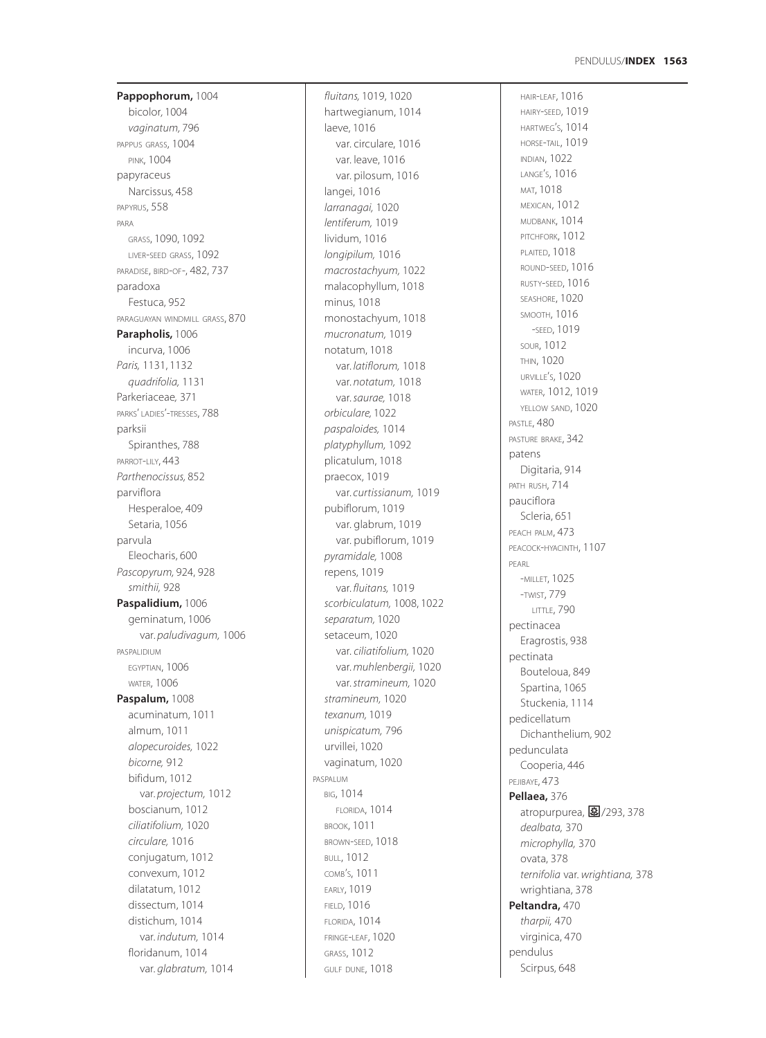**Pappophorum,** 1004 bicolor*,* 1004 *vaginatum,* 796 PAPPUS GRASS, 1004 PINK, 1004 papyraceus Narcissus*,* 458 PAPYRUS, 558 PARA GRASS, 1090, 1092 LIVER -SEED GRASS, 1092 PARADISE, BIRD-OF-, 482, 737 paradoxa Festuca, 952 PARAGUAYAN WINDMILL GRASS, 870 **Parapholis,** 1006 incurva, 1006 *Paris,* 1131, 1132 *quadrifolia,* 1131 Parkeriaceae *,* 371 PARKS' LADIES'-TRESSES, 788 parksii Spiranthes, 788 PARROT-LILY, 443 *Parthenocissus,* 852 parviflora Hesperaloe, 409 Setaria, 1056 parvula Eleocharis, 600 *Pascopyrum,* 924, 928 *smithii,* 928 **Paspalidium,** 1006 geminatum, 1006 var. *paludivagum,* 1006 PASPALIDIUM EGYPTIAN, 1006 **WATER, 1006 Paspalum,** 1008 acuminatum, 1011 almum, 1011 *alopecuroides,* 1022 *bicorne,* 912 bifidum, 1012 var. *projectum,* 1012 boscianum, 1012 *ciliatifolium,* 1020 *circulare,* 1016 conjugatum, 1012 convexum, 1012 dilatatum, 1012 dissectum, 1014 distichum, 1014 var. *indutum,* 1014 floridanum, 1014 var. *glabratum,* 1014

*fluitans,* 1019, 1020 hartwegianum, 1014 laeve, 1016 var. circulare, 1016 var. leave, 1016 var. pilosum, 1016 langei, 1016 *larranagai,* 1020 *lentiferum,* 1019 lividum, 1016 *longipilum,* 1016 *macrostachyum,* 1022 malacophyllum, 1018 minus, 1018 monostachyum, 1018 *mucronatum,* 1019 notatum, 1018 var. *latiflorum,* 1018 var. *notatum,* 1018 var. *saurae,* 1018 *orbiculare,* 1022 *paspaloides,* 1014 *platyphyllum,* 1092 plicatulum, 1018 praecox, 1019 var. *curtissianum,* 1019 pubiflorum, 1019 var. glabrum, 1019 var. pubiflorum, 1019 *pyramidale,* 1008 repens, 1019 var. *fluitans,* 1019 *scorbiculatum,* 1008, 1022 *separatum,* 1020 setaceum, 1020 var. *ciliatifolium,* 1020 var. *muhlenbergii,* 1020 var. *stramineum,* 1020 *stramineum,* 1020 *texanum,* 1019 *unispicatum,* 796 urvillei, 1020 vaginatum, 1020 PASPALUM BIG, 1014 FLORIDA, 1014 BROOK, 1011 BROWN -SEED, 1018 BULL, 1012 COMB'S, 1011 EARLY, 1019 FIELD, 1016 FLORIDA, 1014 FRINGE -LEAF, 1020 GRASS, 1012 GULF DUNE, 1018

HAIR -LEAF, 1016 HAIRY -SEED, 1019 HARTWEG S, 1014 ' HORSE -TAIL, 1019 INDIAN, 1022 LANGE S, 1016 ' MAT, 1018 MEXICAN, 1012 MUDBANK, 1014 PITCHFORK, 1012 PLAITED, 1018 ROUND -SEED, 1016 RUSTY -SEED, 1016 SEASHORE, 1020 SMOOTH, 1016 -SEED, 1019 SOUR, 1012 THIN, 1020 URVILLE S, 1020 ' WATER, 1012, 1019 YELLOW SAND, 1020 PASTLE, 480 PASTURE BRAKE, 342 patens Digitaria, 914 PATH RUSH, 714 pauciflora Scleria, 651 PEACH PALM,  $473$ PEACOCK -HYACINTH, 1107 PEARL -MILLET, 1025 -TWIST, 779 LITTLE, 790 pectinacea Eragrostis, 938 pectinata Bouteloua, 849 Spartina, 1065 Stuckenia, 1114 pedicellatum Dichanthelium*,* 902 pedunculata Cooperia, 446 PEJIBAYE, 473 **Pellaea,** 376 。<br>atropurpurea, **图**/293, 378 *dealbata,* 370 *microphylla,* 370 ovata, 378 *ternifolia* var. *wrightiana,* 378 wrightiana, 378 **Peltandra,** 470 *tharpii,* 470 virginica, 470 pendulus Scirpus, 648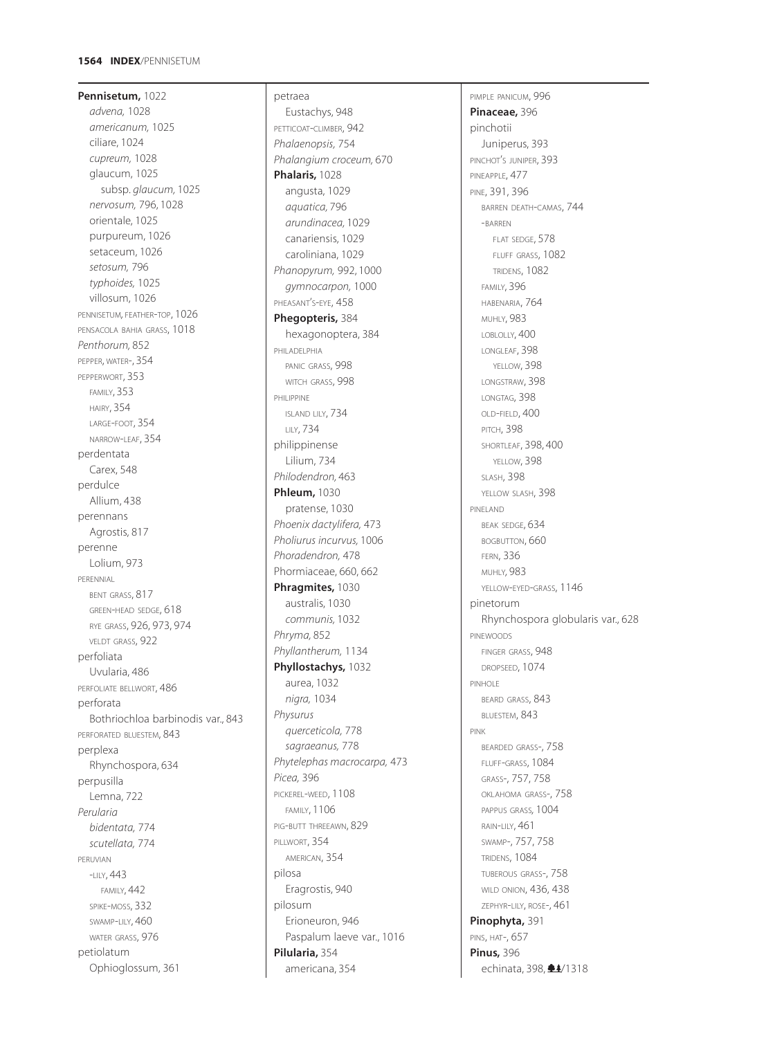## **1564 INDEX**/PENNISETUM

**Pennisetum,** 1022 *advena,* 1028 *americanum,* 1025 ciliare, 1024 *cupreum,* 1028 glaucum, 1025 subsp. *glaucum,* 1025 *nervosum,* 796, 1028 orientale, 1025 purpureum, 1026 setaceum, 1026 *setosum,* 796 *typhoides,* 1025 villosum, 1026 PENNISETUM*,* FEATHER-TOP, 1026 PENSACOLA BAHIA GRASS, 1018 *Penthorum,* 852 PEPPER, WATER-, 354 PEPPERWORT, 353 FAMILY, 353 HAIRY, 354 LARGE-FOOT, 354 NARROW-LEAF, 354 perdentata Carex, 548 perdulce Allium, 438 perennans Agrostis, 817 perenne Lolium, 973 PERENNIAL BENT GRASS, 817 GREEN-HEAD SEDGE, 618 RYE GRASS, 926, 973, 974 VELDT GRASS, 922 perfoliata Uvularia, 486 PERFOLIATE BELLWORT, 486 perforata Bothriochloa barbinodis var., 843 PERFORATED BLUESTEM, 843 perplexa Rhynchospora, 634 perpusilla Lemna, 722 *Perularia bidentata,* 774 *scutellata,* 774 PERUVIAN -LILY, 443 FAMILY, 442 SPIKE-MOSS, 332 SWAMP-LILY, 460 WATER GRASS, 976 petiolatum Ophioglossum, 361

# petraea Eustachys, 948 PETTICOAT-CLIMBER, 942 *Phalaenopsis,* 754 *Phalangium croceum,* 670 **Phalaris,** 1028 angusta, 1029 *aquatica,* 796 *arundinacea,* 1029 canariensis, 1029 caroliniana, 1029 *Phanopyrum,* 992, 1000 *gymnocarpon,* 1000 PHEASANT'S-EYE, 458 **Phegopteris,** 384 hexagonoptera, 384 PHILADELPHIA PANIC GRASS, 998 WITCH GRASS, 998 PHILIPPINE ISLAND LILY, 734 LILY, 734 philippinense Lilium, 734 *Philodendron,* 463 **Phleum,** 1030 pratense, 1030 *Phoenix dactylifera,* 473 *Pholiurus incurvus,* 1006 *Phoradendron,* 478 Phormiaceae, 660, 662 **Phragmites,** 1030 australis, 1030 *communis,* 1032 *Phryma,* 852 *Phyllantherum,* 1134 **Phyllostachys,** 1032 aurea, 1032 *nigra,* 1034 *Physurus querceticola,* 778 *sagraeanus,* 778 *Phytelephas macrocarpa,* 473 *Picea,* 396 PICKEREL-WEED, 1108 FAMILY, 1106 PIG-BUTT THREEAWN, 829 PILLWORT, 354 AMERICAN, 354 pilosa Eragrostis, 940 pilosum Erioneuron, 946 Paspalum laeve var., 1016 **Pilularia,** 354

americana, 354

PIMPLE PANICUM, 996 **Pinaceae,** 396 pinchotii Juniperus, 393 PINCHOT'S JUNIPER, 393 PINEAPPLE, 477 PINE, 391, 396 BARREN DEATH-CAMAS, 744 -BARREN FLAT SEDGE, 578 FLUFF GRASS, 1082 TRIDENS, 1082 FAMILY, 396 HABENARIA, 764 MUHLY, 983 LOBLOLLY, 400 LONGLEAF, 398 YELLOW, 398 LONGSTRAW, 398 LONGTAG, 398 OLD-FIELD, 400 PITCH, 398 SHORTLEAF, 398, 400 YELLOW, 398 SLASH, 398 YELLOW SLASH, 398 PINELAND BEAK SEDGE, 634 BOGBUTTON, 660 FERN, 336 MUHLY*,* 983 YELLOW-EYED-GRASS, 1146 pinetorum Rhynchospora globularis var., 628 **PINEWOODS** FINGER GRASS, 948 DROPSEED, 1074 PINHOLE BEARD GRASS, 843 BLUESTEM, 843 PINK BEARDED GRASS-, 758 FLUFF-GRASS, 1084 GRASS-, 757, 758 OKLAHOMA GRASS-, 758 PAPPUS GRASS*,* 1004 RAIN-LILY, 461 SWAMP-, 757, 758 TRIDENS, 1084 TUBEROUS GRASS-, 758 WILD ONION, 436, 438 ZEPHYR-LILY, ROSE-, 461 **Pinophyta,** 391 PINS, HAT-, 657 **Pinus,** 396 echinata, 398,  $\triangleq$ 4/1318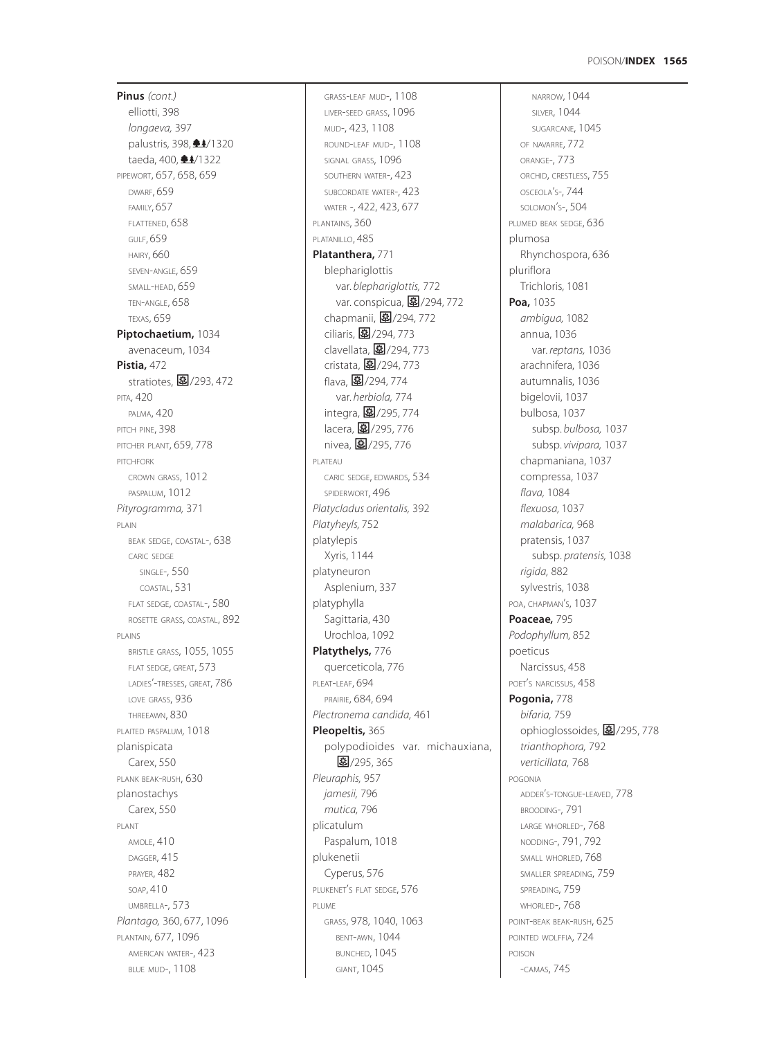**Pinus** *(cont.)* elliotti, 398 *longaeva,* 397 palustris, 398,  $\triangleq$ 4/1320 taeda, 400, **±4**/1322 PIPEWORT, 657, 658, 659 DWARF, 659 FAMILY, 657 FLATTENED, 658 GULF, 659 HAIRY, 660 SEVEN-ANGLE, 659 SMALL-HEAD, 659 TEN-ANGLE, 658 TEXAS, 659 **Piptochaetium,** 1034 avenaceum, 1034 **Pistia,** 472 stratiotes,  $\boxed{3}$ /293, 472 PITA, 420 PALMA, 420 PITCH PINE, 398 PITCHER PLANT, 659, 778 PITCHFORK CROWN GRASS, 1012 PASPALUM, 1012 *Pityrogramma,* 371 PLAIN BEAK SEDGE, COASTAL-, 638 CARIC SEDGE SINGLE-, 550 COASTAL, 531 FLAT SEDGE, COASTAL-, 580 ROSETTE GRASS, COASTAL, 892 PLAINS BRISTLE GRASS, 1055, 1055 FLAT SEDGE, GREAT, 573 LADIES'-TRESSES, GREAT, 786 LOVE GRASS, 936 THREEAWN, 830 PLAITED PASPALUM*,* 1018 planispicata Carex, 550 PLANK BEAK-RUSH, 630 planostachys Carex, 550 PLANT AMOLE, 410 DAGGER, 415 PRAYER, 482 SOAP, 410 UMBRELLA-, 573 *Plantago,* 360, 677, 1096 PLANTAIN, 677, 1096 AMERICAN WATER-, 423 BLUE MUD-, 1108

GRASS-LEAF MUD-, 1108 LIVER-SEED GRASS, 1096 MUD-, 423, 1108 ROUND-LEAF MUD-, 1108 SIGNAL GRASS, 1096 SOUTHERN WATER-, 423 SUBCORDATE WATER-, 423 WATER -, 422, 423, 677 PLANTAINS, 360 PLATANILLO, 485 **Platanthera,** 771 blephariglottis var. *blephariglottis,* 772 var. conspicua, 图/294, 772 chapmanii, 27/294, 772 ciliaris, 27/294, 773 clavellata,  $\boxed{3}$ /294, 773 cristata, 27/294, 773 flava, **图**/294, 774 var*. herbiola,* 774 integra, 图/295, 774 lacera, 图/295, 776 nivea, 2/295, 776 PLATEAU CARIC SEDGE, EDWARDS, 534 SPIDERWORT, 496 *Platycladus orientalis,* 392 *Platyheyls,* 752 platylepis Xyris, 1144 platyneuron Asplenium, 337 platyphylla Sagittaria, 430 Urochloa, 1092 **Platythelys,** 776 querceticola, 776 PLEAT-LEAF, 694 PRAIRIE, 684, 694 *Plectronema candida,* 461 **Pleopeltis,** 365 polypodioides var. michauxiana, 图/295, 365 *Pleuraphis,* 957 *jamesii,* 796 *mutica,* 796 plicatulum Paspalum, 1018 plukenetii Cyperus, 576 PLUKENET'S FLAT SEDGE, 576 PLUME GRASS, 978, 1040, 1063 BENT-AWN, 1044 BUNCHED, 1045 GIANT, 1045

NARROW, 1044 SILVER, 1044 SUGARCANE, 1045 OF NAVARRE, 772 ORANGE-, 773 ORCHID, CRESTLESS, 755 OSCEOLA'S-, 744 SOLOMON'S-, 504 PLUMED BEAK SEDGE, 636 plumosa Rhynchospora, 636 pluriflora Trichloris, 1081 **Poa,** 1035 *ambigua,* 1082 annua, 1036 var. *reptans,* 1036 arachnifera, 1036 autumnalis, 1036 bigelovii, 1037 bulbosa, 1037 subsp. *bulbosa,* 1037 subsp. *vivipara,* 1037 chapmaniana, 1037 compressa, 1037 *flava,* 1084 *flexuosa,* 1037 *malabarica,* 968 pratensis, 1037 subsp. *pratensis,* 1038 *rigida,* 882 sylvestris, 1038 POA, CHAPMAN'S, 1037 **Poaceae,** 795 *Podophyllum,* 852 poeticus Narcissus, 458 POET'S NARCISSUS, 458 **Pogonia,** 778 *bifaria,* 759 ophioglossoides, 27/295, 778 *trianthophora,* 792 *verticillata,* 768 POGONIA ADDER'S-TONGUE-LEAVED, 778 BROODING-, 791 LARGE WHORLED-, 768 NODDING-, 791, 792 SMALL WHORLED, 768 SMALLER SPREADING, 759 SPREADING, 759 WHORLED-, 768 POINT-BEAK BEAK-RUSH, 625 POINTED WOLFFIA, 724 POISON -CAMAS, 745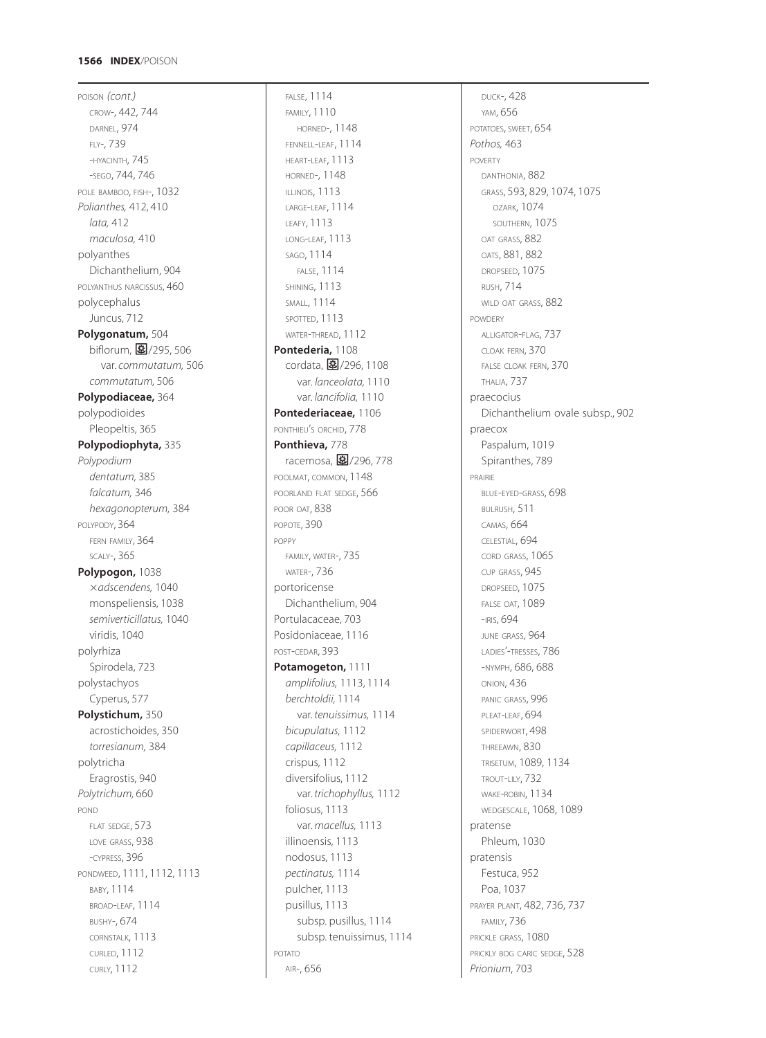POISON *(cont.)* CROW-, 442, 744 DARNEL, 974 FLY-, 739 -HYACINTH, 745 -SEGO, 744, 746 POLE BAMBOO, FISH-, 1032 *Polianthes,* 412, 410 *lata,* 412 *maculosa,* 410 polyanthes Dichanthelium, 904 POLYANTHUS NARCISSUS, 460 polycephalus Juncus, 712 **Polygonatum,** 504 biflorum, 27/295, 506 var. *commutatum,* 506 *commutatum,* 506 **Polypodiaceae,** 364 polypodioides Pleopeltis, 365 **Polypodiophyta,** 335 *Polypodium dentatum,* 385 *falcatum,* 346 *hexagonopterum,* 384 POLYPODY, 364 FERN FAMILY, 364 SCALY-, 365 **Polypogon,** 1038 *adscendens,* 1040 monspeliensis, 1038 *semiverticillatus,* 1040 viridis, 1040 polyrhiza Spirodela, 723 polystachyos Cyperus, 577 **Polystichum,** 350 acrostichoides, 350 *torresianum,* 384 polytricha Eragrostis, 940 *Polytrichum,* 660 POND FLAT SEDGE, 573 LOVE GRASS, 938 -CYPRESS, 396 PONDWEED, 1111, 1112, 1113 BABY, 1114 BROAD-LEAF, 1114 BUSHY-, 674 CORNSTALK, 1113 CURLED, 1112 CURLY, 1112

FALSE, 1114 FAMILY, 1110 HORNED-, 1148 FENNELL-LEAF, 1114 HEART-LEAF, 1113 HORNED-, 1148 ILLINOIS, 1113 LARGE-LEAF, 1114 LEAFY, 1113 LONG-LEAF, 1113 SAGO, 1114 FALSE, 1114 SHINING, 1113 SMALL, 1114 SPOTTED, 1113 WATER-THREAD, 1112 **Pontederia,** 1108 cordata, 27/296, 1108 var. *lanceolata,* 1110 var. *lancifolia,* 1110 **Pontederiaceae,** 1106 PONTHIEU'S ORCHID, 778 **Ponthieva,** 778 racemosa, 图/296, 778 POOLMAT, COMMON, 1148 POORLAND FLAT SEDGE, 566 POOR OAT, 838 POPOTE, 390 POPPY FAMILY, WATER-, 735 WATER-, 736 portoricense Dichanthelium, 904 Portulacaceae, 703 Posidoniaceae, 1116 POST-CEDAR, 393 **Potamogeton,** 1111 *amplifolius,* 1113, 1114 *berchtoldii,* 1114 var. *tenuissimus,* 1114 *bicupulatus,* 1112 *capillaceus,* 1112 crispus, 1112 diversifolius, 1112 var. *trichophyllus,* 1112 foliosus, 1113 var. *macellus,* 1113 illinoensis, 1113 nodosus, 1113 *pectinatus,* 1114 pulcher, 1113 pusillus, 1113 subsp. pusillus, 1114 subsp. tenuissimus, 1114 POTATO AIR-, 656

DUCK-, 428 YAM, 656 POTATOES, SWEET, 654 *Pothos,* 463 POVERTY DANTHONIA, 882 GRASS, 593, 829, 1074, 1075 OZARK, 1074 SOUTHERN, 1075 OAT GRASS, 882 OATS, 881, 882 DROPSEED, 1075 RUSH, 714 WILD OAT GRASS, 882 POWDERY ALLIGATOR-FLAG, 737 CLOAK FERN, 370 FALSE CLOAK FERN, 370 THALIA, 737 praecocius Dichanthelium ovale subsp., 902 praecox Paspalum, 1019 Spiranthes, 789 PRAIRIE BLUE-EYED-GRASS, 698 BULRUSH, 511 CAMAS, 664 CELESTIAL, 694 CORD GRASS, 1065 CUP GRASS, 945 DROPSEED, 1075 FALSE OAT, 1089 -IRIS, 694 JUNE GRASS, 964 LADIES'-TRESSES, 786 -NYMPH, 686, 688 ONION, 436 PANIC GRASS, 996 PLEAT-LEAF, 694 SPIDERWORT, 498 THREEAWN, 830 TRISETUM, 1089, 1134 TROUT-LILY, 732 WAKE-ROBIN, 1134 WEDGESCALE, 1068, 1089 pratense Phleum, 1030 pratensis Festuca, 952 Poa, 1037 PRAYER PLANT, 482, 736, 737 FAMILY, 736 PRICKLE GRASS, 1080 PRICKLY BOG CARIC SEDGE, 528 *Prionium*, 703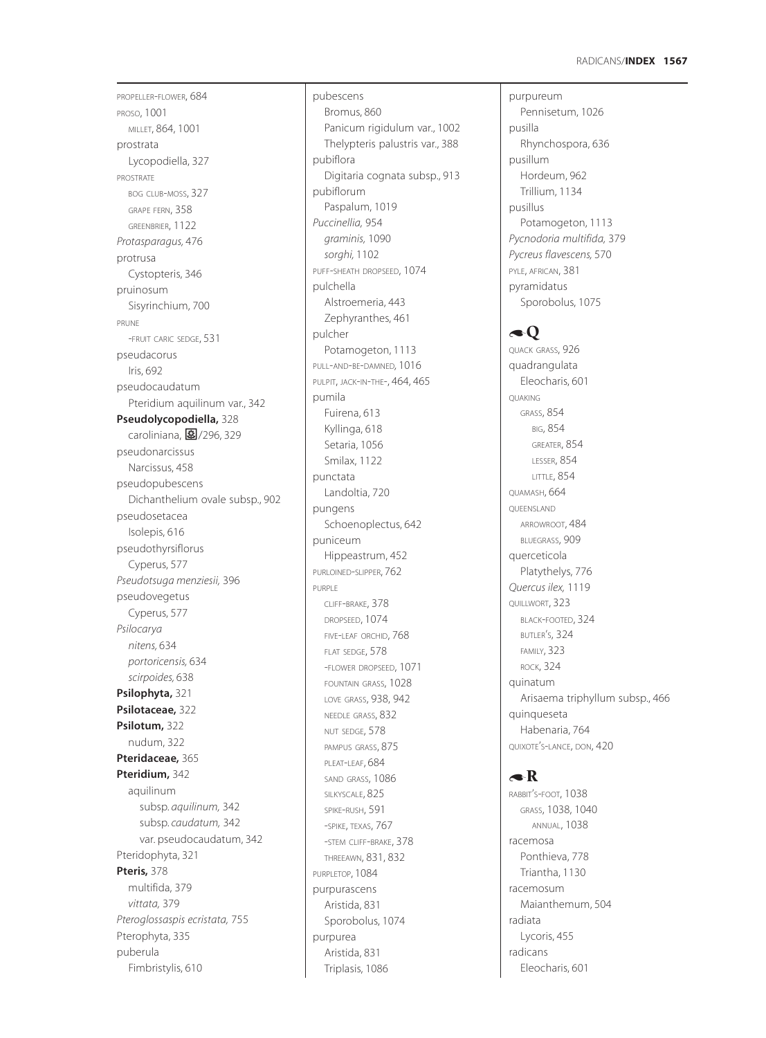purpureum

PROPELLER-FLOWER, 684 PROSO, 1001 MILLET, 864, 1001 prostrata Lycopodiella, 327 PROSTRATE BOG CLUB-MOSS, 327 GRAPE FERN, 358 GREENBRIER, 1122 *Protasparagus,* 476 protrusa Cystopteris, 346 pruinosum Sisyrinchium, 700 PRUNE -FRUIT CARIC SEDGE, 531 pseudacorus Iris, 692 pseudocaudatum Pteridium aquilinum var., 342 **Pseudolycopodiella,** 328 caroliniana, 图/296, 329 pseudonarcissus Narcissus, 458 pseudopubescens Dichanthelium ovale subsp., 902 pseudosetacea Isolepis, 616 pseudothyrsiflorus Cyperus, 577 *Pseudotsuga menziesii,* 396 pseudovegetus Cyperus, 577 *Psilocarya nitens,* 634 *portoricensis,* 634 *scirpoides,* 638 **Psilophyta,** 321 **Psilotaceae,** 322 **Psilotum,** 322 nudum, 322 **Pteridaceae,** 365 **Pteridium,** 342 aquilinum subsp*. aquilinum,* 342 subsp*. caudatum,* 342 var. pseudocaudatum, 342 Pteridophyta, 321 **Pteris,** 378 multifida, 379 *vittata,* 379 *Pteroglossaspis ecristata,* 755 Pterophyta, 335 puberula Fimbristylis, 610

pubescens Bromus, 860 Panicum rigidulum var., 1002 Thelypteris palustris var., 388 pubiflora Digitaria cognata subsp., 913 pubiflorum Paspalum, 1019 *Puccinellia,* 954 *graminis,* 1090 *sorghi,* 1102 PUFF-SHEATH DROPSEED, 1074 pulchella Alstroemeria, 443 Zephyranthes, 461 pulcher Potamogeton, 1113 PULL-AND-BE-DAMNED*,* 1016 PULPIT, JACK-IN-THE-, 464, 465 pumila Fuirena, 613 Kyllinga, 618 Setaria, 1056 Smilax, 1122 punctata Landoltia, 720 pungens Schoenoplectus, 642 puniceum Hippeastrum, 452 PURI OINED-SLIPPER, 762 PURPLE CLIFF-BRAKE, 378 DROPSEED, 1074 FIVE-LEAF ORCHID, 768 FLAT SEDGE, 578 -FLOWER DROPSEED, 1071 FOUNTAIN GRASS, 1028 LOVE GRASS, 938, 942 NEEDLE GRASS, 832 NUT SEDGE, 578 PAMPUS GRASS, 875 PLEAT-LEAF, 684 SAND GRASS, 1086 SILKYSCALE, 825 SPIKE-RUSH, 591 -SPIKE, TEXAS, 767 -STEM CLIFF-BRAKE, 378 THREEAWN, 831, 832 PURPLETOP, 1084 purpurascens Aristida, 831 Sporobolus, 1074 purpurea Aristida, 831 Triplasis, 1086

Pennisetum, 1026 pusilla Rhynchospora, 636 pusillum Hordeum, 962 Trillium, 1134 pusillus Potamogeton, 1113 *Pycnodoria multifida,* 379 *Pycreus flavescens,* 570 PYLE, AFRICAN, 381 pyramidatus Sporobolus, 1075  $\triangleleft Q$ QUACK GRASS, 926 quadrangulata Eleocharis, 601 QUAKING GRASS, 854 BIG, 854 GREATER, 854 LESSER, 854 LITTLE, 854 QUAMASH, 664 QUEENSLAND ARROWROOT, 484 BLUEGRASS, 909 querceticola Platythelys, 776 *Quercus ilex,* 1119 QUILLWORT, 323 BLACK-FOOTED, 324 BUTLER'S, 324 FAMILY, 323 ROCK, 324 quinatum Arisaema triphyllum subsp., 466 quinqueseta Habenaria, 764 QUIXOTE'S-LANCE, DON, 420

# $\triangle$ R

RABBIT'S-FOOT, 1038 GRASS, 1038, 1040 ANNUAL, 1038 racemosa Ponthieva, 778 Triantha, 1130 racemosum Maianthemum, 504 radiata Lycoris, 455 radicans Eleocharis, 601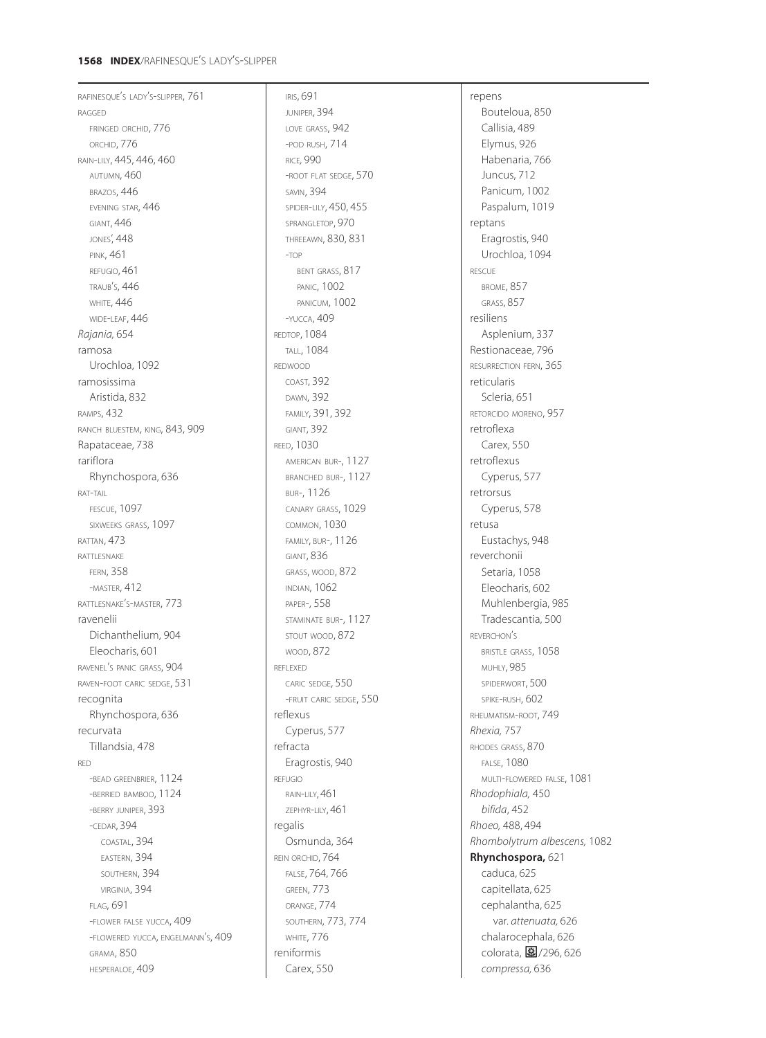# **1568 INDEX**/RAFINESQUE'S LADY'S-SLIPPER

RAFINESQUE'S LADY'S-SLIPPER, 761 RAGGED FRINGED ORCHID, 776 ORCHID, 776 RAIN-LILY, 445, 446, 460 AUTUMN, 460 BRAZOS, 446 EVENING STAR, 446 GIANT, 446 JONES', 448 PINK, 461 REFUGIO, 461 TRAUB'S, 446 **WHITE, 446** WIDE-LEAF, 446 *Rajania,* 654 ramosa Urochloa, 1092 ramosissima Aristida, 832 RAMPS, 432 RANCH BLUESTEM, KING, 843, 909 Rapataceae, 738 rariflora Rhynchospora, 636 RAT-TAIL FESCUE, 1097 SIXWEEKS GRASS, 1097 RATTAN, 473 RATTLESNAKE FERN, 358 -MASTER, 412 RATTLESNAKE'S-MASTER, 773 ravenelii Dichanthelium, 904 Eleocharis, 601 RAVENEL'S PANIC GRASS, 904 RAVEN-FOOT CARIC SEDGE, 531 recognita Rhynchospora, 636 recurvata Tillandsia, 478 RED -BEAD GREENBRIER, 1124 -BERRIED BAMBOO, 1124 -BERRY JUNIPER, 393 -CEDAR, 394 COASTAL, 394 EASTERN, 394 SOUTHERN, 394 VIRGINIA, 394 FLAG, 691 -FLOWER FALSE YUCCA, 409 -FLOWERED YUCCA, ENGELMANN'S, 409 GRAMA, 850 HESPERALOE, 409

IRIS, 691 JUNIPER, 394 LOVE GRASS, 942 -POD RUSH, 714 RICE*,* 990 -ROOT FLAT SEDGE, 570 SAVIN, 394 SPIDER-LILY, 450, 455 SPRANGLETOP, 970 THREEAWN, 830, 831 -TOP BENT GRASS, 817 PANIC, 1002 PANICUM, 1002 -YUCCA, 409 REDTOP, 1084 TALL, 1084 REDWOOD COAST, 392 DAWN, 392 FAMILY, 391, 392 GIANT, 392 REED, 1030 AMERICAN BUR-, 1127 BRANCHED BUR-, 1127 BUR-, 1126 CANARY GRASS, 1029 COMMON, 1030 FAMILY, BUR-, 1126 GIANT, 836 GRASS, WOOD, 872 INDIAN, 1062 PAPER-, 558 STAMINATE BUR-, 1127 STOUT WOOD, 872 WOOD, 872 REFLEXED CARIC SEDGE, 550 -FRUIT CARIC SEDGE, 550 reflexus Cyperus, 577 refracta Eragrostis, 940 REFUGIO RAIN-LILY, 461 ZEPHYR-LILY, 461 regalis Osmunda, 364 REIN ORCHID, 764 FALSE, 764, 766 GREEN, 773 ORANGE, 774 SOUTHERN, 773, 774 WHITE, 776 reniformis Carex, 550

repens Bouteloua, 850 Callisia, 489 Elymus, 926 Habenaria, 766 Juncus, 712 Panicum, 1002 Paspalum, 1019 reptans Eragrostis, 940 Urochloa, 1094 RESCUE BROME, 857 GRASS, 857 resiliens Asplenium, 337 Restionaceae, 796 RESURRECTION FERN, 365 reticularis Scleria, 651 RETORCIDO MORENO, 957 retroflexa Carex, 550 retroflexus Cyperus, 577 retrorsus Cyperus, 578 retusa Eustachys, 948 reverchonii Setaria, 1058 Eleocharis, 602 Muhlenbergia, 985 Tradescantia, 500 REVERCHON'S BRISTLE GRASS, 1058 MUHLY, 985 SPIDERWORT, 500 SPIKE-RUSH, 602 RHEUMATISM-ROOT, 749 *Rhexia,* 757 RHODES GRASS, 870 FALSE, 1080 MULTI-FLOWERED FALSE, 1081 *Rhodophiala,* 450 *bifida*, 452 *Rhoeo,* 488, 494 *Rhombolytrum albescens,* 1082 **Rhynchospora,** 621 caduca, 625 capitellata, 625 cephalantha, 625 var. *attenuata,* 626 chalarocephala, 626 colorata,  $\mathbf{\mathbb{E}}$ /296, 626 *compressa,* 636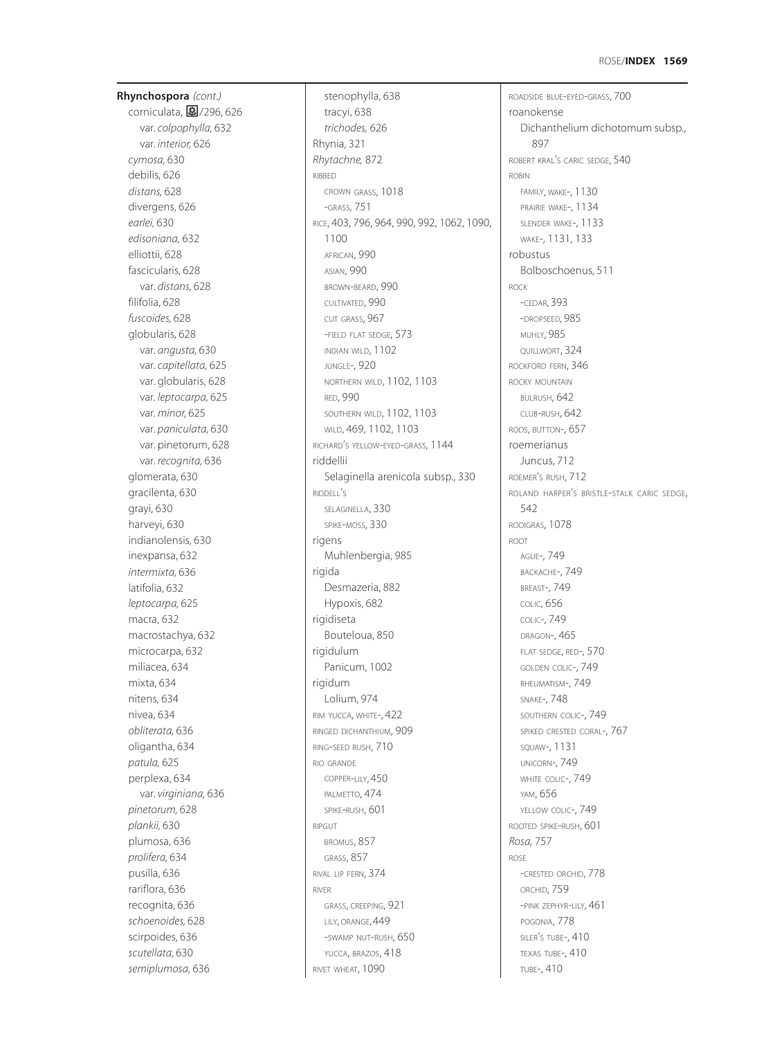**Rhynchospora** *(cont.)* corniculata, 2/296, 626 var. *colpophylla,* 632 var. *interior,* 626 *cymosa,* 630 debilis, 626 *distans,* 628 divergens, 626 *earlei,* 630 *edisoniana,* 632 elliottii, 628 fascicularis, 628 var. *distans,* 628 filifolia, 628 *fuscoides,* 628 globularis, 628 var. *angusta,* 630 var. *capitellata,* 625 var. globularis, 628 var. *leptocarpa,* 625 var. *minor,* 625 var. *paniculata,* 630 var. pinetorum, 628 var. *recognita,* 636 glomerata, 630 gracilenta, 630 grayi, 630 harveyi, 630 indianolensis, 630 inexpansa, 632 *intermixta,* 636 latifolia, 632 *leptocarpa,* 625 macra, 632 macrostachya, 632 microcarpa, 632 miliacea, 634 mixta, 634 nitens, 634 nivea, 634 *obliterata,* 636 oligantha, 634 *patula,* 625 perplexa, 634 var. *virginiana,* 636 *pinetorum,* 628 *plankii,* 630 plumosa, 636 *prolifera,* 634 pusilla, 636 rariflora, 636 recognita, 636 *schoenoides,* 628 scirpoides, 636 *scutellata,* 630 *semiplumosa,* 636

stenophylla, 638 tracyi, 638 *trichodes,* 626 Rhynia, 321 *Rhytachne,* 872 RIBBED CROWN GRASS, 1018 -GRASS, 751 RICE, 403, 796, 964, 990, 992, 1062, 1090, 1100 AFRICAN, 990 ASIAN, 990 BROWN-BEARD, 990 CULTIVATED, 990 CUT GRASS, 967 -FIELD FLAT SEDGE, 573 INDIAN WILD, 1102 JUNGLE-, 920 NORTHERN WILD, 1102, 1103 RED, 990 SOUTHERN WILD, 1102, 1103 WILD, 469, 1102, 1103 RICHARD'S YELLOW-EYED-GRASS, 1144 riddellii Selaginella arenicola subsp., 330 RIDDELL'S SELAGINELLA, 330 SPIKE-MOSS, 330 rigens Muhlenbergia, 985 rigida Desmazeria, 882 Hypoxis, 682 rigidiseta Bouteloua, 850 rigidulum Panicum, 1002 rigidum Lolium, 974 RIM YUCCA, WHITE-, 422 RINGED DICHANTHIUM, 909 RING-SEED RUSH, 710 RIO GRANDE COPPER-LILY, 450 PALMETTO, 474 SPIKE-RUSH, 601 RIPGUT BROMUS, 857 GRASS, 857 RIVAL LIP FERN, 374 RIVER GRASS, CREEPING, 921 LILY, ORANGE, 449 -SWAMP NUT-RUSH, 650 YUCCA, BRAZOS, 418 RIVET WHEAT, 1090

ROADSIDE BLUE-EYED-GRASS, 700 roanokense Dichanthelium dichotomum subsp., 897 ROBERT KRAL'S CARIC SEDGE, 540 ROBIN FAMILY, WAKE-, 1130 PRAIRIE WAKE-, 1134 SLENDER WAKE-, 1133 WAKE-, 1131, 133 robustus Bolboschoenus, 511 ROCK -CEDAR, 393 -DROPSEED*,* 985 **MUHLY, 985** QUILLWORT, 324 ROCKFORD FERN, 346 ROCKY MOUNTAIN BULRUSH, 642 CLUB-RUSH, 642 RODS, BUTTON-, 657 roemerianus Juncus, 712 ROEMER'S RUSH, 712 ROLAND HARPER'S BRISTLE-STALK CARIC SEDGE, 542 ROOIGRAS, 1078 ROOT AGUE-, 749 BACKACHE-, 749 BREAST-, 749 COLIC, 656 COLIC-, 749 DRAGON-, 465 FLAT SEDGE, RED-, 570 GOLDEN COLIC-, 749 RHEUMATISM-, 749 SNAKE-, 748 SOUTHERN COLIC-, 749 SPIKED CRESTED CORAL-, 767 SQUAW-, 1131 UNICORN-, 749 WHITE COLIC-, 749 YAM, 656 YELLOW COLIC-, 749 ROOTED SPIKE-RUSH, 601 *Rosa,* 757 ROSE -CRESTED ORCHID, 778 ORCHID, 759 -PINK ZEPHYR-LILY, 461 POGONIA, 778 SILER'S TUBE-, 410 TEXAS TUBE-, 410 TUBE-, 410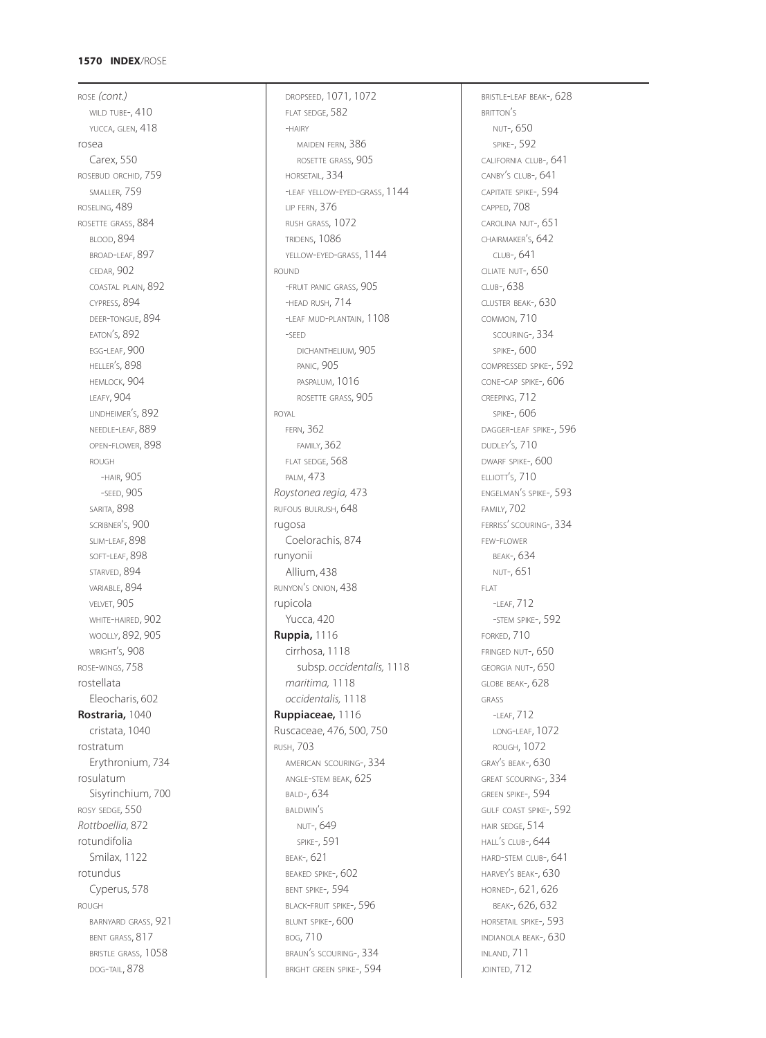# **1570 INDEX**/ROSE

ROSE *(cont.)* WILD TUBE-, 410 YUCCA, GLEN,  $418$ rosea Carex, 550 ROSEBUD ORCHID, 759 SMALLER, 759 ROSELING, 489 ROSETTE GRASS, 884 BLOOD, 894 BROAD-LEAF, 897 CEDAR, 902 COASTAL PLAIN, 892 CYPRESS, 894 DEER-TONGUE, 894 EATON'S, 892 EGG-LEAF, 900 HELLER'S, 898 HEMLOCK, 904 LEAFY, 904 LINDHEIMER'S, 892 NEEDLE-LEAF, 889 OPEN-FLOWER, 898 ROUGH -HAIR, 905 -SEED, 905 SARITA, 898 SCRIBNER'S, 900 SLIM-LEAF, 898 SOFT-LEAF, 898 STARVED, 894 VARIABLE, 894 VELVET, 905 WHITE-HAIRED, 902 WOOLLY, 892, 905 WRIGHT'S, 908 ROSE-WINGS, 758 rostellata Eleocharis, 602 **Rostraria,** 1040 cristata, 1040 rostratum Erythronium, 734 rosulatum Sisyrinchium, 700 ROSY SEDGE*,* 550 *Rottboellia,* 872 rotundifolia Smilax, 1122 rotundus Cyperus, 578 ROUGH BARNYARD GRASS, 921 BENT GRASS, 817 BRISTLE GRASS, 1058 DOG-TAIL, 878

DROPSEED, 1071, 1072 FLAT SEDGE, 582 -HAIRY MAIDEN FERN, 386 ROSETTE GRASS, 905 HORSETAIL, 334 -LEAF YELLOW-EYED-GRASS, 1144 LIP FERN, 376 RUSH GRASS, 1072 TRIDENS, 1086 YELLOW-EYED-GRASS, 1144 ROUND -FRUIT PANIC GRASS, 905 -HEAD RUSH, 714 -LEAF MUD-PLANTAIN, 1108 -SEED DICHANTHELIUM, 905 PANIC, 905 PASPALUM, 1016 ROSETTE GRASS, 905 ROYAL FERN, 362 FAMILY, 362 FLAT SEDGE, 568 PALM, 473 *Roystonea regia,* 473 RUFOUS BULRUSH, 648 rugosa Coelorachis, 874 runyonii Allium, 438 RUNYON'S ONION, 438 rupicola Yucca, 420 **Ruppia,** 1116 cirrhosa, 1118 subsp. *occidentalis,* 1118 *maritima,* 1118 *occidentalis,* 1118 **Ruppiaceae,** 1116 Ruscaceae, 476, 500, 750 RUSH, 703 AMERICAN SCOURING-, 334 ANGLE-STEM BEAK, 625 BALD-, 634 BALDWIN'S NUT-, 649 SPIKE-, 591 BEAK-, 621 BEAKED SPIKE-, 602 BENT SPIKE-, 594 BLACK-FRUIT SPIKE-, 596 BLUNT SPIKE-, 600 BOG, 710 BRAUN'S SCOURING-, 334 BRIGHT GREEN SPIKE-, 594

BRISTLE-LEAF BEAK-, 628 BRITTON'S NUT-, 650 SPIKE-, 592 CALIFORNIA CLUB-, 641 CANBY'S CLUB-, 641 CAPITATE SPIKE-, 594 CAPPED, 708 CAROLINA NUT-, 651 CHAIRMAKER'S, 642 CLUB-, 641 CILIATE NUT-, 650 CLUB-, 638 CLUSTER BEAK-, 630 COMMON, 710 SCOURING-, 334 SPIKE-, 600 COMPRESSED SPIKE-, 592 CONE-CAP SPIKE-, 606 CREEPING, 712 SPIKE-, 606 DAGGER-LEAF SPIKE-, 596 DUDLEY'S, 710 DWARF SPIKE-, 600 ELLIOTT'S, 710 ENGELMAN'S SPIKE-, 593 FAMILY, 702 FERRISS' SCOURING-, 334 FEW-FLOWER BEAK-, 634 NUT-, 651 FLAT -LEAF, 712 -STEM SPIKE-, 592 FORKED, 710 FRINGED NUT-, 650 GEORGIA NUT-, 650 GLOBE BEAK-, 628 GRASS -LEAF, 712 LONG-LEAF, 1072 ROUGH, 1072 GRAY'S BEAK-, 630 GREAT SCOURING-, 334 GREEN SPIKE-, 594 GULF COAST SPIKE-, 592 HAIR SEDGE, 514 HALL'S CLUB-, 644 HARD-STEM CLUB-, 641 HARVEY'S BEAK-, 630 HORNED-, 621, 626 BEAK-, 626, 632 HORSETAIL SPIKE-, 593 INDIANOLA BEAK-, 630 INLAND, 711 JOINTED, 712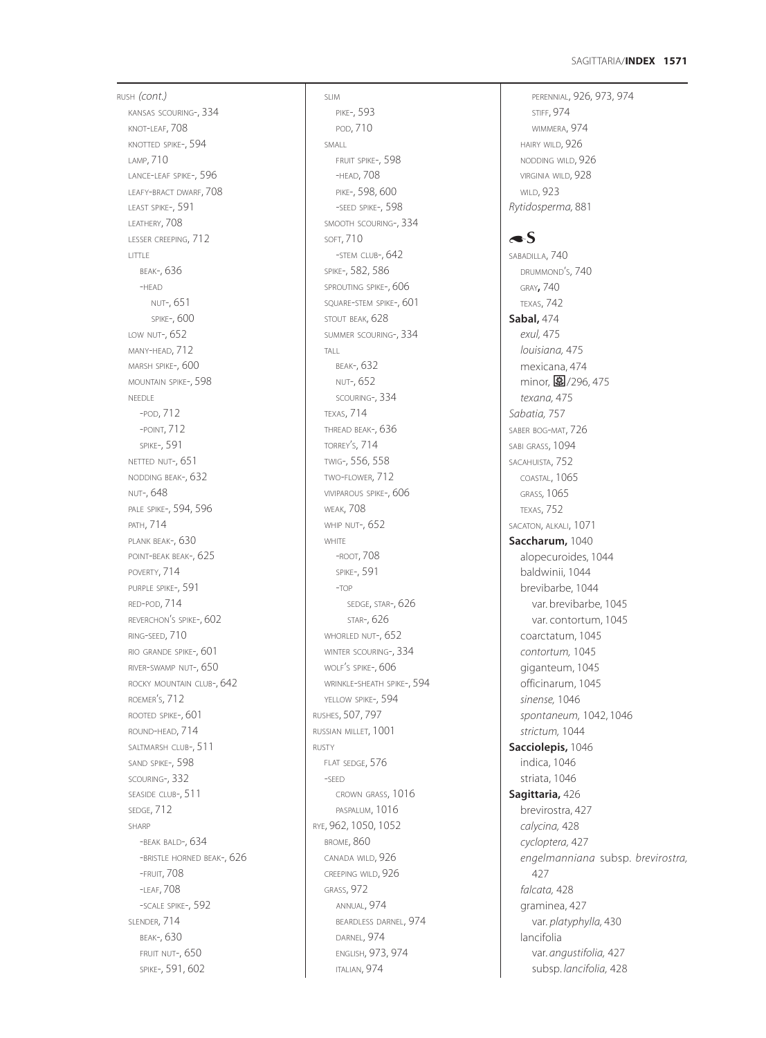# **1571** SAGITTARIA/**INDEX**

RUSH *(cont.)* KANSAS SCOURING-, 334 KNOT-LEAF, 708 KNOTTED SPIKE-, 594 LAMP, 710 LANCE-LEAF SPIKE-, 596 LEAFY-BRACT DWARF, 708 LEAST SPIKE-, 591 LEATHERY, 708 LESSER CREEPING, 712 LITTLE BEAK-, 636 -HEAD NUT-, 651 SPIKE-, 600 LOW NUT-, 652 MANY-HEAD, 712 MARSH SPIKE-, 600 MOUNTAIN SPIKE-, 598 NEEDLE -POD, 712 -POINT, 712 SPIKE-, 591 NETTED NUT-, 651 NODDING BEAK-, 632 NUT-, 648 PALE SPIKE-, 594, 596 PATH, 714 PLANK BEAK-, 630 POINT-BEAK BEAK-, 625 POVERTY, 714 PURPLE SPIKE-, 591 RED-POD, 714 REVERCHON'S SPIKE-, 602 RING-SEED, 710 RIO GRANDE SPIKE-, 601 RIVER-SWAMP NUT-, 650 ROCKY MOUNTAIN CLUB-, 642 ROEMER'S, 712 ROOTED SPIKE-, 601 ROUND-HEAD, 714 SALTMARSH CLUB-, 511 SAND SPIKE-, 598 SCOURING-, 332 SEASIDE CLUB-, 511 SEDGE, 712 SHARP -BEAK BALD-, 634 -BRISTLE HORNED BEAK-, 626 -FRUIT, 708 -LEAF, 708 -SCALE SPIKE-, 592 SLENDER, 714 BEAK-, 630 FRUIT NUT-, 650 SPIKE-, 591, 602

SLIM PIKE-, 593 POD, 710 SMALL FRUIT SPIKE-, 598 -HEAD, 708 PIKE-, 598, 600 -SEED SPIKE-, 598 SMOOTH SCOURING-, 334 SOFT, 710 -STEM CLUB-, 642 SPIKE-, 582, 586 SPROUTING SPIKE-, 606 SQUARE-STEM SPIKE-, 601 STOUT BEAK, 628 SUMMER SCOURING-, 334 TALL BEAK-, 632 NUT-, 652 SCOURING-, 334 TEXAS, 714 THREAD BEAK-, 636 TORREY'S, 714 TWIG-, 556, 558 TWO-FLOWER, 712 VIVIPAROUS SPIKE-, 606 WEAK, 708 WHIP NUT-, 652 WHITE -ROOT, 708 SPIKE-, 591 -TOP SEDGE, STAR-, 626 STAR-, 626 WHORLED NUT-, 652 WINTER SCOURING-, 334 WOLF'S SPIKE-, 606 WRINKLE-SHEATH SPIKE-, 594 YELLOW SPIKE-, 594 RUSHES, 507, 797 RUSSIAN MILLET, 1001 RUSTY FLAT SEDGE, 576 -SEED CROWN GRASS, 1016 PASPALUM, 1016 RYE, 962, 1050, 1052 BROME, 860 CANADA WILD, 926 CREEPING WILD, 926 GRASS, 972 ANNUAL, 974 BEARDLESS DARNEL, 974 DARNEL, 974 ENGLISH, 973, 974 ITALIAN, 974

PERENNIAL, 926, 973, 974 STIFF, 974 WIMMERA, 974 HAIRY WILD, 926 NODDING WILD, 926 VIRGINIA WILD, 928 WILD, 923 *Rytidosperma,* 881

 $\blacktriangle$ S SABADILLA, 740 DRUMMOND'S, 740 GRAY**,** 740 TEXAS, 742 **Sabal,** 474 *exul,* 475 *louisiana,* 475 mexicana, 474 minor,  $\frac{1}{2}$ /296, 475 *texana,* 475 *Sabatia,* 757 SABER BOG-MAT, 726 SABI GRASS, 1094 SACAHUISTA, 752 COASTAL, 1065 GRASS*,* 1065 TEXAS, 752 SACATON, ALKALI, 1071 **Saccharum,** 1040 alopecuroides, 1044 baldwinii, 1044 brevibarbe, 1044 var. brevibarbe, 1045 var. contortum, 1045 coarctatum, 1045 *contortum,* 1045 giganteum, 1045 officinarum, 1045 *sinense,* 1046 *spontaneum,* 1042, 1046 *strictum,* 1044 **Sacciolepis,** 1046 indica, 1046 striata, 1046 **Sagittaria,** 426 brevirostra, 427 *calycina,* 428 *cycloptera,* 427 *engelmanniana* subsp. *brevirostra,* 427 *falcata,* 428 graminea, 427 var. *platyphylla,* 430 lancifolia var. *angustifolia,* 427 subsp. *lancifolia,* 428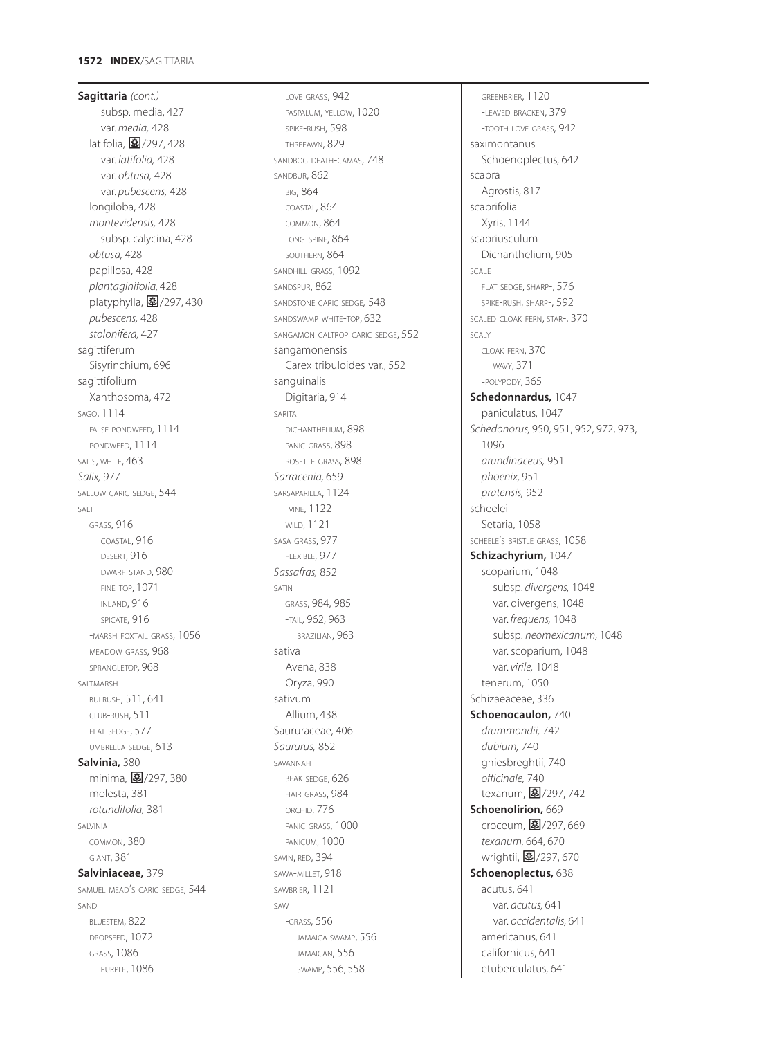**Sagittaria** *(cont.)* subsp. media, 427 var. *media,* 428 latifolia,  $\boxed{3}/297,428$ var. *latifolia,* 428 var. *obtusa,* 428 var. *pubescens,* 428 longiloba, 428 *montevidensis,* 428 subsp. calycina, 428 *obtusa,* 428 papillosa, 428 *plantaginifolia,* 428 platyphylla,  $\mathbf{E}/297,430$ *pubescens,* 428 *stolonifera,* 427 sagittiferum Sisyrinchium, 696 sagittifolium Xanthosoma, 472 SAGO, 1114 FALSE PONDWEED, 1114 PONDWEED, 1114 SAILS, WHITE, 463 *Salix,* 977 SALLOW CARIC SEDGE, 544 SALT GRASS, 916 COASTAL, 916 DESERT, 916 DWARF-STAND, 980 FINE-TOP, 1071 INLAND, 916 SPICATE, 916 -MARSH FOXTAIL GRASS, 1056 MEADOW GRASS, 968 SPRANGLETOP*,* 968 SALTMARSH BULRUSH, 511, 641 CLUB-RUSH, 511 FLAT SEDGE, 577 UMBRELLA SEDGE, 613 **Salvinia,** 380 minima, 27/297, 380 molesta, 381 *rotundifolia,* 381 SALVINIA COMMON, 380 GIANT, 381 **Salviniaceae,** 379 SAMUEL MEAD'S CARIC SEDGE, 544 SAND BLUESTEM, 822 DROPSEED, 1072 GRASS, 1086

PURPLE, 1086

LOVE GRASS, 942 PASPALUM, YELLOW, 1020 SPIKE-RUSH, 598 THREEAWN, 829 SANDBOG DEATH-CAMAS, 748 SANDBUR, 862 BIG, 864 COASTAL, 864 COMMON, 864 LONG-SPINE, 864 SOUTHERN, 864 SANDHILL GRASS, 1092 SANDSPUR, 862 SANDSTONE CARIC SEDGE*,* 548 SANDSWAMP WHITE-TOP, 632 SANGAMON CALTROP CARIC SEDGE, 552 sangamonensis Carex tribuloides var., 552 sanguinalis Digitaria, 914 SARITA DICHANTHELIUM, 898 PANIC GRASS, 898 ROSETTE GRASS, 898 *Sarracenia,* 659 SARSAPARILLA, 1124 -VINE, 1122 WILD, 1121 SASA GRASS, 977 FLEXIBLE, 977 *Sassafras,* 852 SATIN GRASS, 984, 985 -TAIL*,* 962, 963 BRAZILIAN, 963 sativa Avena, 838 Oryza, 990 sativum Allium, 438 Saururaceae, 406 *Saururus,* 852 SAVANNAH BEAK SEDGE, 626 HAIR GRASS, 984 ORCHID, 776 PANIC GRASS, 1000 PANICUM, 1000 SAVIN, RED, 394 SAWA-MILLET, 918 SAWBRIER, 1121  $SAN$ -GRASS, 556 JAMAICA SWAMP, 556 JAMAICAN, 556 SWAMP, 556, 558

GREENBRIER, 1120 -LEAVED BRACKEN, 379 -TOOTH LOVE GRASS, 942 saximontanus Schoenoplectus, 642 scabra Agrostis, 817 scabrifolia Xyris, 1144 scabriusculum Dichanthelium, 905 SCALE FLAT SEDGE, SHARP-, 576 SPIKE-RUSH, SHARP-, 592 SCALED CLOAK FERN, STAR-, 370 SCALY CLOAK FERN, 370 WAVY, 371 -POLYPODY, 365 **Schedonnardus,** 1047 paniculatus, 1047 *Schedonorus,* 950, 951, 952, 972, 973, 1096 *arundinaceus,* 951 *phoenix,* 951 *pratensis,* 952 scheelei Setaria, 1058 SCHEELE'S BRISTLE GRASS, 1058 **Schizachyrium,** 1047 scoparium, 1048 subsp. *divergens,* 1048 var. divergens, 1048 var. *frequens,* 1048 subsp. *neomexicanum,* 1048 var. scoparium, 1048 var. *virile,* 1048 tenerum, 1050 Schizaeaceae, 336 **Schoenocaulon,** 740 *drummondii,* 742 *dubium,* 740 ghiesbreghtii, 740 *officinale,* 740 texanum, 27/297, 742 **Schoenolirion,** 669 croceum, 27/297, 669 *texanum,* 664, 670 wrightii, 图/297, 670 **Schoenoplectus,** 638 acutus, 641 var. *acutus,* 641 var. *occidentalis,* 641 americanus, 641 californicus, 641 etuberculatus, 641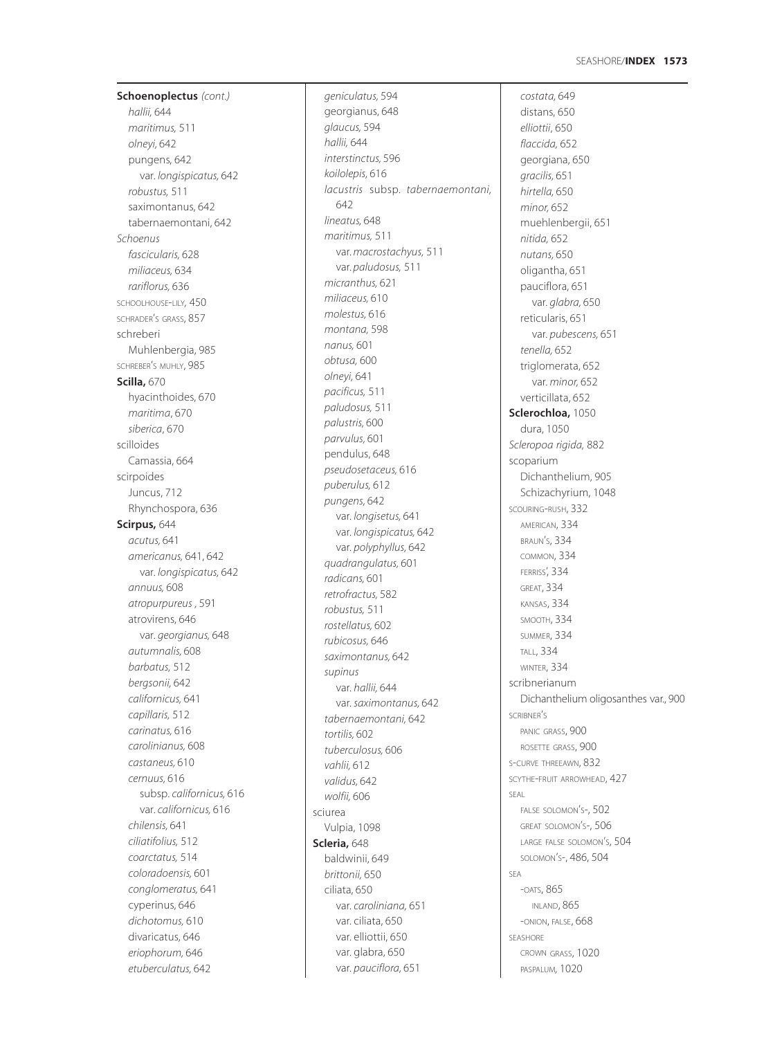# **1573** SEASHORE/**INDEX**

**Schoenoplectus** *(cont.) hallii,* 644 *maritimus,* 511 *olneyi,* 642 pungens, 642 var. *longispicatus,* 642 *robustus,* 511 saximontanus, 642 tabernaemontani, 642 *Schoenus fascicularis,* 628 *miliaceus,* 634 *rariflorus,* 636 SCHOOLHOUSE-LILY*,* 450 SCHRADER'S GRASS, 857 schreberi Muhlenbergia, 985 SCHREBER'S MUHLY, 985 **Scilla,** 670 hyacinthoides, 670 *maritima*, 670 *siberica*, 670 scilloides Camassia, 664 scirpoides Juncus, 712 Rhynchospora, 636 **Scirpus,** 644 *acutus,* 641 *americanus,* 641, 642 var. *longispicatus,* 642 *annuus,* 608 *atropurpureus ,* 591 atrovirens, 646 var. *georgianus,* 648 *autumnalis,* 608 *barbatus,* 512 *bergsonii,* 642 *californicus,* 641 *capillaris,* 512 *carinatus,* 616 *carolinianus,* 608 *castaneus,* 610 *cernuus,* 616 subsp. *californicus,* 616 var. *californicus,* 616 *chilensis,* 641 *ciliatifolius,* 512 *coarctatus,* 514 *coloradoensis,* 601 *conglomeratus,* 641 cyperinus, 646 *dichotomus,* 610 divaricatus, 646 *eriophorum,* 646 *etuberculatus,* 642

*geniculatus,* 594 georgianus, 648 *glaucus,* 594 *hallii,* 644 *interstinctus,* 596 *koilolepis,* 616 *lacustris* subsp. *tabernaemontani,* 642 *lineatus,* 648 *maritimus,* 511 var. *macrostachyus,* 511 var. *paludosus,* 511 *micranthus,* 621 *miliaceus,* 610 *molestus,* 616 *montana,* 598 *nanus,* 601 *obtusa,* 600 *olneyi,* 641 *pacificus,* 511 *paludosus,* 511 *palustris,* 600 *parvulus,* 601 pendulus, 648 *pseudosetaceus,* 616 *puberulus,* 612 *pungens,* 642 var. *longisetus,* 641 var. *longispicatus,* 642 var. *polyphyllus,* 642 *quadrangulatus,* 601 *radicans,* 601 *retrofractus,* 582 *robustus,* 511 *rostellatus,* 602 *rubicosus,* 646 *saximontanus,* 642 *supinus* var. *hallii,* 644 var. *saximontanus,* 642 *tabernaemontani,* 642 *tortilis,* 602 *tuberculosus,* 606 *vahlii,* 612 *validus,* 642 *wolfii,* 606 sciurea Vulpia, 1098 **Scleria,** 648 baldwinii, 649 *brittonii,* 650 ciliata, 650 var. *caroliniana,* 651 var. ciliata, 650 var. elliottii, 650 var. glabra, 650 var. *pauciflora,* 651

*costata,* 649 distans, 650 *elliottii*, 650 *flaccida,* 652 georgiana, 650 *gracilis,* 651 *hirtella,* 650 *minor,* 652 muehlenbergii, 651 *nitida,* 652 *nutans,* 650 oligantha, 651 pauciflora, 651 var. *glabra,* 650 reticularis, 651 var. *pubescens,* 651 *tenella,* 652 triglomerata, 652 var. *minor,* 652 verticillata, 652 **Sclerochloa,** 1050 dura, 1050 *Scleropoa rigida,* 882 scoparium Dichanthelium, 905 Schizachyrium, 1048 SCOURING-RUSH, 332 AMERICAN, 334 BRAUN'S, 334 COMMON, 334 FERRISS', 334 GREAT, 334 KANSAS, 334 SMOOTH, 334 SUMMER, 334 TALL, 334 WINTER, 334 scribnerianum Dichanthelium oligosanthes var., 900 SCRIBNER'S PANIC GRASS, 900 ROSETTE GRASS, 900 S-CURVE THREEAWN, 832 SCYTHE-FRUIT ARROWHEAD, 427 SEAL FALSE SOLOMON'S-, 502 GREAT SOLOMON'S-, 506 LARGE FALSE SOLOMON'S, 504 SOLOMON'S-, 486, 504 SEA -OATS, 865 INLAND, 865 -ONION, FALSE, 668 SEASHORE CROWN GRASS, 1020 PASPALUM*,* 1020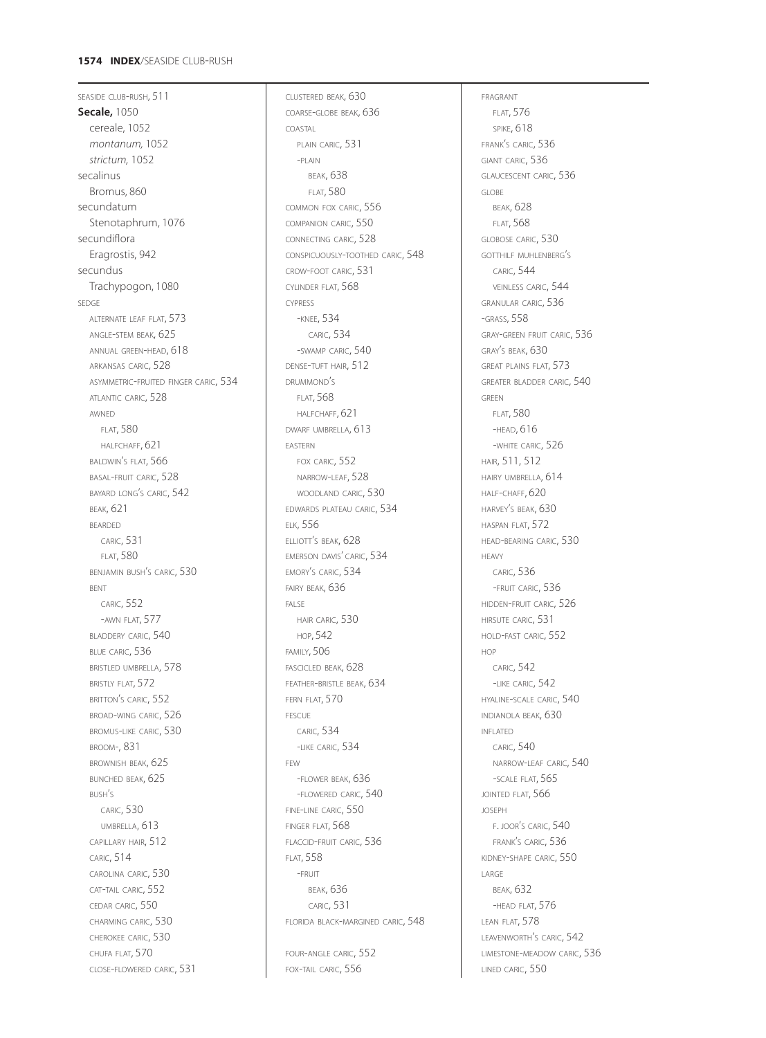# **1574 INDEX**/SEASIDE CLUB-RUSH

SEASIDE CLUB-RUSH, 511 **Secale,** 1050 cereale, 1052 *montanum,* 1052 *strictum,* 1052 secalinus Bromus, 860 secundatum Stenotaphrum, 1076 secundiflora Eragrostis, 942 secundus Trachypogon, 1080 SEDGE ALTERNATE LEAF FLAT, 573 ANGLE-STEM BEAK, 625 ANNUAL GREEN-HEAD, 618 ARKANSAS CARIC, 528 ASYMMETRIC-FRUITED FINGER CARIC, 534 ATLANTIC CARIC, 528 AWNED FLAT, 580 HALFCHAFF, 621 BALDWIN'S FLAT, 566 BASAL-FRUIT CARIC, 528 BAYARD LONG'S CARIC, 542 BEAK, 621 BEARDED CARIC, 531 FLAT, 580 BENJAMIN BUSH'S CARIC, 530 BENT CARIC, 552 -AWN FLAT, 577 BLADDERY CARIC, 540 BLUE CARIC, 536 BRISTLED UMBRELLA, 578 BRISTLY FLAT, 572 BRITTON'S CARIC, 552 BROAD-WING CARIC, 526 BROMUS-LIKE CARIC, 530 BROOM-, 831 BROWNISH BEAK, 625 BUNCHED BEAK, 625 BUSH'S CARIC, 530 UMBRELLA, 613 CAPILLARY HAIR, 512 CARIC, 514 CAROLINA CARIC, 530 CAT-TAIL CARIC, 552 CEDAR CARIC, 550 CHARMING CARIC, 530 CHEROKEE CARIC, 530 CHUFA FLAT, 570 CLOSE-FLOWERED CARIC, 531

CLUSTERED BEAK, 630 COARSE-GLOBE BEAK, 636 COASTAL PLAIN CARIC, 531 -PLAIN BEAK, 638 FLAT, 580 COMMON FOX CARIC, 556 COMPANION CARIC, 550 CONNECTING CARIC, 528 CONSPICUOUSLY-TOOTHED CARIC, 548 CROW-FOOT CARIC, 531 CYLINDER FLAT, 568 CYPRESS -KNEE, 534 CARIC, 534 -SWAMP CARIC, 540 DENSE-TUFT HAIR, 512 DRUMMOND'S FLAT, 568 HALFCHAFF, 621 DWARF UMBRELLA, 613 EASTERN FOX CARIC, 552 NARROW-LEAF, 528 WOODLAND CARIC, 530 EDWARDS PLATEAU CARIC, 534 ELK, 556 ELLIOTT'S BEAK, 628 EMERSON DAVIS' CARIC, 534 EMORY'S CARIC, 534 FAIRY BEAK, 636 FALSE HAIR CARIC, 530 HOP, 542 FAMILY, 506 FASCICLED BEAK, 628 FEATHER-BRISTLE BEAK, 634 FERN FLAT, 570 FESCUE CARIC, 534 -LIKE CARIC, 534 FEW -FLOWER BEAK, 636 -FLOWERED CARIC, 540 FINE-LINE CARIC, 550 FINGER FLAT, 568 FLACCID-FRUIT CARIC, 536 FLAT, 558 -FRUIT BEAK, 636 CARIC, 531 FLORIDA BLACK-MARGINED CARIC, 548 FOUR-ANGLE CARIC, 552 FOX-TAIL CARIC, 556

FRAGRANT FLAT, 576 SPIKE, 618 FRANK'S CARIC, 536 GIANT CARIC, 536 GLAUCESCENT CARIC, 536 GLOBE BEAK, 628 FLAT, 568 GLOBOSE CARIC, 530 GOTTHILF MUHLENBERG'S CARIC, 544 VEINLESS CARIC, 544 GRANULAR CARIC, 536 -GRASS, 558 GRAY-GREEN FRUIT CARIC, 536 GRAY'S BEAK, 630 GREAT PLAINS FLAT, 573 GREATER BLADDER CARIC, 540 GREEN FLAT, 580 -HEAD, 616 -WHITE CARIC, 526 HAIR, 511, 512 HAIRY UMBRELLA, 614 HALF-CHAFF, 620 HARVEY'S BEAK, 630 HASPAN FLAT, 572 HEAD-BEARING CARIC, 530 HEAVY CARIC, 536 -FRUIT CARIC, 536 HIDDEN-FRUIT CARIC, 526 HIRSUTE CARIC, 531 HOLD-FAST CARIC, 552 HOP CARIC, 542 -LIKE CARIC, 542 HYALINE-SCALE CARIC, 540 INDIANOLA BEAK, 630 INFLATED CARIC, 540 NARROW-LEAF CARIC, 540 -SCALE FLAT, 565 JOINTED FLAT, 566 JOSEPH F. JOOR'S CARIC, 540 FRANK'S CARIC, 536 KIDNEY-SHAPE CARIC, 550 LARGE BEAK, 632 -HEAD FLAT, 576 LEAN FLAT, 578 LEAVENWORTH'S CARIC, 542 LIMESTONE-MEADOW CARIC, 536 LINED CARIC, 550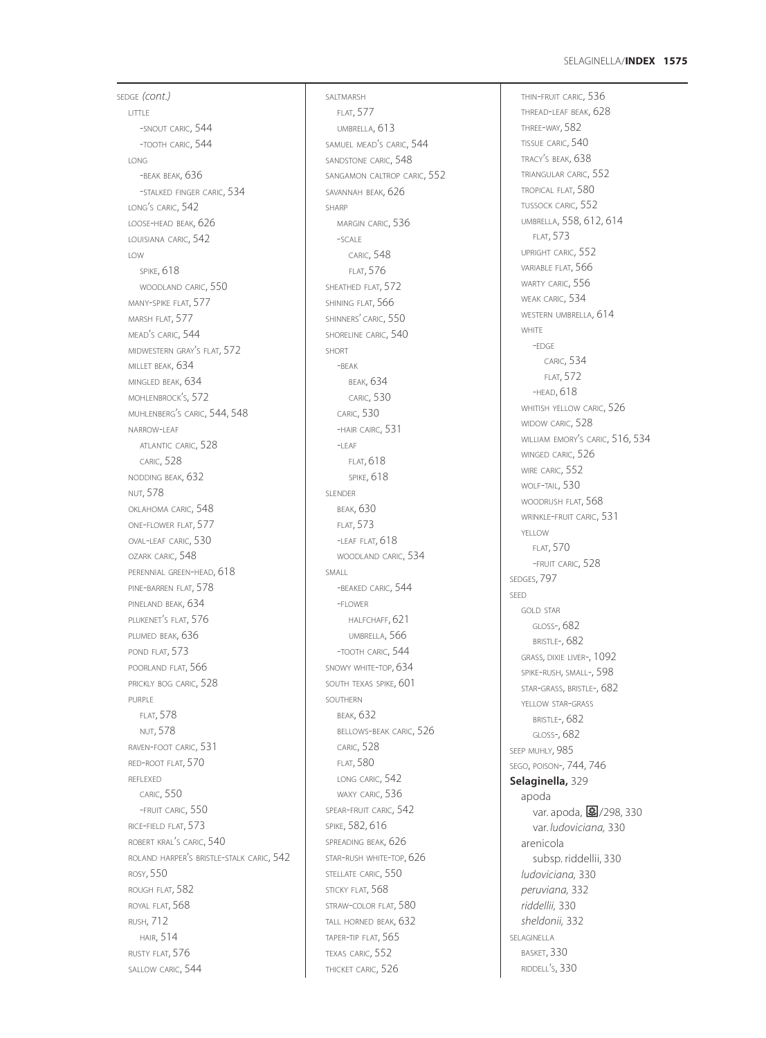## **1575** SELAGINELLA/**INDEX**

SEDGE *(cont.)* LITTLE -SNOUT CARIC, 544 -TOOTH CARIC, 544 LONG -BEAK BEAK, 636 -STALKED FINGER CARIC, 534 LONG'S CARIC, 542 LOOSE-HEAD BEAK, 626 LOUISIANA CARIC, 542 LOW SPIKE, 618 WOODLAND CARIC, 550 MANY-SPIKE FLAT, 577 MARSH FLAT, 577 MEAD'S CARIC, 544 MIDWESTERN GRAY'S FLAT, 572 MILLET BEAK, 634 MINGLED BEAK, 634 MOHLENBROCK'S, 572 MUHLENBERG'S CARIC, 544, 548 NARROW-LEAF ATLANTIC CARIC, 528 CARIC, 528 NODDING BEAK, 632 NUT, 578 OKLAHOMA CARIC, 548 ONE-FLOWER FLAT, 577 OVAL-LEAF CARIC, 530 OZARK CARIC, 548 PERENNIAL GREEN-HEAD, 618 PINE-BARREN FLAT, 578 PINELAND BEAK, 634 PLUKENET'S FLAT, 576 PLUMED BEAK, 636 POND FLAT, 573 POORLAND FLAT, 566 PRICKLY BOG CARIC, 528 PURPLE FLAT, 578 NUT, 578 RAVEN-FOOT CARIC, 531 RED-ROOT FLAT, 570 REFLEXED CARIC, 550 -FRUIT CARIC, 550 RICE-FIELD FLAT, 573 ROBERT KRAL'S CARIC, 540 ROLAND HARPER'S BRISTLE-STALK CARIC, 542 ROSY, 550 ROUGH FLAT, 582 ROYAL FLAT, 568 RUSH, 712 HAIR, 514 RUSTY FLAT, 576 SALLOW CARIC, 544

SALTMARSH FLAT, 577 UMBRELLA, 613 SAMUEL MEAD'S CARIC, 544 SANDSTONE CARIC, 548 SANGAMON CALTROP CARIC, 552 SAVANNAH BEAK, 626 SHARP MARGIN CARIC, 536 -SCALE CARIC, 548 FLAT, 576 SHEATHED FLAT, 572 SHINING FLAT, 566 SHINNERS' CARIC, 550 SHORELINE CARIC, 540 SHORT  $-RFAK$ BEAK, 634 CARIC, 530 CARIC, 530 -HAIR CAIRC, 531  $-$ LEAF FLAT, 618 SPIKE, 618 SLENDER BEAK, 630 FLAT, 573 -LEAF FLAT, 618 WOODLAND CARIC, 534 SMALL -BEAKED CARIC, 544 -FLOWER HALFCHAFF, 621 UMBRELLA, 566 -TOOTH CARIC, 544 SNOWY WHITE-TOP, 634 SOUTH TEXAS SPIKE, 601 SOUTHERN BEAK, 632 BELLOWS-BEAK CARIC, 526 CARIC, 528 FLAT, 580 LONG CARIC, 542 WAXY CARIC, 536 SPEAR-FRUIT CARIC, 542 SPIKE, 582, 616 SPREADING BEAK, 626 STAR-RUSH WHITE-TOP, 626 STELLATE CARIC, 550 STICKY FLAT, 568 STRAW-COLOR FLAT, 580 TALL HORNED BEAK, 632 TAPER-TIP FLAT, 565 TEXAS CARIC, 552 THICKET CARIC, 526

THIN-FRUIT CARIC, 536 THREAD-LEAF BEAK, 628 THREE-WAY, 582 TISSUE CARIC, 540 TRACY'S BEAK, 638 TRIANGULAR CARIC, 552 TROPICAL FLAT, 580 TUSSOCK CARIC, 552 UMBRELLA, 558, 612, 614 FLAT, 573 UPRIGHT CARIC, 552 VARIABLE FLAT, 566 WARTY CARIC, 556 WEAK CARIC, 534 WESTERN UMBRELLA, 614 WHITE -EDGE CARIC, 534 FLAT, 572 -HEAD, 618 WHITISH YELLOW CARIC, 526 WIDOW CARIC, 528 WILLIAM EMORY'S CARIC, 516, 534 WINGED CARIC, 526 WIRE CARIC, 552 WOLF-TAIL, 530 WOODRUSH FLAT, 568 WRINKLE-FRUIT CARIC, 531 YELLOW FLAT, 570 -FRUIT CARIC, 528 SEDGES, 797 SEED GOLD STAR GLOSS-, 682 **BRISTLE-, 682** GRASS*,* DIXIE LIVER-, 1092 SPIKE-RUSH, SMALL-, 598 STAR-GRASS, BRISTLE-, 682 YELLOW STAR-GRASS BRISTLE-, 682 GLOSS-, 682 SEEP MUHLY, 985 SEGO, POISON-, 744, 746 **Selaginella,** 329 apoda var. apoda, 37/298, 330 var. *ludoviciana,* 330 arenicola subsp. riddellii, 330 *ludoviciana,* 330 *peruviana,* 332 *riddellii,* 330 *sheldonii,* 332 SELAGINELLA BASKET, 330 RIDDELL'S, 330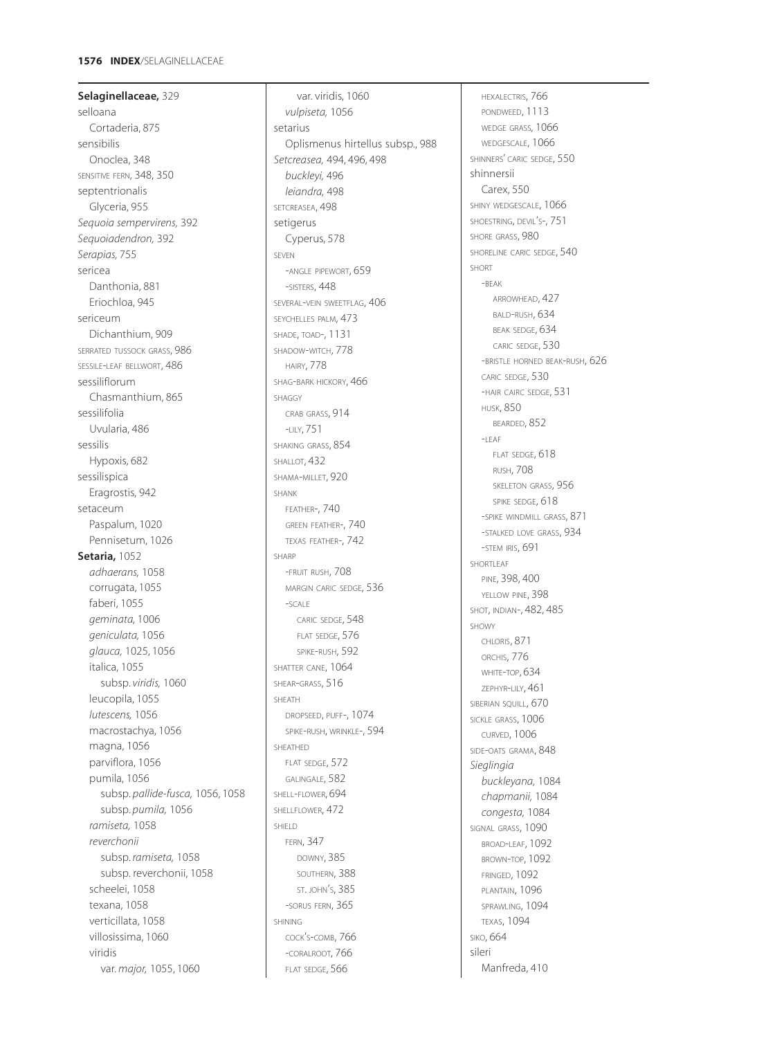### **1576 INDEX**/SELAGINELLACEAE

**Selaginellaceae,** 329 selloana Cortaderia, 875 sensibilis Onoclea, 348 SENSITIVE FERN, 348, 350 septentrionalis Glyceria, 955 *Sequoia sempervirens,* 392 *Sequoiadendron,* 392 *Serapias,* 755 sericea Danthonia, 881 Eriochloa, 945 sericeum Dichanthium, 909 SERRATED TUSSOCK GRASS, 986 SESSILE-LEAF BELLWORT, 486 sessiliflorum Chasmanthium, 865 sessilifolia Uvularia, 486 sessilis Hypoxis, 682 sessilispica Eragrostis, 942 setaceum Paspalum, 1020 Pennisetum, 1026 **Setaria,** 1052 *adhaerans,* 1058 corrugata, 1055 faberi, 1055 *geminata,* 1006 *geniculata,* 1056 *glauca,* 1025, 1056 italica, 1055 subsp. *viridis,* 1060 leucopila, 1055 *lutescens,* 1056 macrostachya, 1056 magna, 1056 parviflora, 1056 pumila, 1056 subsp. *pallide-fusca,* 1056, 1058 subsp. *pumila,* 1056 *ramiseta,* 1058 *reverchonii* subsp. *ramiseta,* 1058 subsp. reverchonii, 1058 scheelei, 1058 texana, 1058 verticillata, 1058 villosissima, 1060 viridis var. *major,* 1055, 1060

var. viridis, 1060 *vulpiseta,* 1056 setarius Oplismenus hirtellus subsp., 988 *Setcreasea,* 494, 496, 498 *buckleyi,* 496 *leiandra,* 498 SETCREASEA, 498 setigerus Cyperus, 578 SEVEN -ANGLE PIPEWORT, 659 -SISTERS, 448 SEVERAL-VEIN SWEETFLAG, 406 SEYCHELLES PALM, 473 SHADE, TOAD-, 1131 SHADOW-WITCH, 778 HAIRY, 778 SHAG-BARK HICKORY, 466 SHAGGY CRAB GRASS, 914 -LILY, 751 SHAKING GRASS, 854 SHALLOT, 432 SHAMA-MILLET, 920 SHANK FEATHER-, 740 GREEN FEATHER-, 740 TEXAS FEATHER-, 742 SHARP -FRUIT RUSH, 708 MARGIN CARIC SEDGE, 536  $-SCAIF$ CARIC SEDGE, 548 FLAT SEDGE, 576 SPIKE-RUSH, 592 SHATTER CANE, 1064 SHEAR-GRASS, 516 SHEATH DROPSEED, PUFF-, 1074 SPIKE-RUSH, WRINKLE-, 594 SHEATHED FLAT SEDGE, 572 GALINGALE, 582 SHELL-FLOWER, 694 SHELLFLOWER, 472 SHIELD FERN, 347 DOWNY, 385 SOUTHERN, 388 ST. JOHN'S, 385 -SORUS FERN, 365 SHINING COCK'S-COMB, 766 -CORALROOT, 766 FLAT SEDGE, 566

HEXALECTRIS, 766 PONDWEED, 1113 WEDGE GRASS*,* 1066 WEDGESCALE, 1066 SHINNERS' CARIC SEDGE, 550 shinnersii Carex, 550 SHINY WEDGESCALE, 1066 SHOESTRING, DEVIL'S-, 751 SHORE GRASS, 980 SHORELINE CARIC SEDGE, 540 SHORT -BEAK ARROWHEAD, 427 BALD-RUSH, 634 BEAK SEDGE, 634 CARIC SEDGE, 530 -BRISTLE HORNED BEAK-RUSH, 626 CARIC SEDGE, 530 -HAIR CAIRC SEDGE, 531 HUSK, 850 BEARDED, 852  $-I$  FAF FLAT SEDGE, 618 RUSH, 708 SKELETON GRASS, 956 SPIKE SEDGE, 618 -SPIKE WINDMILL GRASS, 871 -STALKED LOVE GRASS, 934 -STEM IRIS, 691 SHORTLEAF PINE, 398, 400 YELLOW PINE, 398 SHOT, INDIAN-, 482, 485 SHOWY CHLORIS, 871 ORCHIS, 776 WHITE-TOP, 634 ZEPHYR-LILY, 461 SIBERIAN SQUILL, 670 SICKLE GRASS, 1006 CURVED, 1006 SIDE-OATS GRAMA, 848 *Sieglingia buckleyana,* 1084 *chapmanii,* 1084 *congesta,* 1084 SIGNAL GRASS, 1090 BROAD-LEAF, 1092 BROWN-TOP, 1092 FRINGED, 1092 PLANTAIN, 1096 SPRAWLING, 1094 TEXAS, 1094 SIKO, 664 sileri Manfreda, 410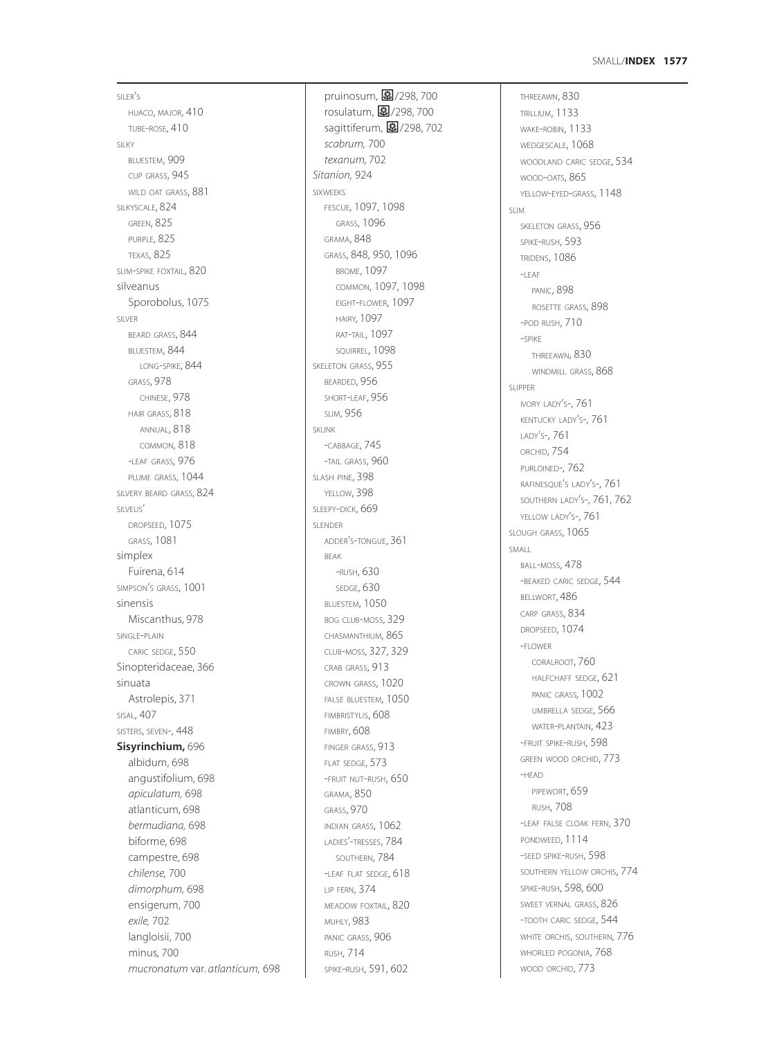SILER'S HUACO, MAJOR, 410 TUBE-ROSE, 410 SILKY BLUESTEM, 909 CUP GRASS, 945 WILD OAT GRASS, 881 SILKYSCALE, 824 GREEN, 825 PURPLE, 825 TEXAS, 825 SLIM-SPIKE FOXTAIL, 820 silveanus Sporobolus, 1075 SILVER BEARD GRASS, 844 BLUESTEM, 844 LONG-SPIKE, 844 GRASS, 978 CHINESE, 978 HAIR GRASS, 818 ANNUAL, 818 COMMON, 818 -LEAF GRASS, 976 PLUME GRASS, 1044 SILVERY BEARD GRASS, 824 SILVEUS' DROPSEED, 1075 GRASS, 1081 simplex Fuirena, 614 SIMPSON'S GRASS, 1001 sinensis Miscanthus, 978 SINGLE-PLAIN CARIC SEDGE, 550 Sinopteridaceae, 366 sinuata Astrolepis, 371 SISAL, 407 SISTERS, SEVEN-, 448 **Sisyrinchium,** 696 albidum, 698 angustifolium, 698 *apiculatum,* 698 atlanticum, 698 *bermudiana,* 698 biforme, 698 campestre, 698 *chilense,* 700 *dimorphum,* 698 ensigerum, 700 *exile,* 702 langloisii, 700 minus, 700 *mucronatum* var*. atlanticum,* 698

pruinosum, 图/298, 700 rosulatum, 27/298, 700 sagittiferum, 图/298, 702 *scabrum,* 700 *texanum,* 702 *Sitanion,* 924 SIXWEEKS FESCUE, 1097, 1098 GRASS, 1096 GRAMA, 848 GRASS, 848, 950, 1096 BROME, 1097 COMMON, 1097, 1098 EIGHT-FLOWER, 1097 HAIRY*,* 1097 RAT-TAIL, 1097 SQUIRREL, 1098 SKELETON GRASS, 955 BEARDED, 956 SHORT-LEAF, 956 SLIM, 956 SKUNK -CABBAGE, 745 -TAIL GRASS, 960 SLASH PINE, 398 YELLOW, 398 SLEEPY-DICK, 669 SLENDER ADDER'S-TONGUE, 361 BEAK -RUSH, 630 SEDGE, 630 BLUESTEM, 1050 BOG CLUB-MOSS, 329 CHASMANTHIUM, 865 CLUB-MOSS, 327, 329 CRAB GRASS, 913 CROWN GRASS, 1020 FALSE BLUESTEM, 1050 FIMBRISTYLIS, 608 FIMBRY, 608 FINGER GRASS, 913 FLAT SEDGE, 573 -FRUIT NUT-RUSH, 650 GRAMA, 850 GRASS, 970 INDIAN GRASS, 1062 LADIES'-TRESSES, 784 SOUTHERN, 784 -LEAF FLAT SEDGE, 618 LIP FERN, 374 MEADOW FOXTAIL, 820 MUHLY, 983 PANIC GRASS, 906 RUSH, 714 SPIKE-RUSH, 591, 602

THREEAWN, 830 TRILLIUM, 1133 WAKE-ROBIN, 1133 WEDGESCALE, 1068 WOODLAND CARIC SEDGE, 534 WOOD-OATS, 865 YELLOW-EYED-GRASS, 1148 SLIM SKELETON GRASS, 956 SPIKE-RUSH, 593 TRIDENS, 1086  $-I$  FAF PANIC, 898 ROSETTE GRASS, 898 -POD RUSH, 710 -SPIKE THREEAWN, 830 WINDMILL GRASS, 868 SLIPPER IVORY LADY'S-, 761 KENTUCKY LADY'S-, 761 LADY'S-, 761 ORCHID, 754 PURLOINED-, 762 RAFINESQUE'S LADY'S-, 761 SOUTHERN LADY'S-, 761, 762 YELLOW LADY'S-, 761 SLOUGH GRASS, 1065 SMALL BALL-MOSS, 478 -BEAKED CARIC SEDGE, 544 BELLWORT, 486 CARP GRASS, 834 DROPSEED, 1074 -FLOWER CORALROOT, 760 HALFCHAFF SEDGE, 621 PANIC GRASS*,* 1002 UMBRELLA SEDGE, 566 WATER-PLANTAIN, 423 -FRUIT SPIKE-RUSH, 598 GREEN WOOD ORCHID, 773 -HEAD PIPEWORT, 659 RUSH, 708 -LEAF FALSE CLOAK FERN, 370 PONDWEED, 1114 -SEED SPIKE-RUSH, 598 SOUTHERN YELLOW ORCHIS, 774 SPIKE-RUSH, 598, 600 SWEET VERNAL GRASS, 826 -TOOTH CARIC SEDGE, 544 WHITE ORCHIS, SOUTHERN, 776 WHORLED POGONIA, 768 WOOD ORCHID, 773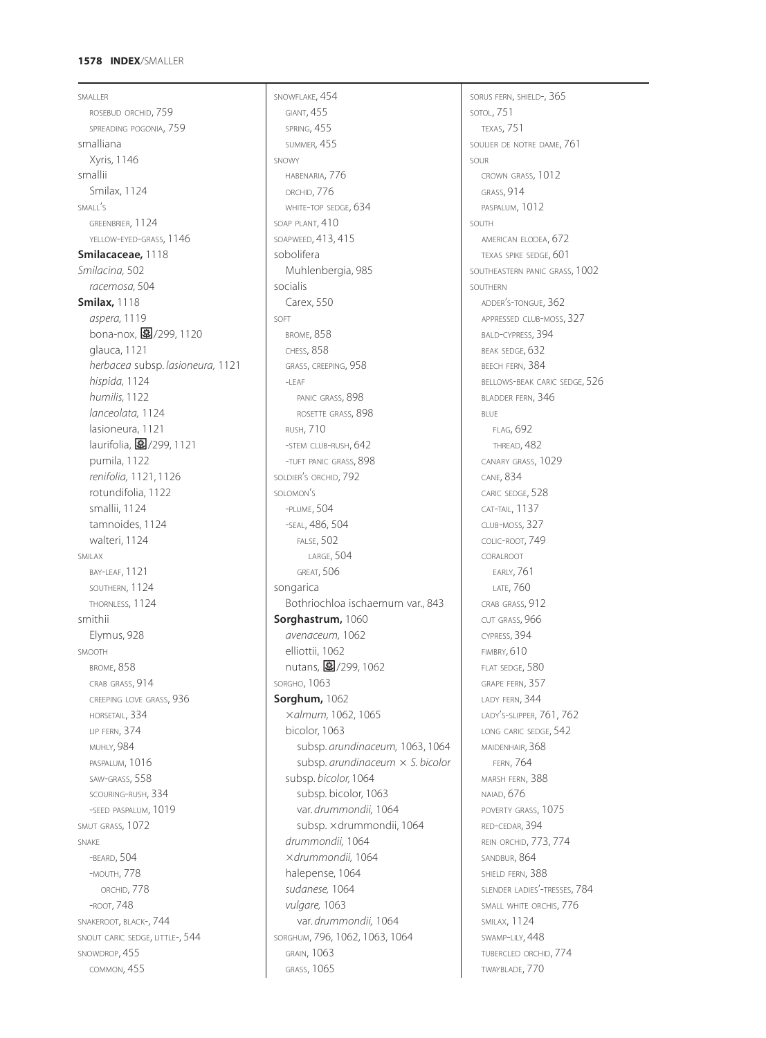# **1578 INDEX**/SMALLER

SMALLER ROSEBUD ORCHID, 759 SPREADING POGONIA, 759 smalliana Xyris, 1146 smallii Smilax, 1124 SMALL'S GREENBRIER, 1124 YELLOW-EYED-GRASS, 1146 **Smilacaceae,** 1118 *Smilacina,* 502 *racemosa,* 504 **Smilax,** 1118 *aspera,* 1119 bona-nox, 图/299, 1120 glauca, 1121 *herbacea* subsp. *lasioneura,* 1121 *hispida,* 1124 *humilis,* 1122 *lanceolata,* 1124 lasioneura, 1121 laurifolia, 27/299, 1121 pumila, 1122 *renifolia,* 1121, 1126 rotundifolia, 1122 smallii, 1124 tamnoides, 1124 walteri, 1124 SMILAX BAY-LEAF, 1121 SOUTHERN, 1124 THORNLESS, 1124 smithii Elymus, 928 SMOOTH BROME, 858 CRAB GRASS, 914 CREEPING LOVE GRASS, 936 HORSETAIL, 334 LIP FERN, 374 MUHLY, 984 PASPALUM, 1016 SAW-GRASS, 558 SCOURING-RUSH, 334 -SEED PASPALUM, 1019 SMUT GRASS, 1072 SNAKE -BEARD, 504 -MOUTH, 778 ORCHID, 778 -ROOT, 748 SNAKEROOT, BLACK-, 744 SNOUT CARIC SEDGE, LITTLE-, 544 SNOWDROP, 455 COMMON, 455

SNOWFLAKE, 454 GIANT, 455 SPRING, 455 SUMMER, 455 SNOWY HABENARIA, 776 ORCHID, 776 WHITE-TOP SEDGE, 634 SOAP PLANT,  $410$ SOAPWEED, 413, 415 sobolifera Muhlenbergia, 985 socialis Carex, 550 SOFT BROME, 858 CHESS, 858 GRASS, CREEPING, 958  $-$ LEAF PANIC GRASS, 898 ROSETTE GRASS, 898 RUSH, 710 -STEM CLUB-RUSH, 642 -TUFT PANIC GRASS, 898 SOLDIER'S ORCHID, 792 SOLOMON'S -PLUME, 504 -SEAL, 486, 504 FALSE, 502 LARGE, 504 GREAT, 506 songarica Bothriochloa ischaemum var., 843 **Sorghastrum,** 1060 *avenaceum,* 1062 elliottii, 1062 nutans, 27/299, 1062 SORGHO, 1063 **Sorghum,** 1062 *almum,* 1062, 1065 bicolor, 1063 subsp. *arundinaceum,* 1063, 1064 subsp. *arundinaceum S. bicolor* subsp. *bicolor,* 1064 subsp. bicolor, 1063 var. *drummondii,* 1064 subsp. × drummondii, 1064 *drummondii,* 1064 *drummondii,* 1064 halepense, 1064 *sudanese,* 1064 *vulgare,* 1063 var. *drummondii,* 1064 SORGHUM, 796, 1062, 1063, 1064 GRAIN, 1063 GRASS, 1065

SORUS FERN, SHIELD-, 365 SOTOL, 751 TEXAS, 751 SOULIER DE NOTRE DAME, 761 SOUR CROWN GRASS, 1012 GRASS, 914 PASPALUM, 1012 SOUTH AMERICAN ELODEA, 672 TEXAS SPIKE SEDGE, 601 SOUTHEASTERN PANIC GRASS, 1002 SOUTHERN ADDER'S-TONGUE, 362 APPRESSED CLUB-MOSS, 327 BALD-CYPRESS, 394 BEAK SEDGE, 632 BEECH FERN, 384 BELLOWS-BEAK CARIC SEDGE, 526 BLADDER FERN, 346 BLUE FLAG, 692 THREAD, 482 CANARY GRASS, 1029 CANE, 834 CARIC SEDGE, 528 CAT-TAIL, 1137 CLUB-MOSS, 327 COLIC-ROOT, 749 CORALROOT EARLY, 761 LATE, 760 CRAB GRASS, 912 CUT GRASS, 966 CYPRESS, 394 FIMBRY, 610 FLAT SEDGE, 580 GRAPE FERN, 357 LADY FERN, 344 LADY'S-SLIPPER, 761, 762 LONG CARIC SEDGE, 542 MAIDENHAIR, 368 FERN, 764 MARSH FERN, 388 NAIAD, 676 POVERTY GRASS, 1075 RED-CEDAR, 394 REIN ORCHID, 773, 774 SANDBUR, 864 SHIELD FERN, 388 SLENDER LADIES'-TRESSES, 784 SMALL WHITE ORCHIS, 776 SMILAX, 1124 SWAMP-LILY, 448 TUBERCLED ORCHID, 774 TWAYBLADE, 770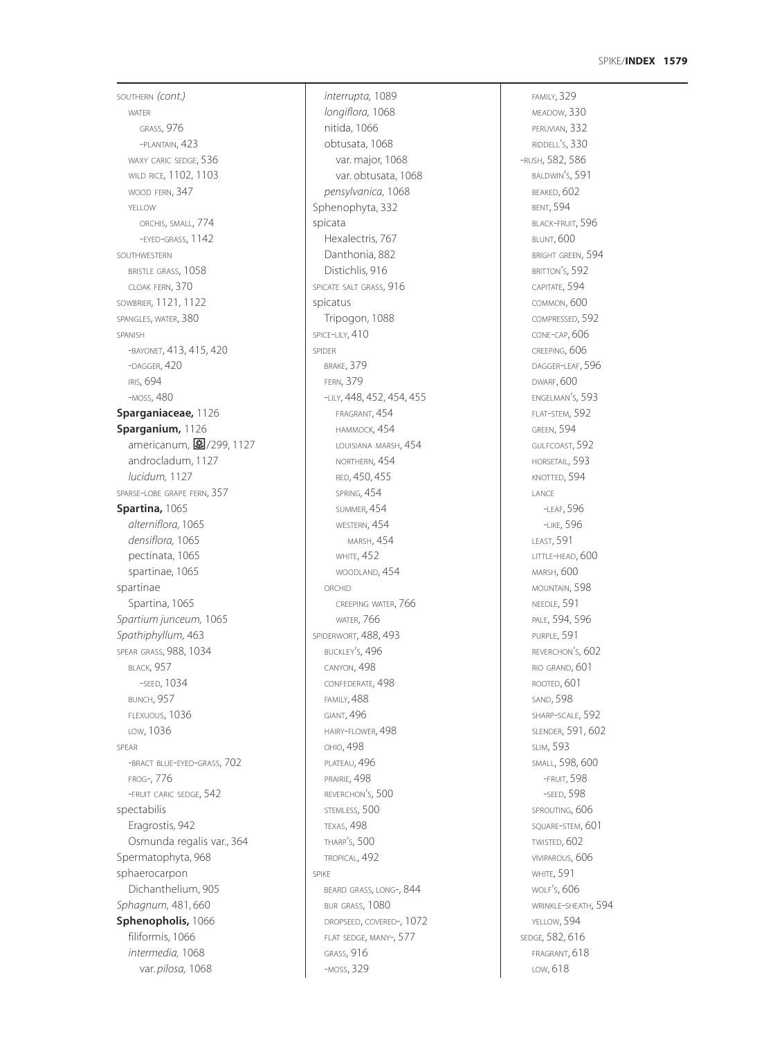# **1579** SPIKE/**INDEX**

SOUTHERN *(cont.)* WATER GRASS, 976 -PLANTAIN, 423 WAXY CARIC SEDGE, 536 WILD RICE, 1102, 1103 WOOD FERN, 347 YELLOW ORCHIS, SMALL, 774 -EYED-GRASS, 1142 SOUTHWESTERN BRISTLE GRASS, 1058 CLOAK FERN, 370 SOWBRIER, 1121, 1122 SPANGLES, WATER, 380 SPANISH -BAYONET, 413, 415, 420 -DAGGER, 420 IRIS, 694 -MOSS, 480 **Sparganiaceae,** 1126 **Sparganium,** 1126 americanum, 图/299, 1127 androcladum, 1127 *lucidum,* 1127 SPARSE-LOBE GRAPE FERN, 357 **Spartina,** 1065 *alterniflora,* 1065 *densiflora,* 1065 pectinata, 1065 spartinae, 1065 spartinae Spartina, 1065 *Spartium junceum,* 1065 *Spathiphyllum,* 463 SPEAR GRASS, 988, 1034 BLACK, 957 -SEED, 1034 BUNCH, 957 FLEXUOUS, 1036 LOW, 1036 SPEAR -BRACT BLUE-EYED-GRASS, 702 FROG-, 776 -FRUIT CARIC SEDGE, 542 spectabilis Eragrostis, 942 Osmunda regalis var., 364 Spermatophyta, 968 sphaerocarpon Dichanthelium, 905 *Sphagnum,* 481, 660 **Sphenopholis,** 1066 filiformis, 1066 *intermedia,* 1068 var. *pilosa,* 1068

*interrupta,* 1089 *longiflora,* 1068 nitida, 1066 obtusata, 1068 var. major, 1068 var. obtusata, 1068 *pensylvanica,* 1068 Sphenophyta, 332 spicata Hexalectris, 767 Danthonia, 882 Distichlis, 916 SPICATE SALT GRASS, 916 spicatus Tripogon, 1088 SPICE-LILY, 410 SPIDER BRAKE, 379 FERN, 379 -LILY, 448, 452, 454, 455 FRAGRANT, 454 HAMMOCK, 454 LOUISIANA MARSH, 454 NORTHERN, 454 RED, 450, 455 SPRING, 454 SUMMER, 454 WESTERN, 454 MARSH, 454 WHITE, 452 WOODLAND, 454 ORCHID CREEPING WATER, 766 WATER, 766 SPIDERWORT, 488, 493 BUCKLEY'S, 496 CANYON, 498 CONFEDERATE, 498 FAMILY, 488 GIANT, 496 HAIRY-FLOWER, 498 OHIO, 498 PLATEAU, 496 PRAIRIE, 498 REVERCHON'S, 500 STEMLESS, 500 TEXAS, 498 THARP'S, 500 TROPICAL, 492 SPIKE BEARD GRASS, LONG-, 844 BUR GRASS, 1080 DROPSEED, COVERED-, 1072 FLAT SEDGE, MANY-, 577 GRASS, 916 -MOSS, 329

FAMILY, 329 MEADOW, 330 PERUVIAN, 332 RIDDELL'S, 330 -RUSH, 582, 586 BALDWIN'S, 591 BEAKED, 602 BENT, 594 BLACK-FRUIT, 596 BLUNT, 600 BRIGHT GREEN, 594 BRITTON'S, 592 CAPITATE, 594 COMMON, 600 COMPRESSED, 592 CONE-CAP, 606 CREEPING, 606 DAGGER-LEAF, 596 DWARF, 600 ENGELMAN'S, 593 FLAT-STEM, 592 GREEN, 594 GULFCOAST, 592 HORSETAIL, 593 KNOTTED, 594 LANCE -LEAF, 596 -LIKE, 596 LEAST, 591 LITTLE-HEAD, 600 MARSH, 600 MOUNTAIN, 598 NEEDLE, 591 PALE, 594, 596 PURPLE, 591 REVERCHON'S, 602 RIO GRAND, 601 ROOTED, 601 SAND, 598 SHARP-SCALE, 592 SLENDER, 591, 602 SLIM, 593 SMALL, 598, 600 -FRUIT, 598 -SEED, 598 SPROUTING, 606 SQUARE-STEM, 601 TWISTED, 602 VIVIPAROUS, 606 WHITE, 591 WOLF'S, 606 WRINKLE-SHEATH, 594 YELLOW, 594 SEDGE*,* 582, 616 FRAGRANT, 618 LOW, 618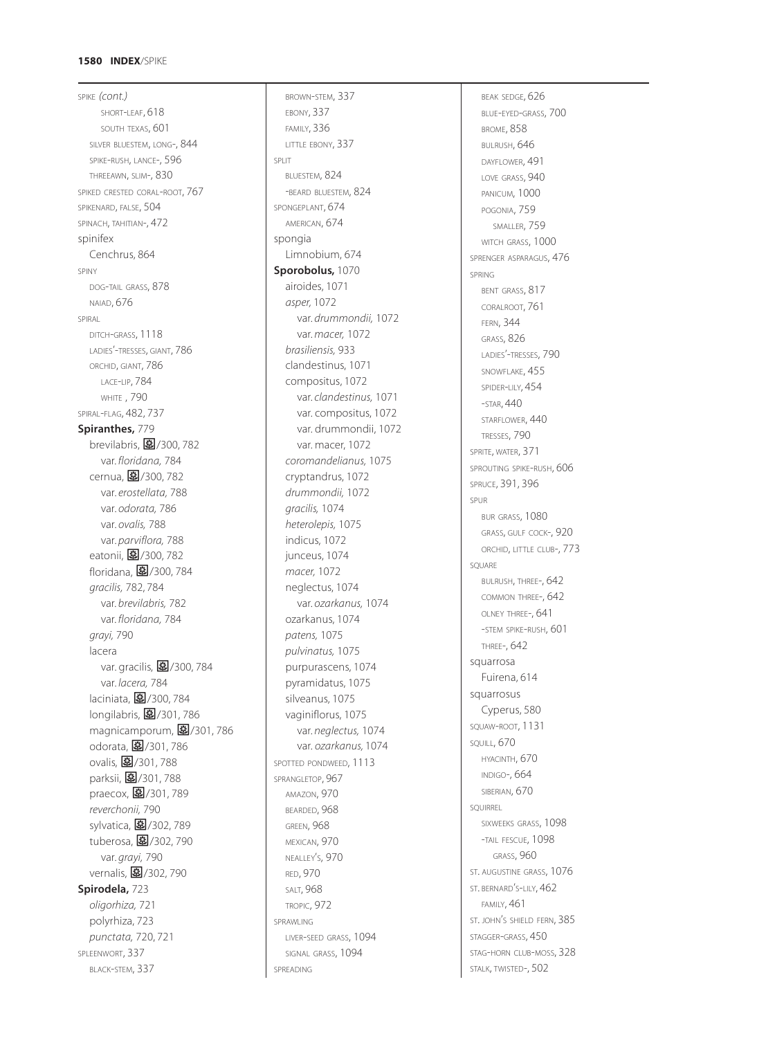# **1580 INDEX** /SPIKE

SPIKE *(cont.)* SHORT -LEAF, 618 SOUTH TEXAS, 601 SILVER BLUESTEM, LONG-, 844 SPIKE -RUSH, LANCE-, 596 THREEAWN, SLIM-, 830 SPIKED CRESTED CORAL-ROOT, 767 SPIKENARD, FALSE, 504 SPINACH, TAHITIAN-, 472 spinifex Cenchrus, 864 SPINY DOG -TAIL GRASS, 878 NAIAD, 676 SPIRAL DITCH -GRASS, 1118 LADIES'-TRESSES, GIANT, 786 ORCHID, GIANT, 786 LACE -LIP, 784 WHITE , 790 SPIRAL -FLAG, 482, 737 **Spiranthes,** 779 brevilabris, <mark>国</mark>/300, 782 var. *floridana,* 784 cernua, <mark>国</mark>/300, 782 var. *erostellata,* 788 var. *odorata,* 786 var. *ovalis,* 788 var. *parviflora,* 788 eatonii, **图**/300, 782 floridana, <mark>国</mark>/300, 784 *gracilis,* 782, 784 var. *brevilabris,* 782 var. *floridana,* 784 *grayi,* 790 lacera var. gracilis, m/300, 784 var. *lacera,* 784 laciniata, **图**/300, 784 longilabris, 27/301, 786 magnicamporum, **图**/301, 786 odorata, <mark>0</mark>/301, 786 ovalis, 27301, 788 parksii, **图**/301, 788 .<br>praecox, **皨**/301, 789 *reverchonii,* 790 sylvatica, **图**/302, 789 .<br>tuberosa, <mark>国</mark>/302, 790 var. *grayi,* 790 vernalis, 302,790 **Spirodela,** 723 *oligorhiza,* 721 polyrhiza, 723 *punctata,* 720, 721 SPLEENWORT, 337 BLACK -STEM, 337

BROWN -STEM, 337 EBONY, 337 FAMILY, 336 LITTLE EBONY, 337 SPLIT BLUESTEM, 824 -BEARD BLUESTEM, 824 SPONGEPLANT, 674 AMERICAN, 674 spongia Limnobium, 674 **Sporobolus,** 1070 airoides, 1071 *asper,* 1072 var. *drummondii,* 1072 var. *macer,* 1072 *brasiliensis,* 933 clandestinus, 1071 compositus, 1072 var. *clandestinus,* 1071 var. compositus, 1072 var. drummondii, 1072 var. macer, 1072 *coromandelianus,* 1075 cryptandrus, 1072 *drummondii,* 1072 *gracilis,* 1074 *heterolepis,* 1075 indicus, 1072 junceus, 1074 *macer,* 1072 neglectus, 1074 var. *ozarkanus,* 1074 ozarkanus, 1074 *patens,* 1075 *pulvinatus,* 1075 purpurascens, 1074 pyramidatus, 1075 silveanus, 1075 vaginiflorus, 1075 var. *neglectus,* 1074 var. *ozarkanus,* 1074 SPOTTED PONDWEED, 1113 SPRANGLETOP, 967 AMAZON, 970 BEARDED, 968 GREEN, 968 MEXICAN, 970 NEALLEY S, 970 ' RED, 970 SALT, 968 TROPIC, 972 SPRAWLING LIVER -SEED GRASS, 1094 SIGNAL GRASS, 1094 SPREADING

BEAK SEDGE, 626 BLUE -EYED -GRASS, 700 BROME, 858 BULRUSH, 646 DAYFLOWER, 491 LOVE GRASS, 940 PANICUM, 1000 POGONIA, 759 SMALLER, 759 WITCH GRASS, 1000 SPRENGER ASPARAGUS, 476 SPRING BENT GRASS, 817 CORALROOT, 761 FERN, 344 GRASS, 826 LADIES'-TRESSES, 790 SNOWFLAKE, 455 SPIDER -LILY, 454 -STAR, 440 STARFLOWER, 440 TRESSES, 790 SPRITE, WATER, 371 SPROUTING SPIKE-RUSH, 606 SPRUCE, 391, 396 SPUR BUR GRASS, 1080 GRASS, GULF COCK-, 920 ORCHID, LITTLE CLUB-, 773 SQUARE BULRUSH, THREE-, 642 COMMON THREE-, 642 OLNEY THREE-, 641 -STEM SPIKE-RUSH, 601 THREE-, 642 squarrosa Fuirena, 614 squarrosus Cyperus, 580 SQUAW -ROOT, 1131 SQUILL, 670 HYACINTH, 670 INDIGO-, 664 SIBERIAN, 670 SQUIRREL SIXWEEKS GRASS, 1098 -TAIL FESCUE, 1098 GRASS, 960 ST. AUGUSTINE GRASS, 1076 ST. BERNARD'S-LILY, 462 ' FAMILY, 461 ST. JOHN <sup>S</sup> SHIELD FERN, 385 ' STAGGER -GRASS, 450 STAG -HORN CLUB -MOSS, 328 STALK, TWISTED-, 502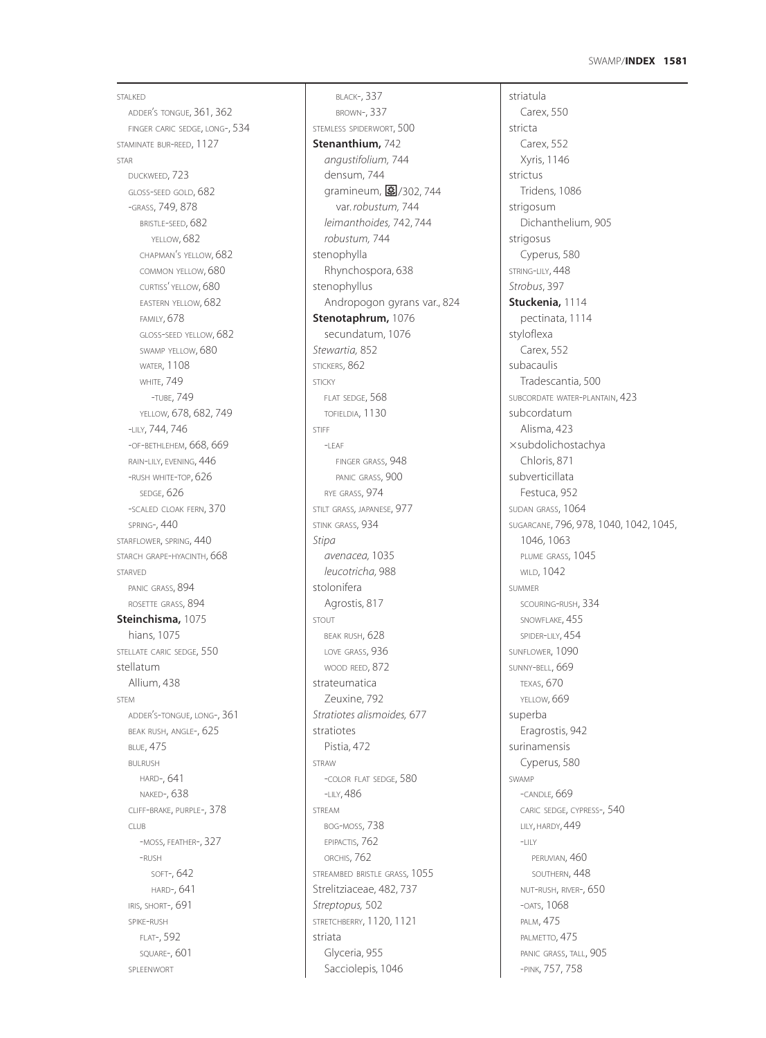## **1581** SWAMP/**INDEX**

STALKED ADDER'S TONGUE, 361, 362 FINGER CARIC SEDGE, LONG-, 534 STAMINATE BUR-REED, 1127 STAR DUCKWEED, 723 GLOSS-SEED GOLD, 682 -GRASS, 749, 878 BRISTLE-SEED, 682 YELLOW, 682 CHAPMAN'S YELLOW, 682 COMMON YELLOW, 680 CURTISS' YELLOW, 680 EASTERN YELLOW, 682 FAMILY, 678 GLOSS-SEED YELLOW, 682 SWAMP YELLOW, 680 WATER, 1108 **WHITE, 749** -TUBE, 749 YELLOW, 678, 682, 749 -LILY, 744, 746 -OF-BETHLEHEM, 668, 669 RAIN-LILY, EVENING, 446 -RUSH WHITE-TOP, 626 SEDGE, 626 -SCALED CLOAK FERN, 370 SPRING-, 440 STARFLOWER, SPRING, 440 STARCH GRAPE-HYACINTH, 668 STARVED PANIC GRASS, 894 ROSETTE GRASS, 894 **Steinchisma,** 1075 hians, 1075 STELLATE CARIC SEDGE, 550 stellatum Allium, 438 **STEM** ADDER'S-TONGUE, LONG-, 361 BEAK RUSH, ANGLE-, 625 BLUE, 475 BULRUSH HARD-, 641 NAKED-, 638 CLIFF-BRAKE, PURPLE-, 378 CLUB -MOSS, FEATHER-, 327 -RUSH SOFT-, 642 HARD-, 641 IRIS, SHORT-, 691 SPIKE-RUSH FLAT-, 592 SQUARE-, 601 SPLEENWORT

BLACK-, 337 BROWN-, 337 STEMLESS SPIDERWORT, 500 **Stenanthium,** 742 *angustifolium,* 744 densum, 744 gramineum, 图/302, 744 var. *robustum,* 744 *leimanthoides,* 742, 744 *robustum,* 744 stenophylla Rhynchospora, 638 stenophyllus Andropogon gyrans var., 824 **Stenotaphrum,** 1076 secundatum, 1076 *Stewartia,* 852 STICKERS, 862 STICKY FLAT SEDGE, 568 TOFIELDIA, 1130 STIFF  $-$ LEAF FINGER GRASS, 948 PANIC GRASS, 900 RYE GRASS, 974 STILT GRASS*,* JAPANESE, 977 STINK GRASS, 934 *Stipa avenacea,* 1035 *leucotricha,* 988 stolonifera Agrostis, 817 STOUT BEAK RUSH, 628 LOVE GRASS, 936 WOOD REED, 872 strateumatica Zeuxine, 792 *Stratiotes alismoides,* 677 stratiotes Pistia, 472 STRAW -COLOR FLAT SEDGE, 580 -LILY, 486 STREAM BOG-MOSS, 738 EPIPACTIS, 762 ORCHIS, 762 STREAMBED BRISTLE GRASS*,* 1055 Strelitziaceae, 482, 737 *Streptopus,* 502 STRETCHBERRY, 1120, 1121 striata Glyceria, 955 Sacciolepis, 1046

striatula Carex, 550 stricta Carex, 552 Xyris, 1146 strictus Tridens, 1086 strigosum Dichanthelium, 905 strigosus Cyperus, 580 STRING-LILY, 448 *Strobus*, 397 **Stuckenia,** 1114 pectinata, 1114 styloflexa Carex, 552 subacaulis Tradescantia, 500 SUBCORDATE WATER-PLANTAIN, 423 subcordatum Alisma, 423 subdolichostachya Chloris, 871 subverticillata Festuca, 952 SUDAN GRASS, 1064 SUGARCANE, 796, 978, 1040, 1042, 1045, 1046, 1063 PLUME GRASS, 1045 WILD, 1042 SUMMER SCOURING-RUSH, 334 SNOWFLAKE, 455 SPIDER-LILY, 454 SUNFLOWER, 1090 SUNNY-BELL, 669 TEXAS, 670 YELLOW, 669 superba Eragrostis, 942 surinamensis Cyperus, 580 SWAMP -CANDLE*,* 669 CARIC SEDGE, CYPRESS-, 540 LILY, HARDY, 449  $-1$  H Y PERUVIAN, 460 SOUTHERN, 448 NUT-RUSH, RIVER-, 650 -OATS, 1068 PALM, 475 PALMETTO, 475 PANIC GRASS, TALL, 905 -PINK, 757, 758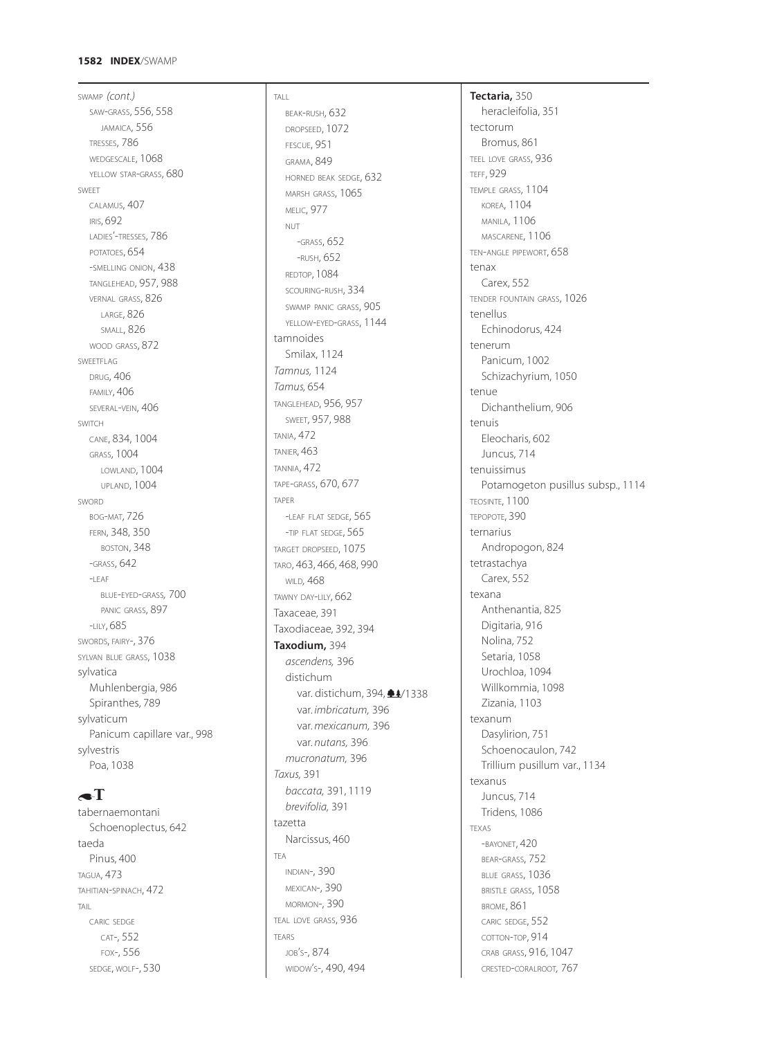## **1582 INDEX**/SWAMP

SWAMP *(cont.)* SAW-GRASS, 556, 558 JAMAICA, 556 TRESSES, 786 WEDGESCALE, 1068 YELLOW STAR-GRASS, 680 SWEET CALAMUS, 407 IRIS, 692 LADIES'-TRESSES, 786 POTATOES, 654 -SMELLING ONION, 438 TANGLEHEAD, 957, 988 VERNAL GRASS, 826 LARGE, 826 SMALL, 826 WOOD GRASS, 872 SWEETFLAG DRUG, 406 FAMILY, 406 SEVERAL-VEIN,  $406$ SWITCH CANE, 834, 1004 GRASS, 1004 LOWLAND, 1004 UPLAND, 1004 SWORD BOG-MAT, 726 FERN, 348, 350 BOSTON, 348 -GRASS, 642  $-$ LEAF BLUE-EYED-GRASS*,* 700 PANIC GRASS, 897 -LILY, 685 SWORDS, FAIRY-, 376 SYLVAN BLUE GRASS, 1038 sylvatica Muhlenbergia, 986 Spiranthes, 789 sylvaticum Panicum capillare var., 998 sylvestris Poa, 1038

# $\bullet$ T

tabernaemontani Schoenoplectus, 642 taeda Pinus, 400 TAGUA, 473 TAHITIAN-SPINACH, 472 TAIL CARIC SEDGE CAT-, 552 FOX-, 556 SEDGE, WOLF-, 530

TALL BEAK-RUSH, 632 DROPSEED, 1072 FESCUE, 951 GRAMA, 849 HORNED BEAK SEDGE, 632 MARSH GRASS, 1065 MELIC, 977 NUT -GRASS, 652 -RUSH, 652 REDTOP, 1084 SCOURING-RUSH, 334 SWAMP PANIC GRASS, 905 YELLOW-EYED-GRASS, 1144 tamnoides Smilax, 1124 *Tamnus,* 1124 *Tamus,* 654 TANGLEHEAD, 956, 957 SWEET, 957, 988 TANIA, 472 TANIER, 463 TANNIA, 472 TAPE-GRASS, 670, 677 TAPER -LEAF FLAT SEDGE, 565 -TIP FLAT SEDGE, 565 TARGET DROPSEED, 1075 TARO, 463, 466, 468, 990 WILD*,* 468 TAWNY DAY-LILY, 662 Taxaceae, 391 Taxodiaceae, 392, 394 **Taxodium,** 394 *ascendens,* 396 distichum var. distichum, 394,  $\triangleq$ 4/1338 var. *imbricatum,* 396 var. *mexicanum,* 396 var. *nutans,* 396 *mucronatum,* 396 *Taxus,* 391 *baccata,* 391, 1119 *brevifolia,* 391 tazetta Narcissus, 460 TEA INDIAN-, 390 MEXICAN-, 390 MORMON-, 390 TEAL LOVE GRASS, 936 TEARS JOB'S-, 874 WIDOW'S-, 490, 494

**Tectaria,** 350

heracleifolia, 351 tectorum Bromus, 861 TEEL LOVE GRASS, 936 TEFF, 929 TEMPLE GRASS, 1104 KOREA, 1104 MANILA, 1106 MASCARENE, 1106 TEN-ANGLE PIPEWORT, 658 tenax Carex, 552 TENDER FOUNTAIN GRASS, 1026 tenellus Echinodorus, 424 tenerum Panicum, 1002 Schizachyrium, 1050 tenue Dichanthelium, 906 tenuis Eleocharis, 602 Juncus, 714 tenuissimus Potamogeton pusillus subsp., 1114 TEOSINTE, 1100 TEPOPOTE, 390 ternarius Andropogon, 824 tetrastachya Carex, 552 texana Anthenantia, 825 Digitaria, 916 Nolina, 752 Setaria, 1058 Urochloa, 1094 Willkommia, 1098 Zizania, 1103 texanum Dasylirion, 751 Schoenocaulon, 742 Trillium pusillum var., 1134 texanus Juncus, 714 Tridens, 1086 TEXAS -BAYONET, 420 BEAR-GRASS, 752 BLUE GRASS, 1036 BRISTLE GRASS, 1058 BROME, 861 CARIC SEDGE, 552 COTTON-TOP, 914 CRAB GRASS, 916, 1047 CRESTED-CORALROOT*,* 767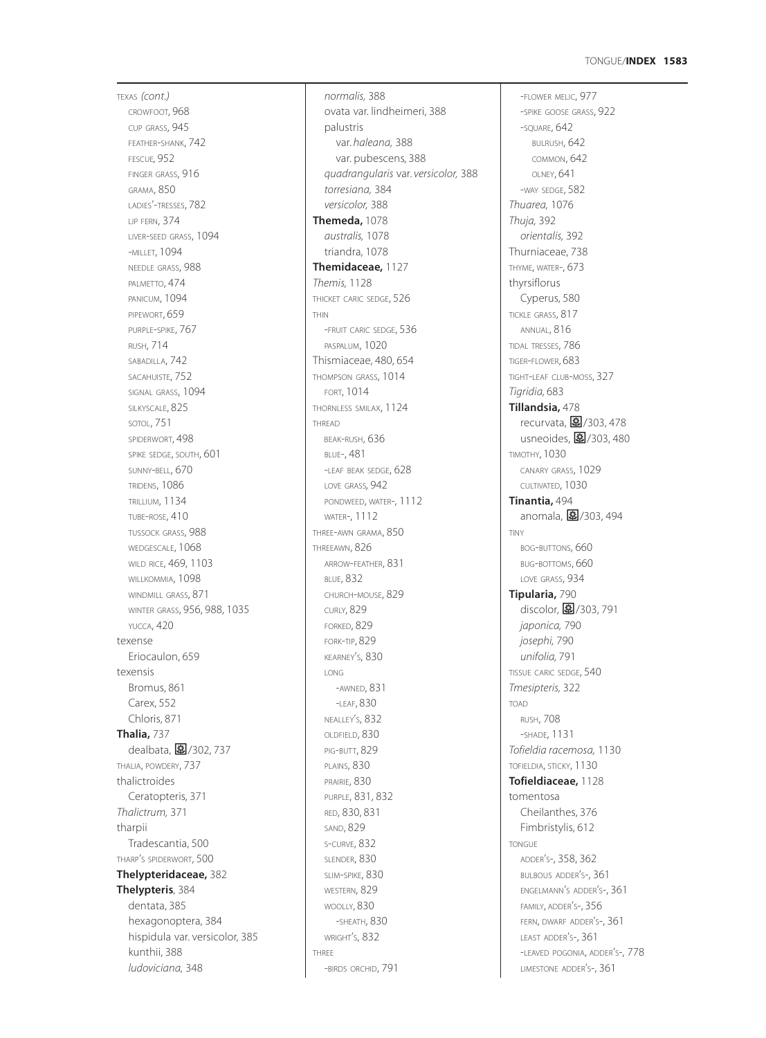### **1583** TONGUE/**INDEX**

TEXAS *(cont.)* CROWFOOT, 968 CUP GRASS, 945 FEATHER-SHANK, 742 FESCUE*,* 952 FINGER GRASS, 916 GRAMA, 850 LADIES'-TRESSES, 782 LIP FERN, 374 LIVER-SEED GRASS, 1094 -MILLET, 1094 NEEDLE GRASS, 988 PALMETTO, 474 PANICUM, 1094 PIPEWORT, 659 PURPLE-SPIKE, 767 RUSH, 714 SABADILLA, 742 SACAHUISTE, 752 SIGNAL GRASS, 1094 SILKYSCALE, 825 SOTOL, 751 SPIDERWORT, 498 SPIKE SEDGE, SOUTH, 601 SUNNY-BELL, 670 TRIDENS, 1086 TRILLIUM, 1134 TUBE-ROSE, 410 TUSSOCK GRASS, 988 WEDGESCALE, 1068 WILD RICE, 469, 1103 WILLKOMMIA, 1098 WINDMILL GRASS, 871 WINTER GRASS, 956, 988, 1035 YUCCA, 420 texense Eriocaulon, 659 texensis Bromus, 861 Carex, 552 Chloris, 871 **Thalia,** 737 dealbata, 27302, 737 THALIA, POWDERY, 737 thalictroides Ceratopteris, 371 *Thalictrum,* 371 tharpii Tradescantia, 500 THARP'S SPIDERWORT, 500 **Thelypteridaceae,** 382 **Thelypteris**, 384 dentata, 385 hexagonoptera, 384 hispidula var. versicolor, 385 kunthii, 388 *ludoviciana,* 348

*normalis,* 388 ovata var. lindheimeri, 388 palustris var. *haleana,* 388 var. pubescens, 388 *quadrangularis* var. *versicolor,* 388 *torresiana,* 384 *versicolor,* 388 **Themeda,** 1078 *australis,* 1078 triandra, 1078 **Themidaceae,** 1127 *Themis,* 1128 THICKET CARIC SEDGE, 526 THIN -FRUIT CARIC SEDGE, 536 PASPALUM, 1020 Thismiaceae, 480, 654 THOMPSON GRASS, 1014 FORT, 1014 THORNLESS SMILAX, 1124 THREAD BEAK-RUSH, 636 BLUE-, 481 -LEAF BEAK SEDGE, 628 LOVE GRASS*,* 942 PONDWEED, WATER-, 1112 WATER-, 1112 THREE-AWN GRAMA, 850 THREEAWN, 826 ARROW-FEATHER, 831 BLUE, 832 CHURCH-MOUSE, 829 CURLY, 829 FORKED, 829 FORK-TIP, 829 KEARNEY'S, 830 LONG -AWNED, 831 -LEAF, 830 NEALLEY'S, 832 OLDFIELD, 830 PIG-BUTT, 829 PLAINS, 830 PRAIRIE, 830 PURPLE, 831, 832 RED, 830, 831 SAND, 829 S-CURVE, 832 SLENDER, 830 SLIM-SPIKE, 830 WESTERN, 829 WOOLLY, 830 -SHEATH, 830 WRIGHT'S, 832 THREE -BIRDS ORCHID, 791

-FLOWER MELIC, 977 -SPIKE GOOSE GRASS, 922 -SQUARE, 642 BULRUSH, 642 COMMON, 642 OLNEY, 641 -WAY SEDGE, 582 *Thuarea,* 1076 *Thuja,* 392 *orientalis,* 392 Thurniaceae, 738 THYME, WATER-, 673 thyrsiflorus Cyperus, 580 TICKLE GRASS, 817 ANNUAL, 816 TIDAL TRESSES, 786 TIGER-FLOWER, 683 TIGHT-LEAF CLUB-MOSS, 327 *Tigridia,* 683 **Tillandsia,** 478 recurvata, 273/303, 478 usneoides,  $\boxed{3}$ /303, 480 TIMOTHY, 1030 CANARY GRASS, 1029 CULTIVATED, 1030 **Tinantia,** 494 anomala,  $\frac{1}{3}$ /303, 494 TINY BOG-BUTTONS, 660 BUG-BOTTOMS, 660 LOVE GRASS, 934 **Tipularia,** 790 discolor, 27/303, 791 *japonica,* 790 *josephi,* 790 *unifolia,* 791 TISSUE CARIC SEDGE, 540 *Tmesipteris,* 322 TOAD RUSH, 708 -SHADE, 1131 *Tofieldia racemosa,* 1130 TOFIELDIA, STICKY, 1130 **Tofieldiaceae,** 1128 tomentosa Cheilanthes, 376 Fimbristylis, 612 TONGUE ADDER'S-, 358, 362 BULBOUS ADDER'S-, 361 ENGELMANN'S ADDER'S-, 361 FAMILY, ADDER'S-, 356 FERN, DWARF ADDER'S-, 361 LEAST ADDER'S-, 361 -LEAVED POGONIA, ADDER'S-, 778 LIMESTONE ADDER'S-, 361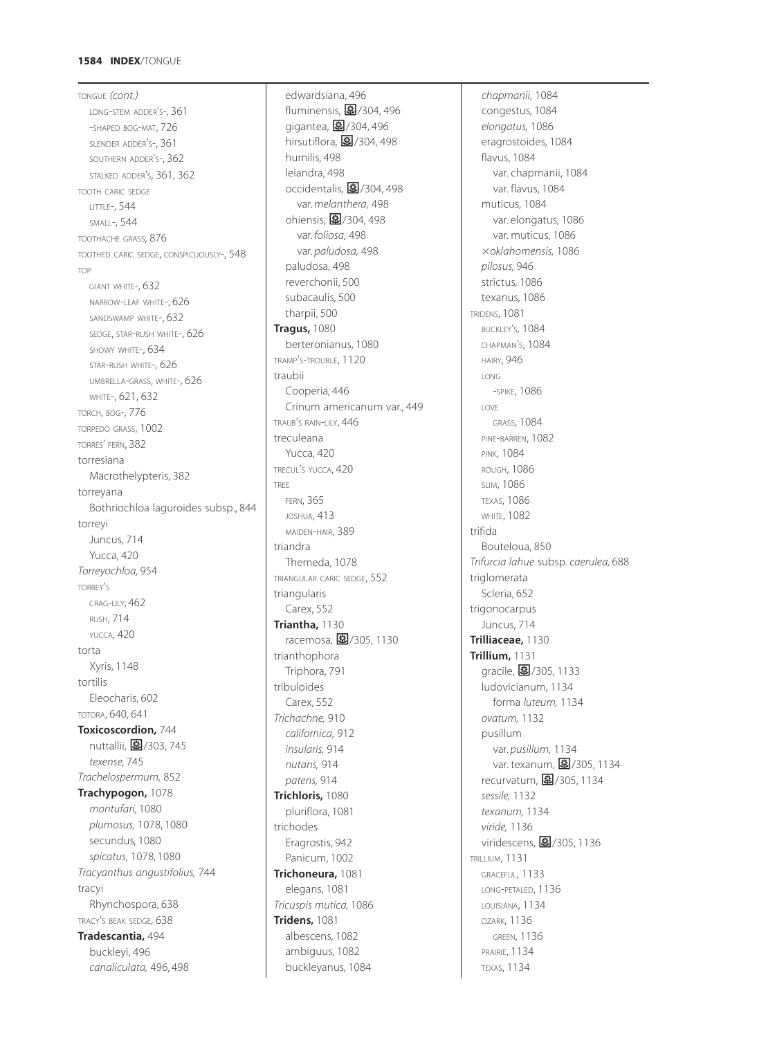## **1584 INDEX**/TONGUE

TONGUE *(cont.)* LONG-STEM ADDER'S-, 361 -SHAPED BOG-MAT, 726 SLENDER ADDER'S-, 361 SOUTHERN ADDER'S-, 362 STALKED ADDER'S, 361, 362 TOOTH CARIC SEDGE LITTLE-, 544 SMALL-, 544 TOOTHACHE GRASS, 876 TOOTHED CARIC SEDGE, CONSPICUOUSLY-, 548 TOP GIANT WHITE-, 632 NARROW-LEAF WHITE-, 626 SANDSWAMP WHITE-, 632 SEDGE, STAR-RUSH WHITE-, 626 SHOWY WHITE-, 634 STAR-RUSH WHITE-, 626 UMBRELLA-GRASS, WHITE-, 626 WHITE-, 621, 632 TORCH, BOG-, 776 TORPEDO GRASS, 1002 TORRÈS' FERN, 382 torresiana Macrothelypteris, 382 torreyana Bothriochloa laguroides subsp., 844 torreyi Juncus, 714 Yucca, 420 *Torreyochloa,* 954 TORREY'S CRAG-LILY, 462 RUSH, 714 YUCCA, 420 torta Xyris, 1148 tortilis Eleocharis, 602 TOTORA, 640, 641 **Toxicoscordion,** 744 nuttallii, 图/303, 745 *texense,* 745 *Trachelospermum,* 852 **Trachypogon,** 1078 *montufari,* 1080 *plumosus,* 1078, 1080 secundus, 1080 *spicatus,* 1078, 1080 *Tracyanthus angustifolius,* 744 tracyi Rhynchospora, 638 TRACY'S BEAK SEDGE, 638 **Tradescantia,** 494 buckleyi, 496 *canaliculata,* 496, 498

edwardsiana, 496 fluminensis, 27/304, 496 gigantea,  $\boxed{\ddot{2}$ /304, 496 hirsutiflora,  $\boxed{3}$ /304, 498 humilis, 498 leiandra, 498 occidentalis, 27304, 498 var. *melanthera,* 498 ohiensis, 图/304, 498 var. *foliosa,* 498 var. *paludosa,* 498 paludosa, 498 reverchonii, 500 subacaulis, 500 tharpii, 500 **Tragus,** 1080 berteronianus, 1080 TRAMP'S-TROUBLE, 1120 traubii Cooperia*,* 446 Crinum americanum var., 449 TRAUB'S RAIN-LILY, 446 treculeana Yucca, 420 TRECUL'S YUCCA, 420 TREE FERN, 365 JOSHUA, 413 MAIDEN-HAIR, 389 triandra Themeda, 1078 TRIANGULAR CARIC SEDGE, 552 triangularis Carex, 552 **Triantha,** 1130 racemosa, 37/305, 1130 trianthophora Triphora, 791 tribuloides Carex, 552 *Trichachne,* 910 *californica,* 912 *insularis,* 914 *nutans,* 914 *patens,* 914 **Trichloris,** 1080 pluriflora, 1081 trichodes Eragrostis, 942 Panicum, 1002 **Trichoneura,** 1081 elegans, 1081 *Tricuspis mutica,* 1086 **Tridens,** 1081 albescens, 1082 ambiguus, 1082 buckleyanus, 1084

*chapmanii,* 1084 congestus, 1084 *elongatus,* 1086 eragrostoides, 1084 flavus, 1084 var. chapmanii, 1084 var. flavus, 1084 muticus, 1084 var. elongatus, 1086 var. muticus, 1086 *oklahomensis,* 1086 *pilosus,* 946 strictus, 1086 texanus, 1086 TRIDENS, 1081 BUCKLEY'S, 1084 CHAPMAN'S, 1084 HAIRY, 946 LONG -SPIKE, 1086 LOVE GRASS, 1084 PINE-BARREN, 1082 PINK, 1084 ROUGH, 1086 SLIM, 1086 TEXAS, 1086 **WHITE, 1082** trifida Bouteloua, 850 *Trifurcia lahue* subsp. *caerulea,* 688 triglomerata Scleria, 652 trigonocarpus Juncus, 714 **Trilliaceae,** 1130 **Trillium,** 1131 gracile, 27/305, 1133 ludovicianum, 1134 forma *luteum,* 1134 *ovatum,* 1132 pusillum var. *pusillum,* 1134 var. texanum, 27/305, 1134 recurvatum, 27/305, 1134 *sessile,* 1132 *texanum,* 1134 *viride,* 1136 viridescens, 27/305, 1136 TRILLIUM, 1131 GRACEFUL, 1133 LONG-PETALED, 1136 LOUISIANA, 1134 OZARK, 1136 GREEN, 1136 PRAIRIE, 1134 TEXAS, 1134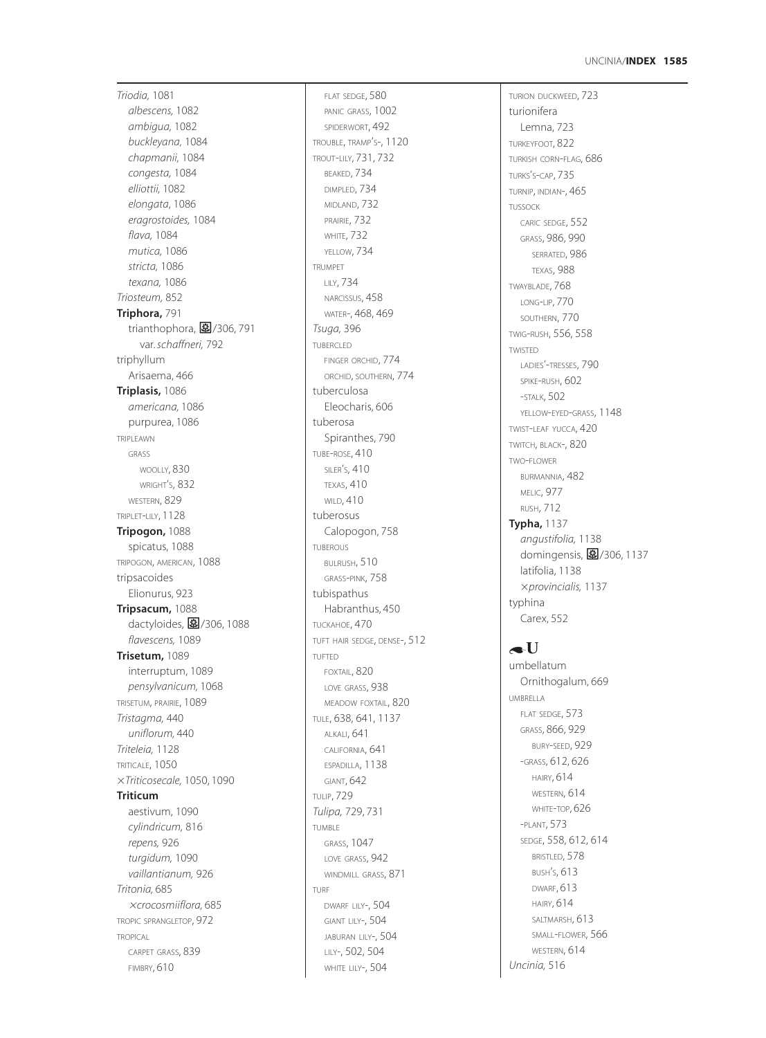*Triodia,* 1081 *albescens,* 1082 *ambigua,* 1082 *buckleyana,* 1084 *chapmanii,* 1084 *congesta,* 1084 *elliottii,* 1082 *elongata*, 1086 *eragrostoides,* 1084 *flava,* 1084 *mutica,* 1086 *stricta,* 1086 *texana,* 1086 *Triosteum,* 852 **Triphora,** 791 •<br>trianthophora, <mark>国</mark>/306, 791 var. *schaffneri,* 792 triphyllum Arisaema, 466 **Triplasis,** 1086 *americana,* 1086 purpurea, 1086 TRIPLEAWN GRASS WOOLLY, 830 WRIGHT S, 832 ' WESTERN, 829 TRIPLET -LILY, 1128 **Tripogon,** 1088 spicatus, 1088 TRIPOGON, AMERICAN, 1088 tripsacoides Elionurus, 923 **Tripsacum,** 1088 .<br>dactyloides, <mark>国</mark>/306, 1088 *flavescens,* 1089 **Trisetum,** 1089 interruptum, 1089 *pensylvanicum,* 1068 TRISETUM, PRAIRIE, 1089 *Tristagma,* 440 *uniflorum,* 440 *Triteleia,* 1128 TRITICALE, 1050 *Triticosecale,* 1050, 1090 **Triticum** aestivum, 1090 *cylindricum,* 816 *repens,* 926 *turgidum,* 1090 *vaillantianum,* 926 *Tritonia,* 685 *crocosmiiflora,* 685 TROPIC SPRANGLETOP, 972 **TROPICAL** CARPET GRASS, 839

FIMBRY, 610

FLAT SEDGE, 580 PANIC GRASS, 1002 SPIDERWORT, 492 TROUBLE, TRAMP S-, 1120 ' TROUT -LILY, 731, 732 BEAKED, 734 DIMPLED, 734 MIDLAND, 732 PRAIRIE, 732 WHITE, 732 YELLOW, 734 TRUMPET LILY, 734 NARCISSUS , 458 WATER-, 468, 469 *Tsuga,* 396 TUBERCLED FINGER ORCHID, 774 ORCHID, SOUTHERN, 774 tuberculosa Eleocharis, 606 tuberosa Spiranthes, 790 TUBE - ROSE, 410 SILER S, 410 ' TEXAS, 410 WILD, 410 tuberosus Calopogon, 758 TUBEROUS BULRUSH, 510 GRASS -PINK, 758 tubispathus Habranthus, 450 TUCKAHOE, 470 TUFT HAIR SEDGE, DENSE-, 512 TUFTED FOXTAIL, 820 LOVE GRASS, 938 MEADOW FOXTAIL, 820 TULE, 638, 641, 1137 ALKALI, 641 CALIFORNIA, 641 ESPADILLA, 1138 GIANT, 642 TULIP, 729 *Tulipa,* 729, 731 TUMBLE GRASS, 1047 LOVE GRASS, 942 WINDMILL GRASS, 871 TURF DWARF LILY-, 504 GIANT LILY-, 504 JABURAN LILY-, 504 LILY-, 502, 504 WHITE LILY-, 504

TURION DUCKWEED, 723 turionifera Lemna, 723 TURKEYFOOT, 822 TURKISH CORN -FLAG, 686 TURKS S -CAP, 735 ' TURNIP, INDIAN-, 465 TUSSOCK CARIC SEDGE, 552 GRASS, 986, 990 SERRATED, 986 TEXAS, 988 TWAYBLADE, 768 LONG -LIP, 770 SOUTHERN, 770 TWIG -RUSH, 556, 558 TWISTED LADIES'-TRESSES, 790 SPIKE -RUSH, 602 -STALK, 502 YELLOW -EYED -GRASS, 1148 TWIST -LEAF YUCCA, 420 TWITCH, BLACK-, 820 TWO -FLOWER BURMANNIA, 482 MELIC, 977 RUSH, 712 **Typha,** 1137 *angustifolia,* 1138 domingensis, **图**/306, 1137 latifolia, 1138 *provincialis,* 1137 typhina Carex, 552  $\bullet U$ umbellatum Ornithogalum, 669 UMBRELLA

FLAT SEDGE, 573 GRASS, 866, 929 BURY -SEED, 929 -GRASS, 612, 626 HAIRY, 614 WESTERN, 614 WHITE -TOP, 626 -PLANT, 573 SEDGE, 558, 612, 614 BRISTLED, 578 BUSH S, 613 ' DWARF, 613 HAIRY, 614 SALTMARSH, 613 SMALL -FLOWER, 566 WESTERN, 614 *Uncinia,* 516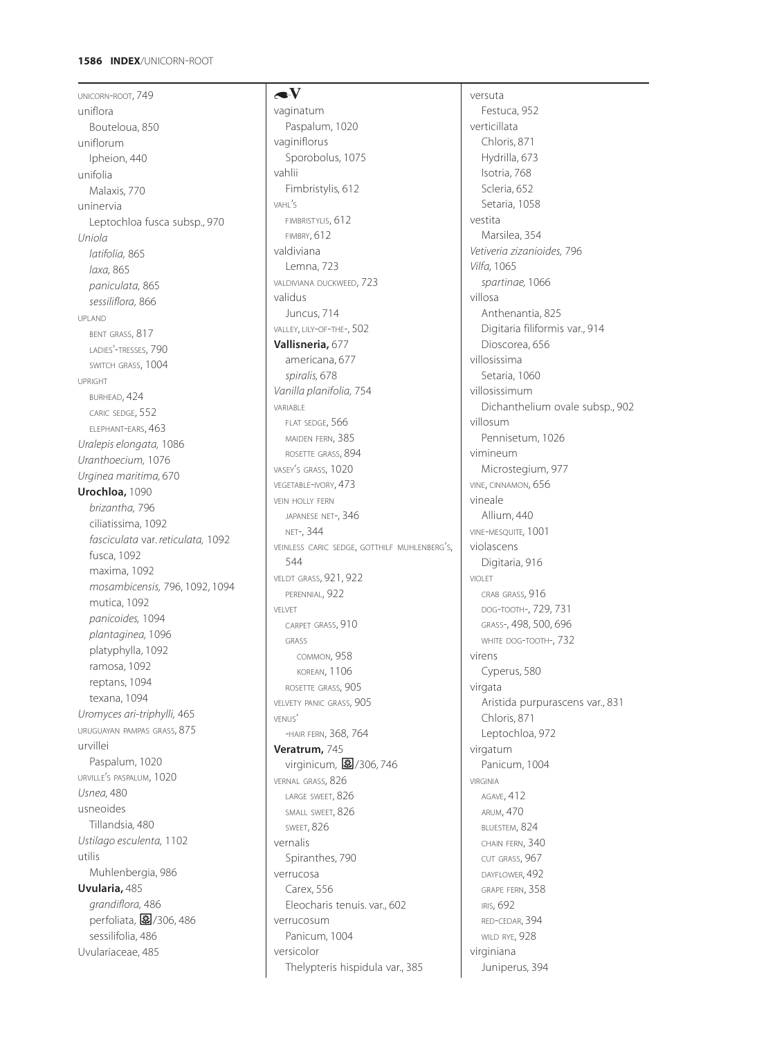## **1586 INDEX**/UNICORN-ROOT

UNICORN-ROOT, 749 uniflora Bouteloua, 850 uniflorum Ipheion, 440 unifolia Malaxis, 770 uninervia Leptochloa fusca subsp., 970 *Uniola latifolia,* 865 *laxa,* 865 *paniculata,* 865 *sessiliflora,* 866 UPLAND BENT GRASS, 817 LADIES'-TRESSES, 790 SWITCH GRASS, 1004 UPRIGHT BURHEAD, 424 CARIC SEDGE, 552 ELEPHANT-EARS, 463 *Uralepis elongata,* 1086 *Uranthoecium,* 1076 *Urginea maritima,* 670 **Urochloa,** 1090 *brizantha,* 796 ciliatissima, 1092 *fasciculata* var. *reticulata,* 1092 fusca, 1092 maxima, 1092 *mosambicensis,* 796, 1092, 1094 mutica, 1092 *panicoides,* 1094 *plantaginea,* 1096 platyphylla, 1092 ramosa, 1092 reptans, 1094 texana, 1094 *Uromyces ari-triphylli,* 465 URUGUAYAN PAMPAS GRASS, 875 urvillei Paspalum, 1020 URVILLE'S PASPALUM, 1020 *Usnea,* 480 usneoides Tillandsia*,* 480 *Ustilago esculenta,* 1102 utilis Muhlenbergia, 986 **Uvularia,** 485 *grandiflora,* 486 perfoliata, 27/306, 486 sessilifolia, 486 Uvulariaceae, 485

# $\blacktriangle V$ vaginatum Paspalum, 1020 vaginiflorus Sporobolus, 1075 vahlii Fimbristylis, 612 VAHL'S FIMBRISTYLIS, 612 FIMBRY, 612 valdiviana Lemna, 723 VALDIVIANA DUCKWEED, 723 validus Juncus, 714 VALLEY, LILY-OF-THE-, 502 **Vallisneria,** 677 americana, 677 *spiralis,* 678 *Vanilla planifolia,* 754 VARIABLE FLAT SEDGE, 566 MAIDEN FERN, 385 ROSETTE GRASS, 894 VASEY'S GRASS, 1020 VEGETABLE-IVORY, 473 VEIN HOLLY FERN JAPANESE NET-, 346 NET-, 344 VEINLESS CARIC SEDGE, GOTTHILF MUHLENBERG'S, 544 VELDT GRASS, 921, 922 PERENNIAL, 922 VELVET CARPET GRASS, 910 GRASS COMMON, 958 KOREAN, 1106 ROSETTE GRASS, 905 VELVETY PANIC GRASS, 905 VENUS' -HAIR FERN, 368, 764 **Veratrum,** 745 virginicum, 27/306, 746 VERNAL GRASS, 826 LARGE SWEET, 826 SMALL SWEET, 826 SWEET, 826 vernalis Spiranthes, 790 verrucosa Carex, 556 Eleocharis tenuis. var., 602 verrucosum Panicum*,* 1004 versicolor

Thelypteris hispidula var., 385

versuta Festuca, 952 verticillata Chloris, 871 Hydrilla, 673 Isotria, 768 Scleria, 652 Setaria, 1058 vestita Marsilea, 354 *Vetiveria zizanioides,* 796 *Vilfa,* 1065 *spartinae,* 1066 villosa Anthenantia, 825 Digitaria filiformis var., 914 Dioscorea, 656 villosissima Setaria, 1060 villosissimum Dichanthelium ovale subsp., 902 villosum Pennisetum, 1026 vimineum Microstegium, 977 VINE, CINNAMON, 656 vineale Allium, 440 VINE-MESQUITE*,* 1001 violascens Digitaria, 916 VIOLET CRAB GRASS, 916 DOG-TOOTH-, 729, 731 GRASS-, 498, 500, 696 WHITE DOG-TOOTH-, 732 virens Cyperus, 580 virgata Aristida purpurascens var., 831 Chloris, 871 Leptochloa, 972 virgatum Panicum, 1004 VIRGINIA AGAVE, 412 ARUM, 470 BLUESTEM, 824 CHAIN FERN, 340 CUT GRASS, 967 DAYFLOWER, 492 GRAPE FERN, 358 IRIS, 692 RED-CEDAR, 394 WILD RYE, 928 virginiana Juniperus, 394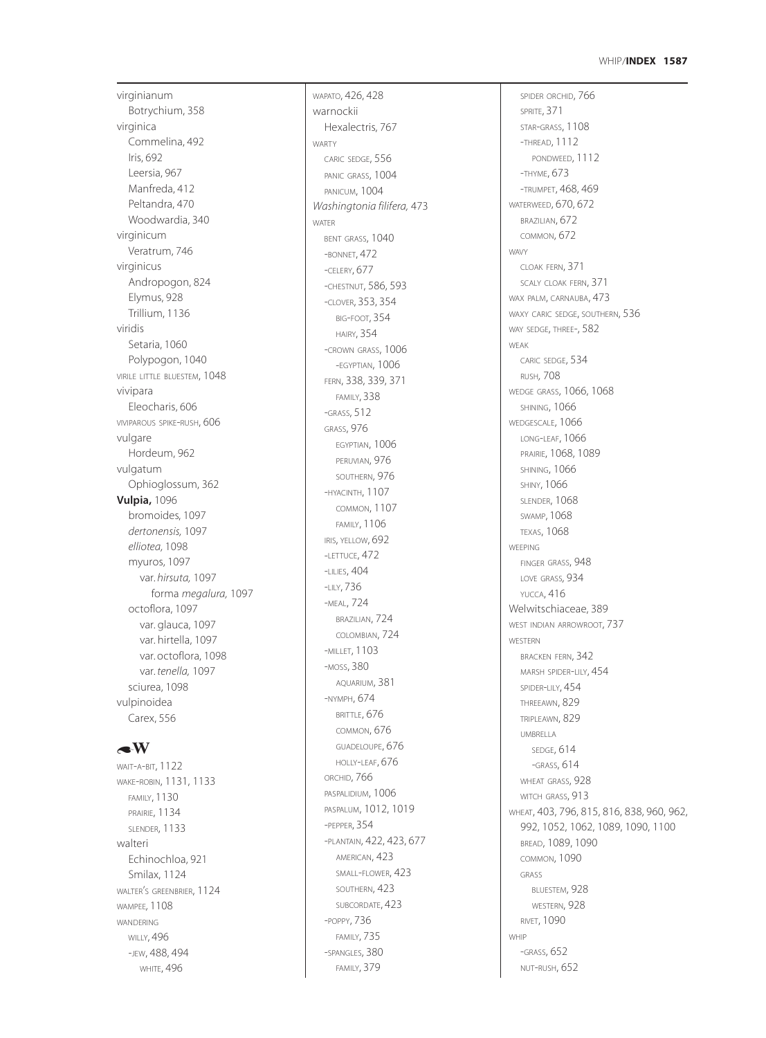### **1587** WHIP /**INDEX**

virginianum Botrychium, 358 virginica Commelina, 492 Iris, 692 Leersia, 967 Manfreda, 412 Peltandra, 470 Woodwardia, 340 virginicum Veratrum, 746 virginicus Andropogon, 824 Elymus, 928 Trillium, 1136 viridis Setaria, 1060 Polypogon, 1040 VIRILE LITTLE BLUESTEM, 1048 vivipara Eleocharis, 606 VIVIPAROUS SPIKE -RUSH, 606 vulgare Hordeum, 962 vulgatum Ophioglossum, 362 **Vulpia,** 1096 bromoides, 1097 *dertonensis,* 1097 *elliotea,* 1098 myuros, 1097 var. *hirsuta,* 1097 forma *megalura,* 1097 octoflora, 1097 var. glauca, 1097 var. hirtella, 1097 var. octoflora, 1098 var. *tenella,* 1097 sciurea, 1098 vulpinoidea Carex, 556

# $\triangle$ W

WAIT-A-BIT, 1122 WAKE -ROBIN, 1131, 1133 FAMILY, 1130 PRAIRIE, 1134 SLENDER, 1133 walteri Echinochloa, 921 Smilax, 1124 WALTER <sup>S</sup> GREENBRIER, 1124 ' WAMPEE*,* 1108 WANDERING WILLY, 496 -JEW, 488, 494 WHITE, 496

warnockii Hexalectris, 767 WARTY CARIC SEDGE, 556 PANIC GRASS, 1004 PANICUM, 1004 *Washingtonia filifera,* 473 WATER BENT GRASS, 1040 -BONNET, 472 -CELERY, 677 -CHESTNUT, 586, 593 -CLOVER, 353, 354 BIG -FOOT, 354 HAIRY, 354 -CROWN GRASS, 1006 -EGYPTIAN, 1006 FERN, 338, 339, 371 FAMILY, 338 -GRASS, 512 GRASS, 976 EGYPTIAN, 1006 PERUVIAN, 976 SOUTHERN, 976 -HYACINTH, 1107 COMMON, 1107 FAMILY, 1106 IRIS, YELLOW, 692 -LETTUCE, 472 -LILIES, 404 -LILY, 736 -MEAL, 724 BRAZILIAN, 724 COLOMBIAN, 724 -MILLET, 1103 -MOSS, 380 AQUARIUM, 381 -NYMPH, 674 BRITTLE, 676 COMMON, 676 GUADELOUPE, 676 HOLLY -LEAF, 676 ORCHID, 766 PASPALIDIUM, 1006 PASPALUM, 1012, 1019 -PEPPER, 354 -PLANTAIN, 422, 423, 677 AMERICAN, 423 SMALL -FLOWER, 423 SOUTHERN, 423 SUBCORDATE, 423 -POPPY, 736 FAMILY, 735 -SPANGLES, 380 FAMILY, 379

WAPATO, 426, 428

SPIDER ORCHID, 766 SPRITE, 371 STAR -GRASS, 1108 -THREAD, 1112 PONDWEED, 1112 -THYME, 673 -TRUMPET, 468, 469 WATERWEED, 670, 672 BRAZILIAN, 672 COMMON, 672 WAVY CLOAK FERN, 371 SCALY CLOAK FERN, 371 WAX PALM, CARNAUBA, 473 WAXY CARIC SEDGE, SOUTHERN, 536 WAY SEDGE, THREE-, 582 WEAK CARIC SEDGE, 534 RUSH *,* 708 WEDGE GRASS, 1066, 1068 SHINING, 1066 WEDGESCALE, 1066 LONG -LEAF, 1066 PRAIRIE, 1068, 1089 SHINING, 1066 SHINY, 1066 SLENDER, 1068 SWAMP, 1068 TEXAS, 1068 **WEEPING** FINGER GRASS, 948 LOVE GRASS*,* 934 YUCCA, 416 Welwitschiaceae, 389 WEST INDIAN ARROWROOT, 737 WESTERN BRACKEN FERN, 342 MARSH SPIDER -LILY, 454 SPIDER -LILY, 454 THREEAWN, 829 TRIPLEAWN, 829 UMBRELLA SEDGE, 614 -GRASS, 614 WHEAT GRASS, 928 WITCH GRASS, 913 WHEAT, 403, 796, 815, 816, 838, 960, 962, 992, 1052, 1062, 1089, 1090, 1100 BREAD, 1089, 1090 COMMON, 1090 GRASS BLUESTEM, 928 WESTERN, 928 RIVET, 1090 WHIP<br>-GRASS, 652 NUT -RUSH, 652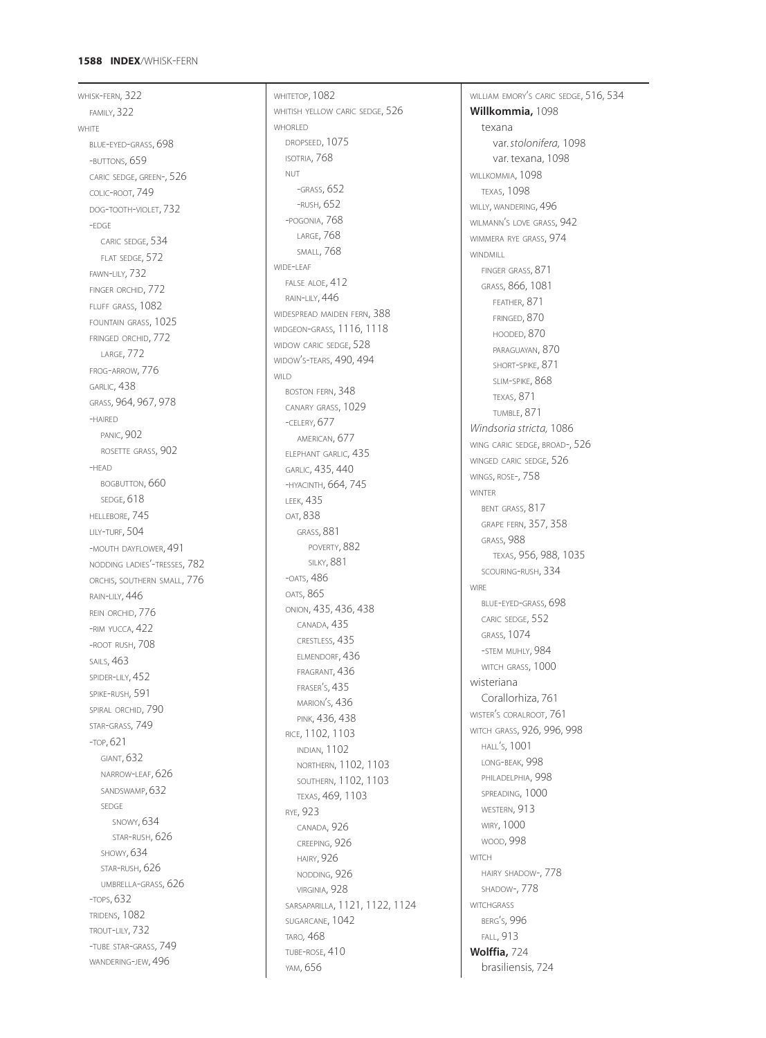## **1588 INDEX** /WHISK -FERN

WHISK -FERN, 322 FAMILY, 322 WHITE BLUE-EYED-GRASS, 698 -BUTTONS, 659 CARIC SEDGE, GREEN-, 526 COLIC -ROOT, 749 DOG -TOOTH -VIOLET, 732 -EDGE CARIC SEDGE, 534 FLAT SEDGE, 572 FAWN -LILY, 732 FINGER ORCHID, 772 FLUFF GRASS, 1082 FOUNTAIN GRASS, 1025 FRINGED ORCHID, 772 LARGE, 772 FROG -ARROW, 776 GARLIC, 438 GRASS, 964, 967, 978 -HAIRED PANIC, 902 ROSETTE GRASS, 902 -HEAD BOGBUTTON, 660 SEDGE, 618 HELLEBORE, 745 LILY -TURF, 504 -MOUTH DAYFLOWER 491 NODDING LADIES'-TRESSES, 782 ORCHIS, SOUTHERN SMALL, 776 RAIN -LILY, 446 REIN ORCHID, 776 -RIM YUCCA, 422 -ROOT RUSH, 708 SAILS, 463 SPIDER -LILY, 452 SPIKE -RUSH, 591 SPIRAL ORCHID, 790 STAR -GRASS, 749 -TOP, 621 GIANT, 632 NARROW -LEAF, 626 SANDSWAMP, 632 SEDGE SNOWY<sub>634</sub> STAR -RUSH, 626 SHOWY, 634 STAR -RUSH, 626 UMBRELLA -GRASS, 626 - TOPS, 632 TRIDENS, 1082 TROUT -LILY, 732 -TUBE STAR -GRASS, 749 wandering-jew, 496

WHITETOP, 1082 WHITISH YELLOW CARIC SEDGE, 526 WHORLED DROPSEED, 1075 ISOTRIA, 768 NUT<br>-GRASS, 652 -RUSH, 652 -POGONIA, 768 LARGE, 768 SMALL, 768 WIDE-LEAF FALSE ALOE, 412 RAIN -LILY, 446 WIDESPREAD MAIDEN FERN, 388 WIDGEON -GRASS, 1116, 1118 WIDOW CARIC SEDGE, 528 WIDOW S -TEARS, 490, 494 ' WILD BOSTON FERN, 348 CANARY GRASS, 1029 -CELERY, 677 AMERICAN, 677 ELEPHANT GARLIC, 435 GARLIC, 435, 440 -HYACINTH, 664, 745 LEEK, 435 OAT, 838 GRASS, 881 POVERTY, 882 SILKY, 881 -OATS, 486 OATS, 865 ONION, 435, 436, 438 CANADA, 435 CRESTLESS, 435 ELMENDORF, 436 FRAGRANT, 436 FRASER S, 435 ' MARION S, 436 ' PINK, 436, 438 RICE, 1102, 1103 INDIAN, 1102 NORTHERN, 1102, 1103 SOUTHERN, 1102, 1103 TEXAS, 469, 1103 RYE, 923 CANADA, 926 CREEPING, 926 HAIRY, 926 NODDING, 926 VIRGINIA, 928 SARSAPARILLA, 1121, 1122, 1124 SUGARCANE, 1042 TARO *,* 468 TUBE - ROSE, 410 YAM, 656

WILLIAM EMORY <sup>S</sup> CARIC SEDGE, 516, 534 ' **Willkommia,** 1098 texana var. *stolonifera,* 1098 var. texana, 1098 WILLKOMMIA, 1098 TEXAS, 1098 WILLY, WANDERING,  $496$ WILMANN <sup>S</sup> LOVE GRASS, 942 ' WIMMERA RYE GRASS, 974 WINDMILL FINGER GRASS, 871 GRASS, 866, 1081 FEATHER, 871 FRINGED, 870 HOODED, 870 PARAGUAYAN, 870 SHORT -SPIKE, 871 SLIM -SPIKE, 868 TEXAS, 871 TUMBLE, 871 *Windsoria stricta,* 1086 WING CARIC SEDGE, BROAD-, 526 WINGED CARIC SEDGE, 526 WINGS, ROSE-, 758 WINTER BENT GRASS, 817 GRAPE FERN, 357, 358 GRASS, 988 TEXAS, 956, 988, 1035 SCOURING -RUSH, 334 **WIRE** BLUE -EYED -GRASS, 698 CARIC SEDGE, 552 GRASS, 1074 -STEM MUHLY, 984 WITCH GRASS, 1000 wisteriana Co rallorhiza, 761 WISTER S CORALROOT, 761 ' WITCH GRASS, 926, 996, 998 HALL S, 1001 ' LONG -BEAK, 998 PHILADELPHIA, 998 SPREADING, 1000 WESTERN, 913 WIRY, 1000 WOOD, 998 **WITCH** HAIRY SHADOW-, 778 SHADOW-, 778 **WITCHGRASS** BERG S, 996 ' FALL, 913 **Wolffia,** 724 brasiliensis, 724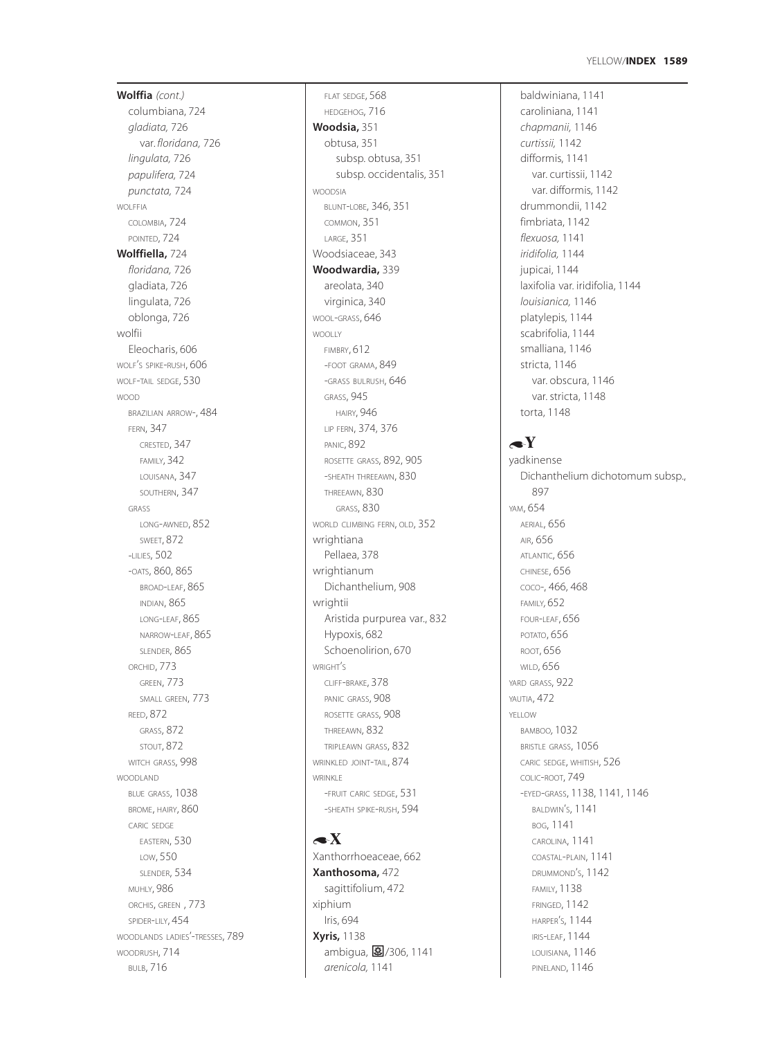#### **1589** YELLOW/**INDEX**

**Wolffia** *(cont.)* columbiana, 724 *gladiata,* 726 var. *floridana,* 726 *lingulata,* 726 *papulifera,* 724 *punctata,* 724 WOLFFIA COLOMBIA, 724 POINTED, 724 **Wolffiella,** 724 *floridana,* 726 gladiata, 726 lingulata, 726 oblonga, 726 wolfii Eleocharis, 606 WOLF'S SPIKE-RUSH, 606 WOLF-TAIL SEDGE, 530 WOOD BRAZILIAN ARROW-, 484 FERN, 347 CRESTED, 347 FAMILY, 342 LOUISANA, 347 SOUTHERN, 347 GRASS LONG-AWNED, 852 SWEET, 872 -LILIES, 502 -OATS, 860, 865 BROAD-LEAF, 865 INDIAN, 865 LONG-LEAF, 865 NARROW-LEAF, 865 SLENDER, 865 ORCHID, 773 GREEN, 773 SMALL GREEN, 773 REED, 872 GRASS, 872 STOUT, 872 WITCH GRASS, 998 WOODLAND BLUE GRASS, 1038 BROME, HAIRY, 860 CARIC SEDGE EASTERN, 530 LOW, 550 SLENDER, 534 MUHLY, 986 ORCHIS, GREEN , 773 SPIDER-LILY, 454 WOODLANDS LADIES'-TRESSES, 789 WOODRUSH, 714 BULB, 716

FLAT SEDGE, 568 HEDGEHOG, 716 **Woodsia,** 351 obtusa, 351 subsp. obtusa, 351 subsp. occidentalis, 351 WOODSIA BLUNT-LOBE, 346, 351 COMMON, 351 LARGE, 351 Woodsiaceae, 343 **Woodwardia,** 339 areolata, 340 virginica, 340 WOOL-GRASS, 646 WOOLLY FIMBRY, 612 -FOOT GRAMA, 849 -GRASS BULRUSH, 646 GRASS, 945 HAIRY, 946 LIP FERN, 374, 376 PANIC, 892 ROSETTE GRASS, 892, 905 -SHEATH THREEAWN, 830 THREEAWN, 830 GRASS, 830 WORLD CLIMBING FERN, OLD, 352 wrightiana Pellaea, 378 wrightianum Dichanthelium, 908 wrightii Aristida purpurea var., 832 Hypoxis, 682 Schoenolirion, 670 WRIGHT'S CLIFF-BRAKE, 378 PANIC GRASS, 908 ROSETTE GRASS, 908 THREEAWN, 832 TRIPLEAWN GRASS, 832 WRINKLED JOINT-TAIL, 874 WRINKI F -FRUIT CARIC SEDGE, 531 -SHEATH SPIKE-RUSH, 594

# $\triangleleft$ X Xanthorrhoeaceae, 662 **Xanthosoma,** 472 sagittifolium, 472 xiphium Iris, 694 **Xyris,** 1138 ambigua, 2/306, 1141 *arenicola,* 1141

baldwiniana, 1141 caroliniana, 1141 *chapmanii,* 1146 *curtissii,* 1142 difformis, 1141 var. curtissii, 1142 var. difformis, 1142 drummondii, 1142 fimbriata, 1142 *flexuosa,* 1141 *iridifolia,* 1144 jupicai, 1144 laxifolia var. iridifolia, 1144 *louisianica,* 1146 platylepis, 1144 scabrifolia, 1144 smalliana, 1146 stricta, 1146 var. obscura, 1146 var. stricta, 1148 torta, 1148

# $\blacktriangle Y$

yadkinense Dichanthelium dichotomum subsp., 897 YAM, 654 AERIAL, 656 AIR, 656 ATLANTIC, 656 CHINESE, 656 COCO-, 466, 468 FAMILY*,* 652 FOUR-LEAF, 656 POTATO, 656 ROOT, 656 WILD, 656 YARD GRASS, 922 YAUTIA, 472 YELLOW BAMBOO*,* 1032 BRISTLE GRASS, 1056 CARIC SEDGE, WHITISH, 526 COLIC-ROOT, 749 -EYED-GRASS, 1138, 1141, 1146 BALDWIN'S, 1141 BOG, 1141 CAROLINA, 1141 COASTAL-PLAIN, 1141 DRUMMOND'S, 1142 FAMILY, 1138 FRINGED, 1142 HARPER'S, 1144 IRIS-LEAF, 1144 LOUISIANA, 1146 PINELAND, 1146